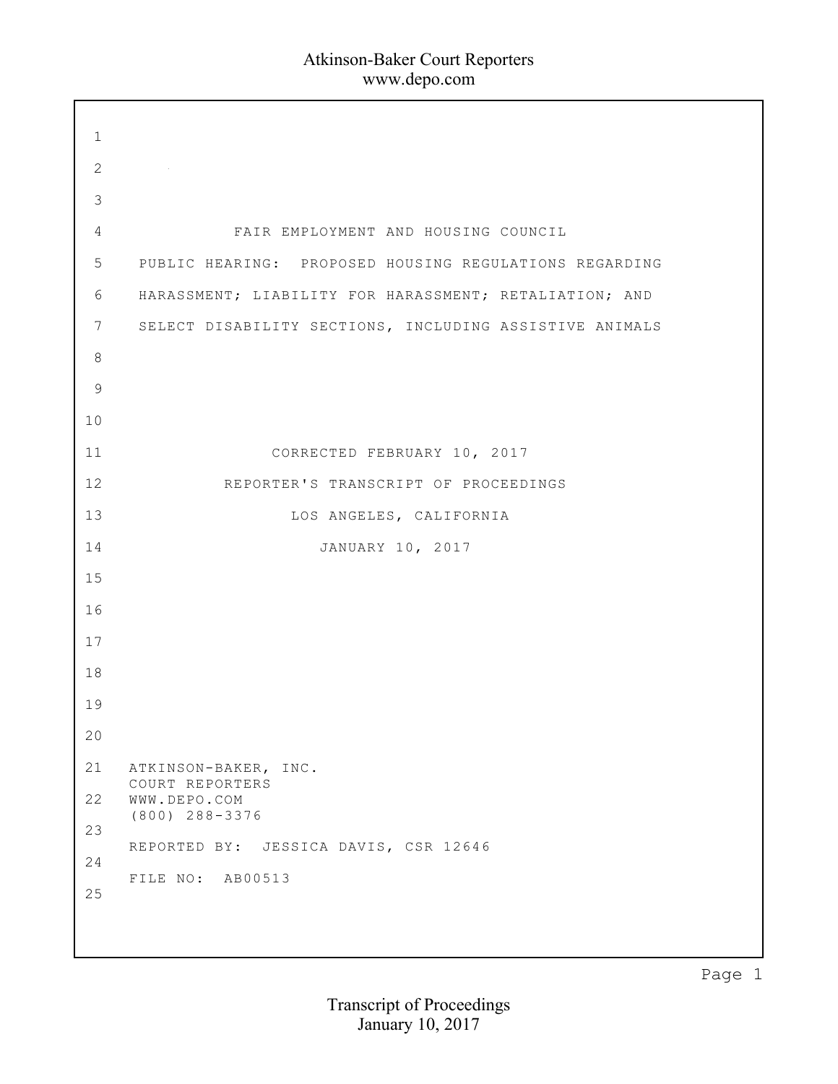| $\mathbf{1}$    |                                                         |
|-----------------|---------------------------------------------------------|
| 2               |                                                         |
| $\mathcal{S}$   |                                                         |
| 4               | FAIR EMPLOYMENT AND HOUSING COUNCIL                     |
| $5\phantom{.}$  | PUBLIC HEARING: PROPOSED HOUSING REGULATIONS REGARDING  |
| 6               | HARASSMENT; LIABILITY FOR HARASSMENT; RETALIATION; AND  |
| $7\phantom{.0}$ | SELECT DISABILITY SECTIONS, INCLUDING ASSISTIVE ANIMALS |
| 8               |                                                         |
| 9               |                                                         |
| 10              |                                                         |
| 11              | CORRECTED FEBRUARY 10, 2017                             |
| 12              | REPORTER'S TRANSCRIPT OF PROCEEDINGS                    |
| 13              | LOS ANGELES, CALIFORNIA                                 |
| 14              | JANUARY 10, 2017                                        |
| 15              |                                                         |
| 16              |                                                         |
| 17              |                                                         |
| 18              |                                                         |
| 19              |                                                         |
| 20              |                                                         |
| 21              | ATKINSON-BAKER, INC.<br>COURT REPORTERS                 |
| 22              | WWW.DEPO.COM<br>$(800)$ 288-3376                        |
| 23              | REPORTED BY: JESSICA DAVIS, CSR 12646                   |
| 24              | FILE NO: AB00513                                        |
| 25              |                                                         |
|                 |                                                         |
|                 |                                                         |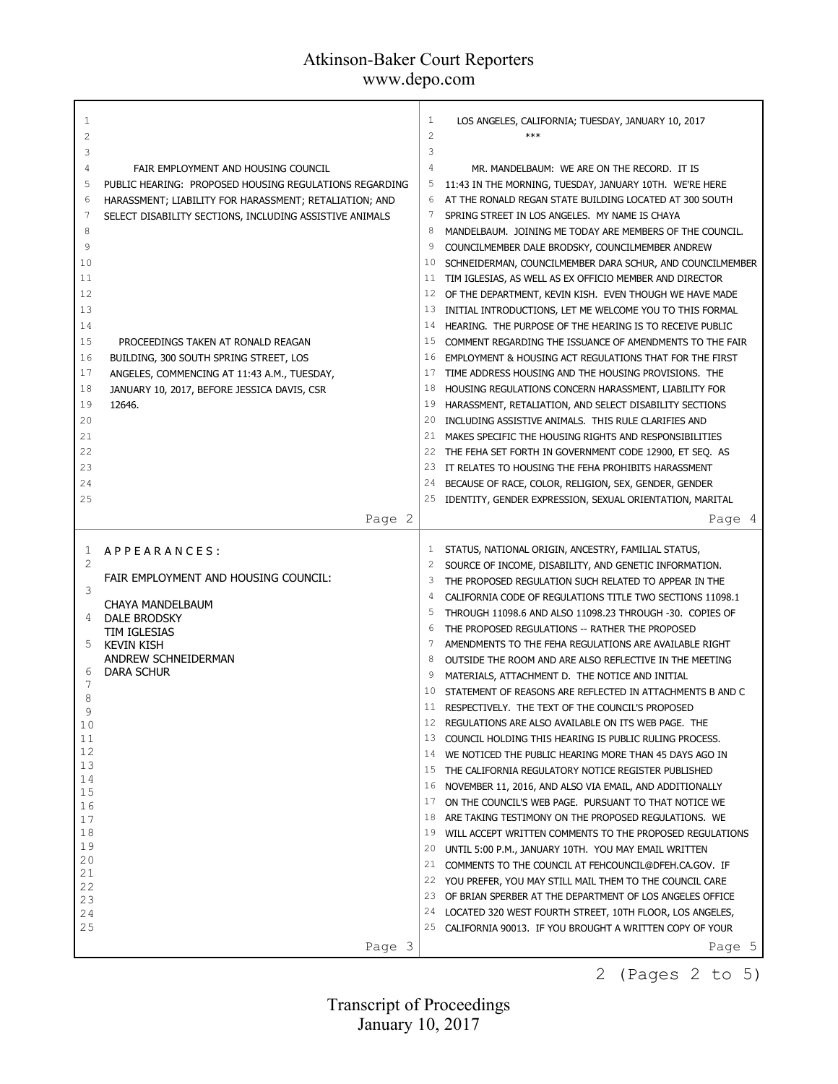| 1<br>2<br>3<br>4<br>5<br>6             | FAIR EMPLOYMENT AND HOUSING COUNCIL<br>PUBLIC HEARING: PROPOSED HOUSING REGULATIONS REGARDING<br>HARASSMENT; LIABILITY FOR HARASSMENT; RETALIATION; AND                              | 1<br>$\overline{c}$<br>3<br>4<br>5<br>6 | LOS ANGELES, CALIFORNIA; TUESDAY, JANUARY 10, 2017<br>$***$<br>MR. MANDELBAUM: WE ARE ON THE RECORD. IT IS<br>11:43 IN THE MORNING, TUESDAY, JANUARY 10TH. WE'RE HERE<br>AT THE RONALD REGAN STATE BUILDING LOCATED AT 300 SOUTH                                                                                                                                                                                        |
|----------------------------------------|--------------------------------------------------------------------------------------------------------------------------------------------------------------------------------------|-----------------------------------------|-------------------------------------------------------------------------------------------------------------------------------------------------------------------------------------------------------------------------------------------------------------------------------------------------------------------------------------------------------------------------------------------------------------------------|
| 7<br>8<br>9<br>10<br>11<br>12          | SELECT DISABILITY SECTIONS, INCLUDING ASSISTIVE ANIMALS                                                                                                                              | 7<br>8<br>9<br>10<br>11<br>12           | SPRING STREET IN LOS ANGELES. MY NAME IS CHAYA<br>MANDELBAUM. JOINING ME TODAY ARE MEMBERS OF THE COUNCIL.<br>COUNCILMEMBER DALE BRODSKY, COUNCILMEMBER ANDREW<br>SCHNEIDERMAN, COUNCILMEMBER DARA SCHUR, AND COUNCILMEMBER<br>TIM IGLESIAS, AS WELL AS EX OFFICIO MEMBER AND DIRECTOR<br>OF THE DEPARTMENT, KEVIN KISH. EVEN THOUGH WE HAVE MADE                                                                       |
| 13<br>14<br>15<br>16<br>17<br>18<br>19 | PROCEEDINGS TAKEN AT RONALD REAGAN<br>BUILDING, 300 SOUTH SPRING STREET, LOS<br>ANGELES, COMMENCING AT 11:43 A.M., TUESDAY,<br>JANUARY 10, 2017, BEFORE JESSICA DAVIS, CSR<br>12646. | 13<br>14<br>15<br>16<br>17<br>18<br>19  | INITIAL INTRODUCTIONS, LET ME WELCOME YOU TO THIS FORMAL<br>HEARING. THE PURPOSE OF THE HEARING IS TO RECEIVE PUBLIC<br>COMMENT REGARDING THE ISSUANCE OF AMENDMENTS TO THE FAIR<br>EMPLOYMENT & HOUSING ACT REGULATIONS THAT FOR THE FIRST<br>TIME ADDRESS HOUSING AND THE HOUSING PROVISIONS. THE<br>HOUSING REGULATIONS CONCERN HARASSMENT, LIABILITY FOR<br>HARASSMENT, RETALIATION, AND SELECT DISABILITY SECTIONS |
| 20<br>21<br>22<br>23<br>24<br>25       |                                                                                                                                                                                      | 20<br>21<br>22<br>23<br>24<br>25        | INCLUDING ASSISTIVE ANIMALS. THIS RULE CLARIFIES AND<br>MAKES SPECIFIC THE HOUSING RIGHTS AND RESPONSIBILITIES<br>THE FEHA SET FORTH IN GOVERNMENT CODE 12900, ET SEQ. AS<br>IT RELATES TO HOUSING THE FEHA PROHIBITS HARASSMENT<br>BECAUSE OF RACE, COLOR, RELIGION, SEX, GENDER, GENDER<br>IDENTITY, GENDER EXPRESSION, SEXUAL ORIENTATION, MARITAL                                                                   |
|                                        | Page 2                                                                                                                                                                               |                                         | Page 4                                                                                                                                                                                                                                                                                                                                                                                                                  |
|                                        |                                                                                                                                                                                      |                                         |                                                                                                                                                                                                                                                                                                                                                                                                                         |
| 1                                      | APPEARANCES:                                                                                                                                                                         | 1                                       | STATUS, NATIONAL ORIGIN, ANCESTRY, FAMILIAL STATUS,                                                                                                                                                                                                                                                                                                                                                                     |
| $\overline{2}$                         | FAIR EMPLOYMENT AND HOUSING COUNCIL:                                                                                                                                                 | 2<br>3                                  | SOURCE OF INCOME, DISABILITY, AND GENETIC INFORMATION.<br>THE PROPOSED REGULATION SUCH RELATED TO APPEAR IN THE                                                                                                                                                                                                                                                                                                         |
| 3                                      |                                                                                                                                                                                      | 4                                       | CALIFORNIA CODE OF REGULATIONS TITLE TWO SECTIONS 11098.1                                                                                                                                                                                                                                                                                                                                                               |
| 4                                      | CHAYA MANDELBAUM                                                                                                                                                                     | 5                                       | THROUGH 11098.6 AND ALSO 11098.23 THROUGH -30. COPIES OF                                                                                                                                                                                                                                                                                                                                                                |
|                                        | <b>DALE BRODSKY</b><br>TIM IGLESIAS                                                                                                                                                  | 6                                       | THE PROPOSED REGULATIONS -- RATHER THE PROPOSED                                                                                                                                                                                                                                                                                                                                                                         |
| 5.                                     | <b>KEVIN KISH</b>                                                                                                                                                                    | 7                                       | AMENDMENTS TO THE FEHA REGULATIONS ARE AVAILABLE RIGHT                                                                                                                                                                                                                                                                                                                                                                  |
|                                        | ANDREW SCHNEIDERMAN                                                                                                                                                                  | 8                                       | OUTSIDE THE ROOM AND ARE ALSO REFLECTIVE IN THE MEETING                                                                                                                                                                                                                                                                                                                                                                 |
| 6<br>7                                 | <b>DARA SCHUR</b>                                                                                                                                                                    | 9                                       | MATERIALS, ATTACHMENT D. THE NOTICE AND INITIAL                                                                                                                                                                                                                                                                                                                                                                         |
| 8                                      |                                                                                                                                                                                      | 10                                      | STATEMENT OF REASONS ARE REFLECTED IN ATTACHMENTS B AND C<br>11 RESPECTIVELY. THE TEXT OF THE COUNCIL'S PROPOSED                                                                                                                                                                                                                                                                                                        |
| 9                                      |                                                                                                                                                                                      | 12                                      | REGULATIONS ARE ALSO AVAILABLE ON ITS WEB PAGE. THE                                                                                                                                                                                                                                                                                                                                                                     |
| 10<br>11                               |                                                                                                                                                                                      | 13                                      | COUNCIL HOLDING THIS HEARING IS PUBLIC RULING PROCESS.                                                                                                                                                                                                                                                                                                                                                                  |
| 12                                     |                                                                                                                                                                                      | 14                                      | WE NOTICED THE PUBLIC HEARING MORE THAN 45 DAYS AGO IN                                                                                                                                                                                                                                                                                                                                                                  |
| 13                                     |                                                                                                                                                                                      | 15                                      | THE CALIFORNIA REGULATORY NOTICE REGISTER PUBLISHED                                                                                                                                                                                                                                                                                                                                                                     |
| 14<br>15                               |                                                                                                                                                                                      | 16                                      | NOVEMBER 11, 2016, AND ALSO VIA EMAIL, AND ADDITIONALLY                                                                                                                                                                                                                                                                                                                                                                 |
| 16                                     |                                                                                                                                                                                      | 17                                      | ON THE COUNCIL'S WEB PAGE. PURSUANT TO THAT NOTICE WE                                                                                                                                                                                                                                                                                                                                                                   |
| 17                                     |                                                                                                                                                                                      | 18                                      | ARE TAKING TESTIMONY ON THE PROPOSED REGULATIONS. WE                                                                                                                                                                                                                                                                                                                                                                    |
| 18<br>19                               |                                                                                                                                                                                      | 19<br>20                                | WILL ACCEPT WRITTEN COMMENTS TO THE PROPOSED REGULATIONS                                                                                                                                                                                                                                                                                                                                                                |
| 20                                     |                                                                                                                                                                                      | 21                                      | UNTIL 5:00 P.M., JANUARY 10TH. YOU MAY EMAIL WRITTEN<br>COMMENTS TO THE COUNCIL AT FEHCOUNCIL@DFEH.CA.GOV. IF                                                                                                                                                                                                                                                                                                           |
| 21                                     |                                                                                                                                                                                      | 22                                      | YOU PREFER, YOU MAY STILL MAIL THEM TO THE COUNCIL CARE                                                                                                                                                                                                                                                                                                                                                                 |
| 22<br>23                               |                                                                                                                                                                                      | 23                                      | OF BRIAN SPERBER AT THE DEPARTMENT OF LOS ANGELES OFFICE                                                                                                                                                                                                                                                                                                                                                                |
| 24                                     |                                                                                                                                                                                      | 24                                      | LOCATED 320 WEST FOURTH STREET, 10TH FLOOR, LOS ANGELES,                                                                                                                                                                                                                                                                                                                                                                |
| 25                                     |                                                                                                                                                                                      |                                         | 25 CALIFORNIA 90013. IF YOU BROUGHT A WRITTEN COPY OF YOUR<br>Page 5                                                                                                                                                                                                                                                                                                                                                    |

2 (Pages 2 to 5)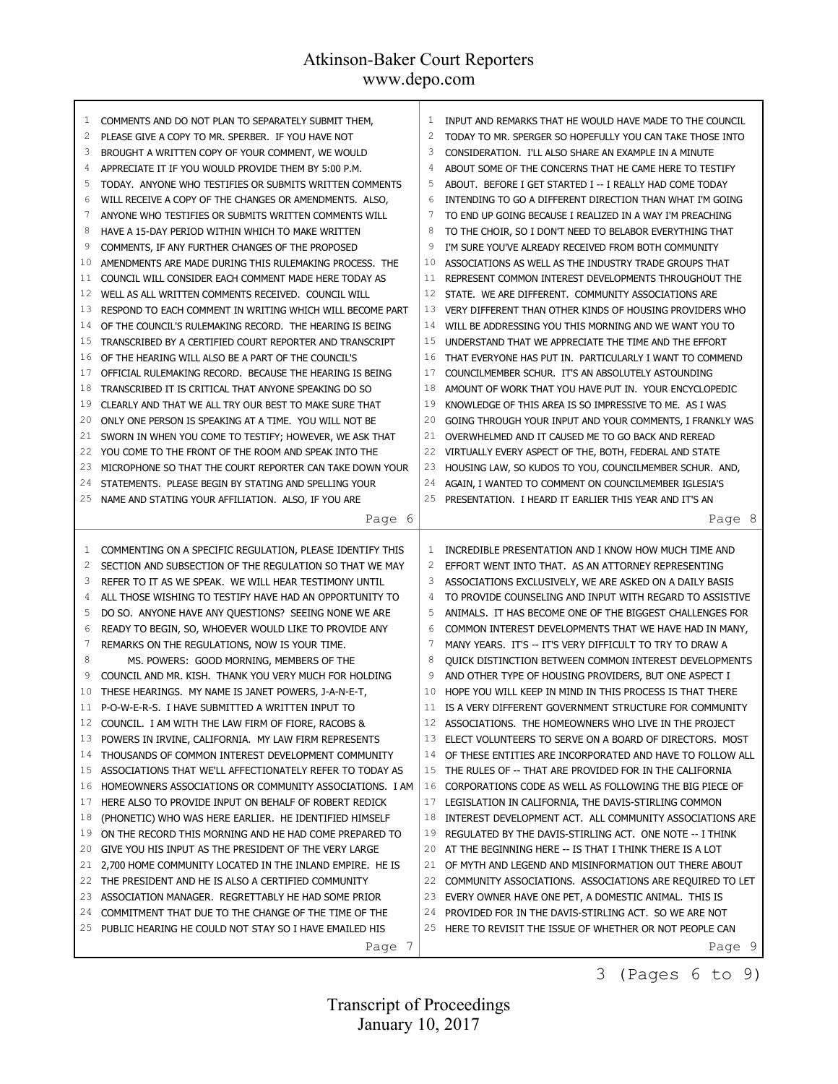| 1        | COMMENTS AND DO NOT PLAN TO SEPARATELY SUBMIT THEM,                                                               | 1            | INPUT AND REMARKS THAT HE WOULD HAVE MADE TO THE COUNCIL                                                            |
|----------|-------------------------------------------------------------------------------------------------------------------|--------------|---------------------------------------------------------------------------------------------------------------------|
| 2        | PLEASE GIVE A COPY TO MR. SPERBER. IF YOU HAVE NOT                                                                | $\mathbf{2}$ | TODAY TO MR. SPERGER SO HOPEFULLY YOU CAN TAKE THOSE INTO                                                           |
| 3        | BROUGHT A WRITTEN COPY OF YOUR COMMENT, WE WOULD                                                                  | 3            | CONSIDERATION. I'LL ALSO SHARE AN EXAMPLE IN A MINUTE                                                               |
| 4        | APPRECIATE IT IF YOU WOULD PROVIDE THEM BY 5:00 P.M.                                                              | 4            | ABOUT SOME OF THE CONCERNS THAT HE CAME HERE TO TESTIFY                                                             |
| 5        | TODAY. ANYONE WHO TESTIFIES OR SUBMITS WRITTEN COMMENTS                                                           | 5            | ABOUT. BEFORE I GET STARTED I -- I REALLY HAD COME TODAY                                                            |
| 6        | WILL RECEIVE A COPY OF THE CHANGES OR AMENDMENTS. ALSO,                                                           | 6            | INTENDING TO GO A DIFFERENT DIRECTION THAN WHAT I'M GOING                                                           |
| 7        | ANYONE WHO TESTIFIES OR SUBMITS WRITTEN COMMENTS WILL                                                             | 7            | to end up going because I realized in a way i'm preaching                                                           |
| 8        | HAVE A 15-DAY PERIOD WITHIN WHICH TO MAKE WRITTEN                                                                 | 8            | TO THE CHOIR, SO I DON'T NEED TO BELABOR EVERYTHING THAT                                                            |
| 9        | COMMENTS, IF ANY FURTHER CHANGES OF THE PROPOSED                                                                  | 9            | I'M SURE YOU'VE ALREADY RECEIVED FROM BOTH COMMUNITY                                                                |
| 10       | AMENDMENTS ARE MADE DURING THIS RULEMAKING PROCESS. THE                                                           | 10           | ASSOCIATIONS AS WELL AS THE INDUSTRY TRADE GROUPS THAT                                                              |
| 11       | COUNCIL WILL CONSIDER EACH COMMENT MADE HERE TODAY AS                                                             | 11           | REPRESENT COMMON INTEREST DEVELOPMENTS THROUGHOUT THE                                                               |
| 12       | WELL AS ALL WRITTEN COMMENTS RECEIVED. COUNCIL WILL                                                               | 12           | STATE. WE ARE DIFFERENT. COMMUNITY ASSOCIATIONS ARE                                                                 |
| 13       | RESPOND TO EACH COMMENT IN WRITING WHICH WILL BECOME PART                                                         | 13           | VERY DIFFERENT THAN OTHER KINDS OF HOUSING PROVIDERS WHO                                                            |
| 14       | OF THE COUNCIL'S RULEMAKING RECORD. THE HEARING IS BEING                                                          | 14           | WILL BE ADDRESSING YOU THIS MORNING AND WE WANT YOU TO                                                              |
| 15       | TRANSCRIBED BY A CERTIFIED COURT REPORTER AND TRANSCRIPT                                                          | 15           | UNDERSTAND THAT WE APPRECIATE THE TIME AND THE EFFORT                                                               |
| 16       | OF THE HEARING WILL ALSO BE A PART OF THE COUNCIL'S                                                               | 16           | THAT EVERYONE HAS PUT IN. PARTICULARLY I WANT TO COMMEND                                                            |
| 17       | OFFICIAL RULEMAKING RECORD. BECAUSE THE HEARING IS BEING                                                          | 17           | COUNCILMEMBER SCHUR. IT'S AN ABSOLUTELY ASTOUNDING                                                                  |
| 18       | TRANSCRIBED IT IS CRITICAL THAT ANYONE SPEAKING DO SO                                                             | 18           | AMOUNT OF WORK THAT YOU HAVE PUT IN. YOUR ENCYCLOPEDIC                                                              |
| 19       | CLEARLY AND THAT WE ALL TRY OUR BEST TO MAKE SURE THAT                                                            | 19           | KNOWLEDGE OF THIS AREA IS SO IMPRESSIVE TO ME. AS I WAS                                                             |
| 20       | ONLY ONE PERSON IS SPEAKING AT A TIME. YOU WILL NOT BE                                                            | 20           | GOING THROUGH YOUR INPUT AND YOUR COMMENTS, I FRANKLY WAS                                                           |
| 21       | SWORN IN WHEN YOU COME TO TESTIFY; HOWEVER, WE ASK THAT                                                           | 21           | OVERWHELMED AND IT CAUSED ME TO GO BACK AND REREAD                                                                  |
| 22       | YOU COME TO THE FRONT OF THE ROOM AND SPEAK INTO THE                                                              | 22           | VIRTUALLY EVERY ASPECT OF THE, BOTH, FEDERAL AND STATE                                                              |
| 23       | MICROPHONE SO THAT THE COURT REPORTER CAN TAKE DOWN YOUR                                                          | 23           | HOUSING LAW, SO KUDOS TO YOU, COUNCILMEMBER SCHUR. AND,                                                             |
| 24       | STATEMENTS. PLEASE BEGIN BY STATING AND SPELLING YOUR                                                             | 24           | AGAIN, I WANTED TO COMMENT ON COUNCILMEMBER IGLESIA'S                                                               |
| 25       | NAME AND STATING YOUR AFFILIATION. ALSO, IF YOU ARE                                                               | 25           | PRESENTATION. I HEARD IT EARLIER THIS YEAR AND IT'S AN                                                              |
|          | Page 6                                                                                                            |              | Page 8                                                                                                              |
|          |                                                                                                                   |              |                                                                                                                     |
|          |                                                                                                                   |              |                                                                                                                     |
|          |                                                                                                                   |              |                                                                                                                     |
| 1        | COMMENTING ON A SPECIFIC REGULATION, PLEASE IDENTIFY THIS                                                         | 1            | INCREDIBLE PRESENTATION AND I KNOW HOW MUCH TIME AND                                                                |
| 2        | SECTION AND SUBSECTION OF THE REGULATION SO THAT WE MAY                                                           | 2            | EFFORT WENT INTO THAT. AS AN ATTORNEY REPRESENTING                                                                  |
| 3        | REFER TO IT AS WE SPEAK. WE WILL HEAR TESTIMONY UNTIL                                                             | 3            | ASSOCIATIONS EXCLUSIVELY, WE ARE ASKED ON A DAILY BASIS                                                             |
| 4        | ALL THOSE WISHING TO TESTIFY HAVE HAD AN OPPORTUNITY TO                                                           | 4            | TO PROVIDE COUNSELING AND INPUT WITH REGARD TO ASSISTIVE                                                            |
| 5        | DO SO. ANYONE HAVE ANY QUESTIONS? SEEING NONE WE ARE                                                              | 5            | ANIMALS. IT HAS BECOME ONE OF THE BIGGEST CHALLENGES FOR                                                            |
| 6        | READY TO BEGIN, SO, WHOEVER WOULD LIKE TO PROVIDE ANY                                                             | 6            | COMMON INTEREST DEVELOPMENTS THAT WE HAVE HAD IN MANY,                                                              |
| 7        | REMARKS ON THE REGULATIONS, NOW IS YOUR TIME.                                                                     | 7            | MANY YEARS. IT'S -- IT'S VERY DIFFICULT TO TRY TO DRAW A                                                            |
| 8        | MS. POWERS: GOOD MORNING, MEMBERS OF THE                                                                          | 8            | QUICK DISTINCTION BETWEEN COMMON INTEREST DEVELOPMENTS                                                              |
| 9        | COUNCIL AND MR. KISH. THANK YOU VERY MUCH FOR HOLDING                                                             | 9            | AND OTHER TYPE OF HOUSING PROVIDERS, BUT ONE ASPECT I                                                               |
| 10       | THESE HEARINGS. MY NAME IS JANET POWERS, J-A-N-E-T,                                                               | 10           | HOPE YOU WILL KEEP IN MIND IN THIS PROCESS IS THAT THERE                                                            |
|          | 11 P-O-W-E-R-S. I HAVE SUBMITTED A WRITTEN INPUT TO                                                               |              | 11 IS A VERY DIFFERENT GOVERNMENT STRUCTURE FOR COMMUNITY                                                           |
|          | COUNCIL. I AM WITH THE LAW FIRM OF FIORE, RACOBS &                                                                |              | ASSOCIATIONS. THE HOMEOWNERS WHO LIVE IN THE PROJECT                                                                |
| 13       | POWERS IN IRVINE, CALIFORNIA. MY LAW FIRM REPRESENTS                                                              |              | 13 ELECT VOLUNTEERS TO SERVE ON A BOARD OF DIRECTORS. MOST                                                          |
| 14<br>15 | THOUSANDS OF COMMON INTEREST DEVELOPMENT COMMUNITY                                                                | 14           | OF THESE ENTITIES ARE INCORPORATED AND HAVE TO FOLLOW ALL                                                           |
|          | ASSOCIATIONS THAT WE'LL AFFECTIONATELY REFER TO TODAY AS                                                          |              | 15 THE RULES OF -- THAT ARE PROVIDED FOR IN THE CALIFORNIA                                                          |
| 16<br>17 | HOMEOWNERS ASSOCIATIONS OR COMMUNITY ASSOCIATIONS. I AM                                                           | 16<br>17     | CORPORATIONS CODE AS WELL AS FOLLOWING THE BIG PIECE OF                                                             |
| 18       | HERE ALSO TO PROVIDE INPUT ON BEHALF OF ROBERT REDICK                                                             | 18           | LEGISLATION IN CALIFORNIA, THE DAVIS-STIRLING COMMON                                                                |
| 19       | (PHONETIC) WHO WAS HERE EARLIER. HE IDENTIFIED HIMSELF                                                            | 19           | INTEREST DEVELOPMENT ACT. ALL COMMUNITY ASSOCIATIONS ARE                                                            |
| 20       | ON THE RECORD THIS MORNING AND HE HAD COME PREPARED TO                                                            | 20           | REGULATED BY THE DAVIS-STIRLING ACT. ONE NOTE -- I THINK<br>AT THE BEGINNING HERE -- IS THAT I THINK THERE IS A LOT |
| 21       | GIVE YOU HIS INPUT AS THE PRESIDENT OF THE VERY LARGE<br>2,700 HOME COMMUNITY LOCATED IN THE INLAND EMPIRE. HE IS | 21           | OF MYTH AND LEGEND AND MISINFORMATION OUT THERE ABOUT                                                               |
| 22       | THE PRESIDENT AND HE IS ALSO A CERTIFIED COMMUNITY                                                                | 22           | COMMUNITY ASSOCIATIONS. ASSOCIATIONS ARE REQUIRED TO LET                                                            |
| 23       | ASSOCIATION MANAGER. REGRETTABLY HE HAD SOME PRIOR                                                                | 23           | EVERY OWNER HAVE ONE PET, A DOMESTIC ANIMAL. THIS IS                                                                |
| 24       | COMMITMENT THAT DUE TO THE CHANGE OF THE TIME OF THE                                                              |              | 24 PROVIDED FOR IN THE DAVIS-STIRLING ACT. SO WE ARE NOT                                                            |
| 25       | PUBLIC HEARING HE COULD NOT STAY SO I HAVE EMAILED HIS                                                            |              | 25 HERE TO REVISIT THE ISSUE OF WHETHER OR NOT PEOPLE CAN                                                           |
|          | Page 7                                                                                                            |              | Page 9                                                                                                              |

3 (Pages 6 to 9)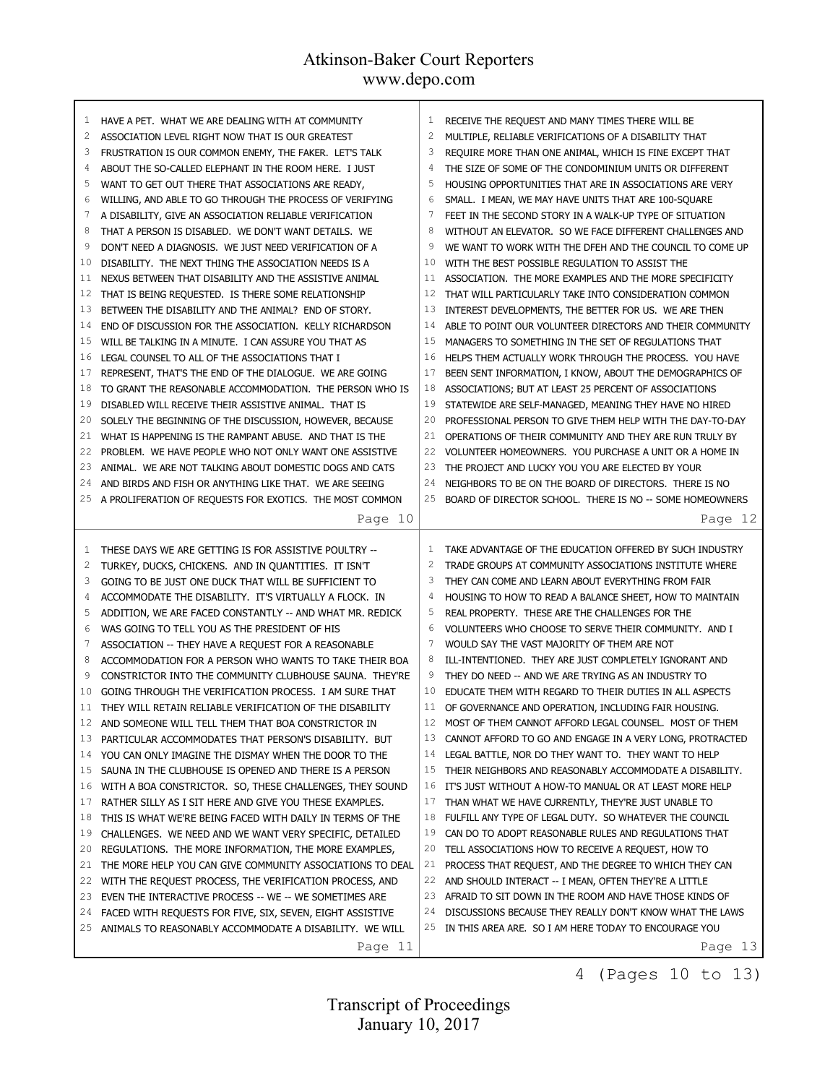| 1              | HAVE A PET. WHAT WE ARE DEALING WITH AT COMMUNITY                                                                    | 1            | RECEIVE THE REQUEST AND MANY TIMES THERE WILL BE          |
|----------------|----------------------------------------------------------------------------------------------------------------------|--------------|-----------------------------------------------------------|
| 2              | ASSOCIATION LEVEL RIGHT NOW THAT IS OUR GREATEST                                                                     | $\mathbf{2}$ | MULTIPLE, RELIABLE VERIFICATIONS OF A DISABILITY THAT     |
| 3              | FRUSTRATION IS OUR COMMON ENEMY, THE FAKER. LET'S TALK                                                               | 3            | REQUIRE MORE THAN ONE ANIMAL, WHICH IS FINE EXCEPT THAT   |
| 4              | ABOUT THE SO-CALLED ELEPHANT IN THE ROOM HERE. I JUST                                                                |              | THE SIZE OF SOME OF THE CONDOMINIUM UNITS OR DIFFERENT    |
| 5              | WANT TO GET OUT THERE THAT ASSOCIATIONS ARE READY,                                                                   | 5            | HOUSING OPPORTUNITIES THAT ARE IN ASSOCIATIONS ARE VERY   |
| 6              | WILLING, AND ABLE TO GO THROUGH THE PROCESS OF VERIFYING                                                             | 6            | SMALL. I MEAN, WE MAY HAVE UNITS THAT ARE 100-SQUARE      |
| 7              | A DISABILITY, GIVE AN ASSOCIATION RELIABLE VERIFICATION                                                              |              | FEET IN THE SECOND STORY IN A WALK-UP TYPE OF SITUATION   |
| 8              | THAT A PERSON IS DISABLED. WE DON'T WANT DETAILS. WE                                                                 | 8            | WITHOUT AN ELEVATOR. SO WE FACE DIFFERENT CHALLENGES AND  |
| 9              | DON'T NEED A DIAGNOSIS. WE JUST NEED VERIFICATION OF A                                                               | 9            | WE WANT TO WORK WITH THE DFEH AND THE COUNCIL TO COME UP  |
| 10             | DISABILITY. THE NEXT THING THE ASSOCIATION NEEDS IS A                                                                | 10           | WITH THE BEST POSSIBLE REGULATION TO ASSIST THE           |
| 11             | NEXUS BETWEEN THAT DISABILITY AND THE ASSISTIVE ANIMAL                                                               | 11           | ASSOCIATION. THE MORE EXAMPLES AND THE MORE SPECIFICITY   |
| 12             | THAT IS BEING REQUESTED. IS THERE SOME RELATIONSHIP                                                                  | 12           | THAT WILL PARTICULARLY TAKE INTO CONSIDERATION COMMON     |
| 13             | BETWEEN THE DISABILITY AND THE ANIMAL? END OF STORY.                                                                 | 13           | INTEREST DEVELOPMENTS, THE BETTER FOR US. WE ARE THEN     |
| 14             | END OF DISCUSSION FOR THE ASSOCIATION. KELLY RICHARDSON                                                              | 14           | ABLE TO POINT OUR VOLUNTEER DIRECTORS AND THEIR COMMUNITY |
| 15             | WILL BE TALKING IN A MINUTE. I CAN ASSURE YOU THAT AS                                                                | 15           | MANAGERS TO SOMETHING IN THE SET OF REGULATIONS THAT      |
| 16             | LEGAL COUNSEL TO ALL OF THE ASSOCIATIONS THAT I                                                                      | 16           | HELPS THEM ACTUALLY WORK THROUGH THE PROCESS. YOU HAVE    |
| 17             | REPRESENT, THAT'S THE END OF THE DIALOGUE. WE ARE GOING                                                              | 17           | BEEN SENT INFORMATION, I KNOW, ABOUT THE DEMOGRAPHICS OF  |
| 18             | TO GRANT THE REASONABLE ACCOMMODATION. THE PERSON WHO IS                                                             | 18           | ASSOCIATIONS; BUT AT LEAST 25 PERCENT OF ASSOCIATIONS     |
| 19             | DISABLED WILL RECEIVE THEIR ASSISTIVE ANIMAL. THAT IS                                                                | 19           | STATEWIDE ARE SELF-MANAGED, MEANING THEY HAVE NO HIRED    |
| 20             | SOLELY THE BEGINNING OF THE DISCUSSION, HOWEVER, BECAUSE                                                             | 20           | PROFESSIONAL PERSON TO GIVE THEM HELP WITH THE DAY-TO-DAY |
| 21             | WHAT IS HAPPENING IS THE RAMPANT ABUSE. AND THAT IS THE                                                              | 21           | OPERATIONS OF THEIR COMMUNITY AND THEY ARE RUN TRULY BY   |
| 22             | PROBLEM. WE HAVE PEOPLE WHO NOT ONLY WANT ONE ASSISTIVE                                                              | 22           | VOLUNTEER HOMEOWNERS. YOU PURCHASE A UNIT OR A HOME IN    |
| 23             | ANIMAL. WE ARE NOT TALKING ABOUT DOMESTIC DOGS AND CATS                                                              | 23           | THE PROJECT AND LUCKY YOU YOU ARE ELECTED BY YOUR         |
| 24             | AND BIRDS AND FISH OR ANYTHING LIKE THAT. WE ARE SEEING                                                              | 24           | NEIGHBORS TO BE ON THE BOARD OF DIRECTORS. THERE IS NO    |
| 25             | A PROLIFERATION OF REQUESTS FOR EXOTICS. THE MOST COMMON                                                             | 25           | BOARD OF DIRECTOR SCHOOL. THERE IS NO -- SOME HOMEOWNERS  |
|                | Page 10                                                                                                              |              | Page 12                                                   |
|                |                                                                                                                      |              |                                                           |
| 1              | THESE DAYS WE ARE GETTING IS FOR ASSISTIVE POULTRY --                                                                | $\mathbf{1}$ | TAKE ADVANTAGE OF THE EDUCATION OFFERED BY SUCH INDUSTRY  |
| $\overline{c}$ | TURKEY, DUCKS, CHICKENS. AND IN QUANTITIES. IT ISN'T                                                                 | 2            | TRADE GROUPS AT COMMUNITY ASSOCIATIONS INSTITUTE WHERE    |
| 3              | GOING TO BE JUST ONE DUCK THAT WILL BE SUFFICIENT TO                                                                 | 3            | THEY CAN COME AND LEARN ABOUT EVERYTHING FROM FAIR        |
| 4              | ACCOMMODATE THE DISABILITY. IT'S VIRTUALLY A FLOCK. IN                                                               | 4            | HOUSING TO HOW TO READ A BALANCE SHEET, HOW TO MAINTAIN   |
| 5              | ADDITION, WE ARE FACED CONSTANTLY -- AND WHAT MR. REDICK                                                             | 5            | REAL PROPERTY. THESE ARE THE CHALLENGES FOR THE           |
| 6              | WAS GOING TO TELL YOU AS THE PRESIDENT OF HIS                                                                        | 6            | VOLUNTEERS WHO CHOOSE TO SERVE THEIR COMMUNITY. AND I     |
| 7              | ASSOCIATION -- THEY HAVE A REQUEST FOR A REASONABLE                                                                  | 7            | WOULD SAY THE VAST MAJORITY OF THEM ARE NOT               |
| 8              | ACCOMMODATION FOR A PERSON WHO WANTS TO TAKE THEIR BOA                                                               | 8            | ILL-INTENTIONED. THEY ARE JUST COMPLETELY IGNORANT AND    |
| 9              | CONSTRICTOR INTO THE COMMUNITY CLUBHOUSE SAUNA. THEY'RE                                                              | 9            | THEY DO NEED -- AND WE ARE TRYING AS AN INDUSTRY TO       |
| 10             | GOING THROUGH THE VERIFICATION PROCESS. I AM SURE THAT                                                               | 10           | EDUCATE THEM WITH REGARD TO THEIR DUTIES IN ALL ASPECTS   |
| 11             | THEY WILL RETAIN RELIABLE VERIFICATION OF THE DISABILITY                                                             | 11           | OF GOVERNANCE AND OPERATION, INCLUDING FAIR HOUSING.      |
| 12             | AND SOMEONE WILL TELL THEM THAT BOA CONSTRICTOR IN                                                                   | 12           | MOST OF THEM CANNOT AFFORD LEGAL COUNSEL. MOST OF THEM    |
| 13             | PARTICULAR ACCOMMODATES THAT PERSON'S DISABILITY. BUT                                                                | 13           | CANNOT AFFORD TO GO AND ENGAGE IN A VERY LONG, PROTRACTED |
| 14             | YOU CAN ONLY IMAGINE THE DISMAY WHEN THE DOOR TO THE                                                                 | 14           | LEGAL BATTLE, NOR DO THEY WANT TO. THEY WANT TO HELP      |
| 15             | SAUNA IN THE CLUBHOUSE IS OPENED AND THERE IS A PERSON                                                               | 15           | THEIR NEIGHBORS AND REASONABLY ACCOMMODATE A DISABILITY.  |
| 16             | WITH A BOA CONSTRICTOR. SO, THESE CHALLENGES, THEY SOUND                                                             | 16           | IT'S JUST WITHOUT A HOW-TO MANUAL OR AT LEAST MORE HELP   |
| 17             | RATHER SILLY AS I SIT HERE AND GIVE YOU THESE EXAMPLES.                                                              | 17           | THAN WHAT WE HAVE CURRENTLY, THEY'RE JUST UNABLE TO       |
| 18             | THIS IS WHAT WE'RE BEING FACED WITH DAILY IN TERMS OF THE                                                            | 18           | FULFILL ANY TYPE OF LEGAL DUTY. SO WHATEVER THE COUNCIL   |
| 19             | CHALLENGES. WE NEED AND WE WANT VERY SPECIFIC, DETAILED                                                              | 19           | CAN DO TO ADOPT REASONABLE RULES AND REGULATIONS THAT     |
| 20             | REGULATIONS. THE MORE INFORMATION, THE MORE EXAMPLES,                                                                | 20           | TELL ASSOCIATIONS HOW TO RECEIVE A REQUEST, HOW TO        |
| 21             | THE MORE HELP YOU CAN GIVE COMMUNITY ASSOCIATIONS TO DEAL                                                            | 21           | PROCESS THAT REQUEST, AND THE DEGREE TO WHICH THEY CAN    |
| 22             | WITH THE REQUEST PROCESS, THE VERIFICATION PROCESS, AND                                                              | 22           | AND SHOULD INTERACT -- I MEAN, OFTEN THEY'RE A LITTLE     |
| 23             | EVEN THE INTERACTIVE PROCESS -- WE -- WE SOMETIMES ARE                                                               | 23           | AFRAID TO SIT DOWN IN THE ROOM AND HAVE THOSE KINDS OF    |
| 24             |                                                                                                                      |              |                                                           |
|                |                                                                                                                      | 24           | DISCUSSIONS BECAUSE THEY REALLY DON'T KNOW WHAT THE LAWS  |
| 25             | FACED WITH REQUESTS FOR FIVE, SIX, SEVEN, EIGHT ASSISTIVE<br>ANIMALS TO REASONABLY ACCOMMODATE A DISABILITY. WE WILL | 25           | IN THIS AREA ARE. SO I AM HERE TODAY TO ENCOURAGE YOU     |
|                | Page 11                                                                                                              |              | Page 13                                                   |

4 (Pages 10 to 13)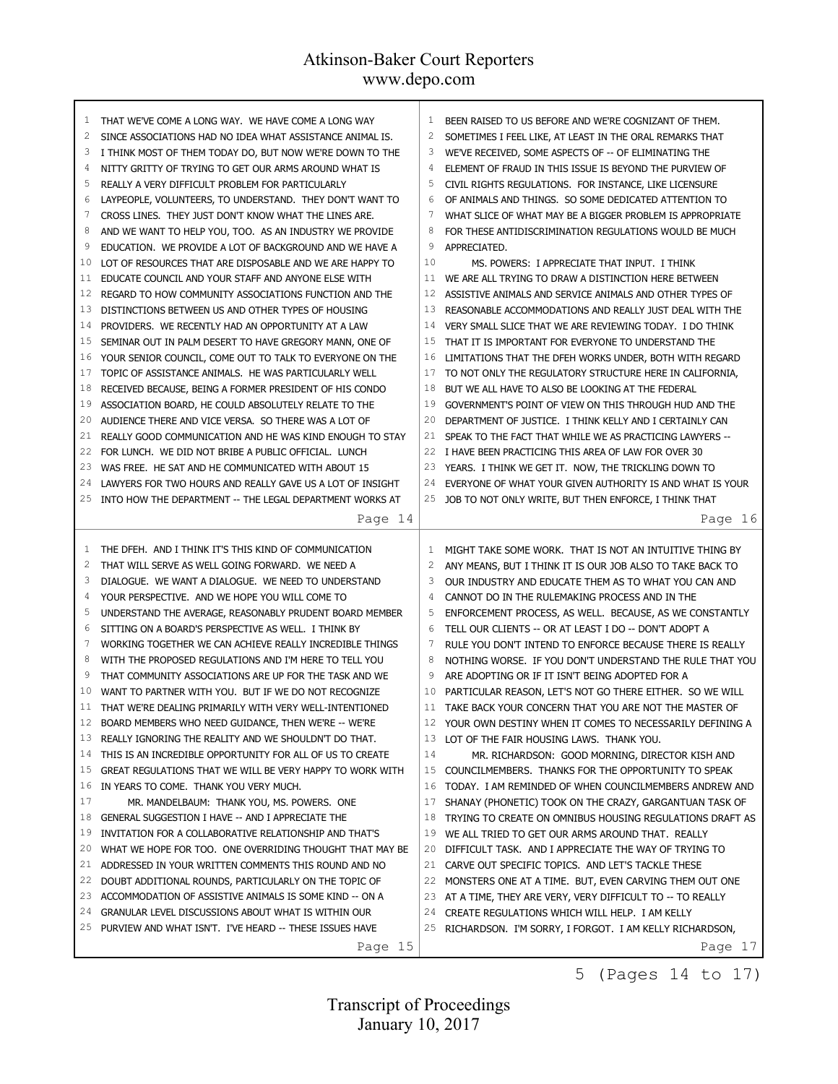| 1              | THAT WE'VE COME A LONG WAY. WE HAVE COME A LONG WAY                                                 | 1              | BEEN RAISED TO US BEFORE AND WE'RE COGNIZANT OF THEM.                                                               |
|----------------|-----------------------------------------------------------------------------------------------------|----------------|---------------------------------------------------------------------------------------------------------------------|
| $\overline{c}$ | SINCE ASSOCIATIONS HAD NO IDEA WHAT ASSISTANCE ANIMAL IS.                                           | $\overline{c}$ | SOMETIMES I FEEL LIKE, AT LEAST IN THE ORAL REMARKS THAT                                                            |
| 3              | I THINK MOST OF THEM TODAY DO, BUT NOW WE'RE DOWN TO THE                                            | 3              | WE'VE RECEIVED, SOME ASPECTS OF -- OF ELIMINATING THE                                                               |
| 4              | NITTY GRITTY OF TRYING TO GET OUR ARMS AROUND WHAT IS                                               | $\overline{4}$ | ELEMENT OF FRAUD IN THIS ISSUE IS BEYOND THE PURVIEW OF                                                             |
| 5              | REALLY A VERY DIFFICULT PROBLEM FOR PARTICULARLY                                                    | 5              | CIVIL RIGHTS REGULATIONS. FOR INSTANCE, LIKE LICENSURE                                                              |
| 6              | LAYPEOPLE, VOLUNTEERS, TO UNDERSTAND. THEY DON'T WANT TO                                            | 6              | OF ANIMALS AND THINGS. SO SOME DEDICATED ATTENTION TO                                                               |
| 7              | CROSS LINES. THEY JUST DON'T KNOW WHAT THE LINES ARE.                                               | 7              | WHAT SLICE OF WHAT MAY BE A BIGGER PROBLEM IS APPROPRIATE                                                           |
| 8              | AND WE WANT TO HELP YOU, TOO. AS AN INDUSTRY WE PROVIDE                                             | 8              | FOR THESE ANTIDISCRIMINATION REGULATIONS WOULD BE MUCH                                                              |
| 9              | EDUCATION. WE PROVIDE A LOT OF BACKGROUND AND WE HAVE A                                             | 9              | APPRECIATED.                                                                                                        |
| 10             | LOT OF RESOURCES THAT ARE DISPOSABLE AND WE ARE HAPPY TO                                            | 10             | MS. POWERS: I APPRECIATE THAT INPUT. I THINK                                                                        |
| 11             | EDUCATE COUNCIL AND YOUR STAFF AND ANYONE ELSE WITH                                                 | 11             | WE ARE ALL TRYING TO DRAW A DISTINCTION HERE BETWEEN                                                                |
| 12             | REGARD TO HOW COMMUNITY ASSOCIATIONS FUNCTION AND THE                                               | 12             | ASSISTIVE ANIMALS AND SERVICE ANIMALS AND OTHER TYPES OF                                                            |
| 13             | DISTINCTIONS BETWEEN US AND OTHER TYPES OF HOUSING                                                  | 13             | REASONABLE ACCOMMODATIONS AND REALLY JUST DEAL WITH THE                                                             |
| 14             | PROVIDERS. WE RECENTLY HAD AN OPPORTUNITY AT A LAW                                                  | 14             | VERY SMALL SLICE THAT WE ARE REVIEWING TODAY. I DO THINK                                                            |
| 15             | SEMINAR OUT IN PALM DESERT TO HAVE GREGORY MANN, ONE OF                                             | 15             | THAT IT IS IMPORTANT FOR EVERYONE TO UNDERSTAND THE                                                                 |
| 16             | YOUR SENIOR COUNCIL, COME OUT TO TALK TO EVERYONE ON THE                                            | 16             | LIMITATIONS THAT THE DFEH WORKS UNDER, BOTH WITH REGARD                                                             |
| 17             | TOPIC OF ASSISTANCE ANIMALS. HE WAS PARTICULARLY WELL                                               | 17             | TO NOT ONLY THE REGULATORY STRUCTURE HERE IN CALIFORNIA,                                                            |
| 18             | RECEIVED BECAUSE, BEING A FORMER PRESIDENT OF HIS CONDO                                             | 18             | BUT WE ALL HAVE TO ALSO BE LOOKING AT THE FEDERAL                                                                   |
| 19             | ASSOCIATION BOARD, HE COULD ABSOLUTELY RELATE TO THE                                                | 19             | GOVERNMENT'S POINT OF VIEW ON THIS THROUGH HUD AND THE                                                              |
| 20             | AUDIENCE THERE AND VICE VERSA. SO THERE WAS A LOT OF                                                | 20             | DEPARTMENT OF JUSTICE. I THINK KELLY AND I CERTAINLY CAN                                                            |
| 21             | REALLY GOOD COMMUNICATION AND HE WAS KIND ENOUGH TO STAY                                            | 21             | SPEAK TO THE FACT THAT WHILE WE AS PRACTICING LAWYERS --                                                            |
| 22             | FOR LUNCH. WE DID NOT BRIBE A PUBLIC OFFICIAL. LUNCH                                                |                | 22 I HAVE BEEN PRACTICING THIS AREA OF LAW FOR OVER 30                                                              |
| 23             | WAS FREE. HE SAT AND HE COMMUNICATED WITH ABOUT 15                                                  | 23             | YEARS. I THINK WE GET IT. NOW, THE TRICKLING DOWN TO                                                                |
| 24             | LAWYERS FOR TWO HOURS AND REALLY GAVE US A LOT OF INSIGHT                                           | 24             | EVERYONE OF WHAT YOUR GIVEN AUTHORITY IS AND WHAT IS YOUR                                                           |
| 25             | INTO HOW THE DEPARTMENT -- THE LEGAL DEPARTMENT WORKS AT                                            | 25             | JOB TO NOT ONLY WRITE, BUT THEN ENFORCE, I THINK THAT                                                               |
|                | Page 14                                                                                             |                | Page 16                                                                                                             |
|                |                                                                                                     |                |                                                                                                                     |
|                |                                                                                                     |                |                                                                                                                     |
| 1              | THE DFEH. AND I THINK IT'S THIS KIND OF COMMUNICATION                                               | 1              | MIGHT TAKE SOME WORK. THAT IS NOT AN INTUITIVE THING BY                                                             |
| $\overline{c}$ | THAT WILL SERVE AS WELL GOING FORWARD. WE NEED A                                                    | $\overline{c}$ | ANY MEANS, BUT I THINK IT IS OUR JOB ALSO TO TAKE BACK TO                                                           |
| 3              | DIALOGUE. WE WANT A DIALOGUE. WE NEED TO UNDERSTAND                                                 | 3              | OUR INDUSTRY AND EDUCATE THEM AS TO WHAT YOU CAN AND                                                                |
| 4              | YOUR PERSPECTIVE. AND WE HOPE YOU WILL COME TO                                                      | 4              | CANNOT DO IN THE RULEMAKING PROCESS AND IN THE                                                                      |
| 5              | UNDERSTAND THE AVERAGE, REASONABLY PRUDENT BOARD MEMBER                                             | 5              | ENFORCEMENT PROCESS, AS WELL. BECAUSE, AS WE CONSTANTLY                                                             |
| 6              | SITTING ON A BOARD'S PERSPECTIVE AS WELL. I THINK BY                                                | 6              | TELL OUR CLIENTS -- OR AT LEAST I DO -- DON'T ADOPT A                                                               |
| 7              | WORKING TOGETHER WE CAN ACHIEVE REALLY INCREDIBLE THINGS                                            | 7              | RULE YOU DON'T INTEND TO ENFORCE BECAUSE THERE IS REALLY                                                            |
| 8              | WITH THE PROPOSED REGULATIONS AND I'M HERE TO TELL YOU                                              | 8              | NOTHING WORSE. IF YOU DON'T UNDERSTAND THE RULE THAT YOU                                                            |
| 9              | THAT COMMUNITY ASSOCIATIONS ARE UP FOR THE TASK AND WE                                              | 9              | ARE ADOPTING OR IF IT ISN'T BEING ADOPTED FOR A                                                                     |
| 10<br>11       | WANT TO PARTNER WITH YOU. BUT IF WE DO NOT RECOGNIZE                                                | 10             | PARTICULAR REASON, LET'S NOT GO THERE EITHER. SO WE WILL                                                            |
|                | THAT WE'RE DEALING PRIMARILY WITH VERY WELL-INTENTIONED                                             |                | 11 TAKE BACK YOUR CONCERN THAT YOU ARE NOT THE MASTER OF                                                            |
| 12<br>13       | BOARD MEMBERS WHO NEED GUIDANCE, THEN WE'RE -- WE'RE                                                | 12             | YOUR OWN DESTINY WHEN IT COMES TO NECESSARILY DEFINING A                                                            |
|                | REALLY IGNORING THE REALITY AND WE SHOULDN'T DO THAT.                                               | 13             | LOT OF THE FAIR HOUSING LAWS. THANK YOU.                                                                            |
| 14<br>15       | THIS IS AN INCREDIBLE OPPORTUNITY FOR ALL OF US TO CREATE                                           | 14             | MR. RICHARDSON: GOOD MORNING, DIRECTOR KISH AND                                                                     |
| 16             | GREAT REGULATIONS THAT WE WILL BE VERY HAPPY TO WORK WITH<br>IN YEARS TO COME. THANK YOU VERY MUCH. | 15<br>16       | COUNCILMEMBERS. THANKS FOR THE OPPORTUNITY TO SPEAK<br>TODAY. I AM REMINDED OF WHEN COUNCILMEMBERS ANDREW AND       |
| 17             | MR. MANDELBAUM: THANK YOU, MS. POWERS. ONE                                                          | 17             |                                                                                                                     |
| 18             | GENERAL SUGGESTION I HAVE -- AND I APPRECIATE THE                                                   | 18             | SHANAY (PHONETIC) TOOK ON THE CRAZY, GARGANTUAN TASK OF<br>TRYING TO CREATE ON OMNIBUS HOUSING REGULATIONS DRAFT AS |
| 19             | INVITATION FOR A COLLABORATIVE RELATIONSHIP AND THAT'S                                              | 19             | WE ALL TRIED TO GET OUR ARMS AROUND THAT. REALLY                                                                    |
| 20             | WHAT WE HOPE FOR TOO. ONE OVERRIDING THOUGHT THAT MAY BE                                            | 20             | DIFFICULT TASK. AND I APPRECIATE THE WAY OF TRYING TO                                                               |
| 21             | ADDRESSED IN YOUR WRITTEN COMMENTS THIS ROUND AND NO                                                | 21             | CARVE OUT SPECIFIC TOPICS. AND LET'S TACKLE THESE                                                                   |
| 22             | DOUBT ADDITIONAL ROUNDS, PARTICULARLY ON THE TOPIC OF                                               | 22             | MONSTERS ONE AT A TIME. BUT, EVEN CARVING THEM OUT ONE                                                              |
| 23             | ACCOMMODATION OF ASSISTIVE ANIMALS IS SOME KIND -- ON A                                             | 23             | AT A TIME, THEY ARE VERY, VERY DIFFICULT TO -- TO REALLY                                                            |
| 24             | GRANULAR LEVEL DISCUSSIONS ABOUT WHAT IS WITHIN OUR                                                 | 24             | CREATE REGULATIONS WHICH WILL HELP. I AM KELLY                                                                      |
| 25             | PURVIEW AND WHAT ISN'T. I'VE HEARD -- THESE ISSUES HAVE                                             | 25             | RICHARDSON. I'M SORRY, I FORGOT. I AM KELLY RICHARDSON,                                                             |

5 (Pages 14 to 17)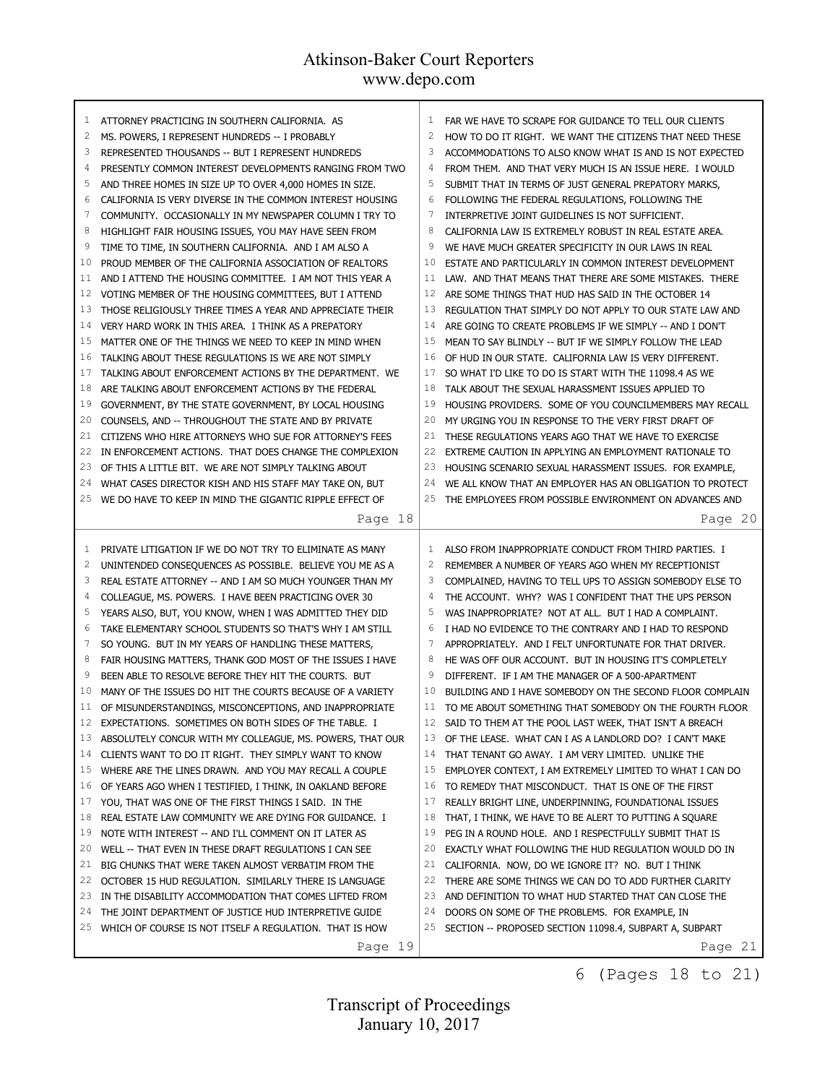r

| 1  | ATTORNEY PRACTICING IN SOUTHERN CALIFORNIA. AS            |                 | FAR WE HAVE TO SCRAPE FOR GUIDANCE TO TELL OUR CLIENTS     |
|----|-----------------------------------------------------------|-----------------|------------------------------------------------------------|
| 2  | MS. POWERS, I REPRESENT HUNDREDS -- I PROBABLY            | $\overline{c}$  | HOW TO DO IT RIGHT. WE WANT THE CITIZENS THAT NEED THESE   |
| 3  | REPRESENTED THOUSANDS -- BUT I REPRESENT HUNDREDS         | 3               | ACCOMMODATIONS TO ALSO KNOW WHAT IS AND IS NOT EXPECTED    |
| 4  | PRESENTLY COMMON INTEREST DEVELOPMENTS RANGING FROM TWO   | 4               | FROM THEM. AND THAT VERY MUCH IS AN ISSUE HERE. I WOULD    |
| 5  | AND THREE HOMES IN SIZE UP TO OVER 4,000 HOMES IN SIZE.   | 5               | SUBMIT THAT IN TERMS OF JUST GENERAL PREPATORY MARKS,      |
| 6  | CALIFORNIA IS VERY DIVERSE IN THE COMMON INTEREST HOUSING | 6               | FOLLOWING THE FEDERAL REGULATIONS, FOLLOWING THE           |
| 7  | COMMUNITY. OCCASIONALLY IN MY NEWSPAPER COLUMN I TRY TO   | $7\phantom{.0}$ | INTERPRETIVE JOINT GUIDELINES IS NOT SUFFICIENT.           |
| 8  | HIGHLIGHT FAIR HOUSING ISSUES, YOU MAY HAVE SEEN FROM     | 8               | CALIFORNIA LAW IS EXTREMELY ROBUST IN REAL ESTATE AREA.    |
| 9  | TIME TO TIME, IN SOUTHERN CALIFORNIA. AND I AM ALSO A     | 9               | WE HAVE MUCH GREATER SPECIFICITY IN OUR LAWS IN REAL       |
| 10 | PROUD MEMBER OF THE CALIFORNIA ASSOCIATION OF REALTORS    | 10              | ESTATE AND PARTICULARLY IN COMMON INTEREST DEVELOPMENT     |
| 11 | AND I ATTEND THE HOUSING COMMITTEE. I AM NOT THIS YEAR A  | 11              | LAW. AND THAT MEANS THAT THERE ARE SOME MISTAKES. THERE    |
| 12 | VOTING MEMBER OF THE HOUSING COMMITTEES, BUT I ATTEND     | 12              | ARE SOME THINGS THAT HUD HAS SAID IN THE OCTOBER 14        |
| 13 | THOSE RELIGIOUSLY THREE TIMES A YEAR AND APPRECIATE THEIR | 13              | REGULATION THAT SIMPLY DO NOT APPLY TO OUR STATE LAW AND   |
| 14 | VERY HARD WORK IN THIS AREA. I THINK AS A PREPATORY       | 14              | ARE GOING TO CREATE PROBLEMS IF WE SIMPLY -- AND I DON'T   |
| 15 | MATTER ONE OF THE THINGS WE NEED TO KEEP IN MIND WHEN     | 15              | MEAN TO SAY BLINDLY -- BUT IF WE SIMPLY FOLLOW THE LEAD    |
| 16 | TALKING ABOUT THESE REGULATIONS IS WE ARE NOT SIMPLY      | 16              | OF HUD IN OUR STATE. CALIFORNIA LAW IS VERY DIFFERENT.     |
| 17 |                                                           | 17              |                                                            |
|    | TALKING ABOUT ENFORCEMENT ACTIONS BY THE DEPARTMENT. WE   |                 | SO WHAT I'D LIKE TO DO IS START WITH THE 11098.4 AS WE     |
| 18 | ARE TALKING ABOUT ENFORCEMENT ACTIONS BY THE FEDERAL      | 18              | TALK ABOUT THE SEXUAL HARASSMENT ISSUES APPLIED TO         |
| 19 | GOVERNMENT, BY THE STATE GOVERNMENT, BY LOCAL HOUSING     | 19<br>20        | HOUSING PROVIDERS. SOME OF YOU COUNCILMEMBERS MAY RECALL   |
| 20 | COUNSELS, AND -- THROUGHOUT THE STATE AND BY PRIVATE      |                 | MY URGING YOU IN RESPONSE TO THE VERY FIRST DRAFT OF       |
| 21 | CITIZENS WHO HIRE ATTORNEYS WHO SUE FOR ATTORNEY'S FEES   | 21              | THESE REGULATIONS YEARS AGO THAT WE HAVE TO EXERCISE       |
| 22 | IN ENFORCEMENT ACTIONS. THAT DOES CHANGE THE COMPLEXION   | 22              | EXTREME CAUTION IN APPLYING AN EMPLOYMENT RATIONALE TO     |
| 23 | OF THIS A LITTLE BIT. WE ARE NOT SIMPLY TALKING ABOUT     | 23              | HOUSING SCENARIO SEXUAL HARASSMENT ISSUES. FOR EXAMPLE,    |
| 24 | WHAT CASES DIRECTOR KISH AND HIS STAFF MAY TAKE ON, BUT   | 24              | WE ALL KNOW THAT AN EMPLOYER HAS AN OBLIGATION TO PROTECT  |
| 25 | WE DO HAVE TO KEEP IN MIND THE GIGANTIC RIPPLE EFFECT OF  | 25              | THE EMPLOYEES FROM POSSIBLE ENVIRONMENT ON ADVANCES AND    |
|    | Page 18                                                   |                 | Page 20                                                    |
|    |                                                           |                 |                                                            |
|    |                                                           |                 |                                                            |
| 1  | PRIVATE LITIGATION IF WE DO NOT TRY TO ELIMINATE AS MANY  | $\mathbf{1}$    | ALSO FROM INAPPROPRIATE CONDUCT FROM THIRD PARTIES. I      |
| 2  | UNINTENDED CONSEQUENCES AS POSSIBLE. BELIEVE YOU ME AS A  | $\overline{c}$  | REMEMBER A NUMBER OF YEARS AGO WHEN MY RECEPTIONIST        |
| 3  | REAL ESTATE ATTORNEY -- AND I AM SO MUCH YOUNGER THAN MY  | 3               | COMPLAINED, HAVING TO TELL UPS TO ASSIGN SOMEBODY ELSE TO  |
| 4  | COLLEAGUE, MS. POWERS. I HAVE BEEN PRACTICING OVER 30     | $\overline{4}$  | THE ACCOUNT. WHY? WAS I CONFIDENT THAT THE UPS PERSON      |
| 5  | YEARS ALSO, BUT, YOU KNOW, WHEN I WAS ADMITTED THEY DID   | 5               | WAS INAPPROPRIATE? NOT AT ALL. BUT I HAD A COMPLAINT.      |
| 6  | TAKE ELEMENTARY SCHOOL STUDENTS SO THAT'S WHY I AM STILL  | 6               | I HAD NO EVIDENCE TO THE CONTRARY AND I HAD TO RESPOND     |
| 7  | SO YOUNG. BUT IN MY YEARS OF HANDLING THESE MATTERS,      | 7               | APPROPRIATELY. AND I FELT UNFORTUNATE FOR THAT DRIVER.     |
| 8  | FAIR HOUSING MATTERS, THANK GOD MOST OF THE ISSUES I HAVE | 8               | HE WAS OFF OUR ACCOUNT. BUT IN HOUSING IT'S COMPLETELY     |
| 9  | BEEN ABLE TO RESOLVE BEFORE THEY HIT THE COURTS. BUT      | 9               | DIFFERENT. IF I AM THE MANAGER OF A 500-APARTMENT          |
| 10 | MANY OF THE ISSUES DO HIT THE COURTS BECAUSE OF A VARIETY | 10              | BUILDING AND I HAVE SOMEBODY ON THE SECOND FLOOR COMPLAIN  |
| 11 |                                                           |                 |                                                            |
|    | OF MISUNDERSTANDINGS, MISCONCEPTIONS, AND INAPPROPRIATE   |                 | 11 TO ME ABOUT SOMETHING THAT SOMEBODY ON THE FOURTH FLOOR |
| 13 | 12 EXPECTATIONS. SOMETIMES ON BOTH SIDES OF THE TABLE. I  | 13              | 12 SAID TO THEM AT THE POOL LAST WEEK, THAT ISN'T A BREACH |
|    | ABSOLUTELY CONCUR WITH MY COLLEAGUE, MS. POWERS, THAT OUR |                 | OF THE LEASE. WHAT CAN I AS A LANDLORD DO? I CAN'T MAKE    |
| 14 | CLIENTS WANT TO DO IT RIGHT. THEY SIMPLY WANT TO KNOW     | 14              | THAT TENANT GO AWAY. I AM VERY LIMITED. UNLIKE THE         |
| 15 | WHERE ARE THE LINES DRAWN. AND YOU MAY RECALL A COUPLE    | 15              | EMPLOYER CONTEXT, I AM EXTREMELY LIMITED TO WHAT I CAN DO  |
| 16 | OF YEARS AGO WHEN I TESTIFIED, I THINK, IN OAKLAND BEFORE | 16              | TO REMEDY THAT MISCONDUCT. THAT IS ONE OF THE FIRST        |
| 17 | YOU, THAT WAS ONE OF THE FIRST THINGS I SAID. IN THE      | 17              | REALLY BRIGHT LINE, UNDERPINNING, FOUNDATIONAL ISSUES      |
| 18 | REAL ESTATE LAW COMMUNITY WE ARE DYING FOR GUIDANCE. I    | 18              | THAT, I THINK, WE HAVE TO BE ALERT TO PUTTING A SOUARE     |
| 19 | NOTE WITH INTEREST -- AND I'LL COMMENT ON IT LATER AS     | 19              | PEG IN A ROUND HOLE. AND I RESPECTFULLY SUBMIT THAT IS     |
| 20 | WELL -- THAT EVEN IN THESE DRAFT REGULATIONS I CAN SEE    | 20              | EXACTLY WHAT FOLLOWING THE HUD REGULATION WOULD DO IN      |
| 21 | BIG CHUNKS THAT WERE TAKEN ALMOST VERBATIM FROM THE       | 21              | CALIFORNIA. NOW, DO WE IGNORE IT? NO. BUT I THINK          |
| 22 | OCTOBER 15 HUD REGULATION. SIMILARLY THERE IS LANGUAGE    | 22              | THERE ARE SOME THINGS WE CAN DO TO ADD FURTHER CLARITY     |
| 23 | IN THE DISABILITY ACCOMMODATION THAT COMES LIFTED FROM    | 23              | AND DEFINITION TO WHAT HUD STARTED THAT CAN CLOSE THE      |
| 24 | THE JOINT DEPARTMENT OF JUSTICE HUD INTERPRETIVE GUIDE    | 24              | DOORS ON SOME OF THE PROBLEMS. FOR EXAMPLE, IN             |
| 25 | WHICH OF COURSE IS NOT ITSELF A REGULATION. THAT IS HOW   |                 | 25 SECTION -- PROPOSED SECTION 11098.4, SUBPART A, SUBPART |

6 (Pages 18 to 21)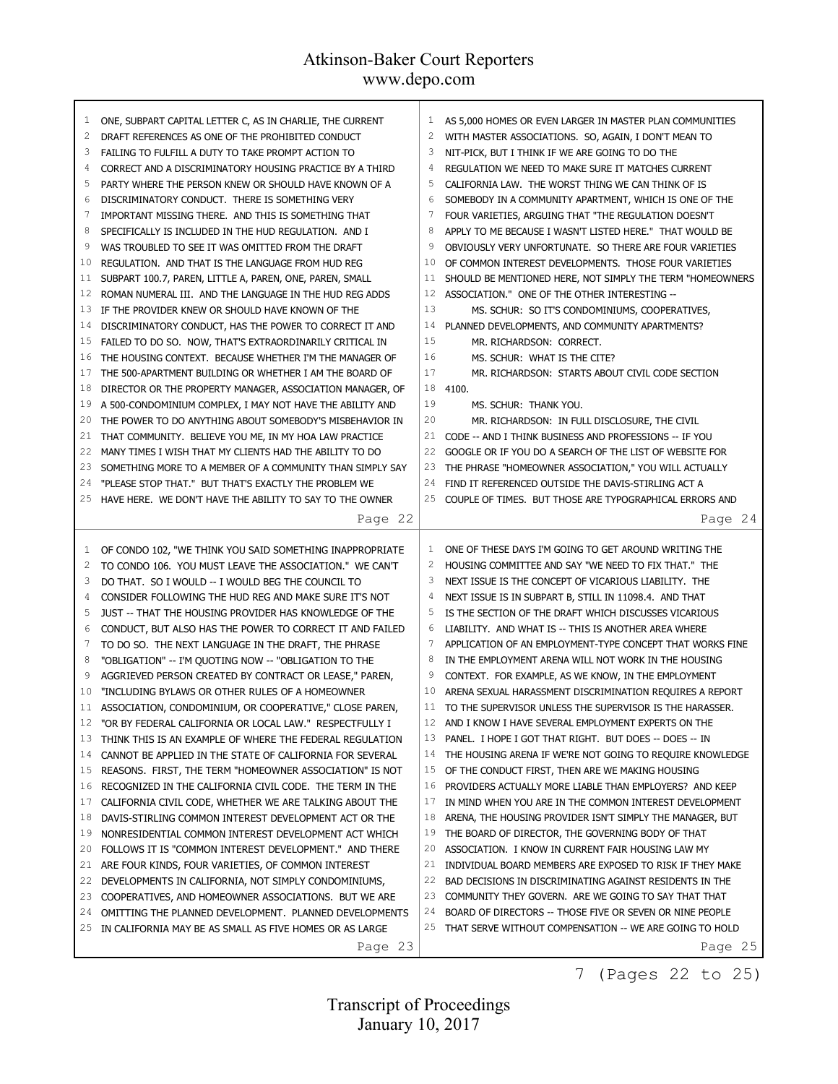| 1              | ONE, SUBPART CAPITAL LETTER C, AS IN CHARLIE, THE CURRENT          | 1              | AS 5,000 HOMES OR EVEN LARGER IN MASTER PLAN COMMUNITIES  |
|----------------|--------------------------------------------------------------------|----------------|-----------------------------------------------------------|
| $\overline{c}$ | DRAFT REFERENCES AS ONE OF THE PROHIBITED CONDUCT                  | $\overline{c}$ | WITH MASTER ASSOCIATIONS. SO, AGAIN, I DON'T MEAN TO      |
| 3              | FAILING TO FULFILL A DUTY TO TAKE PROMPT ACTION TO                 | 3              | NIT-PICK, BUT I THINK IF WE ARE GOING TO DO THE           |
| 4              | CORRECT AND A DISCRIMINATORY HOUSING PRACTICE BY A THIRD           | $\overline{4}$ | REGULATION WE NEED TO MAKE SURE IT MATCHES CURRENT        |
| 5              | PARTY WHERE THE PERSON KNEW OR SHOULD HAVE KNOWN OF A              | 5              | CALIFORNIA LAW. THE WORST THING WE CAN THINK OF IS        |
| 6              | DISCRIMINATORY CONDUCT. THERE IS SOMETHING VERY                    | 6              | SOMEBODY IN A COMMUNITY APARTMENT, WHICH IS ONE OF THE    |
| 7              | IMPORTANT MISSING THERE. AND THIS IS SOMETHING THAT                | 7              | FOUR VARIETIES, ARGUING THAT "THE REGULATION DOESN'T      |
| 8              | SPECIFICALLY IS INCLUDED IN THE HUD REGULATION. AND I              | 8              | APPLY TO ME BECAUSE I WASN'T LISTED HERE." THAT WOULD BE  |
| 9              | WAS TROUBLED TO SEE IT WAS OMITTED FROM THE DRAFT                  | 9              | OBVIOUSLY VERY UNFORTUNATE. SO THERE ARE FOUR VARIETIES   |
| 10             | REGULATION. AND THAT IS THE LANGUAGE FROM HUD REG                  | 10             | OF COMMON INTEREST DEVELOPMENTS. THOSE FOUR VARIETIES     |
| 11             | SUBPART 100.7, PAREN, LITTLE A, PAREN, ONE, PAREN, SMALL           | 11             | SHOULD BE MENTIONED HERE, NOT SIMPLY THE TERM "HOMEOWNERS |
| 12             | ROMAN NUMERAL III. AND THE LANGUAGE IN THE HUD REG ADDS            | 12             | ASSOCIATION." ONE OF THE OTHER INTERESTING --             |
| 13             | IF THE PROVIDER KNEW OR SHOULD HAVE KNOWN OF THE                   | 13             | MS. SCHUR: SO IT'S CONDOMINIUMS, COOPERATIVES,            |
| 14             | DISCRIMINATORY CONDUCT, HAS THE POWER TO CORRECT IT AND            | 14             | PLANNED DEVELOPMENTS, AND COMMUNITY APARTMENTS?           |
| 15             | FAILED TO DO SO. NOW, THAT'S EXTRAORDINARILY CRITICAL IN           | 15             | MR. RICHARDSON: CORRECT.                                  |
| 16             | THE HOUSING CONTEXT. BECAUSE WHETHER I'M THE MANAGER OF            | 16             | MS. SCHUR: WHAT IS THE CITE?                              |
| 17             | THE 500-APARTMENT BUILDING OR WHETHER I AM THE BOARD OF            | 17             | MR. RICHARDSON: STARTS ABOUT CIVIL CODE SECTION           |
| 18             | DIRECTOR OR THE PROPERTY MANAGER, ASSOCIATION MANAGER, OF          | 18             | 4100.                                                     |
| 19             | A 500-CONDOMINIUM COMPLEX, I MAY NOT HAVE THE ABILITY AND          | 19             | MS. SCHUR: THANK YOU.                                     |
| 20             | THE POWER TO DO ANYTHING ABOUT SOMEBODY'S MISBEHAVIOR IN           | 20             | MR. RICHARDSON: IN FULL DISCLOSURE, THE CIVIL             |
| 21             | THAT COMMUNITY. BELIEVE YOU ME, IN MY HOA LAW PRACTICE             | 21             | CODE -- AND I THINK BUSINESS AND PROFESSIONS -- IF YOU    |
| 22             | MANY TIMES I WISH THAT MY CLIENTS HAD THE ABILITY TO DO            | 22             | GOOGLE OR IF YOU DO A SEARCH OF THE LIST OF WEBSITE FOR   |
| 23             | SOMETHING MORE TO A MEMBER OF A COMMUNITY THAN SIMPLY SAY          | 23             | THE PHRASE "HOMEOWNER ASSOCIATION," YOU WILL ACTUALLY     |
| 24             | "PLEASE STOP THAT." BUT THAT'S EXACTLY THE PROBLEM WE              | 24             | FIND IT REFERENCED OUTSIDE THE DAVIS-STIRLING ACT A       |
| 25             | HAVE HERE. WE DON'T HAVE THE ABILITY TO SAY TO THE OWNER           | 25             | COUPLE OF TIMES. BUT THOSE ARE TYPOGRAPHICAL ERRORS AND   |
|                |                                                                    |                |                                                           |
|                | Page 22                                                            |                | Page 24                                                   |
|                |                                                                    |                |                                                           |
|                |                                                                    |                |                                                           |
| 1              | OF CONDO 102, "WE THINK YOU SAID SOMETHING INAPPROPRIATE           | 1              | ONE OF THESE DAYS I'M GOING TO GET AROUND WRITING THE     |
| $\overline{c}$ | TO CONDO 106. YOU MUST LEAVE THE ASSOCIATION." WE CAN'T            | $\overline{c}$ | HOUSING COMMITTEE AND SAY "WE NEED TO FIX THAT." THE      |
| 3              | DO THAT. SO I WOULD -- I WOULD BEG THE COUNCIL TO                  | 3              | NEXT ISSUE IS THE CONCEPT OF VICARIOUS LIABILITY. THE     |
| 4              | CONSIDER FOLLOWING THE HUD REG AND MAKE SURE IT'S NOT              | 4              | NEXT ISSUE IS IN SUBPART B, STILL IN 11098.4. AND THAT    |
| 5              | JUST -- THAT THE HOUSING PROVIDER HAS KNOWLEDGE OF THE             | 5              | IS THE SECTION OF THE DRAFT WHICH DISCUSSES VICARIOUS     |
| 6              | CONDUCT, BUT ALSO HAS THE POWER TO CORRECT IT AND FAILED           | 6              | LIABILITY. AND WHAT IS -- THIS IS ANOTHER AREA WHERE      |
| 7              | TO DO SO. THE NEXT LANGUAGE IN THE DRAFT, THE PHRASE               | 7              | APPLICATION OF AN EMPLOYMENT-TYPE CONCEPT THAT WORKS FINE |
| 8              | "OBLIGATION" -- I'M QUOTING NOW -- "OBLIGATION TO THE              | 8              | IN THE EMPLOYMENT ARENA WILL NOT WORK IN THE HOUSING      |
| 9              | AGGRIEVED PERSON CREATED BY CONTRACT OR LEASE," PAREN,             | 9              | CONTEXT. FOR EXAMPLE, AS WE KNOW, IN THE EMPLOYMENT       |
| 10             | "INCLUDING BYLAWS OR OTHER RULES OF A HOMEOWNER                    | 10             | ARENA SEXUAL HARASSMENT DISCRIMINATION REQUIRES A REPORT  |
| 11             | ASSOCIATION, CONDOMINIUM, OR COOPERATIVE," CLOSE PAREN,            | 11             | TO THE SUPERVISOR UNLESS THE SUPERVISOR IS THE HARASSER.  |
| 12             | "OR BY FEDERAL CALIFORNIA OR LOCAL LAW." RESPECTFULLY I            | 12             | AND I KNOW I HAVE SEVERAL EMPLOYMENT EXPERTS ON THE       |
| 13             | THINK THIS IS AN EXAMPLE OF WHERE THE FEDERAL REGULATION           | 13             | PANEL. I HOPE I GOT THAT RIGHT. BUT DOES -- DOES -- IN    |
| 14             | CANNOT BE APPLIED IN THE STATE OF CALIFORNIA FOR SEVERAL           | 14             | THE HOUSING ARENA IF WE'RE NOT GOING TO REQUIRE KNOWLEDGE |
| 15             | REASONS. FIRST, THE TERM "HOMEOWNER ASSOCIATION" IS NOT            | 15             | OF THE CONDUCT FIRST, THEN ARE WE MAKING HOUSING          |
| 16             | RECOGNIZED IN THE CALIFORNIA CIVIL CODE. THE TERM IN THE           | 16             | PROVIDERS ACTUALLY MORE LIABLE THAN EMPLOYERS? AND KEEP   |
| 17             | CALIFORNIA CIVIL CODE, WHETHER WE ARE TALKING ABOUT THE            | 17             | IN MIND WHEN YOU ARE IN THE COMMON INTEREST DEVELOPMENT   |
| 18             | DAVIS-STIRLING COMMON INTEREST DEVELOPMENT ACT OR THE              | 18             | ARENA, THE HOUSING PROVIDER ISN'T SIMPLY THE MANAGER, BUT |
| 19             | NONRESIDENTIAL COMMON INTEREST DEVELOPMENT ACT WHICH               | 19             | THE BOARD OF DIRECTOR, THE GOVERNING BODY OF THAT         |
| 20             | FOLLOWS IT IS "COMMON INTEREST DEVELOPMENT." AND THERE             | 20             | ASSOCIATION. I KNOW IN CURRENT FAIR HOUSING LAW MY        |
| 21             | ARE FOUR KINDS, FOUR VARIETIES, OF COMMON INTEREST                 | 21             | INDIVIDUAL BOARD MEMBERS ARE EXPOSED TO RISK IF THEY MAKE |
| 22             | DEVELOPMENTS IN CALIFORNIA, NOT SIMPLY CONDOMINIUMS,               | 22             | BAD DECISIONS IN DISCRIMINATING AGAINST RESIDENTS IN THE  |
| 23             | COOPERATIVES, AND HOMEOWNER ASSOCIATIONS. BUT WE ARE               | 23             | COMMUNITY THEY GOVERN. ARE WE GOING TO SAY THAT THAT      |
| 24             | OMITTING THE PLANNED DEVELOPMENT. PLANNED DEVELOPMENTS             | 24             | BOARD OF DIRECTORS -- THOSE FIVE OR SEVEN OR NINE PEOPLE  |
| 25             | IN CALIFORNIA MAY BE AS SMALL AS FIVE HOMES OR AS LARGE<br>Page 23 | 25             | THAT SERVE WITHOUT COMPENSATION -- WE ARE GOING TO HOLD   |

<sup>7 (</sup>Pages 22 to 25)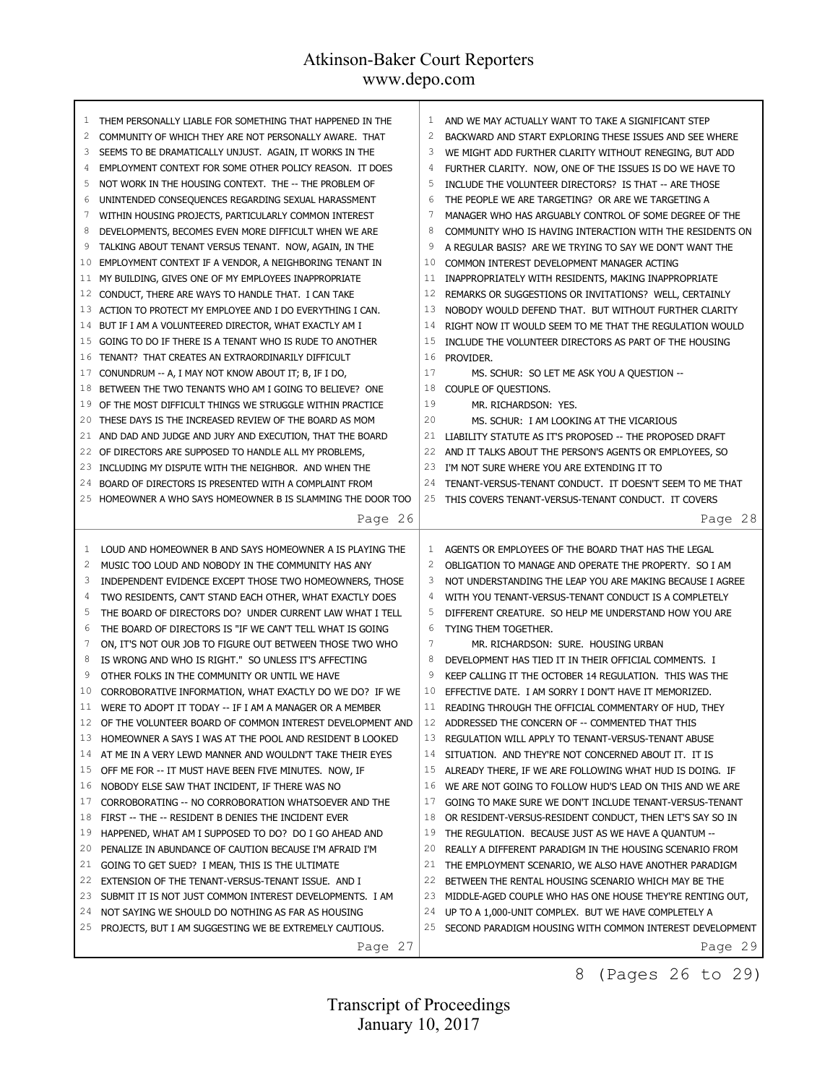| 1              | THEM PERSONALLY LIABLE FOR SOMETHING THAT HAPPENED IN THE | 1              | AND WE MAY ACTUALLY WANT TO TAKE A SIGNIFICANT STEP       |
|----------------|-----------------------------------------------------------|----------------|-----------------------------------------------------------|
| 2              | COMMUNITY OF WHICH THEY ARE NOT PERSONALLY AWARE. THAT    | $\overline{c}$ | BACKWARD AND START EXPLORING THESE ISSUES AND SEE WHERE   |
| 3              | SEEMS TO BE DRAMATICALLY UNJUST. AGAIN, IT WORKS IN THE   | 3              | WE MIGHT ADD FURTHER CLARITY WITHOUT RENEGING, BUT ADD    |
| 4              | EMPLOYMENT CONTEXT FOR SOME OTHER POLICY REASON. IT DOES  | 4              | FURTHER CLARITY. NOW, ONE OF THE ISSUES IS DO WE HAVE TO  |
| 5              | NOT WORK IN THE HOUSING CONTEXT. THE -- THE PROBLEM OF    | 5              | INCLUDE THE VOLUNTEER DIRECTORS? IS THAT -- ARE THOSE     |
| 6              | UNINTENDED CONSEQUENCES REGARDING SEXUAL HARASSMENT       | 6              | THE PEOPLE WE ARE TARGETING? OR ARE WE TARGETING A        |
| 7              | WITHIN HOUSING PROJECTS, PARTICULARLY COMMON INTEREST     | 7              | MANAGER WHO HAS ARGUABLY CONTROL OF SOME DEGREE OF THE    |
| 8              | DEVELOPMENTS, BECOMES EVEN MORE DIFFICULT WHEN WE ARE     | 8              | COMMUNITY WHO IS HAVING INTERACTION WITH THE RESIDENTS ON |
| 9              | TALKING ABOUT TENANT VERSUS TENANT. NOW, AGAIN, IN THE    | 9              | A REGULAR BASIS? ARE WE TRYING TO SAY WE DON'T WANT THE   |
| 10             | EMPLOYMENT CONTEXT IF A VENDOR, A NEIGHBORING TENANT IN   | 10             | COMMON INTEREST DEVELOPMENT MANAGER ACTING                |
| 11             | MY BUILDING, GIVES ONE OF MY EMPLOYEES INAPPROPRIATE      | 11             | INAPPROPRIATELY WITH RESIDENTS, MAKING INAPPROPRIATE      |
| 12             | CONDUCT, THERE ARE WAYS TO HANDLE THAT. I CAN TAKE        | 12             | REMARKS OR SUGGESTIONS OR INVITATIONS? WELL, CERTAINLY    |
| 13             | ACTION TO PROTECT MY EMPLOYEE AND I DO EVERYTHING I CAN.  | 13             | NOBODY WOULD DEFEND THAT. BUT WITHOUT FURTHER CLARITY     |
| 14             | BUT IF I AM A VOLUNTEERED DIRECTOR, WHAT EXACTLY AM I     | 14             | RIGHT NOW IT WOULD SEEM TO ME THAT THE REGULATION WOULD   |
| 15             | GOING TO DO IF THERE IS A TENANT WHO IS RUDE TO ANOTHER   | 15             | INCLUDE THE VOLUNTEER DIRECTORS AS PART OF THE HOUSING    |
| 16             | TENANT? THAT CREATES AN EXTRAORDINARILY DIFFICULT         | 16             | PROVIDER.                                                 |
| 17             | CONUNDRUM -- A, I MAY NOT KNOW ABOUT IT; B, IF I DO,      | 17             | MS. SCHUR: SO LET ME ASK YOU A QUESTION --                |
| 18             | BETWEEN THE TWO TENANTS WHO AM I GOING TO BELIEVE? ONE    | 18             | COUPLE OF QUESTIONS.                                      |
| 19             | OF THE MOST DIFFICULT THINGS WE STRUGGLE WITHIN PRACTICE  | 19             | MR. RICHARDSON: YES.                                      |
| 20             | THESE DAYS IS THE INCREASED REVIEW OF THE BOARD AS MOM    | 20             | MS. SCHUR: I AM LOOKING AT THE VICARIOUS                  |
| 21             | AND DAD AND JUDGE AND JURY AND EXECUTION, THAT THE BOARD  | 21             | LIABILITY STATUTE AS IT'S PROPOSED -- THE PROPOSED DRAFT  |
| 22             | OF DIRECTORS ARE SUPPOSED TO HANDLE ALL MY PROBLEMS,      | 22             | AND IT TALKS ABOUT THE PERSON'S AGENTS OR EMPLOYEES, SO   |
| 23             | INCLUDING MY DISPUTE WITH THE NEIGHBOR. AND WHEN THE      | 23             | I'M NOT SURE WHERE YOU ARE EXTENDING IT TO                |
| 24             | BOARD OF DIRECTORS IS PRESENTED WITH A COMPLAINT FROM     | 24             | TENANT-VERSUS-TENANT CONDUCT. IT DOESN'T SEEM TO ME THAT  |
| 25             | HOMEOWNER A WHO SAYS HOMEOWNER B IS SLAMMING THE DOOR TOO |                | 25 THIS COVERS TENANT-VERSUS-TENANT CONDUCT. IT COVERS    |
|                | Page 26                                                   |                | Page 28                                                   |
|                |                                                           |                |                                                           |
|                |                                                           |                |                                                           |
| 1              | LOUD AND HOMEOWNER B AND SAYS HOMEOWNER A IS PLAYING THE  | 1              | AGENTS OR EMPLOYEES OF THE BOARD THAT HAS THE LEGAL       |
| $\overline{2}$ | MUSIC TOO LOUD AND NOBODY IN THE COMMUNITY HAS ANY        | $\overline{c}$ | OBLIGATION TO MANAGE AND OPERATE THE PROPERTY. SO I AM    |
| 3              | INDEPENDENT EVIDENCE EXCEPT THOSE TWO HOMEOWNERS, THOSE   | 3              | NOT UNDERSTANDING THE LEAP YOU ARE MAKING BECAUSE I AGREE |
| 4              | TWO RESIDENTS, CAN'T STAND EACH OTHER, WHAT EXACTLY DOES  | 4              | WITH YOU TENANT-VERSUS-TENANT CONDUCT IS A COMPLETELY     |
| 5              | THE BOARD OF DIRECTORS DO? UNDER CURRENT LAW WHAT I TELL  | 5              | DIFFERENT CREATURE. SO HELP ME UNDERSTAND HOW YOU ARE     |
| 6              | THE BOARD OF DIRECTORS IS "IF WE CAN'T TELL WHAT IS GOING | 6              | TYING THEM TOGETHER.                                      |
| 7              | ON, IT'S NOT OUR JOB TO FIGURE OUT BETWEEN THOSE TWO WHO  | 7              | MR. RICHARDSON: SURE. HOUSING URBAN                       |
| 8              | IS WRONG AND WHO IS RIGHT." SO UNLESS IT'S AFFECTING      | 8              | DEVELOPMENT HAS TIED IT IN THEIR OFFICIAL COMMENTS. I     |
| 9              | OTHER FOLKS IN THE COMMUNITY OR UNTIL WE HAVE             | 9              | KEEP CALLING IT THE OCTOBER 14 REGULATION. THIS WAS THE   |
| 10             | CORROBORATIVE INFORMATION, WHAT EXACTLY DO WE DO? IF WE   | 10             | EFFECTIVE DATE. I AM SORRY I DON'T HAVE IT MEMORIZED.     |
| 11             | WERE TO ADOPT IT TODAY -- IF I AM A MANAGER OR A MEMBER   | 11             | READING THROUGH THE OFFICIAL COMMENTARY OF HUD, THEY      |
| 12             | OF THE VOLUNTEER BOARD OF COMMON INTEREST DEVELOPMENT AND | 12             | ADDRESSED THE CONCERN OF -- COMMENTED THAT THIS           |
| 13             | HOMEOWNER A SAYS I WAS AT THE POOL AND RESIDENT B LOOKED  | 13             | REGULATION WILL APPLY TO TENANT-VERSUS-TENANT ABUSE       |
| 14             | AT ME IN A VERY LEWD MANNER AND WOULDN'T TAKE THEIR EYES  | 14             | SITUATION. AND THEY'RE NOT CONCERNED ABOUT IT. IT IS      |
| 15             | OFF ME FOR -- IT MUST HAVE BEEN FIVE MINUTES. NOW, IF     | 15             | ALREADY THERE, IF WE ARE FOLLOWING WHAT HUD IS DOING. IF  |
| 16             | NOBODY ELSE SAW THAT INCIDENT, IF THERE WAS NO            | 16             | WE ARE NOT GOING TO FOLLOW HUD'S LEAD ON THIS AND WE ARE  |
| 17             | CORROBORATING -- NO CORROBORATION WHATSOEVER AND THE      | 17             | GOING TO MAKE SURE WE DON'T INCLUDE TENANT-VERSUS-TENANT  |
| 18             | FIRST -- THE -- RESIDENT B DENIES THE INCIDENT EVER       | 18             | OR RESIDENT-VERSUS-RESIDENT CONDUCT, THEN LET'S SAY SO IN |
| 19             | HAPPENED, WHAT AM I SUPPOSED TO DO? DO I GO AHEAD AND     | 19             | THE REGULATION. BECAUSE JUST AS WE HAVE A QUANTUM --      |
| 20             | PENALIZE IN ABUNDANCE OF CAUTION BECAUSE I'M AFRAID I'M   | 20             | REALLY A DIFFERENT PARADIGM IN THE HOUSING SCENARIO FROM  |
| 21             | GOING TO GET SUED? I MEAN, THIS IS THE ULTIMATE           | 21             | THE EMPLOYMENT SCENARIO, WE ALSO HAVE ANOTHER PARADIGM    |
| 22             | EXTENSION OF THE TENANT-VERSUS-TENANT ISSUE. AND I        | 22             | BETWEEN THE RENTAL HOUSING SCENARIO WHICH MAY BE THE      |
| 23             | SUBMIT IT IS NOT JUST COMMON INTEREST DEVELOPMENTS. I AM  | 23             | MIDDLE-AGED COUPLE WHO HAS ONE HOUSE THEY'RE RENTING OUT, |
| 24             | NOT SAYING WE SHOULD DO NOTHING AS FAR AS HOUSING         | 24             | UP TO A 1,000-UNIT COMPLEX. BUT WE HAVE COMPLETELY A      |
| 25             | PROJECTS, BUT I AM SUGGESTING WE BE EXTREMELY CAUTIOUS.   | 25             | SECOND PARADIGM HOUSING WITH COMMON INTEREST DEVELOPMENT  |

8 (Pages 26 to 29)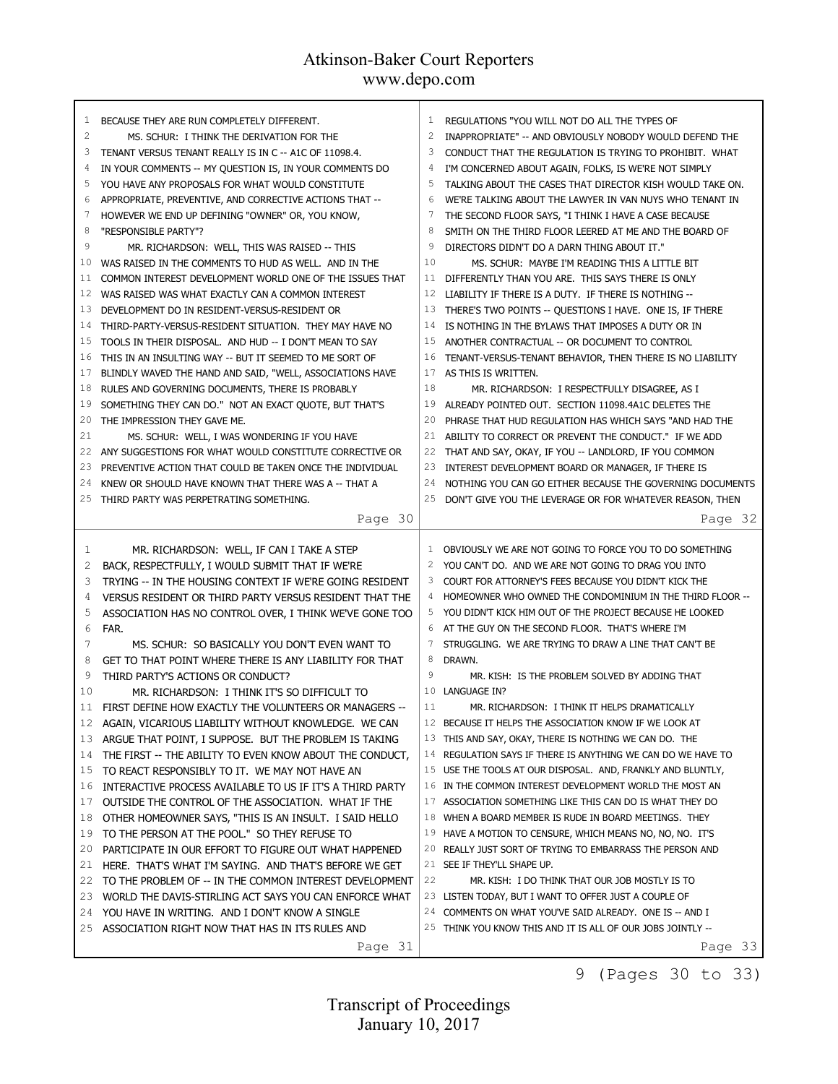| 1  | BECAUSE THEY ARE RUN COMPLETELY DIFFERENT.                | 1            | REGULATIONS "YOU WILL NOT DO ALL THE TYPES OF               |
|----|-----------------------------------------------------------|--------------|-------------------------------------------------------------|
| 2  | MS. SCHUR: I THINK THE DERIVATION FOR THE                 | 2            | INAPPROPRIATE" -- AND OBVIOUSLY NOBODY WOULD DEFEND THE     |
| 3  | TENANT VERSUS TENANT REALLY IS IN C -- A1C OF 11098.4.    | 3            | CONDUCT THAT THE REGULATION IS TRYING TO PROHIBIT. WHAT     |
| 4  | IN YOUR COMMENTS -- MY QUESTION IS, IN YOUR COMMENTS DO   | 4            | I'M CONCERNED ABOUT AGAIN, FOLKS, IS WE'RE NOT SIMPLY       |
| 5  | YOU HAVE ANY PROPOSALS FOR WHAT WOULD CONSTITUTE          | 5            | TALKING ABOUT THE CASES THAT DIRECTOR KISH WOULD TAKE ON.   |
| 6  | APPROPRIATE, PREVENTIVE, AND CORRECTIVE ACTIONS THAT --   | 6            | WE'RE TALKING ABOUT THE LAWYER IN VAN NUYS WHO TENANT IN    |
| 7  | HOWEVER WE END UP DEFINING "OWNER" OR, YOU KNOW,          | 7            | THE SECOND FLOOR SAYS, "I THINK I HAVE A CASE BECAUSE       |
| 8  | "RESPONSIBLE PARTY"?                                      | 8            | SMITH ON THE THIRD FLOOR LEERED AT ME AND THE BOARD OF      |
| 9  | MR. RICHARDSON: WELL, THIS WAS RAISED -- THIS             | 9            | DIRECTORS DIDN'T DO A DARN THING ABOUT IT."                 |
| 10 | WAS RAISED IN THE COMMENTS TO HUD AS WELL. AND IN THE     | 10           | MS. SCHUR: MAYBE I'M READING THIS A LITTLE BIT              |
| 11 | COMMON INTEREST DEVELOPMENT WORLD ONE OF THE ISSUES THAT  | 11           | DIFFERENTLY THAN YOU ARE. THIS SAYS THERE IS ONLY           |
| 12 | WAS RAISED WAS WHAT EXACTLY CAN A COMMON INTEREST         | 12           | LIABILITY IF THERE IS A DUTY. IF THERE IS NOTHING --        |
| 13 | DEVELOPMENT DO IN RESIDENT-VERSUS-RESIDENT OR             | 13           | THERE'S TWO POINTS -- QUESTIONS I HAVE. ONE IS, IF THERE    |
| 14 | THIRD-PARTY-VERSUS-RESIDENT SITUATION. THEY MAY HAVE NO   | 14           | IS NOTHING IN THE BYLAWS THAT IMPOSES A DUTY OR IN          |
| 15 | TOOLS IN THEIR DISPOSAL. AND HUD -- I DON'T MEAN TO SAY   | 15           | ANOTHER CONTRACTUAL -- OR DOCUMENT TO CONTROL               |
| 16 | THIS IN AN INSULTING WAY -- BUT IT SEEMED TO ME SORT OF   | 16           | TENANT-VERSUS-TENANT BEHAVIOR, THEN THERE IS NO LIABILITY   |
| 17 | BLINDLY WAVED THE HAND AND SAID, "WELL, ASSOCIATIONS HAVE | 17           | AS THIS IS WRITTEN.                                         |
| 18 | RULES AND GOVERNING DOCUMENTS, THERE IS PROBABLY          | 18           | MR. RICHARDSON: I RESPECTFULLY DISAGREE, AS I               |
| 19 | SOMETHING THEY CAN DO." NOT AN EXACT QUOTE, BUT THAT'S    | 19           | ALREADY POINTED OUT. SECTION 11098.4A1C DELETES THE         |
| 20 | THE IMPRESSION THEY GAVE ME.                              | 20           | PHRASE THAT HUD REGULATION HAS WHICH SAYS "AND HAD THE      |
| 21 | MS. SCHUR: WELL, I WAS WONDERING IF YOU HAVE              | 21           | ABILITY TO CORRECT OR PREVENT THE CONDUCT." IF WE ADD       |
| 22 | ANY SUGGESTIONS FOR WHAT WOULD CONSTITUTE CORRECTIVE OR   | 22           | THAT AND SAY, OKAY, IF YOU -- LANDLORD, IF YOU COMMON       |
| 23 | PREVENTIVE ACTION THAT COULD BE TAKEN ONCE THE INDIVIDUAL | 23           | INTEREST DEVELOPMENT BOARD OR MANAGER, IF THERE IS          |
| 24 | KNEW OR SHOULD HAVE KNOWN THAT THERE WAS A -- THAT A      | 24           | NOTHING YOU CAN GO EITHER BECAUSE THE GOVERNING DOCUMENTS   |
| 25 | THIRD PARTY WAS PERPETRATING SOMETHING.                   | 25           | DON'T GIVE YOU THE LEVERAGE OR FOR WHATEVER REASON, THEN    |
|    |                                                           |              |                                                             |
|    | Page 30                                                   |              | Page 32                                                     |
|    |                                                           |              |                                                             |
|    |                                                           |              |                                                             |
| 1  | MR. RICHARDSON: WELL, IF CAN I TAKE A STEP                | $\mathbf{1}$ | OBVIOUSLY WE ARE NOT GOING TO FORCE YOU TO DO SOMETHING     |
| 2  | BACK, RESPECTFULLY, I WOULD SUBMIT THAT IF WE'RE          | 2            | YOU CAN'T DO. AND WE ARE NOT GOING TO DRAG YOU INTO         |
| 3  | TRYING -- IN THE HOUSING CONTEXT IF WE'RE GOING RESIDENT  | 3            | COURT FOR ATTORNEY'S FEES BECAUSE YOU DIDN'T KICK THE       |
| 4  | VERSUS RESIDENT OR THIRD PARTY VERSUS RESIDENT THAT THE   | 4            | HOMEOWNER WHO OWNED THE CONDOMINIUM IN THE THIRD FLOOR --   |
| 5  | ASSOCIATION HAS NO CONTROL OVER, I THINK WE'VE GONE TOO   | 5            | YOU DIDN'T KICK HIM OUT OF THE PROJECT BECAUSE HE LOOKED    |
| 6  | FAR.                                                      | 6            | AT THE GUY ON THE SECOND FLOOR. THAT'S WHERE I'M            |
| 7  | MS. SCHUR: SO BASICALLY YOU DON'T EVEN WANT TO            | 7            | STRUGGLING. WE ARE TRYING TO DRAW A LINE THAT CAN'T BE      |
| 8  | GET TO THAT POINT WHERE THERE IS ANY LIABILITY FOR THAT   | 8            | DRAWN.                                                      |
| 9  | THIRD PARTY'S ACTIONS OR CONDUCT?                         | 9            | MR. KISH: IS THE PROBLEM SOLVED BY ADDING THAT              |
| 10 | MR. RICHARDSON: I THINK IT'S SO DIFFICULT TO              | 10           | LANGUAGE IN?                                                |
| 11 | FIRST DEFINE HOW EXACTLY THE VOLUNTEERS OR MANAGERS --    | 11           | MR. RICHARDSON: I THINK IT HELPS DRAMATICALLY               |
| 12 | AGAIN, VICARIOUS LIABILITY WITHOUT KNOWLEDGE. WE CAN      |              | 12 BECAUSE IT HELPS THE ASSOCIATION KNOW IF WE LOOK AT      |
| 13 | ARGUE THAT POINT, I SUPPOSE. BUT THE PROBLEM IS TAKING    |              | 13 THIS AND SAY, OKAY, THERE IS NOTHING WE CAN DO. THE      |
| 14 | THE FIRST -- THE ABILITY TO EVEN KNOW ABOUT THE CONDUCT,  | 14           | REGULATION SAYS IF THERE IS ANYTHING WE CAN DO WE HAVE TO   |
| 15 | TO REACT RESPONSIBLY TO IT. WE MAY NOT HAVE AN            | 15           | USE THE TOOLS AT OUR DISPOSAL. AND, FRANKLY AND BLUNTLY,    |
| 16 | INTERACTIVE PROCESS AVAILABLE TO US IF IT'S A THIRD PARTY |              | 16 IN THE COMMON INTEREST DEVELOPMENT WORLD THE MOST AN     |
| 17 | OUTSIDE THE CONTROL OF THE ASSOCIATION. WHAT IF THE       | 17           | ASSOCIATION SOMETHING LIKE THIS CAN DO IS WHAT THEY DO      |
| 18 | OTHER HOMEOWNER SAYS, "THIS IS AN INSULT. I SAID HELLO    | 18           | WHEN A BOARD MEMBER IS RUDE IN BOARD MEETINGS. THEY         |
| 19 | TO THE PERSON AT THE POOL." SO THEY REFUSE TO             | 19           | HAVE A MOTION TO CENSURE, WHICH MEANS NO, NO, NO. IT'S      |
| 20 | PARTICIPATE IN OUR EFFORT TO FIGURE OUT WHAT HAPPENED     | 20           | REALLY JUST SORT OF TRYING TO EMBARRASS THE PERSON AND      |
| 21 | HERE. THAT'S WHAT I'M SAYING. AND THAT'S BEFORE WE GET    |              | 21 SEE IF THEY'LL SHAPE UP.                                 |
| 22 | TO THE PROBLEM OF -- IN THE COMMON INTEREST DEVELOPMENT   | 22           | MR. KISH: I DO THINK THAT OUR JOB MOSTLY IS TO              |
| 23 | WORLD THE DAVIS-STIRLING ACT SAYS YOU CAN ENFORCE WHAT    |              | 23 LISTEN TODAY, BUT I WANT TO OFFER JUST A COUPLE OF       |
| 24 | YOU HAVE IN WRITING. AND I DON'T KNOW A SINGLE            | 24           | COMMENTS ON WHAT YOU'VE SAID ALREADY. ONE IS -- AND I       |
| 25 | ASSOCIATION RIGHT NOW THAT HAS IN ITS RULES AND           |              | 25 THINK YOU KNOW THIS AND IT IS ALL OF OUR JOBS JOINTLY -- |

9 (Pages 30 to 33)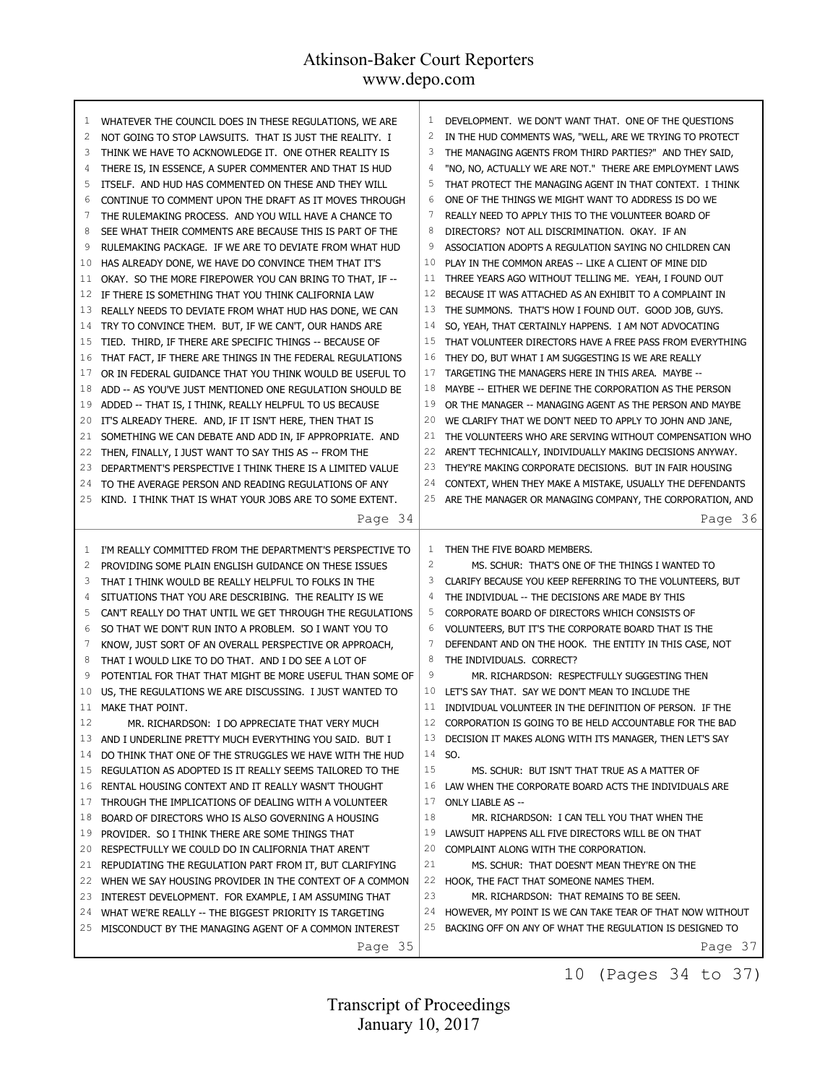| 1              | WHATEVER THE COUNCIL DOES IN THESE REGULATIONS, WE ARE    | 1            | DEVELOPMENT. WE DON'T WANT THAT. ONE OF THE QUESTIONS     |
|----------------|-----------------------------------------------------------|--------------|-----------------------------------------------------------|
| $\overline{c}$ | NOT GOING TO STOP LAWSUITS. THAT IS JUST THE REALITY. I   | 2            | IN THE HUD COMMENTS WAS, "WELL, ARE WE TRYING TO PROTECT  |
| 3              | THINK WE HAVE TO ACKNOWLEDGE IT. ONE OTHER REALITY IS     | 3            | THE MANAGING AGENTS FROM THIRD PARTIES?" AND THEY SAID,   |
| 4              | THERE IS, IN ESSENCE, A SUPER COMMENTER AND THAT IS HUD   | 4            | "NO, NO, ACTUALLY WE ARE NOT." THERE ARE EMPLOYMENT LAWS  |
| 5              | ITSELF. AND HUD HAS COMMENTED ON THESE AND THEY WILL      |              | THAT PROTECT THE MANAGING AGENT IN THAT CONTEXT. I THINK  |
| 6              | CONTINUE TO COMMENT UPON THE DRAFT AS IT MOVES THROUGH    | 6            | ONE OF THE THINGS WE MIGHT WANT TO ADDRESS IS DO WE       |
| 7              | THE RULEMAKING PROCESS. AND YOU WILL HAVE A CHANCE TO     | 7            | REALLY NEED TO APPLY THIS TO THE VOLUNTEER BOARD OF       |
| 8              | SEE WHAT THEIR COMMENTS ARE BECAUSE THIS IS PART OF THE   | 8            | DIRECTORS? NOT ALL DISCRIMINATION. OKAY. IF AN            |
| 9              | RULEMAKING PACKAGE. IF WE ARE TO DEVIATE FROM WHAT HUD    | 9            | ASSOCIATION ADOPTS A REGULATION SAYING NO CHILDREN CAN    |
| 10             | HAS ALREADY DONE, WE HAVE DO CONVINCE THEM THAT IT'S      | 10           | PLAY IN THE COMMON AREAS -- LIKE A CLIENT OF MINE DID     |
| 11             | OKAY. SO THE MORE FIREPOWER YOU CAN BRING TO THAT, IF --  | 11           | THREE YEARS AGO WITHOUT TELLING ME. YEAH, I FOUND OUT     |
| 12             | IF THERE IS SOMETHING THAT YOU THINK CALIFORNIA LAW       | 12           | BECAUSE IT WAS ATTACHED AS AN EXHIBIT TO A COMPLAINT IN   |
| 13             | REALLY NEEDS TO DEVIATE FROM WHAT HUD HAS DONE, WE CAN    | 13           | THE SUMMONS. THAT'S HOW I FOUND OUT. GOOD JOB, GUYS.      |
| 14             | TRY TO CONVINCE THEM. BUT, IF WE CAN'T, OUR HANDS ARE     | 14           | SO, YEAH, THAT CERTAINLY HAPPENS. I AM NOT ADVOCATING     |
| 15             | TIED. THIRD, IF THERE ARE SPECIFIC THINGS -- BECAUSE OF   | 15           | THAT VOLUNTEER DIRECTORS HAVE A FREE PASS FROM EVERYTHING |
| 16             | THAT FACT, IF THERE ARE THINGS IN THE FEDERAL REGULATIONS | 16           | THEY DO, BUT WHAT I AM SUGGESTING IS WE ARE REALLY        |
| 17             | OR IN FEDERAL GUIDANCE THAT YOU THINK WOULD BE USEFUL TO  | 17           | TARGETING THE MANAGERS HERE IN THIS AREA. MAYBE --        |
| 18             | ADD -- AS YOU'VE JUST MENTIONED ONE REGULATION SHOULD BE  | 18           | MAYBE -- EITHER WE DEFINE THE CORPORATION AS THE PERSON   |
| 19             | ADDED -- THAT IS, I THINK, REALLY HELPFUL TO US BECAUSE   | 19           | OR THE MANAGER -- MANAGING AGENT AS THE PERSON AND MAYBE  |
| 20             | IT'S ALREADY THERE. AND, IF IT ISN'T HERE, THEN THAT IS   | 20           | WE CLARIFY THAT WE DON'T NEED TO APPLY TO JOHN AND JANE,  |
| 21             | SOMETHING WE CAN DEBATE AND ADD IN, IF APPROPRIATE. AND   | 21           | THE VOLUNTEERS WHO ARE SERVING WITHOUT COMPENSATION WHO   |
| 22             | THEN, FINALLY, I JUST WANT TO SAY THIS AS -- FROM THE     | 22           | AREN'T TECHNICALLY, INDIVIDUALLY MAKING DECISIONS ANYWAY. |
| 23             | DEPARTMENT'S PERSPECTIVE I THINK THERE IS A LIMITED VALUE | 23           | THEY'RE MAKING CORPORATE DECISIONS. BUT IN FAIR HOUSING   |
| 24             | TO THE AVERAGE PERSON AND READING REGULATIONS OF ANY      | 24           | CONTEXT, WHEN THEY MAKE A MISTAKE, USUALLY THE DEFENDANTS |
| 25             | KIND. I THINK THAT IS WHAT YOUR JOBS ARE TO SOME EXTENT.  | 25           | ARE THE MANAGER OR MANAGING COMPANY, THE CORPORATION, AND |
|                | Page 34                                                   |              | Page 36                                                   |
|                |                                                           |              |                                                           |
|                |                                                           |              |                                                           |
| 1              | I'M REALLY COMMITTED FROM THE DEPARTMENT'S PERSPECTIVE TO | $\mathbf{1}$ | THEN THE FIVE BOARD MEMBERS.                              |
| $\overline{c}$ | PROVIDING SOME PLAIN ENGLISH GUIDANCE ON THESE ISSUES     | 2            | MS. SCHUR: THAT'S ONE OF THE THINGS I WANTED TO           |
| 3              | THAT I THINK WOULD BE REALLY HELPFUL TO FOLKS IN THE      | 3            | CLARIFY BECAUSE YOU KEEP REFERRING TO THE VOLUNTEERS, BUT |
| 4              | SITUATIONS THAT YOU ARE DESCRIBING. THE REALITY IS WE     | 4            | THE INDIVIDUAL -- THE DECISIONS ARE MADE BY THIS          |
| 5              | CAN'T REALLY DO THAT UNTIL WE GET THROUGH THE REGULATIONS | 5            | CORPORATE BOARD OF DIRECTORS WHICH CONSISTS OF            |
| 6              | SO THAT WE DON'T RUN INTO A PROBLEM. SO I WANT YOU TO     | 6            | VOLUNTEERS, BUT IT'S THE CORPORATE BOARD THAT IS THE      |
| 7              | KNOW, JUST SORT OF AN OVERALL PERSPECTIVE OR APPROACH,    | 7            | DEFENDANT AND ON THE HOOK. THE ENTITY IN THIS CASE, NOT   |
| 8              | THAT I WOULD LIKE TO DO THAT. AND I DO SEE A LOT OF       | 8            | THE INDIVIDUALS. CORRECT?                                 |
| 9              | POTENTIAL FOR THAT THAT MIGHT BE MORE USEFUL THAN SOME OF | 9            | MR. RICHARDSON: RESPECTFULLY SUGGESTING THEN              |
| 10             | US, THE REGULATIONS WE ARE DISCUSSING. I JUST WANTED TO   | 10           | LET'S SAY THAT. SAY WE DON'T MEAN TO INCLUDE THE          |
| 11             | MAKE THAT POINT.                                          | 11           | INDIVIDUAL VOLUNTEER IN THE DEFINITION OF PERSON. IF THE  |
| 12             | MR. RICHARDSON: I DO APPRECIATE THAT VERY MUCH            | 12           | CORPORATION IS GOING TO BE HELD ACCOUNTABLE FOR THE BAD   |
| 13             | AND I UNDERLINE PRETTY MUCH EVERYTHING YOU SAID. BUT I    | 13           | DECISION IT MAKES ALONG WITH ITS MANAGER, THEN LET'S SAY  |
| 14             | DO THINK THAT ONE OF THE STRUGGLES WE HAVE WITH THE HUD   | 14           | SO.                                                       |
| 15             | REGULATION AS ADOPTED IS IT REALLY SEEMS TAILORED TO THE  | 15           | MS. SCHUR: BUT ISN'T THAT TRUE AS A MATTER OF             |
| 16             | RENTAL HOUSING CONTEXT AND IT REALLY WASN'T THOUGHT       | 16           | LAW WHEN THE CORPORATE BOARD ACTS THE INDIVIDUALS ARE     |
| 17             | THROUGH THE IMPLICATIONS OF DEALING WITH A VOLUNTEER      | 17           | ONLY LIABLE AS --                                         |
| 18             | BOARD OF DIRECTORS WHO IS ALSO GOVERNING A HOUSING        | 18           | MR. RICHARDSON: I CAN TELL YOU THAT WHEN THE              |
| 19             | PROVIDER. SO I THINK THERE ARE SOME THINGS THAT           | 19           | LAWSUIT HAPPENS ALL FIVE DIRECTORS WILL BE ON THAT        |
| 20             | RESPECTFULLY WE COULD DO IN CALIFORNIA THAT AREN'T        | 20           | COMPLAINT ALONG WITH THE CORPORATION.                     |
| 21             | REPUDIATING THE REGULATION PART FROM IT, BUT CLARIFYING   | 21           | MS. SCHUR: THAT DOESN'T MEAN THEY'RE ON THE               |
| 22             | WHEN WE SAY HOUSING PROVIDER IN THE CONTEXT OF A COMMON   | 22           | HOOK, THE FACT THAT SOMEONE NAMES THEM.                   |
| 23             | INTEREST DEVELOPMENT. FOR EXAMPLE, I AM ASSUMING THAT     | 23           | MR. RICHARDSON: THAT REMAINS TO BE SEEN.                  |
| 24             | WHAT WE'RE REALLY -- THE BIGGEST PRIORITY IS TARGETING    | 24           | HOWEVER, MY POINT IS WE CAN TAKE TEAR OF THAT NOW WITHOUT |
| 25             | MISCONDUCT BY THE MANAGING AGENT OF A COMMON INTEREST     | 25           | BACKING OFF ON ANY OF WHAT THE REGULATION IS DESIGNED TO  |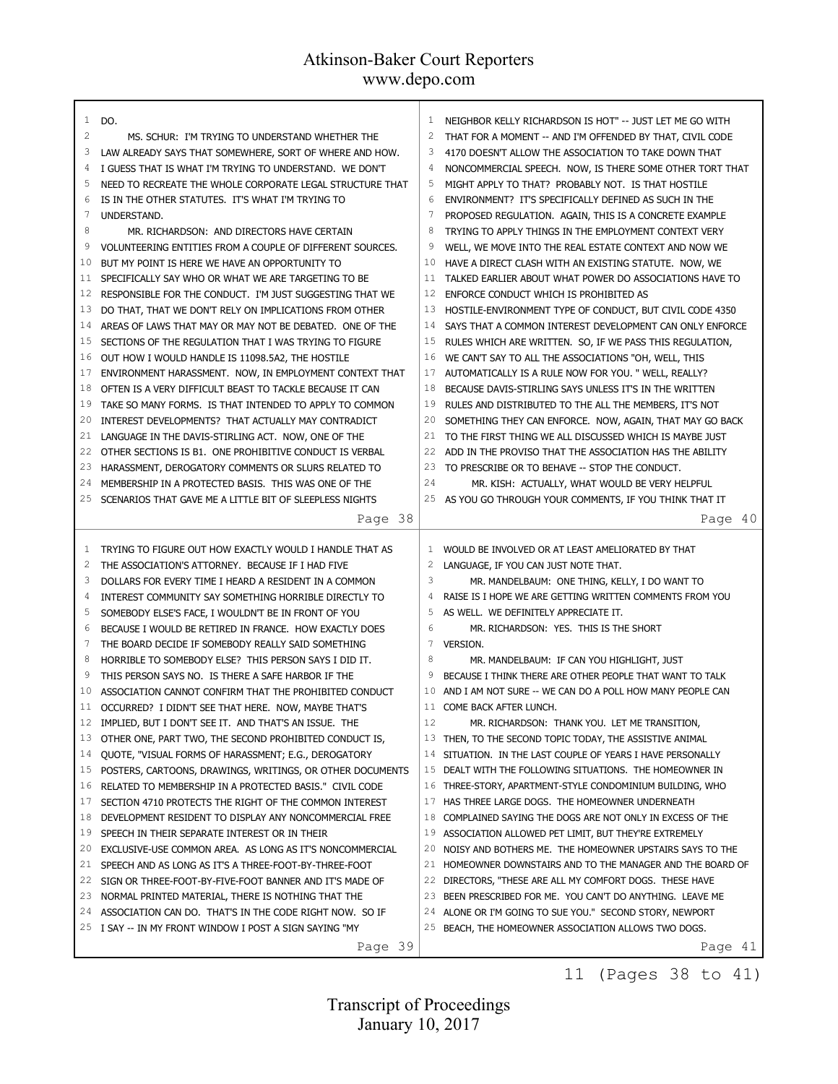| $\mathbf{1}$ | DO.                                                       | 1               |                                                           |
|--------------|-----------------------------------------------------------|-----------------|-----------------------------------------------------------|
| 2            |                                                           | 2               | NEIGHBOR KELLY RICHARDSON IS HOT" -- JUST LET ME GO WITH  |
|              | MS. SCHUR: I'M TRYING TO UNDERSTAND WHETHER THE           |                 | THAT FOR A MOMENT -- AND I'M OFFENDED BY THAT, CIVIL CODE |
| 3            | LAW ALREADY SAYS THAT SOMEWHERE, SORT OF WHERE AND HOW.   | 3               | 4170 DOESN'T ALLOW THE ASSOCIATION TO TAKE DOWN THAT      |
| 4            | I GUESS THAT IS WHAT I'M TRYING TO UNDERSTAND. WE DON'T   | $\overline{4}$  | NONCOMMERCIAL SPEECH. NOW, IS THERE SOME OTHER TORT THAT  |
| 5            | NEED TO RECREATE THE WHOLE CORPORATE LEGAL STRUCTURE THAT | 5               | MIGHT APPLY TO THAT? PROBABLY NOT. IS THAT HOSTILE        |
| 6            | IS IN THE OTHER STATUTES. IT'S WHAT I'M TRYING TO         | 6               | ENVIRONMENT? IT'S SPECIFICALLY DEFINED AS SUCH IN THE     |
| 7            | UNDERSTAND.                                               | 7               | PROPOSED REGULATION. AGAIN, THIS IS A CONCRETE EXAMPLE    |
| 8            | MR. RICHARDSON: AND DIRECTORS HAVE CERTAIN                | 8               | TRYING TO APPLY THINGS IN THE EMPLOYMENT CONTEXT VERY     |
| 9            | VOLUNTEERING ENTITIES FROM A COUPLE OF DIFFERENT SOURCES. | 9               | WELL, WE MOVE INTO THE REAL ESTATE CONTEXT AND NOW WE     |
| 10           | BUT MY POINT IS HERE WE HAVE AN OPPORTUNITY TO            | 10              | HAVE A DIRECT CLASH WITH AN EXISTING STATUTE. NOW, WE     |
| 11           | SPECIFICALLY SAY WHO OR WHAT WE ARE TARGETING TO BE       | 11              | TALKED EARLIER ABOUT WHAT POWER DO ASSOCIATIONS HAVE TO   |
| 12           | RESPONSIBLE FOR THE CONDUCT. I'M JUST SUGGESTING THAT WE  | 12              | ENFORCE CONDUCT WHICH IS PROHIBITED AS                    |
| 13           | DO THAT, THAT WE DON'T RELY ON IMPLICATIONS FROM OTHER    | 13              | HOSTILE-ENVIRONMENT TYPE OF CONDUCT, BUT CIVIL CODE 4350  |
| 14           | AREAS OF LAWS THAT MAY OR MAY NOT BE DEBATED. ONE OF THE  | 14              | SAYS THAT A COMMON INTEREST DEVELOPMENT CAN ONLY ENFORCE  |
| 15           | SECTIONS OF THE REGULATION THAT I WAS TRYING TO FIGURE    | 15              | RULES WHICH ARE WRITTEN. SO, IF WE PASS THIS REGULATION,  |
| 16           | OUT HOW I WOULD HANDLE IS 11098.5A2, THE HOSTILE          | 16              | WE CAN'T SAY TO ALL THE ASSOCIATIONS "OH, WELL, THIS      |
| 17           | ENVIRONMENT HARASSMENT. NOW, IN EMPLOYMENT CONTEXT THAT   | 17              | AUTOMATICALLY IS A RULE NOW FOR YOU. " WELL, REALLY?      |
| 18           | OFTEN IS A VERY DIFFICULT BEAST TO TACKLE BECAUSE IT CAN  | 18              | BECAUSE DAVIS-STIRLING SAYS UNLESS IT'S IN THE WRITTEN    |
| 19           | TAKE SO MANY FORMS. IS THAT INTENDED TO APPLY TO COMMON   | 19              | RULES AND DISTRIBUTED TO THE ALL THE MEMBERS, IT'S NOT    |
| 20           | INTEREST DEVELOPMENTS? THAT ACTUALLY MAY CONTRADICT       | 20              | SOMETHING THEY CAN ENFORCE. NOW, AGAIN, THAT MAY GO BACK  |
| 21           | LANGUAGE IN THE DAVIS-STIRLING ACT. NOW, ONE OF THE       | 21              | TO THE FIRST THING WE ALL DISCUSSED WHICH IS MAYBE JUST   |
| 22           | OTHER SECTIONS IS B1. ONE PROHIBITIVE CONDUCT IS VERBAL   | 22              | ADD IN THE PROVISO THAT THE ASSOCIATION HAS THE ABILITY   |
| 23           | HARASSMENT, DEROGATORY COMMENTS OR SLURS RELATED TO       | 23              | TO PRESCRIBE OR TO BEHAVE -- STOP THE CONDUCT.            |
| 24           | MEMBERSHIP IN A PROTECTED BASIS. THIS WAS ONE OF THE      | 24              | MR. KISH: ACTUALLY, WHAT WOULD BE VERY HELPFUL            |
| 25           | SCENARIOS THAT GAVE ME A LITTLE BIT OF SLEEPLESS NIGHTS   | 25              | AS YOU GO THROUGH YOUR COMMENTS, IF YOU THINK THAT IT     |
|              | Page 38                                                   |                 | Page 40                                                   |
|              |                                                           |                 |                                                           |
|              |                                                           |                 |                                                           |
|              |                                                           |                 |                                                           |
| 1            | TRYING TO FIGURE OUT HOW EXACTLY WOULD I HANDLE THAT AS   | 1               | WOULD BE INVOLVED OR AT LEAST AMELIORATED BY THAT         |
| 2            | THE ASSOCIATION'S ATTORNEY. BECAUSE IF I HAD FIVE         | $\overline{2}$  | LANGUAGE, IF YOU CAN JUST NOTE THAT.                      |
| 3            | DOLLARS FOR EVERY TIME I HEARD A RESIDENT IN A COMMON     | 3               | MR. MANDELBAUM: ONE THING, KELLY, I DO WANT TO            |
| 4            | INTEREST COMMUNITY SAY SOMETHING HORRIBLE DIRECTLY TO     | 4               | RAISE IS I HOPE WE ARE GETTING WRITTEN COMMENTS FROM YOU  |
| 5            | SOMEBODY ELSE'S FACE, I WOULDN'T BE IN FRONT OF YOU       | 5               | AS WELL. WE DEFINITELY APPRECIATE IT.                     |
| 6            | BECAUSE I WOULD BE RETIRED IN FRANCE. HOW EXACTLY DOES    | 6               | MR. RICHARDSON: YES. THIS IS THE SHORT                    |
| 7            | THE BOARD DECIDE IF SOMEBODY REALLY SAID SOMETHING        | $7\phantom{.0}$ | <b>VERSION.</b>                                           |
| 8            | HORRIBLE TO SOMEBODY ELSE? THIS PERSON SAYS I DID IT.     | 8               | MR. MANDELBAUM: IF CAN YOU HIGHLIGHT, JUST                |
| 9            | THIS PERSON SAYS NO. IS THERE A SAFE HARBOR IF THE        | 9               | BECAUSE I THINK THERE ARE OTHER PEOPLE THAT WANT TO TALK  |
| 10           | ASSOCIATION CANNOT CONFIRM THAT THE PROHIBITED CONDUCT    | 10              | AND I AM NOT SURE -- WE CAN DO A POLL HOW MANY PEOPLE CAN |
| 11           | OCCURRED? I DIDN'T SEE THAT HERE. NOW, MAYBE THAT'S       |                 | 11 COME BACK AFTER LUNCH.                                 |
| 12           | IMPLIED, BUT I DON'T SEE IT. AND THAT'S AN ISSUE. THE     | 12              | MR. RICHARDSON: THANK YOU. LET ME TRANSITION,             |
| 13           | OTHER ONE, PART TWO, THE SECOND PROHIBITED CONDUCT IS,    |                 | 13 THEN, TO THE SECOND TOPIC TODAY, THE ASSISTIVE ANIMAL  |
| 14           | QUOTE, "VISUAL FORMS OF HARASSMENT; E.G., DEROGATORY      | 14              | SITUATION. IN THE LAST COUPLE OF YEARS I HAVE PERSONALLY  |
| 15           | POSTERS, CARTOONS, DRAWINGS, WRITINGS, OR OTHER DOCUMENTS | 15              | DEALT WITH THE FOLLOWING SITUATIONS. THE HOMEOWNER IN     |
| 16           | RELATED TO MEMBERSHIP IN A PROTECTED BASIS." CIVIL CODE   | 16              | THREE-STORY, APARTMENT-STYLE CONDOMINIUM BUILDING, WHO    |
| 17           | SECTION 4710 PROTECTS THE RIGHT OF THE COMMON INTEREST    | 17              | HAS THREE LARGE DOGS. THE HOMEOWNER UNDERNEATH            |
| 18           | DEVELOPMENT RESIDENT TO DISPLAY ANY NONCOMMERCIAL FREE    | 18              | COMPLAINED SAYING THE DOGS ARE NOT ONLY IN EXCESS OF THE  |
| 19           | SPEECH IN THEIR SEPARATE INTEREST OR IN THEIR             | 19              | ASSOCIATION ALLOWED PET LIMIT, BUT THEY'RE EXTREMELY      |
| 20           | EXCLUSIVE-USE COMMON AREA. AS LONG AS IT'S NONCOMMERCIAL  | 20              | NOISY AND BOTHERS ME. THE HOMEOWNER UPSTAIRS SAYS TO THE  |
| 21           | SPEECH AND AS LONG AS IT'S A THREE-FOOT-BY-THREE-FOOT     | 21              | HOMEOWNER DOWNSTAIRS AND TO THE MANAGER AND THE BOARD OF  |
| 22           | SIGN OR THREE-FOOT-BY-FIVE-FOOT BANNER AND IT'S MADE OF   | 22              | DIRECTORS, "THESE ARE ALL MY COMFORT DOGS. THESE HAVE     |
| 23           | NORMAL PRINTED MATERIAL, THERE IS NOTHING THAT THE        | 23              | BEEN PRESCRIBED FOR ME. YOU CAN'T DO ANYTHING. LEAVE ME   |
| 24           | ASSOCIATION CAN DO. THAT'S IN THE CODE RIGHT NOW. SO IF   | 24              | ALONE OR I'M GOING TO SUE YOU." SECOND STORY, NEWPORT     |
|              | 25 I SAY -- IN MY FRONT WINDOW I POST A SIGN SAYING "MY   | 25              | BEACH, THE HOMEOWNER ASSOCIATION ALLOWS TWO DOGS.         |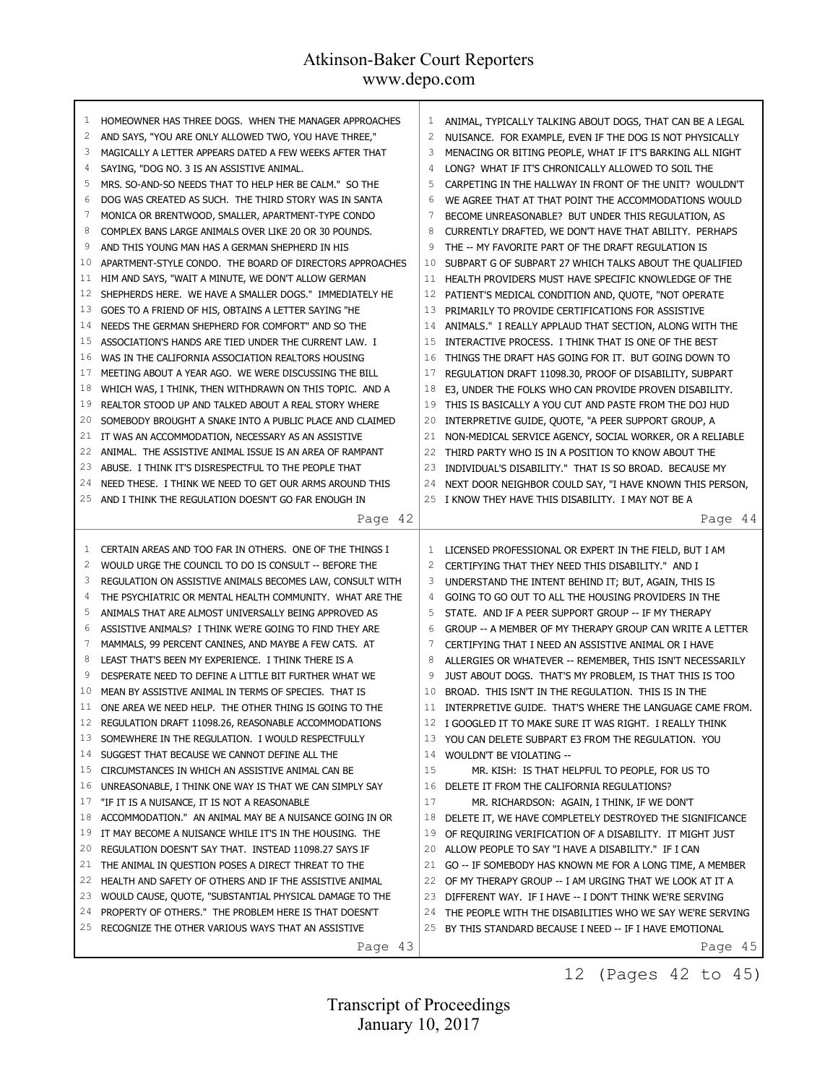| 1<br>2   | HOMEOWNER HAS THREE DOGS. WHEN THE MANAGER APPROACHES<br>AND SAYS, "YOU ARE ONLY ALLOWED TWO, YOU HAVE THREE,"   | 1<br>2         | ANIMAL, TYPICALLY TALKING ABOUT DOGS, THAT CAN BE A LEGAL<br>NUISANCE. FOR EXAMPLE, EVEN IF THE DOG IS NOT PHYSICALLY |
|----------|------------------------------------------------------------------------------------------------------------------|----------------|-----------------------------------------------------------------------------------------------------------------------|
| 3        | MAGICALLY A LETTER APPEARS DATED A FEW WEEKS AFTER THAT                                                          | 3              | MENACING OR BITING PEOPLE, WHAT IF IT'S BARKING ALL NIGHT                                                             |
| 4        | SAYING, "DOG NO. 3 IS AN ASSISTIVE ANIMAL.                                                                       | $\overline{4}$ | LONG? WHAT IF IT'S CHRONICALLY ALLOWED TO SOIL THE                                                                    |
| 5        | MRS. SO-AND-SO NEEDS THAT TO HELP HER BE CALM." SO THE                                                           | 5              | CARPETING IN THE HALLWAY IN FRONT OF THE UNIT? WOULDN'T                                                               |
| 6        | DOG WAS CREATED AS SUCH. THE THIRD STORY WAS IN SANTA                                                            | 6              | WE AGREE THAT AT THAT POINT THE ACCOMMODATIONS WOULD                                                                  |
| 7        | MONICA OR BRENTWOOD, SMALLER, APARTMENT-TYPE CONDO                                                               | 7              | BECOME UNREASONABLE? BUT UNDER THIS REGULATION, AS                                                                    |
| 8        | COMPLEX BANS LARGE ANIMALS OVER LIKE 20 OR 30 POUNDS.                                                            | 8              | CURRENTLY DRAFTED, WE DON'T HAVE THAT ABILITY. PERHAPS                                                                |
| 9        | AND THIS YOUNG MAN HAS A GERMAN SHEPHERD IN HIS                                                                  | 9              | THE -- MY FAVORITE PART OF THE DRAFT REGULATION IS                                                                    |
| 10       | APARTMENT-STYLE CONDO. THE BOARD OF DIRECTORS APPROACHES                                                         | 10             | SUBPART G OF SUBPART 27 WHICH TALKS ABOUT THE QUALIFIED                                                               |
| 11       | HIM AND SAYS, "WAIT A MINUTE, WE DON'T ALLOW GERMAN                                                              | 11             | HEALTH PROVIDERS MUST HAVE SPECIFIC KNOWLEDGE OF THE                                                                  |
| 12       | SHEPHERDS HERE. WE HAVE A SMALLER DOGS." IMMEDIATELY HE                                                          | 12             | PATIENT'S MEDICAL CONDITION AND, QUOTE, "NOT OPERATE                                                                  |
| 13       | GOES TO A FRIEND OF HIS, OBTAINS A LETTER SAYING "HE                                                             | 13             | PRIMARILY TO PROVIDE CERTIFICATIONS FOR ASSISTIVE                                                                     |
| 14       | NEEDS THE GERMAN SHEPHERD FOR COMFORT" AND SO THE                                                                | 14             | ANIMALS." I REALLY APPLAUD THAT SECTION, ALONG WITH THE                                                               |
| 15       | ASSOCIATION'S HANDS ARE TIED UNDER THE CURRENT LAW. I                                                            | 15             | INTERACTIVE PROCESS. I THINK THAT IS ONE OF THE BEST                                                                  |
| 16       | WAS IN THE CALIFORNIA ASSOCIATION REALTORS HOUSING                                                               | 16             | THINGS THE DRAFT HAS GOING FOR IT. BUT GOING DOWN TO                                                                  |
| 17       | MEETING ABOUT A YEAR AGO. WE WERE DISCUSSING THE BILL                                                            | 17             | REGULATION DRAFT 11098.30, PROOF OF DISABILITY, SUBPART                                                               |
| 18       | WHICH WAS, I THINK, THEN WITHDRAWN ON THIS TOPIC. AND A                                                          | 18             | E3, UNDER THE FOLKS WHO CAN PROVIDE PROVEN DISABILITY.                                                                |
| 19       | REALTOR STOOD UP AND TALKED ABOUT A REAL STORY WHERE                                                             | 19             | THIS IS BASICALLY A YOU CUT AND PASTE FROM THE DOJ HUD                                                                |
| 20       | SOMEBODY BROUGHT A SNAKE INTO A PUBLIC PLACE AND CLAIMED                                                         | 20             | INTERPRETIVE GUIDE, QUOTE, "A PEER SUPPORT GROUP, A                                                                   |
| 21       | IT WAS AN ACCOMMODATION, NECESSARY AS AN ASSISTIVE                                                               | 21             | NON-MEDICAL SERVICE AGENCY, SOCIAL WORKER, OR A RELIABLE                                                              |
| 22       | ANIMAL. THE ASSISTIVE ANIMAL ISSUE IS AN AREA OF RAMPANT                                                         | 22             | THIRD PARTY WHO IS IN A POSITION TO KNOW ABOUT THE                                                                    |
| 23       | ABUSE. I THINK IT'S DISRESPECTFUL TO THE PEOPLE THAT                                                             | 23             | INDIVIDUAL'S DISABILITY." THAT IS SO BROAD. BECAUSE MY                                                                |
| 24       | NEED THESE. I THINK WE NEED TO GET OUR ARMS AROUND THIS                                                          | 24             | NEXT DOOR NEIGHBOR COULD SAY, "I HAVE KNOWN THIS PERSON,                                                              |
| 25       | AND I THINK THE REGULATION DOESN'T GO FAR ENOUGH IN                                                              | 25             | I KNOW THEY HAVE THIS DISABILITY. I MAY NOT BE A                                                                      |
|          | Page 42                                                                                                          |                | Page 44                                                                                                               |
|          |                                                                                                                  |                |                                                                                                                       |
| 1        | CERTAIN AREAS AND TOO FAR IN OTHERS. ONE OF THE THINGS I                                                         | 1              | LICENSED PROFESSIONAL OR EXPERT IN THE FIELD, BUT I AM                                                                |
| 2        | WOULD URGE THE COUNCIL TO DO IS CONSULT -- BEFORE THE                                                            | 2              | CERTIFYING THAT THEY NEED THIS DISABILITY." AND I                                                                     |
| 3        | REGULATION ON ASSISTIVE ANIMALS BECOMES LAW, CONSULT WITH                                                        | 3              | UNDERSTAND THE INTENT BEHIND IT; BUT, AGAIN, THIS IS                                                                  |
| 4        | THE PSYCHIATRIC OR MENTAL HEALTH COMMUNITY. WHAT ARE THE                                                         | 4              | GOING TO GO OUT TO ALL THE HOUSING PROVIDERS IN THE                                                                   |
| 5        | ANIMALS THAT ARE ALMOST UNIVERSALLY BEING APPROVED AS                                                            | 5              | STATE. AND IF A PEER SUPPORT GROUP -- IF MY THERAPY                                                                   |
| 6        | ASSISTIVE ANIMALS? I THINK WE'RE GOING TO FIND THEY ARE                                                          | 6              | GROUP -- A MEMBER OF MY THERAPY GROUP CAN WRITE A LETTER                                                              |
| 7        | MAMMALS, 99 PERCENT CANINES, AND MAYBE A FEW CATS. AT                                                            | 7              | CERTIFYING THAT I NEED AN ASSISTIVE ANIMAL OR I HAVE                                                                  |
| 8        | LEAST THAT'S BEEN MY EXPERIENCE. I THINK THERE IS A                                                              | 8              | ALLERGIES OR WHATEVER -- REMEMBER, THIS ISN'T NECESSARILY                                                             |
| 9        | DESPERATE NEED TO DEFINE A LITTLE BIT FURTHER WHAT WE                                                            | 9              | JUST ABOUT DOGS. THAT'S MY PROBLEM, IS THAT THIS IS TOO                                                               |
| 10       | MEAN BY ASSISTIVE ANIMAL IN TERMS OF SPECIES. THAT IS                                                            | 10             | BROAD. THIS ISN'T IN THE REGULATION. THIS IS IN THE                                                                   |
| 11       | ONE AREA WE NEED HELP. THE OTHER THING IS GOING TO THE                                                           |                | 11 INTERPRETIVE GUIDE. THAT'S WHERE THE LANGUAGE CAME FROM.                                                           |
| 12       | REGULATION DRAFT 11098.26, REASONABLE ACCOMMODATIONS                                                             |                | 12 I GOOGLED IT TO MAKE SURE IT WAS RIGHT. I REALLY THINK                                                             |
| 13       | SOMEWHERE IN THE REGULATION. I WOULD RESPECTFULLY                                                                |                | 13 YOU CAN DELETE SUBPART E3 FROM THE REGULATION. YOU                                                                 |
| 14       | SUGGEST THAT BECAUSE WE CANNOT DEFINE ALL THE                                                                    |                | 14 WOULDN'T BE VIOLATING --                                                                                           |
| 15       | CIRCUMSTANCES IN WHICH AN ASSISTIVE ANIMAL CAN BE                                                                | 15             | MR. KISH: IS THAT HELPFUL TO PEOPLE, FOR US TO                                                                        |
| 16       | UNREASONABLE, I THINK ONE WAY IS THAT WE CAN SIMPLY SAY                                                          | 16             | DELETE IT FROM THE CALIFORNIA REGULATIONS?                                                                            |
| 17<br>18 | "IF IT IS A NUISANCE, IT IS NOT A REASONABLE                                                                     | 17             | MR. RICHARDSON: AGAIN, I THINK, IF WE DON'T                                                                           |
| 19       | ACCOMMODATION." AN ANIMAL MAY BE A NUISANCE GOING IN OR                                                          | 18<br>19       | DELETE IT, WE HAVE COMPLETELY DESTROYED THE SIGNIFICANCE                                                              |
| 20       | IT MAY BECOME A NUISANCE WHILE IT'S IN THE HOUSING. THE<br>REGULATION DOESN'T SAY THAT. INSTEAD 11098.27 SAYS IF | 20             | OF REQUIRING VERIFICATION OF A DISABILITY. IT MIGHT JUST<br>ALLOW PEOPLE TO SAY "I HAVE A DISABILITY." IF I CAN       |
| 21       | THE ANIMAL IN QUESTION POSES A DIRECT THREAT TO THE                                                              |                | 21 GO -- IF SOMEBODY HAS KNOWN ME FOR A LONG TIME, A MEMBER                                                           |
| 22       | HEALTH AND SAFETY OF OTHERS AND IF THE ASSISTIVE ANIMAL                                                          | 22             | OF MY THERAPY GROUP -- I AM URGING THAT WE LOOK AT IT A                                                               |
| 23       | WOULD CAUSE, QUOTE, "SUBSTANTIAL PHYSICAL DAMAGE TO THE                                                          | 23             | DIFFERENT WAY. IF I HAVE -- I DON'T THINK WE'RE SERVING                                                               |
| 24       | PROPERTY OF OTHERS." THE PROBLEM HERE IS THAT DOESN'T                                                            |                | 24 THE PEOPLE WITH THE DISABILITIES WHO WE SAY WE'RE SERVING                                                          |
| 25       | RECOGNIZE THE OTHER VARIOUS WAYS THAT AN ASSISTIVE                                                               |                | 25 BY THIS STANDARD BECAUSE I NEED -- IF I HAVE EMOTIONAL                                                             |

12 (Pages 42 to 45)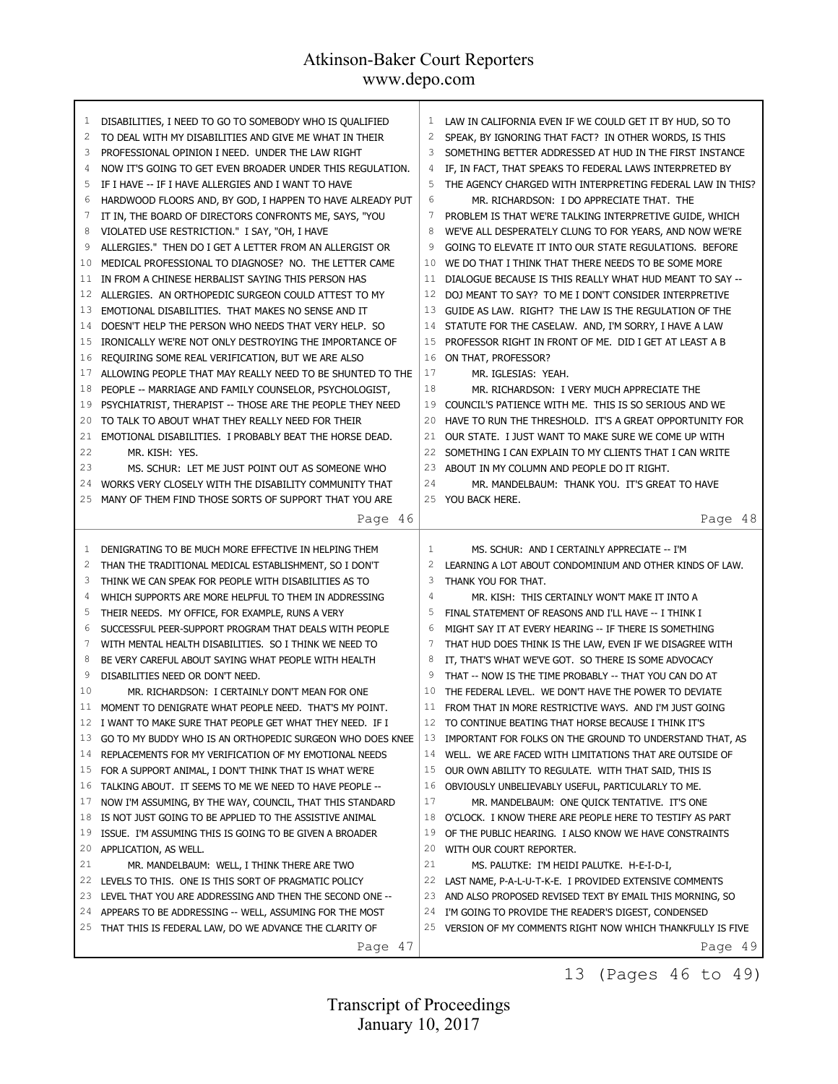| 1<br>2<br>3<br>4<br>5<br>6<br>7<br>8<br>9<br>10<br>11<br>12<br>13<br>14<br>15<br>16<br>17<br>18<br>19<br>20<br>21<br>22<br>23<br>24 | DISABILITIES, I NEED TO GO TO SOMEBODY WHO IS QUALIFIED<br>TO DEAL WITH MY DISABILITIES AND GIVE ME WHAT IN THEIR<br>PROFESSIONAL OPINION I NEED. UNDER THE LAW RIGHT<br>NOW IT'S GOING TO GET EVEN BROADER UNDER THIS REGULATION.<br>IF I HAVE -- IF I HAVE ALLERGIES AND I WANT TO HAVE<br>HARDWOOD FLOORS AND, BY GOD, I HAPPEN TO HAVE ALREADY PUT<br>IT IN, THE BOARD OF DIRECTORS CONFRONTS ME, SAYS, "YOU<br>VIOLATED USE RESTRICTION." I SAY, "OH, I HAVE<br>ALLERGIES." THEN DO I GET A LETTER FROM AN ALLERGIST OR<br>MEDICAL PROFESSIONAL TO DIAGNOSE? NO. THE LETTER CAME<br>IN FROM A CHINESE HERBALIST SAYING THIS PERSON HAS<br>ALLERGIES. AN ORTHOPEDIC SURGEON COULD ATTEST TO MY<br>EMOTIONAL DISABILITIES. THAT MAKES NO SENSE AND IT<br>DOESN'T HELP THE PERSON WHO NEEDS THAT VERY HELP. SO<br>IRONICALLY WE'RE NOT ONLY DESTROYING THE IMPORTANCE OF<br>REQUIRING SOME REAL VERIFICATION, BUT WE ARE ALSO<br>ALLOWING PEOPLE THAT MAY REALLY NEED TO BE SHUNTED TO THE<br>PEOPLE -- MARRIAGE AND FAMILY COUNSELOR, PSYCHOLOGIST,<br>PSYCHIATRIST, THERAPIST -- THOSE ARE THE PEOPLE THEY NEED<br>TO TALK TO ABOUT WHAT THEY REALLY NEED FOR THEIR<br>EMOTIONAL DISABILITIES. I PROBABLY BEAT THE HORSE DEAD.<br>MR. KISH: YES.<br>MS. SCHUR: LET ME JUST POINT OUT AS SOMEONE WHO<br>WORKS VERY CLOSELY WITH THE DISABILITY COMMUNITY THAT | 1<br>2<br>3<br>4<br>5<br>6<br>7<br>8<br>9<br>10<br>11<br>12<br>13<br>14<br>15<br>16<br>17<br>18<br>19<br>20<br>21<br>22<br>23<br>24 | LAW IN CALIFORNIA EVEN IF WE COULD GET IT BY HUD, SO TO<br>SPEAK, BY IGNORING THAT FACT? IN OTHER WORDS, IS THIS<br>SOMETHING BETTER ADDRESSED AT HUD IN THE FIRST INSTANCE<br>IF, IN FACT, THAT SPEAKS TO FEDERAL LAWS INTERPRETED BY<br>THE AGENCY CHARGED WITH INTERPRETING FEDERAL LAW IN THIS?<br>MR. RICHARDSON: I DO APPRECIATE THAT. THE<br>PROBLEM IS THAT WE'RE TALKING INTERPRETIVE GUIDE, WHICH<br>WE'VE ALL DESPERATELY CLUNG TO FOR YEARS, AND NOW WE'RE<br>GOING TO ELEVATE IT INTO OUR STATE REGULATIONS. BEFORE<br>WE DO THAT I THINK THAT THERE NEEDS TO BE SOME MORE<br>DIALOGUE BECAUSE IS THIS REALLY WHAT HUD MEANT TO SAY --<br>DOJ MEANT TO SAY? TO ME I DON'T CONSIDER INTERPRETIVE<br>GUIDE AS LAW. RIGHT? THE LAW IS THE REGULATION OF THE<br>STATUTE FOR THE CASELAW. AND, I'M SORRY, I HAVE A LAW<br>PROFESSOR RIGHT IN FRONT OF ME. DID I GET AT LEAST A B<br>ON THAT, PROFESSOR?<br>MR. IGLESIAS: YEAH.<br>MR. RICHARDSON: I VERY MUCH APPRECIATE THE<br>COUNCIL'S PATIENCE WITH ME. THIS IS SO SERIOUS AND WE<br>HAVE TO RUN THE THRESHOLD. IT'S A GREAT OPPORTUNITY FOR<br>OUR STATE. I JUST WANT TO MAKE SURE WE COME UP WITH<br>SOMETHING I CAN EXPLAIN TO MY CLIENTS THAT I CAN WRITE<br>ABOUT IN MY COLUMN AND PEOPLE DO IT RIGHT.<br>MR. MANDELBAUM: THANK YOU. IT'S GREAT TO HAVE |
|-------------------------------------------------------------------------------------------------------------------------------------|------------------------------------------------------------------------------------------------------------------------------------------------------------------------------------------------------------------------------------------------------------------------------------------------------------------------------------------------------------------------------------------------------------------------------------------------------------------------------------------------------------------------------------------------------------------------------------------------------------------------------------------------------------------------------------------------------------------------------------------------------------------------------------------------------------------------------------------------------------------------------------------------------------------------------------------------------------------------------------------------------------------------------------------------------------------------------------------------------------------------------------------------------------------------------------------------------------------------------------------------------------------------------------------------------------------------------------------------------------------|-------------------------------------------------------------------------------------------------------------------------------------|--------------------------------------------------------------------------------------------------------------------------------------------------------------------------------------------------------------------------------------------------------------------------------------------------------------------------------------------------------------------------------------------------------------------------------------------------------------------------------------------------------------------------------------------------------------------------------------------------------------------------------------------------------------------------------------------------------------------------------------------------------------------------------------------------------------------------------------------------------------------------------------------------------------------------------------------------------------------------------------------------------------------------------------------------------------------------------------------------------------------------------------------------------------------------------------------------------------------------------------------------------------------------------------------------------------------------|
| 25                                                                                                                                  | MANY OF THEM FIND THOSE SORTS OF SUPPORT THAT YOU ARE                                                                                                                                                                                                                                                                                                                                                                                                                                                                                                                                                                                                                                                                                                                                                                                                                                                                                                                                                                                                                                                                                                                                                                                                                                                                                                            | 25                                                                                                                                  | YOU BACK HERE.                                                                                                                                                                                                                                                                                                                                                                                                                                                                                                                                                                                                                                                                                                                                                                                                                                                                                                                                                                                                                                                                                                                                                                                                                                                                                                           |
|                                                                                                                                     | Page 46                                                                                                                                                                                                                                                                                                                                                                                                                                                                                                                                                                                                                                                                                                                                                                                                                                                                                                                                                                                                                                                                                                                                                                                                                                                                                                                                                          |                                                                                                                                     | Page 48                                                                                                                                                                                                                                                                                                                                                                                                                                                                                                                                                                                                                                                                                                                                                                                                                                                                                                                                                                                                                                                                                                                                                                                                                                                                                                                  |
|                                                                                                                                     |                                                                                                                                                                                                                                                                                                                                                                                                                                                                                                                                                                                                                                                                                                                                                                                                                                                                                                                                                                                                                                                                                                                                                                                                                                                                                                                                                                  |                                                                                                                                     |                                                                                                                                                                                                                                                                                                                                                                                                                                                                                                                                                                                                                                                                                                                                                                                                                                                                                                                                                                                                                                                                                                                                                                                                                                                                                                                          |
| 1                                                                                                                                   | DENIGRATING TO BE MUCH MORE EFFECTIVE IN HELPING THEM                                                                                                                                                                                                                                                                                                                                                                                                                                                                                                                                                                                                                                                                                                                                                                                                                                                                                                                                                                                                                                                                                                                                                                                                                                                                                                            | 1                                                                                                                                   | MS. SCHUR: AND I CERTAINLY APPRECIATE -- I'M                                                                                                                                                                                                                                                                                                                                                                                                                                                                                                                                                                                                                                                                                                                                                                                                                                                                                                                                                                                                                                                                                                                                                                                                                                                                             |
|                                                                                                                                     |                                                                                                                                                                                                                                                                                                                                                                                                                                                                                                                                                                                                                                                                                                                                                                                                                                                                                                                                                                                                                                                                                                                                                                                                                                                                                                                                                                  |                                                                                                                                     |                                                                                                                                                                                                                                                                                                                                                                                                                                                                                                                                                                                                                                                                                                                                                                                                                                                                                                                                                                                                                                                                                                                                                                                                                                                                                                                          |
| 2                                                                                                                                   | THAN THE TRADITIONAL MEDICAL ESTABLISHMENT, SO I DON'T                                                                                                                                                                                                                                                                                                                                                                                                                                                                                                                                                                                                                                                                                                                                                                                                                                                                                                                                                                                                                                                                                                                                                                                                                                                                                                           | $\overline{c}$                                                                                                                      | LEARNING A LOT ABOUT CONDOMINIUM AND OTHER KINDS OF LAW.                                                                                                                                                                                                                                                                                                                                                                                                                                                                                                                                                                                                                                                                                                                                                                                                                                                                                                                                                                                                                                                                                                                                                                                                                                                                 |
| 3                                                                                                                                   | THINK WE CAN SPEAK FOR PEOPLE WITH DISABILITIES AS TO                                                                                                                                                                                                                                                                                                                                                                                                                                                                                                                                                                                                                                                                                                                                                                                                                                                                                                                                                                                                                                                                                                                                                                                                                                                                                                            | 3                                                                                                                                   | THANK YOU FOR THAT.                                                                                                                                                                                                                                                                                                                                                                                                                                                                                                                                                                                                                                                                                                                                                                                                                                                                                                                                                                                                                                                                                                                                                                                                                                                                                                      |
| 4                                                                                                                                   | WHICH SUPPORTS ARE MORE HELPFUL TO THEM IN ADDRESSING                                                                                                                                                                                                                                                                                                                                                                                                                                                                                                                                                                                                                                                                                                                                                                                                                                                                                                                                                                                                                                                                                                                                                                                                                                                                                                            | $\overline{4}$                                                                                                                      | MR. KISH: THIS CERTAINLY WON'T MAKE IT INTO A                                                                                                                                                                                                                                                                                                                                                                                                                                                                                                                                                                                                                                                                                                                                                                                                                                                                                                                                                                                                                                                                                                                                                                                                                                                                            |
| 5                                                                                                                                   | THEIR NEEDS. MY OFFICE, FOR EXAMPLE, RUNS A VERY                                                                                                                                                                                                                                                                                                                                                                                                                                                                                                                                                                                                                                                                                                                                                                                                                                                                                                                                                                                                                                                                                                                                                                                                                                                                                                                 | 5                                                                                                                                   | FINAL STATEMENT OF REASONS AND I'LL HAVE -- I THINK I                                                                                                                                                                                                                                                                                                                                                                                                                                                                                                                                                                                                                                                                                                                                                                                                                                                                                                                                                                                                                                                                                                                                                                                                                                                                    |
| 6                                                                                                                                   | SUCCESSFUL PEER-SUPPORT PROGRAM THAT DEALS WITH PEOPLE                                                                                                                                                                                                                                                                                                                                                                                                                                                                                                                                                                                                                                                                                                                                                                                                                                                                                                                                                                                                                                                                                                                                                                                                                                                                                                           | 6                                                                                                                                   | MIGHT SAY IT AT EVERY HEARING -- IF THERE IS SOMETHING                                                                                                                                                                                                                                                                                                                                                                                                                                                                                                                                                                                                                                                                                                                                                                                                                                                                                                                                                                                                                                                                                                                                                                                                                                                                   |
| 7                                                                                                                                   | WITH MENTAL HEALTH DISABILITIES. SO I THINK WE NEED TO                                                                                                                                                                                                                                                                                                                                                                                                                                                                                                                                                                                                                                                                                                                                                                                                                                                                                                                                                                                                                                                                                                                                                                                                                                                                                                           | 7                                                                                                                                   | THAT HUD DOES THINK IS THE LAW, EVEN IF WE DISAGREE WITH                                                                                                                                                                                                                                                                                                                                                                                                                                                                                                                                                                                                                                                                                                                                                                                                                                                                                                                                                                                                                                                                                                                                                                                                                                                                 |
| 8                                                                                                                                   | BE VERY CAREFUL ABOUT SAYING WHAT PEOPLE WITH HEALTH                                                                                                                                                                                                                                                                                                                                                                                                                                                                                                                                                                                                                                                                                                                                                                                                                                                                                                                                                                                                                                                                                                                                                                                                                                                                                                             | 8                                                                                                                                   | IT, THAT'S WHAT WE'VE GOT. SO THERE IS SOME ADVOCACY                                                                                                                                                                                                                                                                                                                                                                                                                                                                                                                                                                                                                                                                                                                                                                                                                                                                                                                                                                                                                                                                                                                                                                                                                                                                     |
| 9<br>10                                                                                                                             | DISABILITIES NEED OR DON'T NEED.                                                                                                                                                                                                                                                                                                                                                                                                                                                                                                                                                                                                                                                                                                                                                                                                                                                                                                                                                                                                                                                                                                                                                                                                                                                                                                                                 | 9<br>10                                                                                                                             | THAT -- NOW IS THE TIME PROBABLY -- THAT YOU CAN DO AT                                                                                                                                                                                                                                                                                                                                                                                                                                                                                                                                                                                                                                                                                                                                                                                                                                                                                                                                                                                                                                                                                                                                                                                                                                                                   |
| 11                                                                                                                                  | MR. RICHARDSON: I CERTAINLY DON'T MEAN FOR ONE                                                                                                                                                                                                                                                                                                                                                                                                                                                                                                                                                                                                                                                                                                                                                                                                                                                                                                                                                                                                                                                                                                                                                                                                                                                                                                                   | 11                                                                                                                                  | THE FEDERAL LEVEL. WE DON'T HAVE THE POWER TO DEVIATE                                                                                                                                                                                                                                                                                                                                                                                                                                                                                                                                                                                                                                                                                                                                                                                                                                                                                                                                                                                                                                                                                                                                                                                                                                                                    |
|                                                                                                                                     | MOMENT TO DENIGRATE WHAT PEOPLE NEED. THAT'S MY POINT.                                                                                                                                                                                                                                                                                                                                                                                                                                                                                                                                                                                                                                                                                                                                                                                                                                                                                                                                                                                                                                                                                                                                                                                                                                                                                                           |                                                                                                                                     | FROM THAT IN MORE RESTRICTIVE WAYS. AND I'M JUST GOING                                                                                                                                                                                                                                                                                                                                                                                                                                                                                                                                                                                                                                                                                                                                                                                                                                                                                                                                                                                                                                                                                                                                                                                                                                                                   |
| 13                                                                                                                                  | 12 I WANT TO MAKE SURE THAT PEOPLE GET WHAT THEY NEED. IF I<br>GO TO MY BUDDY WHO IS AN ORTHOPEDIC SURGEON WHO DOES KNEE                                                                                                                                                                                                                                                                                                                                                                                                                                                                                                                                                                                                                                                                                                                                                                                                                                                                                                                                                                                                                                                                                                                                                                                                                                         | 13                                                                                                                                  | 12 TO CONTINUE BEATING THAT HORSE BECAUSE I THINK IT'S<br>IMPORTANT FOR FOLKS ON THE GROUND TO UNDERSTAND THAT, AS                                                                                                                                                                                                                                                                                                                                                                                                                                                                                                                                                                                                                                                                                                                                                                                                                                                                                                                                                                                                                                                                                                                                                                                                       |
| 14                                                                                                                                  | REPLACEMENTS FOR MY VERIFICATION OF MY EMOTIONAL NEEDS                                                                                                                                                                                                                                                                                                                                                                                                                                                                                                                                                                                                                                                                                                                                                                                                                                                                                                                                                                                                                                                                                                                                                                                                                                                                                                           | 14                                                                                                                                  | WELL. WE ARE FACED WITH LIMITATIONS THAT ARE OUTSIDE OF                                                                                                                                                                                                                                                                                                                                                                                                                                                                                                                                                                                                                                                                                                                                                                                                                                                                                                                                                                                                                                                                                                                                                                                                                                                                  |
| 15                                                                                                                                  | FOR A SUPPORT ANIMAL, I DON'T THINK THAT IS WHAT WE'RE                                                                                                                                                                                                                                                                                                                                                                                                                                                                                                                                                                                                                                                                                                                                                                                                                                                                                                                                                                                                                                                                                                                                                                                                                                                                                                           | 15                                                                                                                                  | OUR OWN ABILITY TO REGULATE. WITH THAT SAID, THIS IS                                                                                                                                                                                                                                                                                                                                                                                                                                                                                                                                                                                                                                                                                                                                                                                                                                                                                                                                                                                                                                                                                                                                                                                                                                                                     |
| 16                                                                                                                                  | TALKING ABOUT. IT SEEMS TO ME WE NEED TO HAVE PEOPLE --                                                                                                                                                                                                                                                                                                                                                                                                                                                                                                                                                                                                                                                                                                                                                                                                                                                                                                                                                                                                                                                                                                                                                                                                                                                                                                          | 16                                                                                                                                  | OBVIOUSLY UNBELIEVABLY USEFUL, PARTICULARLY TO ME.                                                                                                                                                                                                                                                                                                                                                                                                                                                                                                                                                                                                                                                                                                                                                                                                                                                                                                                                                                                                                                                                                                                                                                                                                                                                       |
| 17                                                                                                                                  | NOW I'M ASSUMING, BY THE WAY, COUNCIL, THAT THIS STANDARD                                                                                                                                                                                                                                                                                                                                                                                                                                                                                                                                                                                                                                                                                                                                                                                                                                                                                                                                                                                                                                                                                                                                                                                                                                                                                                        | 17                                                                                                                                  | MR. MANDELBAUM: ONE QUICK TENTATIVE. IT'S ONE                                                                                                                                                                                                                                                                                                                                                                                                                                                                                                                                                                                                                                                                                                                                                                                                                                                                                                                                                                                                                                                                                                                                                                                                                                                                            |
| 18                                                                                                                                  | IS NOT JUST GOING TO BE APPLIED TO THE ASSISTIVE ANIMAL                                                                                                                                                                                                                                                                                                                                                                                                                                                                                                                                                                                                                                                                                                                                                                                                                                                                                                                                                                                                                                                                                                                                                                                                                                                                                                          | 18                                                                                                                                  | O'CLOCK. I KNOW THERE ARE PEOPLE HERE TO TESTIFY AS PART                                                                                                                                                                                                                                                                                                                                                                                                                                                                                                                                                                                                                                                                                                                                                                                                                                                                                                                                                                                                                                                                                                                                                                                                                                                                 |
| 19                                                                                                                                  | ISSUE. I'M ASSUMING THIS IS GOING TO BE GIVEN A BROADER                                                                                                                                                                                                                                                                                                                                                                                                                                                                                                                                                                                                                                                                                                                                                                                                                                                                                                                                                                                                                                                                                                                                                                                                                                                                                                          | 19                                                                                                                                  | OF THE PUBLIC HEARING. I ALSO KNOW WE HAVE CONSTRAINTS                                                                                                                                                                                                                                                                                                                                                                                                                                                                                                                                                                                                                                                                                                                                                                                                                                                                                                                                                                                                                                                                                                                                                                                                                                                                   |
| 20                                                                                                                                  | APPLICATION, AS WELL.                                                                                                                                                                                                                                                                                                                                                                                                                                                                                                                                                                                                                                                                                                                                                                                                                                                                                                                                                                                                                                                                                                                                                                                                                                                                                                                                            | 20                                                                                                                                  | WITH OUR COURT REPORTER.                                                                                                                                                                                                                                                                                                                                                                                                                                                                                                                                                                                                                                                                                                                                                                                                                                                                                                                                                                                                                                                                                                                                                                                                                                                                                                 |
| 21                                                                                                                                  | MR. MANDELBAUM: WELL, I THINK THERE ARE TWO                                                                                                                                                                                                                                                                                                                                                                                                                                                                                                                                                                                                                                                                                                                                                                                                                                                                                                                                                                                                                                                                                                                                                                                                                                                                                                                      | 21                                                                                                                                  | MS. PALUTKE: I'M HEIDI PALUTKE. H-E-I-D-I,                                                                                                                                                                                                                                                                                                                                                                                                                                                                                                                                                                                                                                                                                                                                                                                                                                                                                                                                                                                                                                                                                                                                                                                                                                                                               |
| 22                                                                                                                                  | LEVELS TO THIS. ONE IS THIS SORT OF PRAGMATIC POLICY                                                                                                                                                                                                                                                                                                                                                                                                                                                                                                                                                                                                                                                                                                                                                                                                                                                                                                                                                                                                                                                                                                                                                                                                                                                                                                             | 22                                                                                                                                  | LAST NAME, P-A-L-U-T-K-E. I PROVIDED EXTENSIVE COMMENTS                                                                                                                                                                                                                                                                                                                                                                                                                                                                                                                                                                                                                                                                                                                                                                                                                                                                                                                                                                                                                                                                                                                                                                                                                                                                  |
| 23                                                                                                                                  | LEVEL THAT YOU ARE ADDRESSING AND THEN THE SECOND ONE --                                                                                                                                                                                                                                                                                                                                                                                                                                                                                                                                                                                                                                                                                                                                                                                                                                                                                                                                                                                                                                                                                                                                                                                                                                                                                                         | 23                                                                                                                                  | AND ALSO PROPOSED REVISED TEXT BY EMAIL THIS MORNING, SO                                                                                                                                                                                                                                                                                                                                                                                                                                                                                                                                                                                                                                                                                                                                                                                                                                                                                                                                                                                                                                                                                                                                                                                                                                                                 |
| 24                                                                                                                                  | APPEARS TO BE ADDRESSING -- WELL, ASSUMING FOR THE MOST                                                                                                                                                                                                                                                                                                                                                                                                                                                                                                                                                                                                                                                                                                                                                                                                                                                                                                                                                                                                                                                                                                                                                                                                                                                                                                          | 24                                                                                                                                  | I'M GOING TO PROVIDE THE READER'S DIGEST, CONDENSED                                                                                                                                                                                                                                                                                                                                                                                                                                                                                                                                                                                                                                                                                                                                                                                                                                                                                                                                                                                                                                                                                                                                                                                                                                                                      |
| 25                                                                                                                                  | THAT THIS IS FEDERAL LAW, DO WE ADVANCE THE CLARITY OF<br>Page 47                                                                                                                                                                                                                                                                                                                                                                                                                                                                                                                                                                                                                                                                                                                                                                                                                                                                                                                                                                                                                                                                                                                                                                                                                                                                                                | 25                                                                                                                                  | VERSION OF MY COMMENTS RIGHT NOW WHICH THANKFULLY IS FIVE<br>Page 49                                                                                                                                                                                                                                                                                                                                                                                                                                                                                                                                                                                                                                                                                                                                                                                                                                                                                                                                                                                                                                                                                                                                                                                                                                                     |

13 (Pages 46 to 49)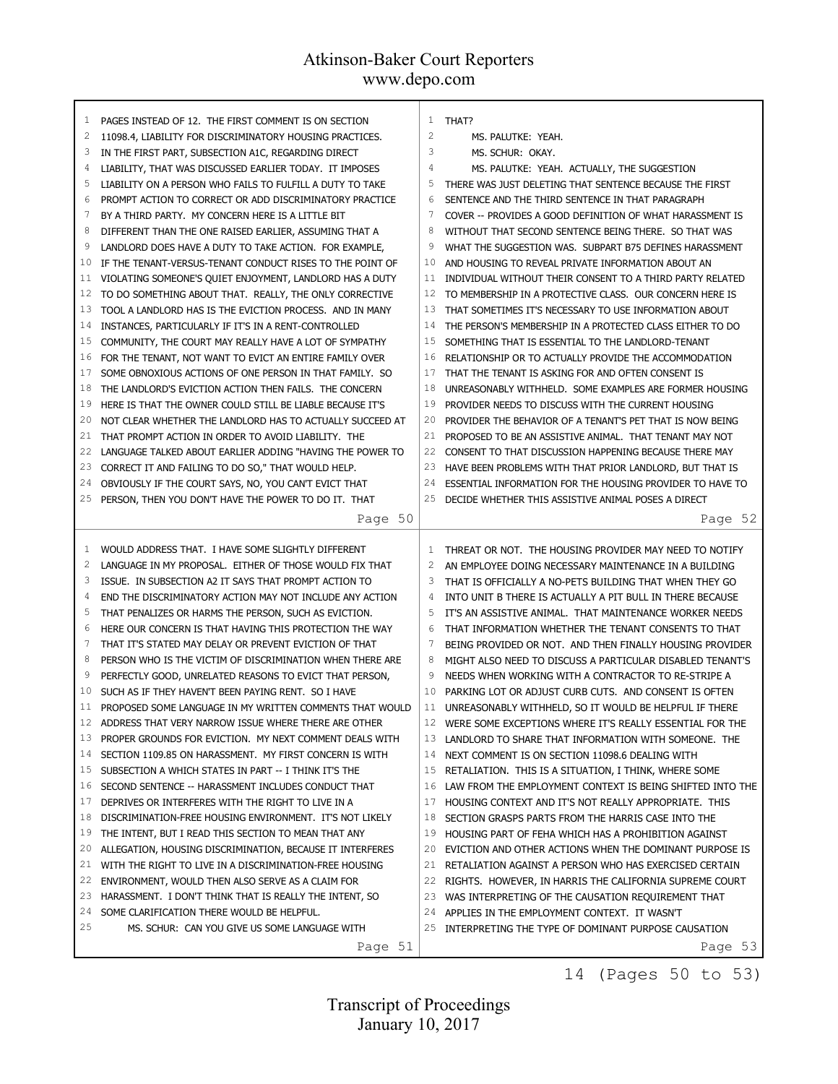| $\mathbf{1}$ | PAGES INSTEAD OF 12. THE FIRST COMMENT IS ON SECTION      | $\mathbf{1}$   | THAT?                                                             |
|--------------|-----------------------------------------------------------|----------------|-------------------------------------------------------------------|
| 2            | 11098.4, LIABILITY FOR DISCRIMINATORY HOUSING PRACTICES.  | $\overline{c}$ | MS. PALUTKE: YEAH.                                                |
| 3            | IN THE FIRST PART, SUBSECTION A1C, REGARDING DIRECT       | 3              | MS. SCHUR: OKAY.                                                  |
| 4            | LIABILITY, THAT WAS DISCUSSED EARLIER TODAY. IT IMPOSES   | $\overline{4}$ | MS. PALUTKE: YEAH. ACTUALLY, THE SUGGESTION                       |
| 5            | LIABILITY ON A PERSON WHO FAILS TO FULFILL A DUTY TO TAKE | 5              | THERE WAS JUST DELETING THAT SENTENCE BECAUSE THE FIRST           |
| 6            | PROMPT ACTION TO CORRECT OR ADD DISCRIMINATORY PRACTICE   | 6              | SENTENCE AND THE THIRD SENTENCE IN THAT PARAGRAPH                 |
| 7            | BY A THIRD PARTY. MY CONCERN HERE IS A LITTLE BIT         | 7              | COVER -- PROVIDES A GOOD DEFINITION OF WHAT HARASSMENT IS         |
| 8            | DIFFERENT THAN THE ONE RAISED EARLIER, ASSUMING THAT A    | 8              | WITHOUT THAT SECOND SENTENCE BEING THERE. SO THAT WAS             |
| 9            | LANDLORD DOES HAVE A DUTY TO TAKE ACTION. FOR EXAMPLE,    | 9              | WHAT THE SUGGESTION WAS. SUBPART B75 DEFINES HARASSMENT           |
| 10           | IF THE TENANT-VERSUS-TENANT CONDUCT RISES TO THE POINT OF | 10             | AND HOUSING TO REVEAL PRIVATE INFORMATION ABOUT AN                |
| 11           | VIOLATING SOMEONE'S QUIET ENJOYMENT, LANDLORD HAS A DUTY  | 11             | INDIVIDUAL WITHOUT THEIR CONSENT TO A THIRD PARTY RELATED         |
| 12           | TO DO SOMETHING ABOUT THAT. REALLY, THE ONLY CORRECTIVE   | 12             | TO MEMBERSHIP IN A PROTECTIVE CLASS. OUR CONCERN HERE IS          |
| 13           | TOOL A LANDLORD HAS IS THE EVICTION PROCESS. AND IN MANY  | 13             | THAT SOMETIMES IT'S NECESSARY TO USE INFORMATION ABOUT            |
| 14           | INSTANCES, PARTICULARLY IF IT'S IN A RENT-CONTROLLED      | 14             | THE PERSON'S MEMBERSHIP IN A PROTECTED CLASS EITHER TO DO         |
| 15           | COMMUNITY, THE COURT MAY REALLY HAVE A LOT OF SYMPATHY    | 15             | SOMETHING THAT IS ESSENTIAL TO THE LANDLORD-TENANT                |
| 16           | FOR THE TENANT, NOT WANT TO EVICT AN ENTIRE FAMILY OVER   | 16             | RELATIONSHIP OR TO ACTUALLY PROVIDE THE ACCOMMODATION             |
| 17           | SOME OBNOXIOUS ACTIONS OF ONE PERSON IN THAT FAMILY. SO   | 17             | THAT THE TENANT IS ASKING FOR AND OFTEN CONSENT IS                |
| 18           | THE LANDLORD'S EVICTION ACTION THEN FAILS. THE CONCERN    | 18             | UNREASONABLY WITHHELD. SOME EXAMPLES ARE FORMER HOUSING           |
| 19           | HERE IS THAT THE OWNER COULD STILL BE LIABLE BECAUSE IT'S | 19             | PROVIDER NEEDS TO DISCUSS WITH THE CURRENT HOUSING                |
| 20           | NOT CLEAR WHETHER THE LANDLORD HAS TO ACTUALLY SUCCEED AT | 20             | PROVIDER THE BEHAVIOR OF A TENANT'S PET THAT IS NOW BEING         |
| 21           | THAT PROMPT ACTION IN ORDER TO AVOID LIABILITY. THE       | 21             | PROPOSED TO BE AN ASSISTIVE ANIMAL. THAT TENANT MAY NOT           |
| 22           | LANGUAGE TALKED ABOUT EARLIER ADDING "HAVING THE POWER TO | 22             | CONSENT TO THAT DISCUSSION HAPPENING BECAUSE THERE MAY            |
| 23           | CORRECT IT AND FAILING TO DO SO," THAT WOULD HELP.        | 23             | HAVE BEEN PROBLEMS WITH THAT PRIOR LANDLORD, BUT THAT IS          |
| 24           | OBVIOUSLY IF THE COURT SAYS, NO, YOU CAN'T EVICT THAT     | 24             | ESSENTIAL INFORMATION FOR THE HOUSING PROVIDER TO HAVE TO         |
| 25           | PERSON, THEN YOU DON'T HAVE THE POWER TO DO IT. THAT      | 25             | DECIDE WHETHER THIS ASSISTIVE ANIMAL POSES A DIRECT               |
|              | Page 50                                                   |                | Page 52                                                           |
|              |                                                           |                |                                                                   |
|              |                                                           |                |                                                                   |
|              |                                                           |                |                                                                   |
| 1            | WOULD ADDRESS THAT. I HAVE SOME SLIGHTLY DIFFERENT        | 1              | THREAT OR NOT. THE HOUSING PROVIDER MAY NEED TO NOTIFY            |
| 2            | LANGUAGE IN MY PROPOSAL. EITHER OF THOSE WOULD FIX THAT   | 2              | AN EMPLOYEE DOING NECESSARY MAINTENANCE IN A BUILDING             |
| 3            | ISSUE. IN SUBSECTION A2 IT SAYS THAT PROMPT ACTION TO     | 3              | THAT IS OFFICIALLY A NO-PETS BUILDING THAT WHEN THEY GO           |
| 4            | END THE DISCRIMINATORY ACTION MAY NOT INCLUDE ANY ACTION  | 4              | INTO UNIT B THERE IS ACTUALLY A PIT BULL IN THERE BECAUSE         |
| 5            | THAT PENALIZES OR HARMS THE PERSON, SUCH AS EVICTION.     | 5              | IT'S AN ASSISTIVE ANIMAL. THAT MAINTENANCE WORKER NEEDS           |
| 6            | HERE OUR CONCERN IS THAT HAVING THIS PROTECTION THE WAY   | 6              | THAT INFORMATION WHETHER THE TENANT CONSENTS TO THAT              |
| 7            | THAT IT'S STATED MAY DELAY OR PREVENT EVICTION OF THAT    | 7              | BEING PROVIDED OR NOT. AND THEN FINALLY HOUSING PROVIDER          |
| 8            | PERSON WHO IS THE VICTIM OF DISCRIMINATION WHEN THERE ARE | 8              | MIGHT ALSO NEED TO DISCUSS A PARTICULAR DISABLED TENANT'S         |
| 9            | PERFECTLY GOOD, UNRELATED REASONS TO EVICT THAT PERSON,   | 9              | NEEDS WHEN WORKING WITH A CONTRACTOR TO RE-STRIPE A               |
| 10           | SUCH AS IF THEY HAVEN'T BEEN PAYING RENT. SO I HAVE       | 10             | PARKING LOT OR ADJUST CURB CUTS. AND CONSENT IS OFTEN             |
| 11           | PROPOSED SOME LANGUAGE IN MY WRITTEN COMMENTS THAT WOULD  |                | 11 UNREASONABLY WITHHELD, SO IT WOULD BE HELPFUL IF THERE         |
| 12           | ADDRESS THAT VERY NARROW ISSUE WHERE THERE ARE OTHER      | 12             | WERE SOME EXCEPTIONS WHERE IT'S REALLY ESSENTIAL FOR THE          |
| 13           | PROPER GROUNDS FOR EVICTION. MY NEXT COMMENT DEALS WITH   | 13             | LANDLORD TO SHARE THAT INFORMATION WITH SOMEONE. THE              |
| 14           | SECTION 1109.85 ON HARASSMENT. MY FIRST CONCERN IS WITH   | 14             | NEXT COMMENT IS ON SECTION 11098.6 DEALING WITH                   |
| 15           | SUBSECTION A WHICH STATES IN PART -- I THINK IT'S THE     | 15             | RETALIATION. THIS IS A SITUATION, I THINK, WHERE SOME             |
| 16           | SECOND SENTENCE -- HARASSMENT INCLUDES CONDUCT THAT       | 16             | LAW FROM THE EMPLOYMENT CONTEXT IS BEING SHIFTED INTO THE         |
| 17           | DEPRIVES OR INTERFERES WITH THE RIGHT TO LIVE IN A        | 17             | HOUSING CONTEXT AND IT'S NOT REALLY APPROPRIATE. THIS             |
| 18           | DISCRIMINATION-FREE HOUSING ENVIRONMENT. IT'S NOT LIKELY  | 18             | SECTION GRASPS PARTS FROM THE HARRIS CASE INTO THE                |
| 19           | THE INTENT, BUT I READ THIS SECTION TO MEAN THAT ANY      | 19             | HOUSING PART OF FEHA WHICH HAS A PROHIBITION AGAINST              |
| 20           | ALLEGATION, HOUSING DISCRIMINATION, BECAUSE IT INTERFERES | 20             | EVICTION AND OTHER ACTIONS WHEN THE DOMINANT PURPOSE IS           |
| 21           | WITH THE RIGHT TO LIVE IN A DISCRIMINATION-FREE HOUSING   | 21             | RETALIATION AGAINST A PERSON WHO HAS EXERCISED CERTAIN            |
| 22           | ENVIRONMENT, WOULD THEN ALSO SERVE AS A CLAIM FOR         | 22             | RIGHTS. HOWEVER, IN HARRIS THE CALIFORNIA SUPREME COURT           |
| 23           | HARASSMENT. I DON'T THINK THAT IS REALLY THE INTENT, SO   | 23             | WAS INTERPRETING OF THE CAUSATION REQUIREMENT THAT                |
| 24           | SOME CLARIFICATION THERE WOULD BE HELPFUL.                | 24             | APPLIES IN THE EMPLOYMENT CONTEXT. IT WASN'T                      |
| 25           | MS. SCHUR: CAN YOU GIVE US SOME LANGUAGE WITH<br>Page 51  |                | 25 INTERPRETING THE TYPE OF DOMINANT PURPOSE CAUSATION<br>Page 53 |

14 (Pages 50 to 53)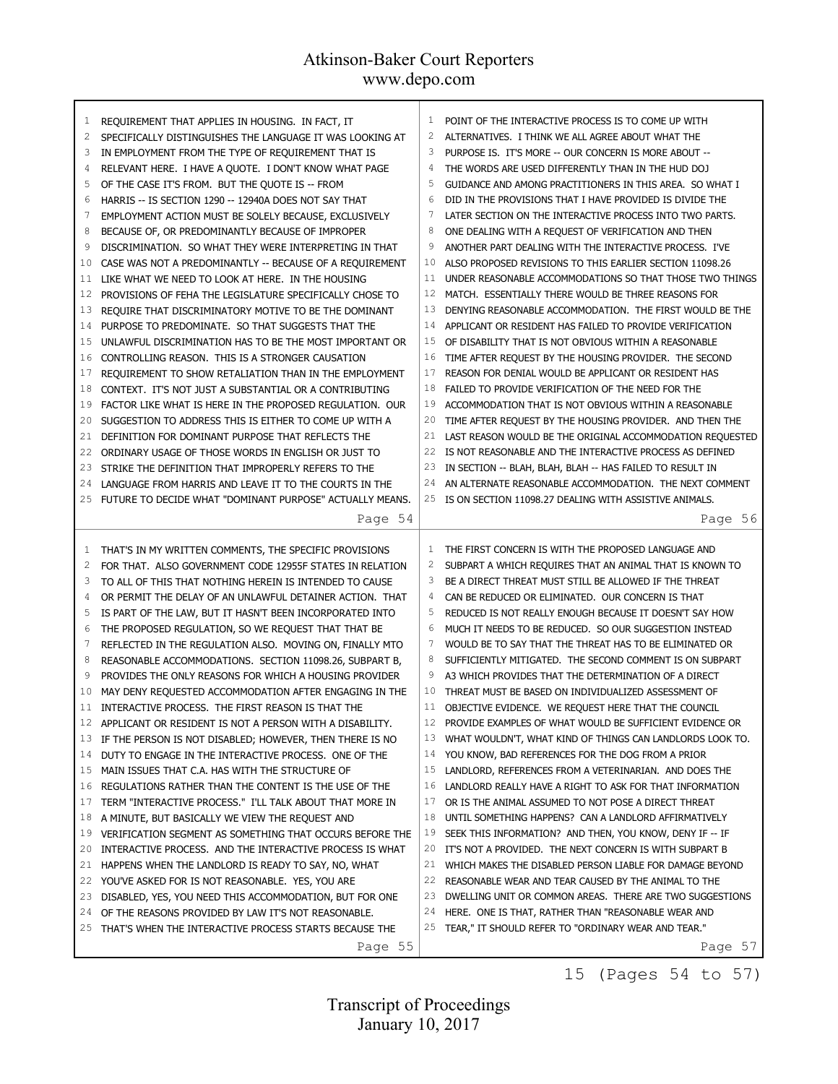| $\mathbf{1}$                     | REQUIREMENT THAT APPLIES IN HOUSING. IN FACT, IT                                                                                                                                                                                    | 1                    | POINT OF THE INTERACTIVE PROCESS IS TO COME UP WITH                                                                                                                                                                                                                                              |
|----------------------------------|-------------------------------------------------------------------------------------------------------------------------------------------------------------------------------------------------------------------------------------|----------------------|--------------------------------------------------------------------------------------------------------------------------------------------------------------------------------------------------------------------------------------------------------------------------------------------------|
| 2                                | SPECIFICALLY DISTINGUISHES THE LANGUAGE IT WAS LOOKING AT                                                                                                                                                                           | 2                    | ALTERNATIVES. I THINK WE ALL AGREE ABOUT WHAT THE                                                                                                                                                                                                                                                |
| 3                                | IN EMPLOYMENT FROM THE TYPE OF REQUIREMENT THAT IS                                                                                                                                                                                  | 3                    | PURPOSE IS. IT'S MORE -- OUR CONCERN IS MORE ABOUT --                                                                                                                                                                                                                                            |
| 4                                | RELEVANT HERE. I HAVE A QUOTE. I DON'T KNOW WHAT PAGE                                                                                                                                                                               | $\overline{4}$       | THE WORDS ARE USED DIFFERENTLY THAN IN THE HUD DOJ                                                                                                                                                                                                                                               |
| 5                                | OF THE CASE IT'S FROM. BUT THE QUOTE IS -- FROM                                                                                                                                                                                     | 5                    | GUIDANCE AND AMONG PRACTITIONERS IN THIS AREA. SO WHAT I                                                                                                                                                                                                                                         |
| 6                                | HARRIS -- IS SECTION 1290 -- 12940A DOES NOT SAY THAT                                                                                                                                                                               | 6                    | DID IN THE PROVISIONS THAT I HAVE PROVIDED IS DIVIDE THE                                                                                                                                                                                                                                         |
| 7                                | EMPLOYMENT ACTION MUST BE SOLELY BECAUSE, EXCLUSIVELY                                                                                                                                                                               | 7                    | LATER SECTION ON THE INTERACTIVE PROCESS INTO TWO PARTS.                                                                                                                                                                                                                                         |
| 8                                | BECAUSE OF, OR PREDOMINANTLY BECAUSE OF IMPROPER                                                                                                                                                                                    | 8                    | ONE DEALING WITH A REQUEST OF VERIFICATION AND THEN                                                                                                                                                                                                                                              |
| 9                                | DISCRIMINATION. SO WHAT THEY WERE INTERPRETING IN THAT                                                                                                                                                                              | 9                    | ANOTHER PART DEALING WITH THE INTERACTIVE PROCESS. I'VE                                                                                                                                                                                                                                          |
| 10                               | CASE WAS NOT A PREDOMINANTLY -- BECAUSE OF A REQUIREMENT                                                                                                                                                                            | 10                   | ALSO PROPOSED REVISIONS TO THIS EARLIER SECTION 11098.26                                                                                                                                                                                                                                         |
| 11                               | LIKE WHAT WE NEED TO LOOK AT HERE. IN THE HOUSING                                                                                                                                                                                   | 11                   | UNDER REASONABLE ACCOMMODATIONS SO THAT THOSE TWO THINGS                                                                                                                                                                                                                                         |
| 12                               | PROVISIONS OF FEHA THE LEGISLATURE SPECIFICALLY CHOSE TO                                                                                                                                                                            | 12                   | MATCH. ESSENTIALLY THERE WOULD BE THREE REASONS FOR                                                                                                                                                                                                                                              |
| 13                               | REQUIRE THAT DISCRIMINATORY MOTIVE TO BE THE DOMINANT                                                                                                                                                                               | 13                   | DENYING REASONABLE ACCOMMODATION. THE FIRST WOULD BE THE                                                                                                                                                                                                                                         |
| 14                               | PURPOSE TO PREDOMINATE. SO THAT SUGGESTS THAT THE                                                                                                                                                                                   | 14                   | APPLICANT OR RESIDENT HAS FAILED TO PROVIDE VERIFICATION                                                                                                                                                                                                                                         |
| 15                               | UNLAWFUL DISCRIMINATION HAS TO BE THE MOST IMPORTANT OR                                                                                                                                                                             | 15                   | OF DISABILITY THAT IS NOT OBVIOUS WITHIN A REASONABLE                                                                                                                                                                                                                                            |
| 16                               | CONTROLLING REASON. THIS IS A STRONGER CAUSATION                                                                                                                                                                                    | 16                   | TIME AFTER REQUEST BY THE HOUSING PROVIDER. THE SECOND                                                                                                                                                                                                                                           |
| 17                               | REQUIREMENT TO SHOW RETALIATION THAN IN THE EMPLOYMENT                                                                                                                                                                              | 17                   | REASON FOR DENIAL WOULD BE APPLICANT OR RESIDENT HAS                                                                                                                                                                                                                                             |
| 18                               | CONTEXT. IT'S NOT JUST A SUBSTANTIAL OR A CONTRIBUTING                                                                                                                                                                              | 18                   | FAILED TO PROVIDE VERIFICATION OF THE NEED FOR THE                                                                                                                                                                                                                                               |
| 19                               | FACTOR LIKE WHAT IS HERE IN THE PROPOSED REGULATION. OUR                                                                                                                                                                            | 19                   | ACCOMMODATION THAT IS NOT OBVIOUS WITHIN A REASONABLE                                                                                                                                                                                                                                            |
| 20                               | SUGGESTION TO ADDRESS THIS IS EITHER TO COME UP WITH A                                                                                                                                                                              | 20                   | TIME AFTER REQUEST BY THE HOUSING PROVIDER. AND THEN THE                                                                                                                                                                                                                                         |
| 21                               | DEFINITION FOR DOMINANT PURPOSE THAT REFLECTS THE                                                                                                                                                                                   | 21                   | LAST REASON WOULD BE THE ORIGINAL ACCOMMODATION REQUESTED                                                                                                                                                                                                                                        |
| 22                               | ORDINARY USAGE OF THOSE WORDS IN ENGLISH OR JUST TO                                                                                                                                                                                 | 22                   | IS NOT REASONABLE AND THE INTERACTIVE PROCESS AS DEFINED                                                                                                                                                                                                                                         |
| 23                               | STRIKE THE DEFINITION THAT IMPROPERLY REFERS TO THE                                                                                                                                                                                 | 23                   | IN SECTION -- BLAH, BLAH, BLAH -- HAS FAILED TO RESULT IN                                                                                                                                                                                                                                        |
| 24                               | LANGUAGE FROM HARRIS AND LEAVE IT TO THE COURTS IN THE                                                                                                                                                                              | 24                   | AN ALTERNATE REASONABLE ACCOMMODATION. THE NEXT COMMENT                                                                                                                                                                                                                                          |
| 25                               | FUTURE TO DECIDE WHAT "DOMINANT PURPOSE" ACTUALLY MEANS.                                                                                                                                                                            | 25                   | IS ON SECTION 11098.27 DEALING WITH ASSISTIVE ANIMALS.                                                                                                                                                                                                                                           |
|                                  | Page 54                                                                                                                                                                                                                             |                      | Page 56                                                                                                                                                                                                                                                                                          |
| 1                                | THAT'S IN MY WRITTEN COMMENTS, THE SPECIFIC PROVISIONS                                                                                                                                                                              | 1                    | THE FIRST CONCERN IS WITH THE PROPOSED LANGUAGE AND                                                                                                                                                                                                                                              |
| 2                                | FOR THAT. ALSO GOVERNMENT CODE 12955F STATES IN RELATION                                                                                                                                                                            | 2                    | SUBPART A WHICH REQUIRES THAT AN ANIMAL THAT IS KNOWN TO                                                                                                                                                                                                                                         |
| 3                                | TO ALL OF THIS THAT NOTHING HEREIN IS INTENDED TO CAUSE                                                                                                                                                                             | 3                    | BE A DIRECT THREAT MUST STILL BE ALLOWED IF THE THREAT                                                                                                                                                                                                                                           |
| 4                                | OR PERMIT THE DELAY OF AN UNLAWFUL DETAINER ACTION. THAT                                                                                                                                                                            | 4                    | CAN BE REDUCED OR ELIMINATED. OUR CONCERN IS THAT                                                                                                                                                                                                                                                |
| 5                                | IS PART OF THE LAW, BUT IT HASN'T BEEN INCORPORATED INTO                                                                                                                                                                            | 5                    | REDUCED IS NOT REALLY ENOUGH BECAUSE IT DOESN'T SAY HOW                                                                                                                                                                                                                                          |
| 6                                | THE PROPOSED REGULATION, SO WE REQUEST THAT THAT BE                                                                                                                                                                                 | 6                    | MUCH IT NEEDS TO BE REDUCED. SO OUR SUGGESTION INSTEAD                                                                                                                                                                                                                                           |
| 7                                | REFLECTED IN THE REGULATION ALSO. MOVING ON, FINALLY MTO                                                                                                                                                                            | 7                    | WOULD BE TO SAY THAT THE THREAT HAS TO BE ELIMINATED OR                                                                                                                                                                                                                                          |
| 8                                | REASONABLE ACCOMMODATIONS. SECTION 11098.26, SUBPART B,                                                                                                                                                                             | 8                    | SUFFICIENTLY MITIGATED. THE SECOND COMMENT IS ON SUBPART                                                                                                                                                                                                                                         |
| 9                                | PROVIDES THE ONLY REASONS FOR WHICH A HOUSING PROVIDER                                                                                                                                                                              | 9                    | A3 WHICH PROVIDES THAT THE DETERMINATION OF A DIRECT                                                                                                                                                                                                                                             |
| 10                               | MAY DENY REQUESTED ACCOMMODATION AFTER ENGAGING IN THE                                                                                                                                                                              | 10                   | THREAT MUST BE BASED ON INDIVIDUALIZED ASSESSMENT OF                                                                                                                                                                                                                                             |
| 11                               | INTERACTIVE PROCESS. THE FIRST REASON IS THAT THE                                                                                                                                                                                   | 11                   | OBJECTIVE EVIDENCE. WE REQUEST HERE THAT THE COUNCIL                                                                                                                                                                                                                                             |
| 12                               | APPLICANT OR RESIDENT IS NOT A PERSON WITH A DISABILITY.                                                                                                                                                                            | 12                   | PROVIDE EXAMPLES OF WHAT WOULD BE SUFFICIENT EVIDENCE OR                                                                                                                                                                                                                                         |
| 13                               | IF THE PERSON IS NOT DISABLED; HOWEVER, THEN THERE IS NO                                                                                                                                                                            | 13                   | WHAT WOULDN'T, WHAT KIND OF THINGS CAN LANDLORDS LOOK TO.                                                                                                                                                                                                                                        |
| 14                               | DUTY TO ENGAGE IN THE INTERACTIVE PROCESS. ONE OF THE                                                                                                                                                                               | 14                   | YOU KNOW, BAD REFERENCES FOR THE DOG FROM A PRIOR                                                                                                                                                                                                                                                |
| 15                               | MAIN ISSUES THAT C.A. HAS WITH THE STRUCTURE OF                                                                                                                                                                                     | 15                   | LANDLORD, REFERENCES FROM A VETERINARIAN. AND DOES THE                                                                                                                                                                                                                                           |
| 16                               | REGULATIONS RATHER THAN THE CONTENT IS THE USE OF THE                                                                                                                                                                               | 16                   | LANDLORD REALLY HAVE A RIGHT TO ASK FOR THAT INFORMATION                                                                                                                                                                                                                                         |
| 17<br>18<br>19<br>20<br>21<br>22 | TERM "INTERACTIVE PROCESS." I'LL TALK ABOUT THAT MORE IN<br>A MINUTE, BUT BASICALLY WE VIEW THE REQUEST AND<br>VERIFICATION SEGMENT AS SOMETHING THAT OCCURS BEFORE THE<br>INTERACTIVE PROCESS. AND THE INTERACTIVE PROCESS IS WHAT | 17<br>18<br>19<br>20 | OR IS THE ANIMAL ASSUMED TO NOT POSE A DIRECT THREAT<br>UNTIL SOMETHING HAPPENS? CAN A LANDLORD AFFIRMATIVELY<br>SEEK THIS INFORMATION? AND THEN, YOU KNOW, DENY IF -- IF<br>IT'S NOT A PROVIDED. THE NEXT CONCERN IS WITH SUBPART B<br>WHICH MAKES THE DISABLED PERSON LIABLE FOR DAMAGE BEYOND |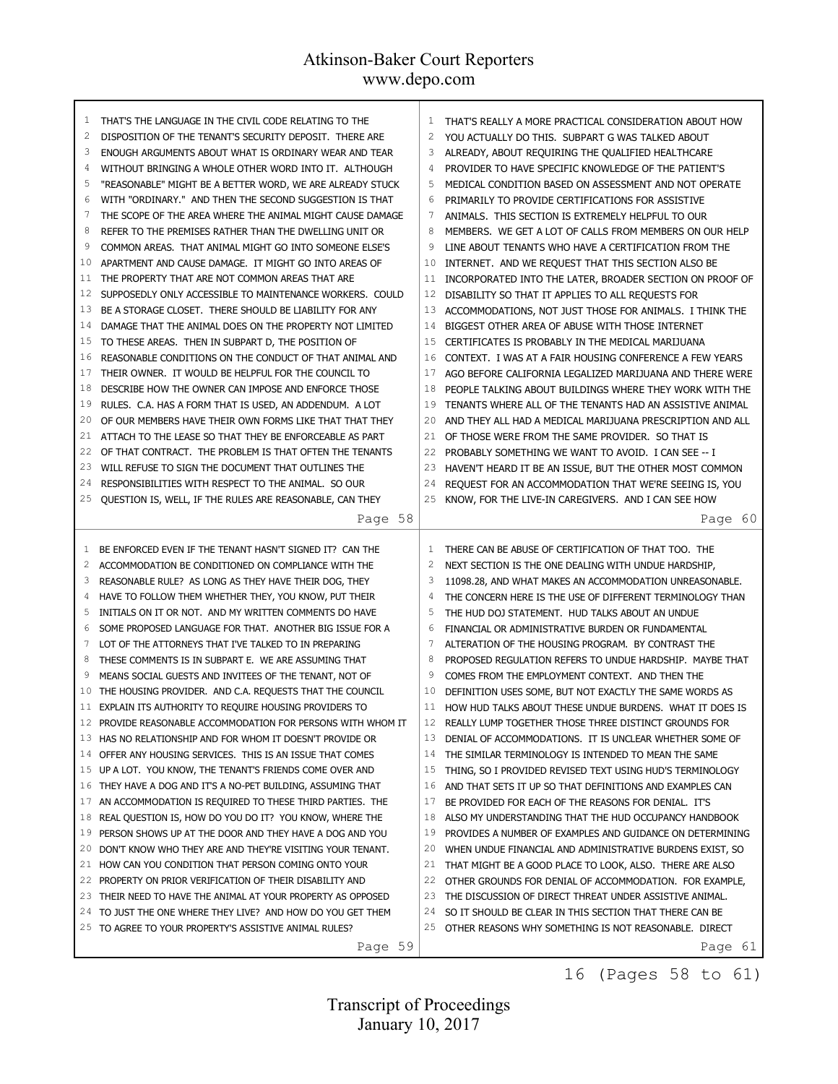| 1              | THAT'S THE LANGUAGE IN THE CIVIL CODE RELATING TO THE          | $\mathbf{1}$   | THAT'S REALLY A MORE PRACTICAL CONSIDERATION ABOUT HOW           |
|----------------|----------------------------------------------------------------|----------------|------------------------------------------------------------------|
| $\overline{c}$ | DISPOSITION OF THE TENANT'S SECURITY DEPOSIT. THERE ARE        | $\overline{c}$ | YOU ACTUALLY DO THIS. SUBPART G WAS TALKED ABOUT                 |
| 3              | ENOUGH ARGUMENTS ABOUT WHAT IS ORDINARY WEAR AND TEAR          | 3              | ALREADY, ABOUT REQUIRING THE QUALIFIED HEALTHCARE                |
| 4              | WITHOUT BRINGING A WHOLE OTHER WORD INTO IT. ALTHOUGH          | 4              | PROVIDER TO HAVE SPECIFIC KNOWLEDGE OF THE PATIENT'S             |
| 5              | "REASONABLE" MIGHT BE A BETTER WORD, WE ARE ALREADY STUCK      | 5              | MEDICAL CONDITION BASED ON ASSESSMENT AND NOT OPERATE            |
| 6              | WITH "ORDINARY." AND THEN THE SECOND SUGGESTION IS THAT        | 6              | PRIMARILY TO PROVIDE CERTIFICATIONS FOR ASSISTIVE                |
| $\overline{7}$ | THE SCOPE OF THE AREA WHERE THE ANIMAL MIGHT CAUSE DAMAGE      |                | ANIMALS. THIS SECTION IS EXTREMELY HELPFUL TO OUR                |
| 8              | REFER TO THE PREMISES RATHER THAN THE DWELLING UNIT OR         | 8              | MEMBERS. WE GET A LOT OF CALLS FROM MEMBERS ON OUR HELP          |
| 9              | COMMON AREAS. THAT ANIMAL MIGHT GO INTO SOMEONE ELSE'S         | 9              | LINE ABOUT TENANTS WHO HAVE A CERTIFICATION FROM THE             |
| 10             | APARTMENT AND CAUSE DAMAGE. IT MIGHT GO INTO AREAS OF          | 10             | INTERNET. AND WE REQUEST THAT THIS SECTION ALSO BE               |
| 11             | THE PROPERTY THAT ARE NOT COMMON AREAS THAT ARE                | 11             | INCORPORATED INTO THE LATER, BROADER SECTION ON PROOF OF         |
| 12             | SUPPOSEDLY ONLY ACCESSIBLE TO MAINTENANCE WORKERS. COULD       | 12             | DISABILITY SO THAT IT APPLIES TO ALL REQUESTS FOR                |
| 13             | BE A STORAGE CLOSET. THERE SHOULD BE LIABILITY FOR ANY         | 13             | ACCOMMODATIONS, NOT JUST THOSE FOR ANIMALS. I THINK THE          |
| 14             | DAMAGE THAT THE ANIMAL DOES ON THE PROPERTY NOT LIMITED        | 14             | BIGGEST OTHER AREA OF ABUSE WITH THOSE INTERNET                  |
| 15             | TO THESE AREAS. THEN IN SUBPART D, THE POSITION OF             | 15             | CERTIFICATES IS PROBABLY IN THE MEDICAL MARIJUANA                |
| 16             | REASONABLE CONDITIONS ON THE CONDUCT OF THAT ANIMAL AND        | 16             | CONTEXT. I WAS AT A FAIR HOUSING CONFERENCE A FEW YEARS          |
| 17             | THEIR OWNER. IT WOULD BE HELPFUL FOR THE COUNCIL TO            | 17             | AGO BEFORE CALIFORNIA LEGALIZED MARIJUANA AND THERE WERE         |
| 18             | DESCRIBE HOW THE OWNER CAN IMPOSE AND ENFORCE THOSE            | 18             | PEOPLE TALKING ABOUT BUILDINGS WHERE THEY WORK WITH THE          |
| 19             | RULES. C.A. HAS A FORM THAT IS USED, AN ADDENDUM. A LOT        | 19             | TENANTS WHERE ALL OF THE TENANTS HAD AN ASSISTIVE ANIMAL         |
| 20             | OF OUR MEMBERS HAVE THEIR OWN FORMS LIKE THAT THAT THEY        | 20             | AND THEY ALL HAD A MEDICAL MARIJUANA PRESCRIPTION AND ALL        |
| 21             | ATTACH TO THE LEASE SO THAT THEY BE ENFORCEABLE AS PART        | 21             | OF THOSE WERE FROM THE SAME PROVIDER. SO THAT IS                 |
| 22             | OF THAT CONTRACT. THE PROBLEM IS THAT OFTEN THE TENANTS        | 22             | PROBABLY SOMETHING WE WANT TO AVOID. I CAN SEE -- I              |
| 23             | WILL REFUSE TO SIGN THE DOCUMENT THAT OUTLINES THE             | 23             | HAVEN'T HEARD IT BE AN ISSUE, BUT THE OTHER MOST COMMON          |
| 24             | RESPONSIBILITIES WITH RESPECT TO THE ANIMAL. SO OUR            | 24             | REQUEST FOR AN ACCOMMODATION THAT WE'RE SEEING IS, YOU           |
| 25             | QUESTION IS, WELL, IF THE RULES ARE REASONABLE, CAN THEY       | 25             | KNOW, FOR THE LIVE-IN CAREGIVERS. AND I CAN SEE HOW              |
|                | Page 58                                                        |                | Page 60                                                          |
|                |                                                                |                |                                                                  |
|                |                                                                |                |                                                                  |
| 1              | BE ENFORCED EVEN IF THE TENANT HASN'T SIGNED IT? CAN THE       | $\mathbf{1}$   | THERE CAN BE ABUSE OF CERTIFICATION OF THAT TOO. THE             |
| 2              | ACCOMMODATION BE CONDITIONED ON COMPLIANCE WITH THE            | $\overline{c}$ | NEXT SECTION IS THE ONE DEALING WITH UNDUE HARDSHIP,             |
| 3              | REASONABLE RULE? AS LONG AS THEY HAVE THEIR DOG, THEY          | 3              | 11098.28, AND WHAT MAKES AN ACCOMMODATION UNREASONABLE.          |
| 4              | HAVE TO FOLLOW THEM WHETHER THEY, YOU KNOW, PUT THEIR          | 4              | THE CONCERN HERE IS THE USE OF DIFFERENT TERMINOLOGY THAN        |
| 5              | INITIALS ON IT OR NOT. AND MY WRITTEN COMMENTS DO HAVE         | 5              | THE HUD DOJ STATEMENT. HUD TALKS ABOUT AN UNDUE                  |
| 6              | SOME PROPOSED LANGUAGE FOR THAT. ANOTHER BIG ISSUE FOR A       | 6              | FINANCIAL OR ADMINISTRATIVE BURDEN OR FUNDAMENTAL                |
|                | LOT OF THE ATTORNEYS THAT I'VE TALKED TO IN PREPARING          |                | ALTERATION OF THE HOUSING PROGRAM. BY CONTRAST THE               |
| 8              | THESE COMMENTS IS IN SUBPART E. WE ARE ASSUMING THAT           | 8              | PROPOSED REGULATION REFERS TO UNDUE HARDSHIP. MAYBE THAT         |
| 9              | MEANS SOCIAL GUESTS AND INVITEES OF THE TENANT, NOT OF         | 9              | COMES FROM THE EMPLOYMENT CONTEXT. AND THEN THE                  |
| 10             | THE HOUSING PROVIDER. AND C.A. REQUESTS THAT THE COUNCIL       | 10             | DEFINITION USES SOME, BUT NOT EXACTLY THE SAME WORDS AS          |
| 11             | EXPLAIN ITS AUTHORITY TO REQUIRE HOUSING PROVIDERS TO          | 11             | HOW HUD TALKS ABOUT THESE UNDUE BURDENS. WHAT IT DOES IS         |
| 12             | PROVIDE REASONABLE ACCOMMODATION FOR PERSONS WITH WHOM IT      | 12             | REALLY LUMP TOGETHER THOSE THREE DISTINCT GROUNDS FOR            |
| 13             | HAS NO RELATIONSHIP AND FOR WHOM IT DOESN'T PROVIDE OR         | 13             | DENIAL OF ACCOMMODATIONS. IT IS UNCLEAR WHETHER SOME OF          |
| 14             | OFFER ANY HOUSING SERVICES. THIS IS AN ISSUE THAT COMES        | 14             | THE SIMILAR TERMINOLOGY IS INTENDED TO MEAN THE SAME             |
| 15             | UP A LOT. YOU KNOW, THE TENANT'S FRIENDS COME OVER AND         | 15             | THING, SO I PROVIDED REVISED TEXT USING HUD'S TERMINOLOGY        |
| 16             | THEY HAVE A DOG AND IT'S A NO-PET BUILDING, ASSUMING THAT      | 16             | AND THAT SETS IT UP SO THAT DEFINITIONS AND EXAMPLES CAN         |
| 17             | AN ACCOMMODATION IS REQUIRED TO THESE THIRD PARTIES. THE       | 17             | BE PROVIDED FOR EACH OF THE REASONS FOR DENIAL. IT'S             |
| 18             | REAL QUESTION IS, HOW DO YOU DO IT? YOU KNOW, WHERE THE        | 18             | ALSO MY UNDERSTANDING THAT THE HUD OCCUPANCY HANDBOOK            |
| 19             | PERSON SHOWS UP AT THE DOOR AND THEY HAVE A DOG AND YOU        | 19             | PROVIDES A NUMBER OF EXAMPLES AND GUIDANCE ON DETERMINING        |
| 20             | DON'T KNOW WHO THEY ARE AND THEY'RE VISITING YOUR TENANT.      | 20             | WHEN UNDUE FINANCIAL AND ADMINISTRATIVE BURDENS EXIST, SO        |
| 21             | HOW CAN YOU CONDITION THAT PERSON COMING ONTO YOUR             | 21             | THAT MIGHT BE A GOOD PLACE TO LOOK, ALSO. THERE ARE ALSO         |
| 22             | PROPERTY ON PRIOR VERIFICATION OF THEIR DISABILITY AND         | 22             | OTHER GROUNDS FOR DENIAL OF ACCOMMODATION. FOR EXAMPLE,          |
| 23             | THEIR NEED TO HAVE THE ANIMAL AT YOUR PROPERTY AS OPPOSED      | 23             | THE DISCUSSION OF DIRECT THREAT UNDER ASSISTIVE ANIMAL.          |
| 24             | TO JUST THE ONE WHERE THEY LIVE? AND HOW DO YOU GET THEM       | 24             | SO IT SHOULD BE CLEAR IN THIS SECTION THAT THERE CAN BE          |
| 25             | TO AGREE TO YOUR PROPERTY'S ASSISTIVE ANIMAL RULES?<br>Page 59 | 25             | OTHER REASONS WHY SOMETHING IS NOT REASONABLE. DIRECT<br>Page 61 |

16 (Pages 58 to 61)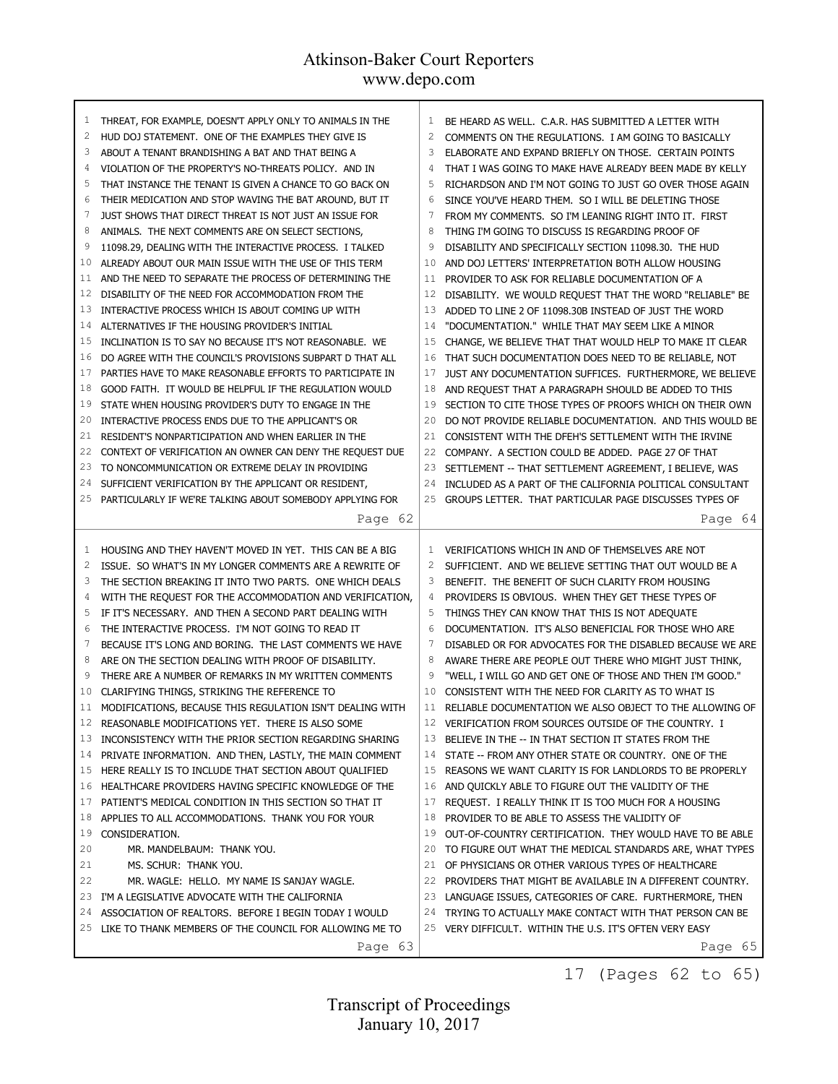| 1<br>2<br>3<br>4<br>5<br>6<br>7<br>8<br>9<br>10<br>11<br>12<br>13<br>14<br>15<br>16<br>17<br>18<br>19<br>20<br>21<br>22<br>23<br>24 | THREAT, FOR EXAMPLE, DOESN'T APPLY ONLY TO ANIMALS IN THE<br>HUD DOJ STATEMENT. ONE OF THE EXAMPLES THEY GIVE IS<br>ABOUT A TENANT BRANDISHING A BAT AND THAT BEING A<br>VIOLATION OF THE PROPERTY'S NO-THREATS POLICY. AND IN<br>THAT INSTANCE THE TENANT IS GIVEN A CHANCE TO GO BACK ON<br>THEIR MEDICATION AND STOP WAVING THE BAT AROUND, BUT IT<br>JUST SHOWS THAT DIRECT THREAT IS NOT JUST AN ISSUE FOR<br>ANIMALS. THE NEXT COMMENTS ARE ON SELECT SECTIONS,<br>11098.29, DEALING WITH THE INTERACTIVE PROCESS. I TALKED<br>ALREADY ABOUT OUR MAIN ISSUE WITH THE USE OF THIS TERM<br>AND THE NEED TO SEPARATE THE PROCESS OF DETERMINING THE<br>DISABILITY OF THE NEED FOR ACCOMMODATION FROM THE<br>INTERACTIVE PROCESS WHICH IS ABOUT COMING UP WITH<br>ALTERNATIVES IF THE HOUSING PROVIDER'S INITIAL<br>INCLINATION IS TO SAY NO BECAUSE IT'S NOT REASONABLE. WE<br>DO AGREE WITH THE COUNCIL'S PROVISIONS SUBPART D THAT ALL<br>PARTIES HAVE TO MAKE REASONABLE EFFORTS TO PARTICIPATE IN<br>GOOD FAITH. IT WOULD BE HELPFUL IF THE REGULATION WOULD<br>STATE WHEN HOUSING PROVIDER'S DUTY TO ENGAGE IN THE<br>INTERACTIVE PROCESS ENDS DUE TO THE APPLICANT'S OR<br>RESIDENT'S NONPARTICIPATION AND WHEN EARLIER IN THE<br>CONTEXT OF VERIFICATION AN OWNER CAN DENY THE REQUEST DUE<br>TO NONCOMMUNICATION OR EXTREME DELAY IN PROVIDING<br>SUFFICIENT VERIFICATION BY THE APPLICANT OR RESIDENT, | 1<br>2<br>3<br>4<br>5<br>6<br>7<br>8<br>9<br>10<br>11<br>12<br>13<br>14<br>15<br>16<br>17<br>18<br>19<br>20<br>21<br>22<br>23<br>24 | BE HEARD AS WELL. C.A.R. HAS SUBMITTED A LETTER WITH<br>COMMENTS ON THE REGULATIONS. I AM GOING TO BASICALLY<br>ELABORATE AND EXPAND BRIEFLY ON THOSE. CERTAIN POINTS<br>THAT I WAS GOING TO MAKE HAVE ALREADY BEEN MADE BY KELLY<br>RICHARDSON AND I'M NOT GOING TO JUST GO OVER THOSE AGAIN<br>SINCE YOU'VE HEARD THEM. SO I WILL BE DELETING THOSE<br>FROM MY COMMENTS. SO I'M LEANING RIGHT INTO IT. FIRST<br>THING I'M GOING TO DISCUSS IS REGARDING PROOF OF<br>DISABILITY AND SPECIFICALLY SECTION 11098.30. THE HUD<br>AND DOJ LETTERS' INTERPRETATION BOTH ALLOW HOUSING<br>PROVIDER TO ASK FOR RELIABLE DOCUMENTATION OF A<br>DISABILITY. WE WOULD REQUEST THAT THE WORD "RELIABLE" BE<br>ADDED TO LINE 2 OF 11098.30B INSTEAD OF JUST THE WORD<br>"DOCUMENTATION." WHILE THAT MAY SEEM LIKE A MINOR<br>CHANGE, WE BELIEVE THAT THAT WOULD HELP TO MAKE IT CLEAR<br>THAT SUCH DOCUMENTATION DOES NEED TO BE RELIABLE, NOT<br>JUST ANY DOCUMENTATION SUFFICES. FURTHERMORE, WE BELIEVE<br>AND REQUEST THAT A PARAGRAPH SHOULD BE ADDED TO THIS<br>SECTION TO CITE THOSE TYPES OF PROOFS WHICH ON THEIR OWN<br>DO NOT PROVIDE RELIABLE DOCUMENTATION. AND THIS WOULD BE<br>CONSISTENT WITH THE DFEH'S SETTLEMENT WITH THE IRVINE<br>COMPANY. A SECTION COULD BE ADDED. PAGE 27 OF THAT<br>SETTLEMENT -- THAT SETTLEMENT AGREEMENT, I BELIEVE, WAS<br>INCLUDED AS A PART OF THE CALIFORNIA POLITICAL CONSULTANT |
|-------------------------------------------------------------------------------------------------------------------------------------|--------------------------------------------------------------------------------------------------------------------------------------------------------------------------------------------------------------------------------------------------------------------------------------------------------------------------------------------------------------------------------------------------------------------------------------------------------------------------------------------------------------------------------------------------------------------------------------------------------------------------------------------------------------------------------------------------------------------------------------------------------------------------------------------------------------------------------------------------------------------------------------------------------------------------------------------------------------------------------------------------------------------------------------------------------------------------------------------------------------------------------------------------------------------------------------------------------------------------------------------------------------------------------------------------------------------------------------------------------------------------------------------------------------------|-------------------------------------------------------------------------------------------------------------------------------------|------------------------------------------------------------------------------------------------------------------------------------------------------------------------------------------------------------------------------------------------------------------------------------------------------------------------------------------------------------------------------------------------------------------------------------------------------------------------------------------------------------------------------------------------------------------------------------------------------------------------------------------------------------------------------------------------------------------------------------------------------------------------------------------------------------------------------------------------------------------------------------------------------------------------------------------------------------------------------------------------------------------------------------------------------------------------------------------------------------------------------------------------------------------------------------------------------------------------------------------------------------------------------------------------------------------------------------------------------------------------------------------------------------------------|
| 25                                                                                                                                  | PARTICULARLY IF WE'RE TALKING ABOUT SOMEBODY APPLYING FOR                                                                                                                                                                                                                                                                                                                                                                                                                                                                                                                                                                                                                                                                                                                                                                                                                                                                                                                                                                                                                                                                                                                                                                                                                                                                                                                                                          | 25                                                                                                                                  | GROUPS LETTER. THAT PARTICULAR PAGE DISCUSSES TYPES OF                                                                                                                                                                                                                                                                                                                                                                                                                                                                                                                                                                                                                                                                                                                                                                                                                                                                                                                                                                                                                                                                                                                                                                                                                                                                                                                                                                 |
|                                                                                                                                     | Page 62                                                                                                                                                                                                                                                                                                                                                                                                                                                                                                                                                                                                                                                                                                                                                                                                                                                                                                                                                                                                                                                                                                                                                                                                                                                                                                                                                                                                            |                                                                                                                                     | Page 64                                                                                                                                                                                                                                                                                                                                                                                                                                                                                                                                                                                                                                                                                                                                                                                                                                                                                                                                                                                                                                                                                                                                                                                                                                                                                                                                                                                                                |
| 1                                                                                                                                   | HOUSING AND THEY HAVEN'T MOVED IN YET. THIS CAN BE A BIG                                                                                                                                                                                                                                                                                                                                                                                                                                                                                                                                                                                                                                                                                                                                                                                                                                                                                                                                                                                                                                                                                                                                                                                                                                                                                                                                                           | $\mathbf{1}$                                                                                                                        |                                                                                                                                                                                                                                                                                                                                                                                                                                                                                                                                                                                                                                                                                                                                                                                                                                                                                                                                                                                                                                                                                                                                                                                                                                                                                                                                                                                                                        |
| 2                                                                                                                                   | ISSUE. SO WHAT'S IN MY LONGER COMMENTS ARE A REWRITE OF                                                                                                                                                                                                                                                                                                                                                                                                                                                                                                                                                                                                                                                                                                                                                                                                                                                                                                                                                                                                                                                                                                                                                                                                                                                                                                                                                            | 2                                                                                                                                   | VERIFICATIONS WHICH IN AND OF THEMSELVES ARE NOT<br>SUFFICIENT. AND WE BELIEVE SETTING THAT OUT WOULD BE A                                                                                                                                                                                                                                                                                                                                                                                                                                                                                                                                                                                                                                                                                                                                                                                                                                                                                                                                                                                                                                                                                                                                                                                                                                                                                                             |
| 3                                                                                                                                   | THE SECTION BREAKING IT INTO TWO PARTS. ONE WHICH DEALS                                                                                                                                                                                                                                                                                                                                                                                                                                                                                                                                                                                                                                                                                                                                                                                                                                                                                                                                                                                                                                                                                                                                                                                                                                                                                                                                                            | 3                                                                                                                                   | BENEFIT. THE BENEFIT OF SUCH CLARITY FROM HOUSING                                                                                                                                                                                                                                                                                                                                                                                                                                                                                                                                                                                                                                                                                                                                                                                                                                                                                                                                                                                                                                                                                                                                                                                                                                                                                                                                                                      |
| 4                                                                                                                                   | WITH THE REQUEST FOR THE ACCOMMODATION AND VERIFICATION,                                                                                                                                                                                                                                                                                                                                                                                                                                                                                                                                                                                                                                                                                                                                                                                                                                                                                                                                                                                                                                                                                                                                                                                                                                                                                                                                                           | 4                                                                                                                                   | PROVIDERS IS OBVIOUS. WHEN THEY GET THESE TYPES OF                                                                                                                                                                                                                                                                                                                                                                                                                                                                                                                                                                                                                                                                                                                                                                                                                                                                                                                                                                                                                                                                                                                                                                                                                                                                                                                                                                     |
| 5<br>6                                                                                                                              | IF IT'S NECESSARY. AND THEN A SECOND PART DEALING WITH                                                                                                                                                                                                                                                                                                                                                                                                                                                                                                                                                                                                                                                                                                                                                                                                                                                                                                                                                                                                                                                                                                                                                                                                                                                                                                                                                             | 5<br>6                                                                                                                              | THINGS THEY CAN KNOW THAT THIS IS NOT ADEQUATE                                                                                                                                                                                                                                                                                                                                                                                                                                                                                                                                                                                                                                                                                                                                                                                                                                                                                                                                                                                                                                                                                                                                                                                                                                                                                                                                                                         |
| 7                                                                                                                                   | THE INTERACTIVE PROCESS. I'M NOT GOING TO READ IT<br>BECAUSE IT'S LONG AND BORING. THE LAST COMMENTS WE HAVE                                                                                                                                                                                                                                                                                                                                                                                                                                                                                                                                                                                                                                                                                                                                                                                                                                                                                                                                                                                                                                                                                                                                                                                                                                                                                                       | 7                                                                                                                                   | DOCUMENTATION. IT'S ALSO BENEFICIAL FOR THOSE WHO ARE                                                                                                                                                                                                                                                                                                                                                                                                                                                                                                                                                                                                                                                                                                                                                                                                                                                                                                                                                                                                                                                                                                                                                                                                                                                                                                                                                                  |
| 8                                                                                                                                   | ARE ON THE SECTION DEALING WITH PROOF OF DISABILITY.                                                                                                                                                                                                                                                                                                                                                                                                                                                                                                                                                                                                                                                                                                                                                                                                                                                                                                                                                                                                                                                                                                                                                                                                                                                                                                                                                               | 8                                                                                                                                   | DISABLED OR FOR ADVOCATES FOR THE DISABLED BECAUSE WE ARE                                                                                                                                                                                                                                                                                                                                                                                                                                                                                                                                                                                                                                                                                                                                                                                                                                                                                                                                                                                                                                                                                                                                                                                                                                                                                                                                                              |
| 9                                                                                                                                   | THERE ARE A NUMBER OF REMARKS IN MY WRITTEN COMMENTS                                                                                                                                                                                                                                                                                                                                                                                                                                                                                                                                                                                                                                                                                                                                                                                                                                                                                                                                                                                                                                                                                                                                                                                                                                                                                                                                                               | 9                                                                                                                                   | AWARE THERE ARE PEOPLE OUT THERE WHO MIGHT JUST THINK,<br>"WELL, I WILL GO AND GET ONE OF THOSE AND THEN I'M GOOD."                                                                                                                                                                                                                                                                                                                                                                                                                                                                                                                                                                                                                                                                                                                                                                                                                                                                                                                                                                                                                                                                                                                                                                                                                                                                                                    |
| 10                                                                                                                                  | CLARIFYING THINGS, STRIKING THE REFERENCE TO                                                                                                                                                                                                                                                                                                                                                                                                                                                                                                                                                                                                                                                                                                                                                                                                                                                                                                                                                                                                                                                                                                                                                                                                                                                                                                                                                                       | 10                                                                                                                                  | CONSISTENT WITH THE NEED FOR CLARITY AS TO WHAT IS                                                                                                                                                                                                                                                                                                                                                                                                                                                                                                                                                                                                                                                                                                                                                                                                                                                                                                                                                                                                                                                                                                                                                                                                                                                                                                                                                                     |
| 11                                                                                                                                  | MODIFICATIONS, BECAUSE THIS REGULATION ISN'T DEALING WITH                                                                                                                                                                                                                                                                                                                                                                                                                                                                                                                                                                                                                                                                                                                                                                                                                                                                                                                                                                                                                                                                                                                                                                                                                                                                                                                                                          |                                                                                                                                     | 11 RELIABLE DOCUMENTATION WE ALSO OBJECT TO THE ALLOWING OF                                                                                                                                                                                                                                                                                                                                                                                                                                                                                                                                                                                                                                                                                                                                                                                                                                                                                                                                                                                                                                                                                                                                                                                                                                                                                                                                                            |
| 12                                                                                                                                  | REASONABLE MODIFICATIONS YET. THERE IS ALSO SOME                                                                                                                                                                                                                                                                                                                                                                                                                                                                                                                                                                                                                                                                                                                                                                                                                                                                                                                                                                                                                                                                                                                                                                                                                                                                                                                                                                   |                                                                                                                                     | 12 VERIFICATION FROM SOURCES OUTSIDE OF THE COUNTRY. I                                                                                                                                                                                                                                                                                                                                                                                                                                                                                                                                                                                                                                                                                                                                                                                                                                                                                                                                                                                                                                                                                                                                                                                                                                                                                                                                                                 |
| 13                                                                                                                                  | INCONSISTENCY WITH THE PRIOR SECTION REGARDING SHARING                                                                                                                                                                                                                                                                                                                                                                                                                                                                                                                                                                                                                                                                                                                                                                                                                                                                                                                                                                                                                                                                                                                                                                                                                                                                                                                                                             |                                                                                                                                     | 13 BELIEVE IN THE -- IN THAT SECTION IT STATES FROM THE                                                                                                                                                                                                                                                                                                                                                                                                                                                                                                                                                                                                                                                                                                                                                                                                                                                                                                                                                                                                                                                                                                                                                                                                                                                                                                                                                                |
| 14                                                                                                                                  | PRIVATE INFORMATION. AND THEN, LASTLY, THE MAIN COMMENT                                                                                                                                                                                                                                                                                                                                                                                                                                                                                                                                                                                                                                                                                                                                                                                                                                                                                                                                                                                                                                                                                                                                                                                                                                                                                                                                                            |                                                                                                                                     | 14 STATE -- FROM ANY OTHER STATE OR COUNTRY. ONE OF THE                                                                                                                                                                                                                                                                                                                                                                                                                                                                                                                                                                                                                                                                                                                                                                                                                                                                                                                                                                                                                                                                                                                                                                                                                                                                                                                                                                |
| 15                                                                                                                                  | HERE REALLY IS TO INCLUDE THAT SECTION ABOUT QUALIFIED                                                                                                                                                                                                                                                                                                                                                                                                                                                                                                                                                                                                                                                                                                                                                                                                                                                                                                                                                                                                                                                                                                                                                                                                                                                                                                                                                             | 15                                                                                                                                  | REASONS WE WANT CLARITY IS FOR LANDLORDS TO BE PROPERLY                                                                                                                                                                                                                                                                                                                                                                                                                                                                                                                                                                                                                                                                                                                                                                                                                                                                                                                                                                                                                                                                                                                                                                                                                                                                                                                                                                |
| 16                                                                                                                                  | HEALTHCARE PROVIDERS HAVING SPECIFIC KNOWLEDGE OF THE                                                                                                                                                                                                                                                                                                                                                                                                                                                                                                                                                                                                                                                                                                                                                                                                                                                                                                                                                                                                                                                                                                                                                                                                                                                                                                                                                              | 16                                                                                                                                  | AND QUICKLY ABLE TO FIGURE OUT THE VALIDITY OF THE                                                                                                                                                                                                                                                                                                                                                                                                                                                                                                                                                                                                                                                                                                                                                                                                                                                                                                                                                                                                                                                                                                                                                                                                                                                                                                                                                                     |
| 17                                                                                                                                  | PATIENT'S MEDICAL CONDITION IN THIS SECTION SO THAT IT                                                                                                                                                                                                                                                                                                                                                                                                                                                                                                                                                                                                                                                                                                                                                                                                                                                                                                                                                                                                                                                                                                                                                                                                                                                                                                                                                             | 17                                                                                                                                  | REQUEST. I REALLY THINK IT IS TOO MUCH FOR A HOUSING                                                                                                                                                                                                                                                                                                                                                                                                                                                                                                                                                                                                                                                                                                                                                                                                                                                                                                                                                                                                                                                                                                                                                                                                                                                                                                                                                                   |
| 18                                                                                                                                  | APPLIES TO ALL ACCOMMODATIONS. THANK YOU FOR YOUR                                                                                                                                                                                                                                                                                                                                                                                                                                                                                                                                                                                                                                                                                                                                                                                                                                                                                                                                                                                                                                                                                                                                                                                                                                                                                                                                                                  | 18                                                                                                                                  | PROVIDER TO BE ABLE TO ASSESS THE VALIDITY OF                                                                                                                                                                                                                                                                                                                                                                                                                                                                                                                                                                                                                                                                                                                                                                                                                                                                                                                                                                                                                                                                                                                                                                                                                                                                                                                                                                          |
| 19                                                                                                                                  | CONSIDERATION.                                                                                                                                                                                                                                                                                                                                                                                                                                                                                                                                                                                                                                                                                                                                                                                                                                                                                                                                                                                                                                                                                                                                                                                                                                                                                                                                                                                                     | 19                                                                                                                                  | OUT-OF-COUNTRY CERTIFICATION. THEY WOULD HAVE TO BE ABLE                                                                                                                                                                                                                                                                                                                                                                                                                                                                                                                                                                                                                                                                                                                                                                                                                                                                                                                                                                                                                                                                                                                                                                                                                                                                                                                                                               |
| 20                                                                                                                                  | MR. MANDELBAUM: THANK YOU.                                                                                                                                                                                                                                                                                                                                                                                                                                                                                                                                                                                                                                                                                                                                                                                                                                                                                                                                                                                                                                                                                                                                                                                                                                                                                                                                                                                         | 20                                                                                                                                  | TO FIGURE OUT WHAT THE MEDICAL STANDARDS ARE, WHAT TYPES                                                                                                                                                                                                                                                                                                                                                                                                                                                                                                                                                                                                                                                                                                                                                                                                                                                                                                                                                                                                                                                                                                                                                                                                                                                                                                                                                               |
| 21                                                                                                                                  | MS. SCHUR: THANK YOU.                                                                                                                                                                                                                                                                                                                                                                                                                                                                                                                                                                                                                                                                                                                                                                                                                                                                                                                                                                                                                                                                                                                                                                                                                                                                                                                                                                                              |                                                                                                                                     | 21 OF PHYSICIANS OR OTHER VARIOUS TYPES OF HEALTHCARE                                                                                                                                                                                                                                                                                                                                                                                                                                                                                                                                                                                                                                                                                                                                                                                                                                                                                                                                                                                                                                                                                                                                                                                                                                                                                                                                                                  |
| 22                                                                                                                                  | MR. WAGLE: HELLO. MY NAME IS SANJAY WAGLE.                                                                                                                                                                                                                                                                                                                                                                                                                                                                                                                                                                                                                                                                                                                                                                                                                                                                                                                                                                                                                                                                                                                                                                                                                                                                                                                                                                         |                                                                                                                                     | 22 PROVIDERS THAT MIGHT BE AVAILABLE IN A DIFFERENT COUNTRY.                                                                                                                                                                                                                                                                                                                                                                                                                                                                                                                                                                                                                                                                                                                                                                                                                                                                                                                                                                                                                                                                                                                                                                                                                                                                                                                                                           |
| 23                                                                                                                                  | I'M A LEGISLATIVE ADVOCATE WITH THE CALIFORNIA                                                                                                                                                                                                                                                                                                                                                                                                                                                                                                                                                                                                                                                                                                                                                                                                                                                                                                                                                                                                                                                                                                                                                                                                                                                                                                                                                                     |                                                                                                                                     | 23 LANGUAGE ISSUES, CATEGORIES OF CARE. FURTHERMORE, THEN                                                                                                                                                                                                                                                                                                                                                                                                                                                                                                                                                                                                                                                                                                                                                                                                                                                                                                                                                                                                                                                                                                                                                                                                                                                                                                                                                              |
| 24                                                                                                                                  | ASSOCIATION OF REALTORS. BEFORE I BEGIN TODAY I WOULD                                                                                                                                                                                                                                                                                                                                                                                                                                                                                                                                                                                                                                                                                                                                                                                                                                                                                                                                                                                                                                                                                                                                                                                                                                                                                                                                                              |                                                                                                                                     | 24 TRYING TO ACTUALLY MAKE CONTACT WITH THAT PERSON CAN BE                                                                                                                                                                                                                                                                                                                                                                                                                                                                                                                                                                                                                                                                                                                                                                                                                                                                                                                                                                                                                                                                                                                                                                                                                                                                                                                                                             |
| 25                                                                                                                                  | LIKE TO THANK MEMBERS OF THE COUNCIL FOR ALLOWING ME TO<br>Page 63                                                                                                                                                                                                                                                                                                                                                                                                                                                                                                                                                                                                                                                                                                                                                                                                                                                                                                                                                                                                                                                                                                                                                                                                                                                                                                                                                 |                                                                                                                                     | 25 VERY DIFFICULT. WITHIN THE U.S. IT'S OFTEN VERY EASY                                                                                                                                                                                                                                                                                                                                                                                                                                                                                                                                                                                                                                                                                                                                                                                                                                                                                                                                                                                                                                                                                                                                                                                                                                                                                                                                                                |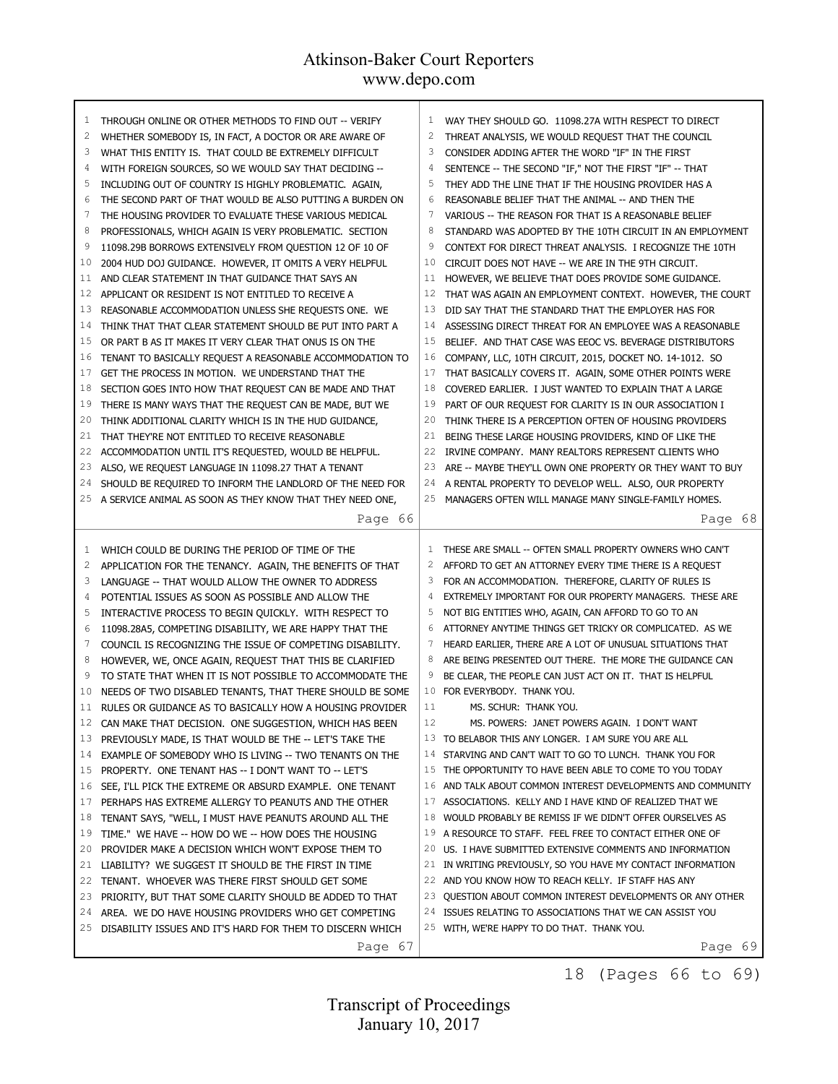| 1              | THROUGH ONLINE OR OTHER METHODS TO FIND OUT -- VERIFY     | 1              | WAY THEY SHOULD GO. 11098.27A WITH RESPECT TO DIRECT         |
|----------------|-----------------------------------------------------------|----------------|--------------------------------------------------------------|
| $\overline{c}$ | WHETHER SOMEBODY IS, IN FACT, A DOCTOR OR ARE AWARE OF    | $\overline{c}$ | THREAT ANALYSIS, WE WOULD REQUEST THAT THE COUNCIL           |
| 3              | WHAT THIS ENTITY IS. THAT COULD BE EXTREMELY DIFFICULT    | 3              | CONSIDER ADDING AFTER THE WORD "IF" IN THE FIRST             |
| 4              | WITH FOREIGN SOURCES, SO WE WOULD SAY THAT DECIDING --    | 4              | SENTENCE -- THE SECOND "IF," NOT THE FIRST "IF" -- THAT      |
| 5              | INCLUDING OUT OF COUNTRY IS HIGHLY PROBLEMATIC. AGAIN,    | 5              | THEY ADD THE LINE THAT IF THE HOUSING PROVIDER HAS A         |
| 6              | THE SECOND PART OF THAT WOULD BE ALSO PUTTING A BURDEN ON | 6              | REASONABLE BELIEF THAT THE ANIMAL -- AND THEN THE            |
| 7              | THE HOUSING PROVIDER TO EVALUATE THESE VARIOUS MEDICAL    | 7              | VARIOUS -- THE REASON FOR THAT IS A REASONABLE BELIEF        |
| 8              | PROFESSIONALS, WHICH AGAIN IS VERY PROBLEMATIC. SECTION   | 8              | STANDARD WAS ADOPTED BY THE 10TH CIRCUIT IN AN EMPLOYMENT    |
| 9              | 11098.29B BORROWS EXTENSIVELY FROM QUESTION 12 OF 10 OF   | 9              | CONTEXT FOR DIRECT THREAT ANALYSIS. I RECOGNIZE THE 10TH     |
| 10             | 2004 HUD DOJ GUIDANCE. HOWEVER, IT OMITS A VERY HELPFUL   | 10             | CIRCUIT DOES NOT HAVE -- WE ARE IN THE 9TH CIRCUIT.          |
| 11             | AND CLEAR STATEMENT IN THAT GUIDANCE THAT SAYS AN         | 11             | HOWEVER, WE BELIEVE THAT DOES PROVIDE SOME GUIDANCE.         |
| 12             | APPLICANT OR RESIDENT IS NOT ENTITLED TO RECEIVE A        | 12             | THAT WAS AGAIN AN EMPLOYMENT CONTEXT. HOWEVER, THE COURT     |
| 13             | REASONABLE ACCOMMODATION UNLESS SHE REQUESTS ONE. WE      | 13             | DID SAY THAT THE STANDARD THAT THE EMPLOYER HAS FOR          |
| 14             | THINK THAT THAT CLEAR STATEMENT SHOULD BE PUT INTO PART A | 14             | ASSESSING DIRECT THREAT FOR AN EMPLOYEE WAS A REASONABLE     |
| 15             | OR PART B AS IT MAKES IT VERY CLEAR THAT ONUS IS ON THE   | 15             | BELIEF. AND THAT CASE WAS EEOC VS. BEVERAGE DISTRIBUTORS     |
| 16             | TENANT TO BASICALLY REQUEST A REASONABLE ACCOMMODATION TO | 16             | COMPANY, LLC, 10TH CIRCUIT, 2015, DOCKET NO. 14-1012. SO     |
| 17             | GET THE PROCESS IN MOTION. WE UNDERSTAND THAT THE         | 17             | THAT BASICALLY COVERS IT. AGAIN, SOME OTHER POINTS WERE      |
| 18             | SECTION GOES INTO HOW THAT REQUEST CAN BE MADE AND THAT   | 18             | COVERED EARLIER. I JUST WANTED TO EXPLAIN THAT A LARGE       |
| 19             | THERE IS MANY WAYS THAT THE REQUEST CAN BE MADE, BUT WE   | 19             | PART OF OUR REQUEST FOR CLARITY IS IN OUR ASSOCIATION I      |
| 20             | THINK ADDITIONAL CLARITY WHICH IS IN THE HUD GUIDANCE,    | 20             | THINK THERE IS A PERCEPTION OFTEN OF HOUSING PROVIDERS       |
| 21             | THAT THEY'RE NOT ENTITLED TO RECEIVE REASONABLE           | 21             | BEING THESE LARGE HOUSING PROVIDERS, KIND OF LIKE THE        |
| 22             | ACCOMMODATION UNTIL IT'S REQUESTED, WOULD BE HELPFUL.     | 22             | IRVINE COMPANY. MANY REALTORS REPRESENT CLIENTS WHO          |
| 23             | ALSO, WE REQUEST LANGUAGE IN 11098.27 THAT A TENANT       | 23             | ARE -- MAYBE THEY'LL OWN ONE PROPERTY OR THEY WANT TO BUY    |
| 24             | SHOULD BE REQUIRED TO INFORM THE LANDLORD OF THE NEED FOR | 24             | A RENTAL PROPERTY TO DEVELOP WELL. ALSO, OUR PROPERTY        |
| 25             | A SERVICE ANIMAL AS SOON AS THEY KNOW THAT THEY NEED ONE, | 25             | MANAGERS OFTEN WILL MANAGE MANY SINGLE-FAMILY HOMES.         |
|                | Page 66                                                   |                | Page 68                                                      |
|                |                                                           |                |                                                              |
|                |                                                           |                |                                                              |
| 1              | WHICH COULD BE DURING THE PERIOD OF TIME OF THE           | 1              | THESE ARE SMALL -- OFTEN SMALL PROPERTY OWNERS WHO CAN'T     |
| $\overline{c}$ | APPLICATION FOR THE TENANCY. AGAIN, THE BENEFITS OF THAT  | 2              | AFFORD TO GET AN ATTORNEY EVERY TIME THERE IS A REQUEST      |
| 3              | LANGUAGE -- THAT WOULD ALLOW THE OWNER TO ADDRESS         | 3              | FOR AN ACCOMMODATION. THEREFORE, CLARITY OF RULES IS         |
| 4              | POTENTIAL ISSUES AS SOON AS POSSIBLE AND ALLOW THE        | 4              | EXTREMELY IMPORTANT FOR OUR PROPERTY MANAGERS. THESE ARE     |
| 5              | INTERACTIVE PROCESS TO BEGIN QUICKLY. WITH RESPECT TO     | 5              | NOT BIG ENTITIES WHO, AGAIN, CAN AFFORD TO GO TO AN          |
| 6              | 11098.28A5, COMPETING DISABILITY, WE ARE HAPPY THAT THE   | 6              | ATTORNEY ANYTIME THINGS GET TRICKY OR COMPLICATED. AS WE     |
| 7              | COUNCIL IS RECOGNIZING THE ISSUE OF COMPETING DISABILITY. | 7              | HEARD EARLIER, THERE ARE A LOT OF UNUSUAL SITUATIONS THAT    |
| 8              | HOWEVER, WE, ONCE AGAIN, REQUEST THAT THIS BE CLARIFIED   | 8              | ARE BEING PRESENTED OUT THERE. THE MORE THE GUIDANCE CAN     |
| 9              | TO STATE THAT WHEN IT IS NOT POSSIBLE TO ACCOMMODATE THE  | 9              | BE CLEAR, THE PEOPLE CAN JUST ACT ON IT. THAT IS HELPFUL     |
| 10             | NEEDS OF TWO DISABLED TENANTS, THAT THERE SHOULD BE SOME  | 10             | FOR EVERYBODY. THANK YOU.                                    |
| 11             | RULES OR GUIDANCE AS TO BASICALLY HOW A HOUSING PROVIDER  | 11             | MS. SCHUR: THANK YOU.                                        |
| 12             | CAN MAKE THAT DECISION. ONE SUGGESTION, WHICH HAS BEEN    | 12             | MS. POWERS: JANET POWERS AGAIN. I DON'T WANT                 |
| 13             | PREVIOUSLY MADE, IS THAT WOULD BE THE -- LET'S TAKE THE   |                | 13 TO BELABOR THIS ANY LONGER. I AM SURE YOU ARE ALL         |
| 14             | EXAMPLE OF SOMEBODY WHO IS LIVING -- TWO TENANTS ON THE   |                | 14 STARVING AND CAN'T WAIT TO GO TO LUNCH. THANK YOU FOR     |
| 15             | PROPERTY. ONE TENANT HAS -- I DON'T WANT TO -- LET'S      |                | 15 THE OPPORTUNITY TO HAVE BEEN ABLE TO COME TO YOU TODAY    |
| 16             | SEE, I'LL PICK THE EXTREME OR ABSURD EXAMPLE. ONE TENANT  | 16             | AND TALK ABOUT COMMON INTEREST DEVELOPMENTS AND COMMUNITY    |
| 17             | PERHAPS HAS EXTREME ALLERGY TO PEANUTS AND THE OTHER      | 17             | ASSOCIATIONS. KELLY AND I HAVE KIND OF REALIZED THAT WE      |
| 18             | TENANT SAYS, "WELL, I MUST HAVE PEANUTS AROUND ALL THE    |                | 18 WOULD PROBABLY BE REMISS IF WE DIDN'T OFFER OURSELVES AS  |
| 19             | TIME." WE HAVE -- HOW DO WE -- HOW DOES THE HOUSING       |                | 19 A RESOURCE TO STAFF. FEEL FREE TO CONTACT EITHER ONE OF   |
| 20             | PROVIDER MAKE A DECISION WHICH WON'T EXPOSE THEM TO       |                | 20 US. I HAVE SUBMITTED EXTENSIVE COMMENTS AND INFORMATION   |
| 21             | LIABILITY? WE SUGGEST IT SHOULD BE THE FIRST IN TIME      |                | 21 IN WRITING PREVIOUSLY, SO YOU HAVE MY CONTACT INFORMATION |
| 22             | TENANT. WHOEVER WAS THERE FIRST SHOULD GET SOME           | 22             | AND YOU KNOW HOW TO REACH KELLY. IF STAFF HAS ANY            |
| 23             | PRIORITY, BUT THAT SOME CLARITY SHOULD BE ADDED TO THAT   |                | 23 QUESTION ABOUT COMMON INTEREST DEVELOPMENTS OR ANY OTHER  |
| 24             | AREA. WE DO HAVE HOUSING PROVIDERS WHO GET COMPETING      |                | 24 ISSUES RELATING TO ASSOCIATIONS THAT WE CAN ASSIST YOU    |
| 25             | DISABILITY ISSUES AND IT'S HARD FOR THEM TO DISCERN WHICH |                | 25 WITH, WE'RE HAPPY TO DO THAT. THANK YOU.                  |

18 (Pages 66 to 69)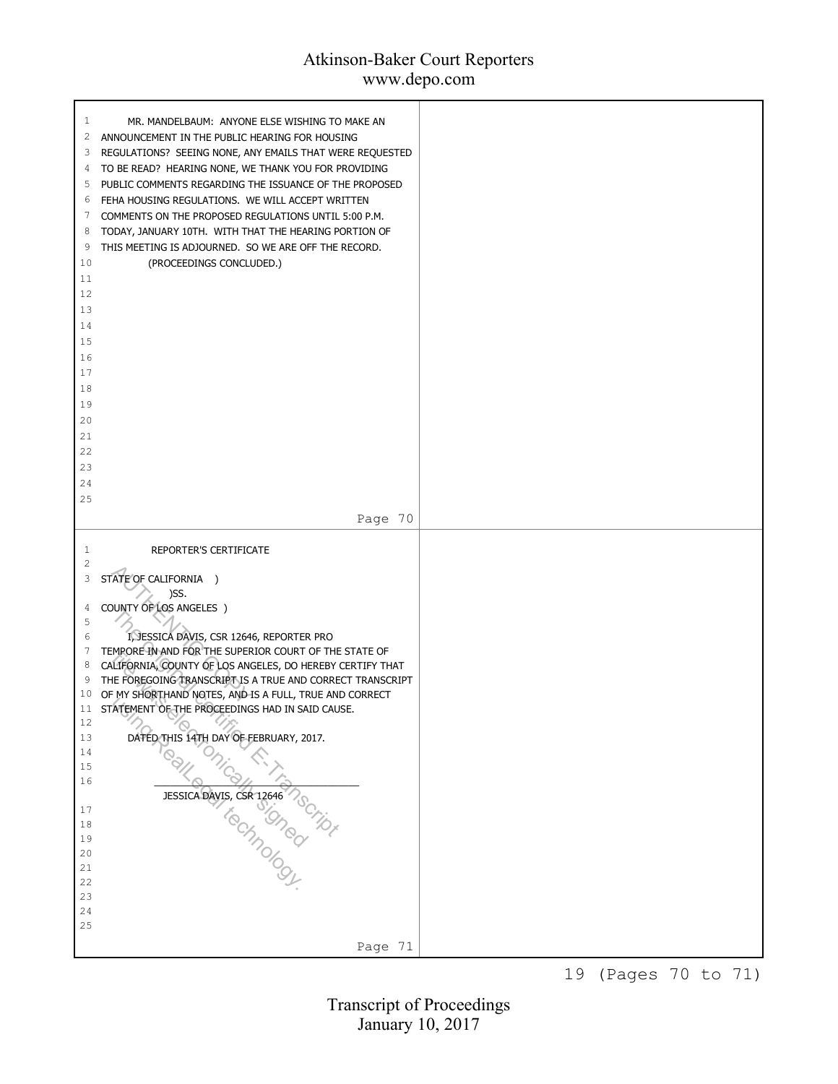# Atkinson-Baker Court Reporters

www.depo.com

| MR. MANDELBAUM: ANYONE ELSE WISHING TO MAKE AN<br>1<br>2<br>ANNOUNCEMENT IN THE PUBLIC HEARING FOR HOUSING<br>3<br>REGULATIONS? SEEING NONE, ANY EMAILS THAT WERE REQUESTED<br>TO BE READ? HEARING NONE, WE THANK YOU FOR PROVIDING<br>4<br>5<br>PUBLIC COMMENTS REGARDING THE ISSUANCE OF THE PROPOSED<br>FEHA HOUSING REGULATIONS. WE WILL ACCEPT WRITTEN<br>6<br>COMMENTS ON THE PROPOSED REGULATIONS UNTIL 5:00 P.M.<br>7<br>TODAY, JANUARY 10TH. WITH THAT THE HEARING PORTION OF<br>8<br>9<br>THIS MEETING IS ADJOURNED. SO WE ARE OFF THE RECORD.<br>10<br>(PROCEEDINGS CONCLUDED.)<br>11<br>12<br>13<br>14<br>15<br>16<br>17<br>18<br>19<br>20<br>21<br>22<br>23<br>24<br>25<br>Page 70 |  |
|-------------------------------------------------------------------------------------------------------------------------------------------------------------------------------------------------------------------------------------------------------------------------------------------------------------------------------------------------------------------------------------------------------------------------------------------------------------------------------------------------------------------------------------------------------------------------------------------------------------------------------------------------------------------------------------------------|--|
| <b>REPORTER'S CERTIFICATE</b><br>1<br>2                                                                                                                                                                                                                                                                                                                                                                                                                                                                                                                                                                                                                                                         |  |
| 3<br>STATE OF CALIFORNIA )<br>)SS.<br>COUNTY OF LOS ANGELES )<br>4                                                                                                                                                                                                                                                                                                                                                                                                                                                                                                                                                                                                                              |  |
| 5<br>I, JESSICA DAVIS, CSR 12646, REPORTER PRO<br>6<br>TEMPORE IN AND FOR THE SUPERIOR COURT OF THE STATE OF<br>7<br>CALIFORNIA, COUNTY OF LOS ANGELES, DO HEREBY CERTIFY THAT<br>8<br>THE FOREGOING TRANSCRIPT IS A TRUE AND CORRECT TRANSCRIPT<br>9<br>OF MY SHORTHAND NOTES, AND IS A FULL, TRUE AND CORRECT<br>10<br>STATEMENT OF THE PROCEEDINGS HAD IN SAID CAUSE.<br>11                                                                                                                                                                                                                                                                                                                  |  |
| $12\,$<br>DATED THIS 14TH DAY OF FEBRUARY, 2017.<br>13<br>14                                                                                                                                                                                                                                                                                                                                                                                                                                                                                                                                                                                                                                    |  |
| 15<br>16                                                                                                                                                                                                                                                                                                                                                                                                                                                                                                                                                                                                                                                                                        |  |
| 17<br>18<br>19<br>20<br>21<br>22                                                                                                                                                                                                                                                                                                                                                                                                                                                                                                                                                                                                                                                                |  |
| 23<br>24<br>25                                                                                                                                                                                                                                                                                                                                                                                                                                                                                                                                                                                                                                                                                  |  |
| Page 71                                                                                                                                                                                                                                                                                                                                                                                                                                                                                                                                                                                                                                                                                         |  |

19 (Pages 70 to 71)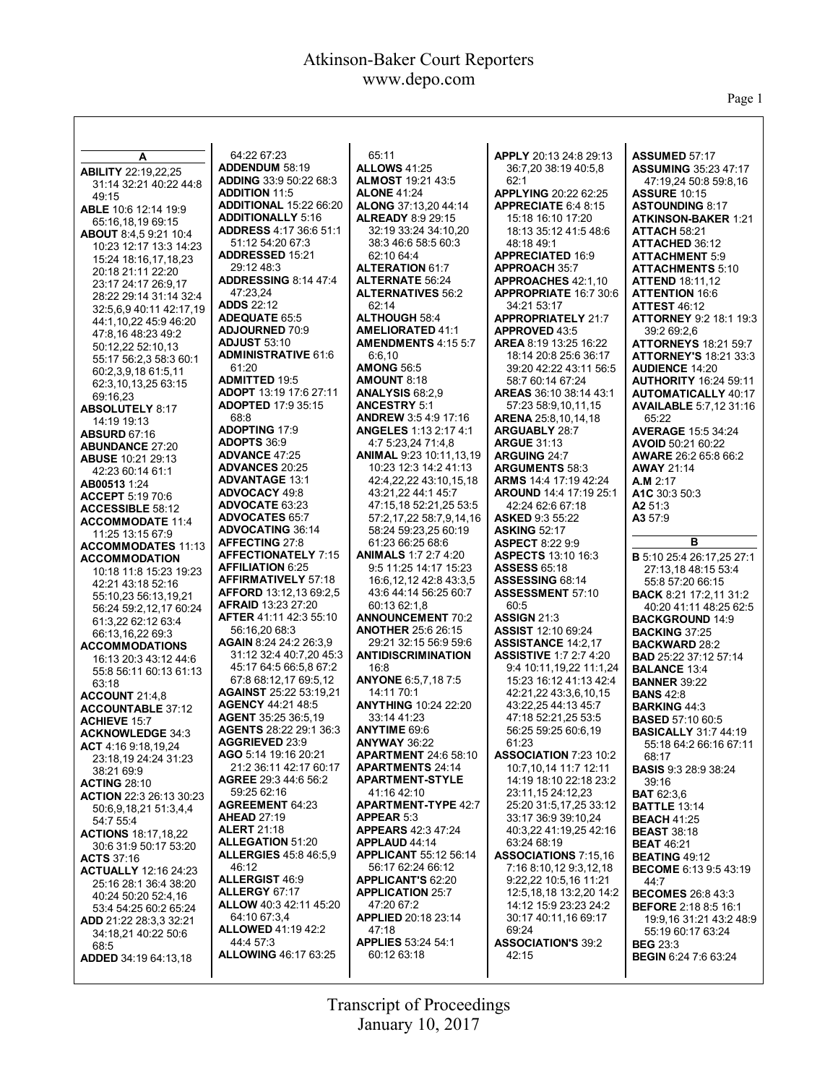$\mathsf{l}$ 

Page 1

| A                                            | 64:22 67:23                                             | 65:11                                                   | APPLY 20:13 24:8 29:13                            | <b>ASSUMED 57:17</b>                                    |
|----------------------------------------------|---------------------------------------------------------|---------------------------------------------------------|---------------------------------------------------|---------------------------------------------------------|
| <b>ABILITY 22:19,22,25</b>                   | <b>ADDENDUM 58:19</b>                                   | <b>ALLOWS 41:25</b>                                     | 36:7,20 38:19 40:5,8                              | <b>ASSUMING 35:23 47:17</b>                             |
| 31:14 32:21 40:22 44:8                       | ADDING 33:9 50:22 68:3                                  | <b>ALMOST 19:21 43:5</b>                                | 62:1                                              | 47:19.24 50:8 59:8.16                                   |
| 49:15                                        | <b>ADDITION 11:5</b>                                    | <b>ALONE 41:24</b>                                      | APPLYING 20:22 62:25                              | <b>ASSURE 10:15</b>                                     |
| ABLE 10:6 12:14 19:9                         | <b>ADDITIONAL 15:22 66:20</b>                           | ALONG 37:13,20 44:14                                    | APPRECIATE 6:4 8:15                               | <b>ASTOUNDING 8:17</b>                                  |
| 65:16,18,19 69:15                            | <b>ADDITIONALLY 5:16</b>                                | <b>ALREADY 8:9 29:15</b>                                | 15:18 16:10 17:20                                 | <b>ATKINSON-BAKER 1:21</b>                              |
| ABOUT 8:4.5 9:21 10:4                        | <b>ADDRESS 4:17 36:6 51:1</b>                           | 32:19 33:24 34:10,20                                    | 18:13 35:12 41:5 48:6                             | <b>ATTACH 58:21</b>                                     |
| 10:23 12:17 13:3 14:23                       | 51:12 54:20 67:3                                        | 38:3 46:6 58:5 60:3                                     | 48:18 49:1                                        | <b>ATTACHED 36:12</b>                                   |
| 15:24 18:16,17,18,23                         | <b>ADDRESSED 15:21</b>                                  | 62:10 64:4                                              | <b>APPRECIATED 16:9</b>                           | <b>ATTACHMENT 5:9</b>                                   |
| 20:18 21:11 22:20                            | 29:12 48:3                                              | <b>ALTERATION 61:7</b>                                  | <b>APPROACH 35:7</b>                              | <b>ATTACHMENTS 5:10</b>                                 |
| 23:17 24:17 26:9.17                          | <b>ADDRESSING 8:14 47:4</b>                             | <b>ALTERNATE 56:24</b>                                  | APPROACHES 42:1,10                                | <b>ATTEND 18:11,12</b>                                  |
| 28:22 29:14 31:14 32:4                       | 47:23.24                                                | <b>ALTERNATIVES 56:2</b>                                | <b>APPROPRIATE 16:7 30:6</b>                      | <b>ATTENTION 16:6</b>                                   |
| 32:5.6.9 40:11 42:17.19                      | <b>ADDS 22:12</b>                                       | 62:14                                                   | 34:21 53:17                                       | <b>ATTEST 46:12</b>                                     |
| 44:1,10,22 45:9 46:20                        | <b>ADEQUATE 65:5</b>                                    | <b>ALTHOUGH 58:4</b>                                    | <b>APPROPRIATELY 21:7</b>                         | <b>ATTORNEY 9:2 18:1 19:3</b>                           |
| 47:8,16 48:23 49:2                           | <b>ADJOURNED 70:9</b>                                   | <b>AMELIORATED 41:1</b>                                 | APPROVED 43:5                                     | 39:2 69:2,6                                             |
| 50:12,22 52:10,13                            | <b>ADJUST 53:10</b>                                     | <b>AMENDMENTS 4:15 5:7</b>                              | <b>AREA 8:19 13:25 16:22</b>                      | <b>ATTORNEYS</b> 18:21 59:7                             |
| 55:17 56:2,3 58:3 60:1                       | <b>ADMINISTRATIVE 61:6</b>                              | 6:6,10                                                  | 18:14 20:8 25:6 36:17                             | <b>ATTORNEY'S 18:21 33:3</b>                            |
| 60:2,3,9,18 61:5,11                          | 61:20                                                   | <b>AMONG 56:5</b>                                       | 39:20 42:22 43:11 56:5                            | <b>AUDIENCE 14:20</b>                                   |
| 62:3,10,13,25 63:15                          | <b>ADMITTED 19:5</b>                                    | <b>AMOUNT 8:18</b>                                      | 58:7 60:14 67:24                                  | <b>AUTHORITY 16:24 59:11</b>                            |
| 69:16,23                                     | <b>ADOPT 13:19 17:6 27:11</b>                           | <b>ANALYSIS 68:2,9</b>                                  | AREAS 36:10 38:14 43:1                            | <b>AUTOMATICALLY 40:17</b>                              |
| <b>ABSOLUTELY 8:17</b>                       | <b>ADOPTED 17:9 35:15</b>                               | <b>ANCESTRY 5:1</b>                                     | 57:23 58:9,10,11,15                               | <b>AVAILABLE 5:7,12 31:16</b>                           |
| 14:19 19:13                                  | 68:8                                                    | <b>ANDREW 3:5 4:9 17:16</b>                             | <b>ARENA</b> 25:8,10,14,18                        | 65:22                                                   |
| <b>ABSURD 67:16</b>                          | <b>ADOPTING 17:9</b>                                    | <b>ANGELES</b> 1:13 2:17 4:1                            | <b>ARGUABLY 28:7</b>                              | <b>AVERAGE 15:5 34:24</b>                               |
| <b>ABUNDANCE 27:20</b>                       | <b>ADOPTS 36:9</b><br><b>ADVANCE 47:25</b>              | 4:7 5:23,24 71:4,8                                      | <b>ARGUE 31:13</b>                                | AVOID 50:21 60:22                                       |
| <b>ABUSE 10:21 29:13</b>                     | <b>ADVANCES 20:25</b>                                   | <b>ANIMAL 9:23 10:11,13,19</b><br>10:23 12:3 14:2 41:13 | <b>ARGUING 24:7</b>                               | <b>AWARE 26:2 65:8 66:2</b>                             |
| 42:23 60:14 61:1                             | <b>ADVANTAGE 13:1</b>                                   |                                                         | <b>ARGUMENTS 58:3</b>                             | <b>AWAY 21:14</b>                                       |
| AB00513 1:24                                 | <b>ADVOCACY 49:8</b>                                    | 42:4,22,22 43:10,15,18<br>43:21.22 44:1 45:7            | <b>ARMS</b> 14:4 17:19 42:24                      | A.M 2:17                                                |
| <b>ACCEPT 5:19 70:6</b>                      | <b>ADVOCATE 63:23</b>                                   | 47:15,18 52:21,25 53:5                                  | <b>AROUND 14:4 17:19 25:1</b><br>42:24 62:6 67:18 | A1C 30:3 50:3<br>A2 51:3                                |
| <b>ACCESSIBLE 58:12</b>                      | <b>ADVOCATES 65:7</b>                                   | 57:2,17,22 58:7,9,14,16                                 | <b>ASKED 9:3 55:22</b>                            | A3 57:9                                                 |
| <b>ACCOMMODATE 11:4</b>                      | <b>ADVOCATING 36:14</b>                                 | 58:24 59:23,25 60:19                                    | <b>ASKING 52:17</b>                               |                                                         |
| 11:25 13:15 67:9                             | AFFECTING 27:8                                          | 61:23 66:25 68:6                                        | <b>ASPECT 8:22 9:9</b>                            | в                                                       |
| <b>ACCOMMODATES 11:13</b>                    | <b>AFFECTIONATELY 7:15</b>                              | <b>ANIMALS 1:7 2:7 4:20</b>                             | <b>ASPECTS 13:10 16:3</b>                         | B 5:10 25:4 26:17,25 27:1                               |
| <b>ACCOMMODATION</b>                         | <b>AFFILIATION 6:25</b>                                 | 9:5 11:25 14:17 15:23                                   | <b>ASSESS 65:18</b>                               | 27:13.18 48:15 53:4                                     |
| 10:18 11:8 15:23 19:23                       | <b>AFFIRMATIVELY 57:18</b>                              | 16:6, 12, 12 42:8 43:3,5                                | <b>ASSESSING 68:14</b>                            | 55:8 57:20 66:15                                        |
| 42:21 43:18 52:16                            | <b>AFFORD</b> 13:12,13 69:2,5                           | 43:6 44:14 56:25 60:7                                   | <b>ASSESSMENT 57:10</b>                           | <b>BACK 8:21 17:2,11 31:2</b>                           |
| 55:10,23 56:13,19,21                         | <b>AFRAID 13:23 27:20</b>                               | 60:13 62:1,8                                            | 60:5                                              | 40:20 41:11 48:25 62:5                                  |
| 56:24 59:2,12,17 60:24<br>61:3,22 62:12 63:4 | AFTER 41:11 42:3 55:10                                  | <b>ANNOUNCEMENT 70:2</b>                                | <b>ASSIGN 21:3</b>                                | <b>BACKGROUND 14:9</b>                                  |
| 66:13,16,22 69:3                             | 56:16,20 68:3                                           | <b>ANOTHER 25:6 26:15</b>                               | <b>ASSIST 12:10 69:24</b>                         | <b>BACKING 37:25</b>                                    |
| <b>ACCOMMODATIONS</b>                        | AGAIN 8:24 24:2 26:3,9                                  | 29:21 32:15 56:9 59:6                                   | <b>ASSISTANCE 14:2.17</b>                         | <b>BACKWARD 28:2</b>                                    |
| 16:13 20:3 43:12 44:6                        | 31:12 32:4 40:7,20 45:3                                 | <b>ANTIDISCRIMINATION</b>                               | <b>ASSISTIVE 1:7 2:7 4:20</b>                     | <b>BAD</b> 25:22 37:12 57:14                            |
| 55:8 56:11 60:13 61:13                       | 45:17 64:5 66:5.8 67:2                                  | 16:8                                                    | 9:4 10:11,19,22 11:1,24                           | <b>BALANCE 13:4</b>                                     |
| 63:18                                        | 67:8 68:12,17 69:5,12                                   | ANYONE 6:5,7,18 7:5                                     | 15:23 16:12 41:13 42:4                            | <b>BANNER 39:22</b>                                     |
| ACCOUNT 21:4,8                               | <b>AGAINST 25:22 53:19.21</b>                           | 14:11 70:1                                              | 42:21,22 43:3,6,10,15                             | <b>BANS 42:8</b>                                        |
| <b>ACCOUNTABLE 37:12</b>                     | <b>AGENCY 44:21 48:5</b>                                | <b>ANYTHING 10:24 22:20</b>                             | 43:22,25 44:13 45:7                               | <b>BARKING 44:3</b>                                     |
| <b>ACHIEVE 15:7</b>                          | AGENT 35:25 36:5,19                                     | 33:14 41:23                                             | 47:18 52:21,25 53:5                               | <b>BASED 57:10 60:5</b>                                 |
| <b>ACKNOWLEDGE 34:3</b>                      | AGENTS 28:22 29:1 36:3                                  | <b>ANYTIME 69:6</b>                                     | 56:25 59:25 60:6,19                               | <b>BASICALLY 31:7 44:19</b>                             |
| ACT 4:16 9:18,19,24                          | <b>AGGRIEVED 23:9</b>                                   | <b>ANYWAY 36:22</b>                                     | 61:23                                             | 55:18 64:2 66:16 67:11                                  |
| 23:18,19 24:24 31:23                         | AGO 5:14 19:16 20:21                                    | <b>APARTMENT 24:6 58:10</b>                             | ASSOCIATION 7:23 10:2                             | 68:17                                                   |
| 38:21 69:9                                   | 21:2 36:11 42:17 60:17                                  | <b>APARTMENTS 24:14</b>                                 | 10:7,10,14 11:7 12:11                             | <b>BASIS</b> 9:3 28:9 38:24                             |
| <b>ACTING 28:10</b>                          | AGREE 29:3 44:6 56:2                                    | <b>APARTMENT-STYLE</b>                                  | 14:19 18:10 22:18 23:2                            | 39:16                                                   |
| <b>ACTION 22:3 26:13 30:23</b>               | 59:25 62:16                                             | 41:16 42:10                                             | 23:11,15 24:12,23                                 | <b>BAT</b> 62:3,6                                       |
| 50:6,9,18,21 51:3,4,4                        | <b>AGREEMENT 64:23</b>                                  | <b>APARTMENT-TYPE 42:7</b>                              | 25:20 31:5,17,25 33:12                            | <b>BATTLE 13:14</b>                                     |
| 54:7 55:4                                    | <b>AHEAD 27:19</b>                                      | <b>APPEAR 5:3</b>                                       | 33:17 36:9 39:10,24                               | <b>BEACH 41:25</b>                                      |
| <b>ACTIONS 18:17,18,22</b>                   | <b>ALERT 21:18</b>                                      | <b>APPEARS</b> 42:3 47:24                               | 40:3,22 41:19,25 42:16                            | <b>BEAST 38:18</b>                                      |
| 30:6 31:9 50:17 53:20                        | <b>ALLEGATION 51:20</b><br><b>ALLERGIES</b> 45:8 46:5,9 | <b>APPLAUD 44:14</b><br><b>APPLICANT 55:12 56:14</b>    | 63:24 68:19<br>ASSOCIATIONS 7:15,16               | <b>BEAT 46:21</b>                                       |
| <b>ACTS 37:16</b>                            | 46:12                                                   | 56:17 62:24 66:12                                       | 7:16 8:10,12 9:3,12,18                            | <b>BEATING 49:12</b>                                    |
| <b>ACTUALLY 12:16 24:23</b>                  | <b>ALLERGIST 46:9</b>                                   | <b>APPLICANT'S 62:20</b>                                | 9:22.22 10:5.16 11:21                             | <b>BECOME 6:13 9:5 43:19</b>                            |
| 25:16 28:1 36:4 38:20                        | <b>ALLERGY 67:17</b>                                    | <b>APPLICATION 25:7</b>                                 | 12:5,18,18 13:2,20 14:2                           | 44:7                                                    |
| 40:24 50:20 52:4.16                          | ALLOW 40:3 42:11 45:20                                  | 47:20 67:2                                              | 14:12 15:9 23:23 24:2                             | <b>BECOMES 26:8 43:3</b><br><b>BEFORE</b> 2:18 8:5 16:1 |
| 53:4 54:25 60:2 65:24                        | 64:10 67:3.4                                            | APPLIED 20:18 23:14                                     | 30:17 40:11,16 69:17                              | 19:9,16 31:21 43:2 48:9                                 |
| ADD 21:22 28:3,3 32:21                       | <b>ALLOWED 41:19 42:2</b>                               | 47:18                                                   | 69:24                                             | 55:19 60:17 63:24                                       |
| 34:18,21 40:22 50:6<br>68:5                  | 44:4 57:3                                               | <b>APPLIES</b> 53:24 54:1                               | <b>ASSOCIATION'S 39:2</b>                         | <b>BEG 23:3</b>                                         |
| <b>ADDED</b> 34:19 64:13,18                  | <b>ALLOWING 46:17 63:25</b>                             | 60:12 63:18                                             | 42:15                                             | <b>BEGIN 6:24 7:6 63:24</b>                             |
|                                              |                                                         |                                                         |                                                   |                                                         |
|                                              |                                                         |                                                         |                                                   |                                                         |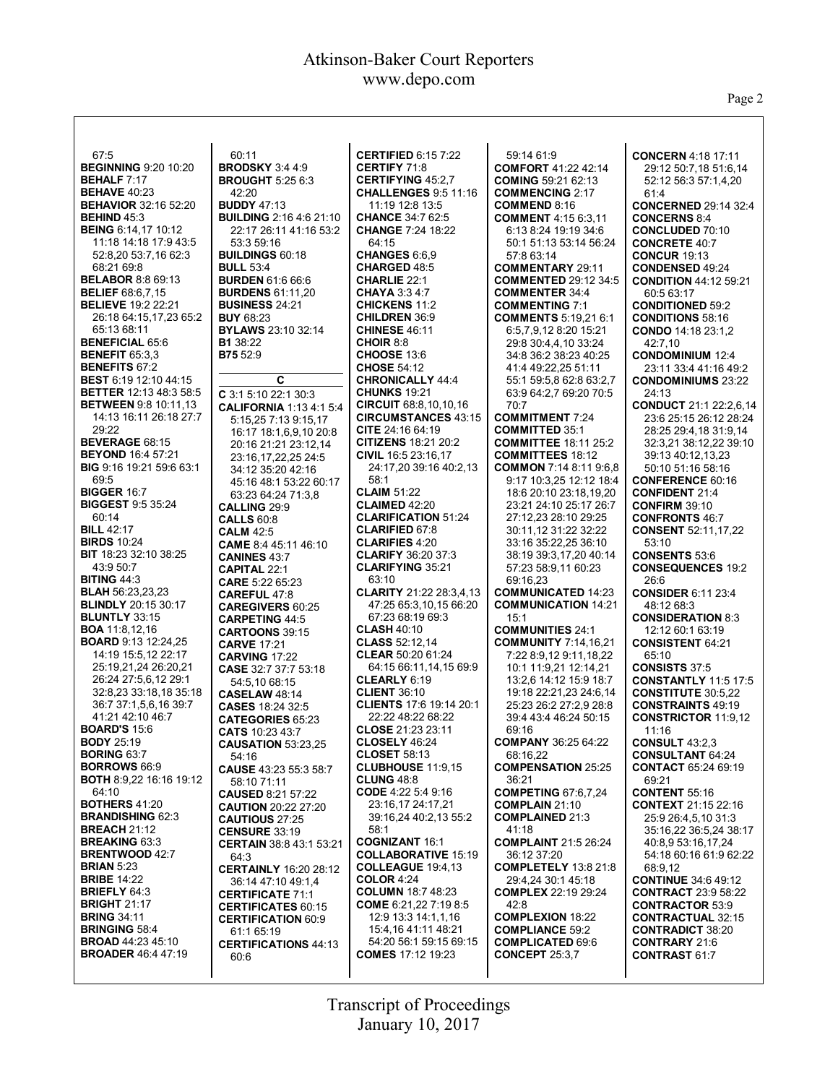Page 2

| 67:5                                                 | 60:11                                              | <b>CERTIFIED 6:15 7:22</b>                  | 59:14 61:9                                           | <b>CONCERN 4:18 17:11</b>                           |
|------------------------------------------------------|----------------------------------------------------|---------------------------------------------|------------------------------------------------------|-----------------------------------------------------|
| <b>BEGINNING 9:20 10:20</b>                          | <b>BRODSKY 3:4 4:9</b>                             | <b>CERTIFY 71:8</b>                         | <b>COMFORT 41:22 42:14</b>                           | 29:12 50:7,18 51:6,14                               |
| <b>BEHALF 7:17</b>                                   | <b>BROUGHT 5:25 6:3</b>                            | <b>CERTIFYING 45:2.7</b>                    | <b>COMING 59:21 62:13</b>                            | 52:12 56:3 57:1,4,20                                |
| <b>BEHAVE 40:23</b>                                  | 42:20                                              | <b>CHALLENGES 9:5 11:16</b>                 | <b>COMMENCING 2:17</b>                               | 61:4                                                |
| <b>BEHAVIOR 32:16 52:20</b>                          | <b>BUDDY 47:13</b>                                 | 11:19 12:8 13:5                             | <b>COMMEND 8:16</b>                                  | <b>CONCERNED 29:14 32:4</b>                         |
| <b>BEHIND 45:3</b>                                   | <b>BUILDING 2:16 4:6 21:10</b>                     | <b>CHANCE 34:7 62:5</b>                     | <b>COMMENT</b> 4:15 6:3,11                           | <b>CONCERNS 8:4</b>                                 |
| <b>BEING 6:14,17 10:12</b>                           | 22:17 26:11 41:16 53:2                             | <b>CHANGE 7:24 18:22</b>                    | 6:13 8:24 19:19 34:6                                 | <b>CONCLUDED 70:10</b>                              |
| 11:18 14:18 17:9 43:5                                | 53:3 59:16                                         | 64:15                                       | 50:1 51:13 53:14 56:24                               | <b>CONCRETE 40:7</b>                                |
| 52:8,20 53:7,16 62:3                                 | <b>BUILDINGS 60:18</b>                             | <b>CHANGES 6:6.9</b>                        | 57:8 63:14                                           | <b>CONCUR 19:13</b>                                 |
| 68:21 69:8                                           | <b>BULL 53:4</b>                                   | <b>CHARGED 48:5</b>                         | <b>COMMENTARY 29:11</b>                              | <b>CONDENSED 49:24</b>                              |
| <b>BELABOR 8:8 69:13</b>                             | <b>BURDEN 61:6 66:6</b>                            | <b>CHARLIE 22:1</b>                         | <b>COMMENTED 29:12 34:5</b>                          | <b>CONDITION 44:12 59:21</b>                        |
| <b>BELIEF 68:6,7,15</b><br><b>BELIEVE</b> 19:2 22:21 | <b>BURDENS 61:11.20</b><br><b>BUSINESS 24:21</b>   | <b>CHAYA 3:34:7</b><br><b>CHICKENS 11:2</b> | <b>COMMENTER 34:4</b>                                | 60:5 63:17                                          |
| 26:18 64:15,17,23 65:2                               | <b>BUY 68:23</b>                                   | <b>CHILDREN 36:9</b>                        | <b>COMMENTING 7:1</b><br><b>COMMENTS 5:19,21 6:1</b> | <b>CONDITIONED 59:2</b><br><b>CONDITIONS 58:16</b>  |
| 65:13 68:11                                          | <b>BYLAWS 23:10 32:14</b>                          | <b>CHINESE 46:11</b>                        | 6:5,7,9,12 8:20 15:21                                | CONDO 14:18 23:1,2                                  |
| <b>BENEFICIAL 65:6</b>                               | <b>B1</b> 38:22                                    | CHOIR 8:8                                   | 29:8 30:4,4,10 33:24                                 | 42:7,10                                             |
| <b>BENEFIT 65:3.3</b>                                | <b>B75</b> 52:9                                    | <b>CHOOSE 13:6</b>                          | 34:8 36:2 38:23 40:25                                | <b>CONDOMINIUM 12:4</b>                             |
| <b>BENEFITS 67:2</b>                                 |                                                    | <b>CHOSE 54:12</b>                          | 41:4 49:22,25 51:11                                  | 23:11 33:4 41:16 49:2                               |
| BEST 6:19 12:10 44:15                                | C                                                  | <b>CHRONICALLY 44:4</b>                     | 55:1 59:5,8 62:8 63:2,7                              | <b>CONDOMINIUMS 23:22</b>                           |
| <b>BETTER 12:13 48:3 58:5</b>                        | C 3:1 5:10 22:1 30:3                               | <b>CHUNKS 19:21</b>                         | 63:9 64:2,7 69:20 70:5                               | 24:13                                               |
| <b>BETWEEN</b> 9:8 10:11.13                          | <b>CALIFORNIA 1:13 4:1 5:4</b>                     | CIRCUIT 68:8,10,10,16                       | 70:7                                                 | <b>CONDUCT 21:1 22:2.6.14</b>                       |
| 14:13 16:11 26:18 27:7                               | 5:15,25 7:13 9:15,17                               | <b>CIRCUMSTANCES 43:15</b>                  | <b>COMMITMENT 7:24</b>                               | 23:6 25:15 26:12 28:24                              |
| 29:22                                                | 16:17 18:1,6,9,10 20:8                             | CITE $24:1664:19$                           | <b>COMMITTED 35:1</b>                                | 28:25 29:4,18 31:9,14                               |
| <b>BEVERAGE 68:15</b>                                | 20:16 21:21 23:12,14                               | <b>CITIZENS 18:21 20:2</b>                  | <b>COMMITTEE 18:11 25:2</b>                          | 32:3,21 38:12,22 39:10                              |
| <b>BEYOND 16:4 57:21</b>                             | 23:16.17.22.25 24:5                                | CIVIL 16:5 23:16.17                         | <b>COMMITTEES 18:12</b>                              | 39:13 40:12,13,23                                   |
| <b>BIG</b> 9:16 19:21 59:6 63:1                      | 34:12 35:20 42:16                                  | 24:17,20 39:16 40:2,13                      | <b>COMMON 7:14 8:11 9:6.8</b>                        | 50:10 51:16 58:16                                   |
| 69:5                                                 | 45:16 48:1 53:22 60:17                             | 58:1                                        | 9:17 10:3,25 12:12 18:4                              | <b>CONFERENCE 60:16</b>                             |
| <b>BIGGER 16:7</b><br><b>BIGGEST 9:5 35:24</b>       | 63:23 64:24 71:3.8                                 | <b>CLAIM 51:22</b><br><b>CLAIMED 42:20</b>  | 18:6 20:10 23:18,19,20                               | <b>CONFIDENT 21:4</b>                               |
| 60:14                                                | CALLING 29:9                                       | <b>CLARIFICATION 51:24</b>                  | 23:21 24:10 25:17 26:7<br>27:12,23 28:10 29:25       | <b>CONFIRM 39:10</b><br><b>CONFRONTS 46:7</b>       |
| <b>BILL 42:17</b>                                    | <b>CALLS 60:8</b>                                  | <b>CLARIFIED 67:8</b>                       | 30:11.12 31:22 32:22                                 | <b>CONSENT</b> 52:11,17,22                          |
| <b>BIRDS 10:24</b>                                   | <b>CALM 42:5</b><br>CAME 8:4 45:11 46:10           | <b>CLARIFIES 4:20</b>                       | 33:16 35:22,25 36:10                                 | 53:10                                               |
| <b>BIT</b> 18:23 32:10 38:25                         | <b>CANINES 43:7</b>                                | <b>CLARIFY 36:20 37:3</b>                   | 38:19 39:3,17,20 40:14                               | <b>CONSENTS 53:6</b>                                |
| 43:9 50:7                                            | <b>CAPITAL 22:1</b>                                | <b>CLARIFYING 35:21</b>                     | 57:23 58:9,11 60:23                                  | <b>CONSEQUENCES 19:2</b>                            |
| <b>BITING 44:3</b>                                   | <b>CARE 5:22 65:23</b>                             | 63:10                                       | 69:16,23                                             | 26:6                                                |
| <b>BLAH</b> 56:23,23,23                              | <b>CAREFUL 47:8</b>                                | <b>CLARITY 21:22 28:3.4.13</b>              | <b>COMMUNICATED 14:23</b>                            | <b>CONSIDER 6:11 23:4</b>                           |
| <b>BLINDLY 20:15 30:17</b>                           | <b>CAREGIVERS 60:25</b>                            | 47:25 65:3,10,15 66:20                      | <b>COMMUNICATION 14:21</b>                           | 48:12 68:3                                          |
| <b>BLUNTLY 33:15</b>                                 | <b>CARPETING 44:5</b>                              | 67:23 68:19 69:3                            | 15:1                                                 | <b>CONSIDERATION 8:3</b>                            |
| <b>BOA</b> 11:8,12,16                                | <b>CARTOONS</b> 39:15                              | <b>CLASH 40:10</b>                          | <b>COMMUNITIES 24:1</b>                              | 12:12 60:1 63:19                                    |
| <b>BOARD 9:13 12:24,25</b>                           | <b>CARVE 17:21</b>                                 | <b>CLASS</b> 52:12,14                       | <b>COMMUNITY 7:14,16,21</b>                          | <b>CONSISTENT 64:21</b>                             |
| 14:19 15:5,12 22:17                                  | <b>CARVING 17:22</b>                               | <b>CLEAR 50:20 61:24</b>                    | 7:22 8:9,12 9:11,18,22                               | 65:10                                               |
| 25:19,21,24 26:20,21                                 | CASE 32:7 37:7 53:18                               | 64:15 66:11,14,15 69:9<br>CLEARLY 6:19      | 10:1 11:9,21 12:14,21                                | <b>CONSISTS 37:5</b><br><b>CONSTANTLY 11:5 17:5</b> |
| 26:24 27:5,6,12 29:1<br>32:8,23 33:18,18 35:18       | 54:5,10 68:15                                      | <b>CLIENT 36:10</b>                         | 13:2.6 14:12 15:9 18:7<br>19:18 22:21,23 24:6,14     | <b>CONSTITUTE 30:5.22</b>                           |
| 36:7 37:1,5,6,16 39:7                                | CASELAW 48:14                                      | <b>CLIENTS 17:6 19:14 20:1</b>              | 25:23 26:2 27:2,9 28:8                               | <b>CONSTRAINTS 49:19</b>                            |
| 41:21 42:10 46:7                                     | CASES 18:24 32:5<br><b>CATEGORIES 65:23</b>        | 22:22 48:22 68:22                           | 39:4 43:4 46:24 50:15                                | <b>CONSTRICTOR 11:9,12</b>                          |
| <b>BOARD'S 15:6</b>                                  | CATS 10:23 43:7                                    | CLOSE 21:23 23:11                           | 69:16                                                | 11:16                                               |
| <b>BODY 25:19</b>                                    | <b>CAUSATION 53:23,25</b>                          | <b>CLOSELY 46:24</b>                        | <b>COMPANY 36:25 64:22</b>                           | <b>CONSULT 43:2,3</b>                               |
| <b>BORING 63:7</b>                                   | 54:16                                              | <b>CLOSET 58:13</b>                         | 68:16,22                                             | <b>CONSULTANT 64:24</b>                             |
| <b>BORROWS 66:9</b>                                  | <b>CAUSE 43:23 55:3 58:7</b>                       | <b>CLUBHOUSE 11:9,15</b>                    | <b>COMPENSATION 25:25</b>                            | <b>CONTACT 65:24 69:19</b>                          |
| <b>BOTH 8:9,22 16:16 19:12</b>                       | 58:10 71:11                                        | <b>CLUNG 48:8</b>                           | 36:21                                                | 69:21                                               |
| 64:10                                                | <b>CAUSED 8:21 57:22</b>                           | CODE 4:22 5:4 9:16                          | <b>COMPETING 67:6,7,24</b>                           | <b>CONTENT 55:16</b>                                |
| <b>BOTHERS 41:20</b>                                 | <b>CAUTION 20:22 27:20</b>                         | 23:16,17 24:17,21                           | <b>COMPLAIN 21:10</b>                                | <b>CONTEXT 21:15 22:16</b>                          |
| <b>BRANDISHING 62:3</b>                              | CAUTIOUS 27:25                                     | 39:16.24 40:2.13 55:2                       | <b>COMPLAINED 21:3</b>                               | 25:9 26:4,5,10 31:3                                 |
| <b>BREACH 21:12</b>                                  | <b>CENSURE 33:19</b>                               | 58:1<br><b>COGNIZANT 16:1</b>               | 41:18                                                | 35:16,22 36:5,24 38:17                              |
| <b>BREAKING 63:3</b><br><b>BRENTWOOD 42:7</b>        | CERTAIN 38:8 43:1 53:21                            | <b>COLLABORATIVE 15:19</b>                  | <b>COMPLAINT 21:5 26:24</b><br>36:12 37:20           | 40:8.9 53:16.17.24<br>54:18 60:16 61:9 62:22        |
| <b>BRIAN 5:23</b>                                    | 64:3                                               | <b>COLLEAGUE 19:4,13</b>                    | <b>COMPLETELY 13:8 21:8</b>                          | 68:9,12                                             |
| <b>BRIBE 14:22</b>                                   | <b>CERTAINLY 16:20 28:12</b><br>36:14 47:10 49:1.4 | <b>COLOR 4:24</b>                           | 29:4,24 30:1 45:18                                   | <b>CONTINUE 34:6 49:12</b>                          |
| <b>BRIEFLY 64:3</b>                                  | <b>CERTIFICATE 71:1</b>                            | <b>COLUMN</b> 18:7 48:23                    | <b>COMPLEX 22:19 29:24</b>                           | <b>CONTRACT 23:9 58:22</b>                          |
| <b>BRIGHT 21:17</b>                                  | <b>CERTIFICATES 60:15</b>                          | <b>COME</b> 6:21,22 7:19 8:5                | 42:8                                                 | <b>CONTRACTOR 53:9</b>                              |
| <b>BRING 34:11</b>                                   | <b>CERTIFICATION 60:9</b>                          | 12:9 13:3 14:1,1,16                         | <b>COMPLEXION 18:22</b>                              | <b>CONTRACTUAL 32:15</b>                            |
| <b>BRINGING 58:4</b>                                 | 61:1 65:19                                         | 15:4,16 41:11 48:21                         | <b>COMPLIANCE 59:2</b>                               | <b>CONTRADICT 38:20</b>                             |
| <b>BROAD</b> 44:23 45:10                             | <b>CERTIFICATIONS 44:13</b>                        | 54:20 56:1 59:15 69:15                      | <b>COMPLICATED 69:6</b>                              | <b>CONTRARY 21:6</b>                                |
| <b>BROADER</b> 46:4 47:19                            | 60:6                                               | <b>COMES</b> 17:12 19:23                    | <b>CONCEPT 25:3,7</b>                                | <b>CONTRAST 61:7</b>                                |
|                                                      |                                                    |                                             |                                                      |                                                     |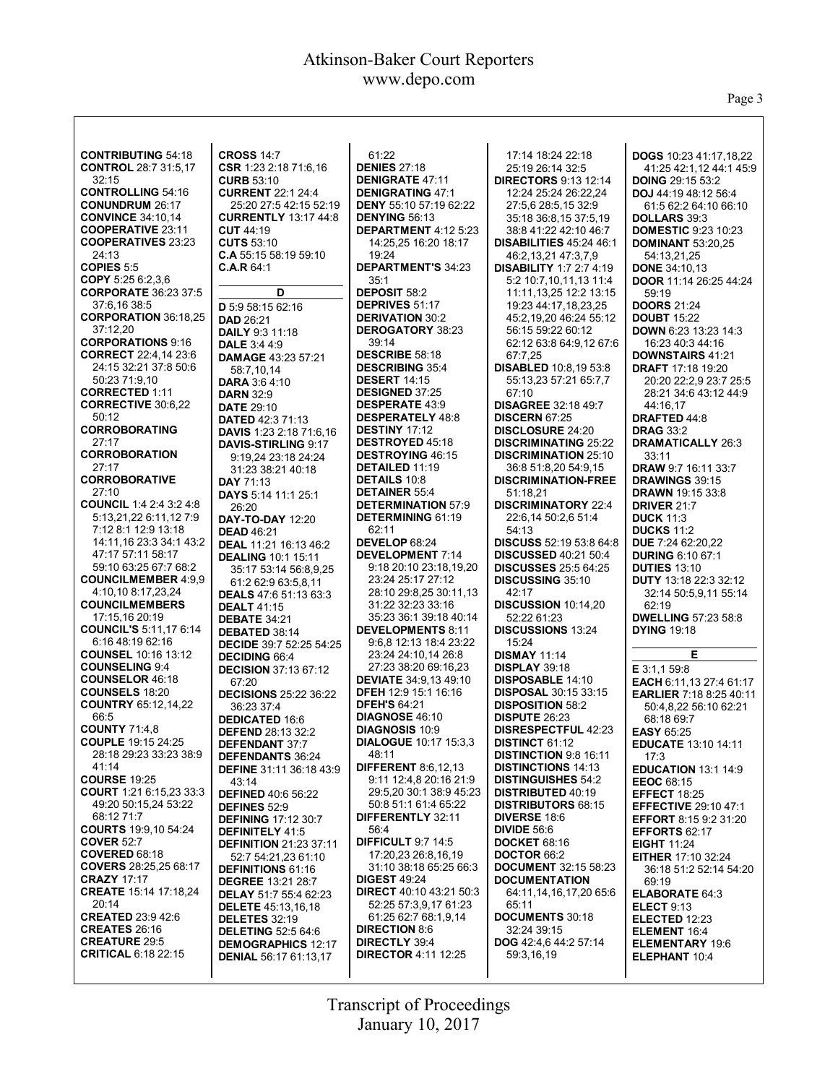Page 3

| <b>CONTRIBUTING 54:18</b>                          | <b>CROSS 14:7</b>                                 | 61:22                                                       | 17:14 18:24 22:18                                      | DOGS 10:23 41:17,18,22                        |
|----------------------------------------------------|---------------------------------------------------|-------------------------------------------------------------|--------------------------------------------------------|-----------------------------------------------|
| <b>CONTROL 28:7 31:5,17</b>                        | CSR 1:23 2:18 71:6,16                             | <b>DENIES 27:18</b>                                         | 25:19 26:14 32:5                                       | 41:25 42:1,12 44:1 45:9                       |
| 32:15                                              | <b>CURB 53:10</b>                                 | <b>DENIGRATE 47:11</b>                                      | <b>DIRECTORS 9:13 12:14</b>                            | <b>DOING 29:15 53:2</b>                       |
| <b>CONTROLLING 54:16</b>                           | <b>CURRENT 22:1 24:4</b>                          | <b>DENIGRATING 47:1</b>                                     | 12:24 25:24 26:22,24                                   | DOJ 44:19 48:12 56:4                          |
| <b>CONUNDRUM 26:17</b>                             | 25:20 27:5 42:15 52:19                            | <b>DENY 55:10 57:19 62:22</b>                               | 27:5,6 28:5,15 32:9                                    | 61:5 62:2 64:10 66:10                         |
| <b>CONVINCE 34:10.14</b>                           | <b>CURRENTLY 13:17 44:8</b>                       | <b>DENYING 56:13</b>                                        | 35:18 36:8,15 37:5,19                                  | DOLLARS 39:3                                  |
| <b>COOPERATIVE 23:11</b>                           | <b>CUT 44:19</b>                                  | DEPARTMENT 4:12 5:23                                        | 38:8 41:22 42:10 46:7                                  | <b>DOMESTIC 9:23 10:23</b>                    |
| <b>COOPERATIVES 23:23</b>                          | <b>CUTS 53:10</b>                                 | 14:25.25 16:20 18:17                                        | <b>DISABILITIES 45:24 46:1</b>                         | <b>DOMINANT 53:20,25</b>                      |
| 24:13                                              | C.A 55:15 58:19 59:10                             | 19:24                                                       | 46:2,13,21 47:3,7,9                                    | 54:13,21,25                                   |
| COPIES 5:5                                         | C.A.R 64:1                                        | <b>DEPARTMENT'S 34:23</b>                                   | <b>DISABILITY 1:7 2:7 4:19</b>                         | <b>DONE 34:10,13</b>                          |
| COPY 5:25 6:2,3,6<br><b>CORPORATE 36:23 37:5</b>   | D                                                 | 35:1<br><b>DEPOSIT 58:2</b>                                 | 5:2 10:7,10,11,13 11:4                                 | DOOR 11:14 26:25 44:24                        |
| 37:6,16 38:5                                       |                                                   | <b>DEPRIVES 51:17</b>                                       | 11:11,13,25 12:2 13:15<br>19:23 44:17,18,23,25         | 59:19<br><b>DOORS 21:24</b>                   |
| <b>CORPORATION 36:18,25</b>                        | D 5:9 58:15 62:16                                 | <b>DERIVATION 30:2</b>                                      | 45:2,19,20 46:24 55:12                                 | <b>DOUBT</b> 15:22                            |
| 37:12,20                                           | <b>DAD 26:21</b><br><b>DAILY 9:3 11:18</b>        | <b>DEROGATORY 38:23</b>                                     | 56:15 59:22 60:12                                      | <b>DOWN 6:23 13:23 14:3</b>                   |
| <b>CORPORATIONS 9:16</b>                           | <b>DALE</b> 3:4 4:9                               | 39:14                                                       | 62:12 63:8 64:9,12 67:6                                | 16:23 40:3 44:16                              |
| <b>CORRECT</b> 22:4,14 23:6                        | <b>DAMAGE 43:23 57:21</b>                         | <b>DESCRIBE 58:18</b>                                       | 67:7,25                                                | <b>DOWNSTAIRS 41:21</b>                       |
| 24:15 32:21 37:8 50:6                              | 58:7,10,14                                        | <b>DESCRIBING 35:4</b>                                      | <b>DISABLED</b> 10:8,19 53:8                           | <b>DRAFT 17:18 19:20</b>                      |
| 50:23 71:9,10                                      | <b>DARA 3:64:10</b>                               | <b>DESERT 14:15</b>                                         | 55:13,23 57:21 65:7,7                                  | 20:20 22:2,9 23:7 25:5                        |
| <b>CORRECTED 1:11</b>                              | <b>DARN 32:9</b>                                  | <b>DESIGNED 37:25</b>                                       | 67:10                                                  | 28:21 34:6 43:12 44:9                         |
| <b>CORRECTIVE 30:6,22</b>                          | <b>DATE 29:10</b>                                 | <b>DESPERATE 43:9</b>                                       | <b>DISAGREE 32:18 49:7</b>                             | 44:16.17                                      |
| 50:12                                              | <b>DATED 42:3 71:13</b>                           | <b>DESPERATELY 48:8</b>                                     | <b>DISCERN 67:25</b>                                   | DRAFTED 44:8                                  |
| <b>CORROBORATING</b>                               | <b>DAVIS</b> 1:23 2:18 71:6.16                    | DESTINY 17:12                                               | <b>DISCLOSURE 24:20</b>                                | <b>DRAG 33:2</b>                              |
| 27:17                                              | <b>DAVIS-STIRLING 9:17</b>                        | <b>DESTROYED 45:18</b>                                      | <b>DISCRIMINATING 25:22</b>                            | <b>DRAMATICALLY 26:3</b>                      |
| <b>CORROBORATION</b>                               | 9:19.24 23:18 24:24                               | <b>DESTROYING 46:15</b>                                     | <b>DISCRIMINATION 25:10</b>                            | 33:11                                         |
| 27:17                                              | 31:23 38:21 40:18                                 | <b>DETAILED 11:19</b>                                       | 36:8 51:8.20 54:9.15                                   | <b>DRAW 9:7 16:11 33:7</b>                    |
| <b>CORROBORATIVE</b>                               | <b>DAY 71:13</b>                                  | <b>DETAILS 10:8</b>                                         | <b>DISCRIMINATION-FREE</b>                             | <b>DRAWINGS 39:15</b>                         |
| 27:10<br><b>COUNCIL 1:4 2:4 3:2 4:8</b>            | <b>DAYS</b> 5:14 11:1 25:1                        | <b>DETAINER 55:4</b><br><b>DETERMINATION 57:9</b>           | 51:18.21<br><b>DISCRIMINATORY 22:4</b>                 | <b>DRAWN 19:15 33:8</b><br><b>DRIVER 21:7</b> |
| 5:13.21.22 6:11.12 7:9                             | 26:20<br><b>DAY-TO-DAY 12:20</b>                  | <b>DETERMINING 61:19</b>                                    | 22:6,14 50:2,6 51:4                                    | <b>DUCK 11:3</b>                              |
| 7:12 8:1 12:9 13:18                                | <b>DEAD 46:21</b>                                 | 62:11                                                       | 54:13                                                  | <b>DUCKS 11:2</b>                             |
| 14:11.16 23:3 34:1 43:2                            | DEAL 11:21 16:13 46:2                             | DEVELOP 68:24                                               | <b>DISCUSS</b> 52:19 53:8 64:8                         | DUE 7:24 62:20,22                             |
| 47:17 57:11 58:17                                  | <b>DEALING 10:1 15:11</b>                         | <b>DEVELOPMENT 7:14</b>                                     | <b>DISCUSSED 40:21 50:4</b>                            | <b>DURING 6:10 67:1</b>                       |
| 59:10 63:25 67:7 68:2                              | 35:17 53:14 56:8,9,25                             | 9:18 20:10 23:18,19,20                                      | <b>DISCUSSES</b> 25:5 64:25                            | <b>DUTIES 13:10</b>                           |
| <b>COUNCILMEMBER 4:9.9</b>                         | 61:2 62:9 63:5,8,11                               | 23:24 25:17 27:12                                           | <b>DISCUSSING 35:10</b>                                | <b>DUTY</b> 13:18 22:3 32:12                  |
| 4:10,10 8:17,23,24                                 | <b>DEALS</b> 47:6 51:13 63:3                      | 28:10 29:8,25 30:11,13                                      | 42:17                                                  | 32:14 50:5,9,11 55:14                         |
| <b>COUNCILMEMBERS</b>                              | <b>DEALT 41:15</b>                                | 31:22 32:23 33:16                                           | <b>DISCUSSION 10:14,20</b>                             | 62:19                                         |
| 17:15,16 20:19                                     | <b>DEBATE 34:21</b>                               | 35:23 36:1 39:18 40:14                                      | 52:22 61:23                                            | <b>DWELLING 57:23 58:8</b>                    |
| <b>COUNCIL'S 5:11,17 6:14</b>                      | DEBATED 38:14                                     | <b>DEVELOPMENTS 8:11</b>                                    | <b>DISCUSSIONS 13:24</b>                               | <b>DYING 19:18</b>                            |
| 6:16 48:19 62:16                                   | <b>DECIDE</b> 39:7 52:25 54:25                    | 9:6.8 12:13 18:4 23:22                                      | 15:24                                                  |                                               |
| <b>COUNSEL 10:16 13:12</b>                         | <b>DECIDING 66:4</b>                              | 23:24 24:10.14 26:8                                         | <b>DISMAY 11:14</b>                                    | Е                                             |
| <b>COUNSELING 9:4</b>                              | <b>DECISION 37:13 67:12</b>                       | 27:23 38:20 69:16,23                                        | <b>DISPLAY 39:18</b>                                   | E 3:1,1 59:8                                  |
| <b>COUNSELOR 46:18</b><br><b>COUNSELS 18:20</b>    | 67:20                                             | <b>DEVIATE</b> 34:9,13 49:10<br><b>DFEH 12:9 15:1 16:16</b> | <b>DISPOSABLE 14:10</b>                                | EACH 6:11,13 27:4 61:17                       |
| <b>COUNTRY 65:12,14,22</b>                         | <b>DECISIONS 25:22 36:22</b>                      | <b>DFEH'S 64:21</b>                                         | <b>DISPOSAL 30:15 33:15</b><br><b>DISPOSITION 58:2</b> | <b>EARLIER 7:18 8:25 40:11</b>                |
| 66:5                                               | 36:23 37:4                                        | DIAGNOSE 46:10                                              | <b>DISPUTE 26:23</b>                                   | 50:4,8,22 56:10 62:21                         |
| <b>COUNTY 71:4,8</b>                               | <b>DEDICATED 16:6</b><br><b>DEFEND 28:13 32:2</b> | <b>DIAGNOSIS 10:9</b>                                       | <b>DISRESPECTFUL 42:23</b>                             | 68:18 69:7<br><b>EASY 65:25</b>               |
| <b>COUPLE</b> 19:15 24:25                          | <b>DEFENDANT 37:7</b>                             | <b>DIALOGUE 10:17 15:3.3</b>                                | <b>DISTINCT 61:12</b>                                  | <b>EDUCATE 13:10 14:11</b>                    |
| 28:18 29:23 33:23 38:9                             | <b>DEFENDANTS 36:24</b>                           | 48:11                                                       | <b>DISTINCTION 9:8 16:11</b>                           | 17:3                                          |
| 41:14                                              | <b>DEFINE 31:11 36:18 43:9</b>                    | <b>DIFFERENT 8:6,12,13</b>                                  | <b>DISTINCTIONS 14:13</b>                              | <b>EDUCATION 13:1 14:9</b>                    |
| <b>COURSE 19:25</b>                                | 43:14                                             | 9:11 12:4.8 20:16 21:9                                      | <b>DISTINGUISHES 54:2</b>                              | <b>EEOC 68:15</b>                             |
| <b>COURT</b> 1:21 6:15,23 33:3                     | <b>DEFINED 40:6 56:22</b>                         | 29:5.20 30:1 38:9 45:23                                     | <b>DISTRIBUTED 40:19</b>                               | <b>EFFECT 18:25</b>                           |
| 49:20 50:15,24 53:22                               | <b>DEFINES 52:9</b>                               | 50:8 51:1 61:4 65:22                                        | <b>DISTRIBUTORS 68:15</b>                              | <b>EFFECTIVE 29:10 47:1</b>                   |
| 68:12 71:7                                         | <b>DEFINING 17:12 30:7</b>                        | <b>DIFFERENTLY 32:11</b>                                    | <b>DIVERSE 18:6</b>                                    | <b>EFFORT 8:15 9:2 31:20</b>                  |
| <b>COURTS</b> 19:9,10 54:24                        | <b>DEFINITELY 41:5</b>                            | 56:4                                                        | <b>DIVIDE 56:6</b>                                     | <b>EFFORTS 62:17</b>                          |
| <b>COVER 52:7</b>                                  | <b>DEFINITION 21:23 37:11</b>                     | <b>DIFFICULT 9:7 14:5</b>                                   | <b>DOCKET 68:16</b>                                    | <b>EIGHT 11:24</b>                            |
| COVERED 68:18                                      | 52:7 54:21,23 61:10                               | 17:20.23 26:8.16.19                                         | <b>DOCTOR 66:2</b>                                     | <b>EITHER 17:10 32:24</b>                     |
| <b>COVERS</b> 28:25,25 68:17<br><b>CRAZY 17:17</b> | <b>DEFINITIONS 61:16</b>                          | 31:10 38:18 65:25 66:3                                      | <b>DOCUMENT</b> 32:15 58:23                            | 36:18 51:2 52:14 54:20                        |
| <b>CREATE</b> 15:14 17:18,24                       | <b>DEGREE 13:21 28:7</b>                          | <b>DIGEST 49:24</b><br><b>DIRECT</b> 40:10 43:21 50:3       | <b>DOCUMENTATION</b>                                   | 69:19                                         |
| 20:14                                              | <b>DELAY 51:7 55:4 62:23</b>                      | 52:25 57:3,9,17 61:23                                       | 64:11,14,16,17,20 65:6<br>65:11                        | <b>ELABORATE 64:3</b>                         |
| <b>CREATED 23:9 42:6</b>                           | <b>DELETE</b> 45:13,16,18<br><b>DELETES 32:19</b> | 61:25 62:7 68:1,9,14                                        | <b>DOCUMENTS 30:18</b>                                 | <b>ELECT 9:13</b><br>ELECTED 12:23            |
| <b>CREATES 26:16</b>                               | <b>DELETING 52:5 64:6</b>                         | <b>DIRECTION 8:6</b>                                        | 32:24 39:15                                            | ELEMENT 16:4                                  |
| <b>CREATURE 29:5</b>                               | <b>DEMOGRAPHICS 12:17</b>                         | <b>DIRECTLY 39:4</b>                                        | DOG 42:4,6 44:2 57:14                                  | <b>ELEMENTARY 19:6</b>                        |
| <b>CRITICAL 6:18 22:15</b>                         | <b>DENIAL 56:17 61:13,17</b>                      | <b>DIRECTOR 4:11 12:25</b>                                  | 59:3,16,19                                             | ELEPHANT 10:4                                 |
|                                                    |                                                   |                                                             |                                                        |                                               |
|                                                    |                                                   |                                                             |                                                        |                                               |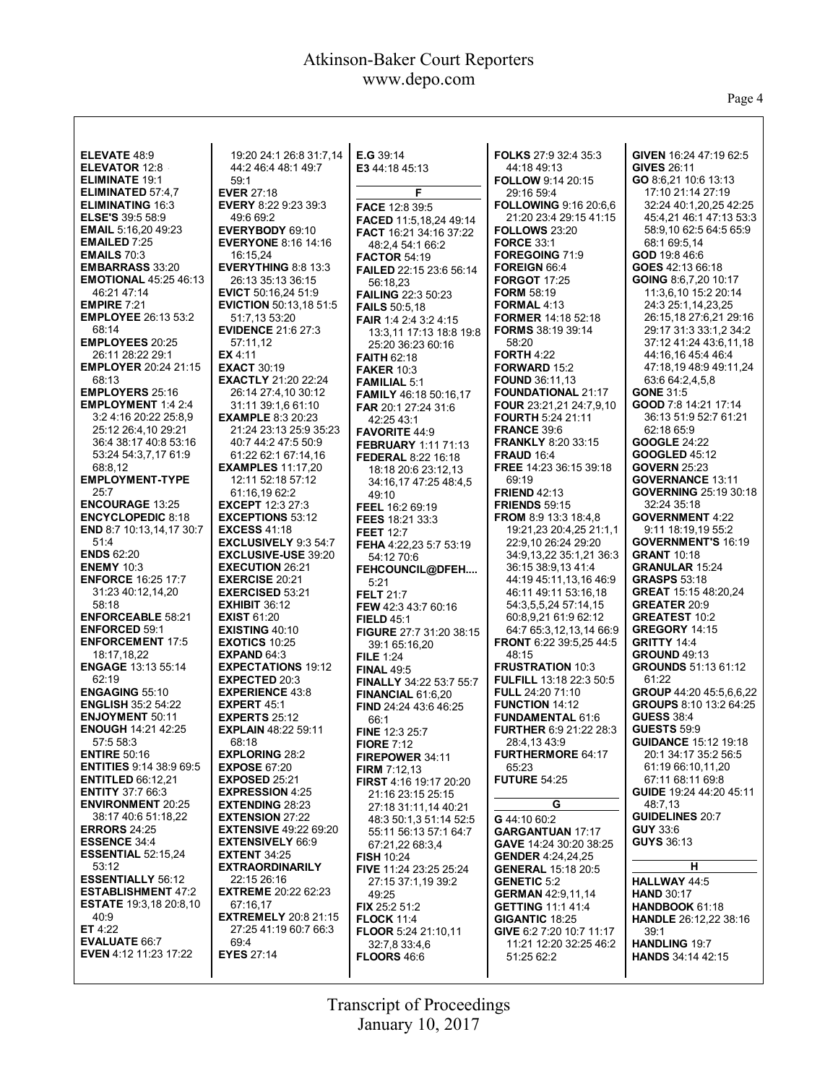$\mathsf{l}$ 

Page 4

| <b>ELEVATE 48:9</b>                                    | 19:20 24:1 26:8 31:7,14                         | <b>E.G</b> 39:14                              | FOLKS 27:9 32:4 35:3                                      | GIVEN 16:24 47:19 62:5                      |
|--------------------------------------------------------|-------------------------------------------------|-----------------------------------------------|-----------------------------------------------------------|---------------------------------------------|
| <b>ELEVATOR 12:8</b>                                   | 44:2 46:4 48:1 49:7                             | E3 44:18 45:13                                | 44:18 49:13                                               | <b>GIVES 26:11</b>                          |
| <b>ELIMINATE 19:1</b>                                  | 59:1                                            |                                               | <b>FOLLOW 9:14 20:15</b>                                  | GO 8:6,21 10:6 13:13                        |
| <b>ELIMINATED 57:4.7</b>                               | <b>EVER 27:18</b>                               | F                                             | 29:16 59:4                                                | 17:10 21:14 27:19                           |
| <b>ELIMINATING 16:3</b>                                | <b>EVERY 8:22 9:23 39:3</b>                     | <b>FACE 12:8 39:5</b>                         | <b>FOLLOWING 9:16 20:6.6</b>                              | 32:24 40:1,20,25 42:25                      |
| <b>ELSE'S</b> 39:5 58:9                                | 49:6 69:2                                       | FACED 11:5,18,24 49:14                        | 21:20 23:4 29:15 41:15                                    | 45:4.21 46:1 47:13 53:3                     |
| <b>EMAIL 5:16,20 49:23</b>                             | EVERYBODY 69:10                                 | <b>FACT</b> 16:21 34:16 37:22                 | <b>FOLLOWS 23:20</b>                                      | 58:9,10 62:5 64:5 65:9                      |
| <b>EMAILED 7:25</b>                                    | <b>EVERYONE 8:16 14:16</b>                      | 48:2,4 54:1 66:2                              | <b>FORCE 33:1</b>                                         | 68:1 69:5.14                                |
| <b>EMAILS 70:3</b>                                     | 16:15,24                                        | <b>FACTOR 54:19</b>                           | FOREGOING 71:9                                            | GOD 19:8 46:6                               |
| <b>EMBARRASS 33:20</b><br><b>EMOTIONAL 45:25 46:13</b> | <b>EVERYTHING 8:8 13:3</b>                      | FAILED 22:15 23:6 56:14                       | FOREIGN 66:4<br><b>FORGOT 17:25</b>                       | GOES 42:13 66:18<br>GOING 8:6.7.20 10:17    |
| 46:21 47:14                                            | 26:13 35:13 36:15<br><b>EVICT</b> 50:16,24 51:9 | 56:18,23                                      | <b>FORM 58:19</b>                                         | 11:3.6.10 15:2 20:14                        |
| <b>EMPIRE 7:21</b>                                     | <b>EVICTION 50:13,18 51:5</b>                   | <b>FAILING 22:3 50:23</b>                     | FORMAL 4:13                                               | 24:3 25:1,14,23,25                          |
| <b>EMPLOYEE 26:13 53:2</b>                             | 51:7,13 53:20                                   | <b>FAILS 50:5.18</b><br>FAIR 1:4 2:4 3:2 4:15 | FORMER 14:18 52:18                                        | 26:15,18 27:6,21 29:16                      |
| 68:14                                                  | <b>EVIDENCE 21:6 27:3</b>                       | 13:3,11 17:13 18:8 19:8                       | <b>FORMS</b> 38:19 39:14                                  | 29:17 31:3 33:1,2 34:2                      |
| <b>EMPLOYEES 20:25</b>                                 | 57:11,12                                        | 25:20 36:23 60:16                             | 58:20                                                     | 37:12 41:24 43:6,11,18                      |
| 26:11 28:22 29:1                                       | EX 4:11                                         | <b>FAITH 62:18</b>                            | <b>FORTH 4:22</b>                                         | 44:16.16 45:4 46:4                          |
| <b>EMPLOYER 20:24 21:15</b>                            | <b>EXACT 30:19</b>                              | <b>FAKER 10:3</b>                             | FORWARD 15:2                                              | 47:18,19 48:9 49:11,24                      |
| 68:13                                                  | <b>EXACTLY 21:20 22:24</b>                      | <b>FAMILIAL 5:1</b>                           | <b>FOUND 36:11,13</b>                                     | 63:6 64:2,4,5,8                             |
| <b>EMPLOYERS 25:16</b>                                 | 26:14 27:4,10 30:12                             | <b>FAMILY 46:18 50:16.17</b>                  | <b>FOUNDATIONAL 21:17</b>                                 | <b>GONE 31:5</b>                            |
| EMPLOYMENT 1:4 2:4                                     | 31:11 39:1,6 61:10                              | FAR 20:1 27:24 31:6                           | <b>FOUR</b> 23:21,21 24:7,9,10                            | GOOD 7:8 14:21 17:14                        |
| 3:2 4:16 20:22 25:8,9                                  | <b>EXAMPLE 8:3 20:23</b>                        | 42:25 43:1                                    | <b>FOURTH 5:24 21:11</b>                                  | 36:13 51:9 52:7 61:21                       |
| 25:12 26:4,10 29:21                                    | 21:24 23:13 25:9 35:23                          | <b>FAVORITE 44:9</b>                          | <b>FRANCE 39:6</b>                                        | 62:18 65:9                                  |
| 36:4 38:17 40:8 53:16                                  | 40:7 44:2 47:5 50:9                             | <b>FEBRUARY 1:11 71:13</b>                    | <b>FRANKLY 8:20 33:15</b>                                 | <b>GOOGLE 24:22</b>                         |
| 53:24 54:3,7,17 61:9                                   | 61:22 62:1 67:14.16                             | <b>FEDERAL 8:22 16:18</b>                     | <b>FRAUD 16:4</b>                                         | <b>GOOGLED 45:12</b>                        |
| 68:8,12                                                | <b>EXAMPLES</b> 11:17,20                        | 18:18 20:6 23:12.13                           | FREE 14:23 36:15 39:18                                    | <b>GOVERN 25:23</b>                         |
| <b>EMPLOYMENT-TYPE</b>                                 | 12:11 52:18 57:12                               | 34:16,17 47:25 48:4,5                         | 69:19                                                     | <b>GOVERNANCE 13:11</b>                     |
| 25:7<br><b>ENCOURAGE 13:25</b>                         | 61:16,19 62:2<br><b>EXCEPT</b> 12:3 27:3        | 49:10                                         | <b>FRIEND 42:13</b><br><b>FRIENDS 59:15</b>               | <b>GOVERNING 25:19 30:18</b><br>32:24 35:18 |
| <b>ENCYCLOPEDIC 8:18</b>                               | <b>EXCEPTIONS 53:12</b>                         | FEEL 16:2 69:19                               | <b>FROM 8:9 13:3 18:4,8</b>                               | <b>GOVERNMENT 4:22</b>                      |
| END 8:7 10:13,14,17 30:7                               | <b>EXCESS 41:18</b>                             | FEES 18:21 33:3<br><b>FEET 12:7</b>           | 19:21,23 20:4,25 21:1,1                                   | 9:11 18:19,19 55:2                          |
| 51:4                                                   | <b>EXCLUSIVELY 9:3 54:7</b>                     | FEHA 4:22,23 5:7 53:19                        | 22:9,10 26:24 29:20                                       | <b>GOVERNMENT'S 16:19</b>                   |
| <b>ENDS 62:20</b>                                      | <b>EXCLUSIVE-USE 39:20</b>                      | 54:12 70:6                                    | 34:9,13,22 35:1,21 36:3                                   | <b>GRANT 10:18</b>                          |
| <b>ENEMY 10:3</b>                                      | <b>EXECUTION 26:21</b>                          | FEHCOUNCIL@DFEH                               | 36:15 38:9,13 41:4                                        | <b>GRANULAR 15:24</b>                       |
| <b>ENFORCE 16:25 17:7</b>                              | <b>EXERCISE 20:21</b>                           | 5:21                                          | 44:19 45:11,13,16 46:9                                    | <b>GRASPS 53:18</b>                         |
| 31:23 40:12,14,20                                      | <b>EXERCISED 53:21</b>                          | <b>FELT 21:7</b>                              | 46:11 49:11 53:16,18                                      | GREAT 15:15 48:20,24                        |
| 58:18                                                  | <b>EXHIBIT 36:12</b>                            | FEW 42:3 43:7 60:16                           | 54:3,5,5,24 57:14,15                                      | <b>GREATER 20:9</b>                         |
| <b>ENFORCEABLE 58:21</b>                               | <b>EXIST 61:20</b>                              | <b>FIELD 45:1</b>                             | 60:8,9,21 61:9 62:12                                      | <b>GREATEST 10:2</b>                        |
| <b>ENFORCED 59:1</b>                                   | <b>EXISTING 40:10</b>                           | <b>FIGURE 27:7 31:20 38:15</b>                | 64:7 65:3,12,13,14 66:9                                   | <b>GREGORY 14:15</b>                        |
| <b>ENFORCEMENT 17:5</b>                                | <b>EXOTICS 10:25</b>                            | 39:1 65:16,20                                 | FRONT 6:22 39:5,25 44:5                                   | <b>GRITTY 14:4</b>                          |
| 18:17,18,22                                            | EXPAND $64:3$                                   | <b>FILE 1:24</b>                              | 48:15                                                     | <b>GROUND 49:13</b>                         |
| <b>ENGAGE 13:13 55:14</b>                              | <b>EXPECTATIONS 19:12</b>                       | <b>FINAL 49:5</b>                             | <b>FRUSTRATION 10:3</b><br><b>FULFILL 13:18 22:3 50:5</b> | GROUNDS 51:13 61:12<br>61:22                |
| 62:19<br><b>ENGAGING 55:10</b>                         | <b>EXPECTED 20:3</b><br><b>EXPERIENCE 43:8</b>  | FINALLY 34:22 53:7 55:7                       |                                                           | GROUP 44:20 45:5.6.6.22                     |
| <b>ENGLISH 35:2 54:22</b>                              | <b>EXPERT 45:1</b>                              | <b>FINANCIAL 61:6,20</b>                      | FULL 24:20 71:10<br><b>FUNCTION 14:12</b>                 | GROUPS 8:10 13:2 64:25                      |
| <b>ENJOYMENT 50:11</b>                                 | <b>EXPERTS 25:12</b>                            | FIND 24:24 43:6 46:25<br>66:1                 | <b>FUNDAMENTAL 61:6</b>                                   | <b>GUESS 38:4</b>                           |
| <b>ENOUGH 14:21 42:25</b>                              | <b>EXPLAIN 48:22 59:11</b>                      | FINE 12:3 25:7                                | <b>FURTHER 6:9 21:22 28:3</b>                             | <b>GUESTS 59:9</b>                          |
| 57:5 58:3                                              | 68:18                                           | <b>FIORE 7:12</b>                             | 28:4,1343:9                                               | <b>GUIDANCE 15:12 19:18</b>                 |
| <b>ENTIRE 50:16</b>                                    | <b>EXPLORING 28:2</b>                           | FIREPOWER 34:11                               | <b>FURTHERMORE 64:17</b>                                  | 20:1 34:17 35:2 56:5                        |
| <b>ENTITIES</b> 9:14 38:9 69:5                         | <b>EXPOSE 67:20</b>                             | FIRM 7:12,13                                  | 65:23                                                     | 61:19 66:10,11,20                           |
| <b>ENTITLED 66:12,21</b>                               | <b>EXPOSED 25:21</b>                            | FIRST 4:16 19:17 20:20                        | <b>FUTURE 54:25</b>                                       | 67:11 68:11 69:8                            |
| <b>ENTITY 37:7 66:3</b>                                | <b>EXPRESSION 4:25</b>                          | 21:16 23:15 25:15                             |                                                           | GUIDE 19:24 44:20 45:11                     |
| <b>ENVIRONMENT 20:25</b>                               | <b>EXTENDING 28:23</b>                          | 27:18 31:11,14 40:21                          | G                                                         | 48:7,13                                     |
| 38:17 40:6 51:18,22                                    | <b>EXTENSION 27:22</b>                          | 48:3 50:1,3 51:14 52:5                        | G 44:10 60:2                                              | <b>GUIDELINES 20:7</b>                      |
| <b>ERRORS 24:25</b>                                    | <b>EXTENSIVE 49:22 69:20</b>                    | 55:11 56:13 57:1 64:7                         | <b>GARGANTUAN 17:17</b>                                   | <b>GUY 33:6</b>                             |
| <b>ESSENCE 34:4</b>                                    | <b>EXTENSIVELY 66:9</b>                         | 67:21,22 68:3,4                               | GAVE 14:24 30:20 38:25                                    | <b>GUYS 36:13</b>                           |
| <b>ESSENTIAL 52:15,24</b>                              | <b>EXTENT 34:25</b>                             | <b>FISH 10:24</b>                             | <b>GENDER</b> 4:24,24,25                                  | н                                           |
| 53:12<br><b>ESSENTIALLY 56:12</b>                      | <b>EXTRAORDINARILY</b>                          | FIVE 11:24 23:25 25:24                        | <b>GENERAL 15:18 20:5</b>                                 |                                             |
| <b>ESTABLISHMENT 47:2</b>                              | 22:15 26:16<br><b>EXTREME</b> 20:22 62:23       | 27:15 37:1,19 39:2                            | <b>GENETIC 5:2</b>                                        | HALLWAY 44:5                                |
| <b>ESTATE</b> 19:3,18 20:8,10                          | 67:16,17                                        | 49:25                                         | <b>GERMAN 42:9,11,14</b><br><b>GETTING 11:1 41:4</b>      | <b>HAND 30:17</b><br><b>HANDBOOK 61:18</b>  |
| 40:9                                                   | <b>EXTREMELY 20:8 21:15</b>                     | FIX 25:2 51:2<br><b>FLOCK 11:4</b>            | GIGANTIC 18:25                                            | <b>HANDLE</b> 26:12,22 38:16                |
| ET $4:22$                                              | 27:25 41:19 60:7 66:3                           | <b>FLOOR 5:24 21:10,11</b>                    | GIVE 6:2 7:20 10:7 11:17                                  | 39:1                                        |
| <b>EVALUATE 66:7</b>                                   | 69:4                                            | 32:7,8 33:4,6                                 | 11:21 12:20 32:25 46:2                                    | <b>HANDLING 19:7</b>                        |
| <b>EVEN</b> 4:12 11:23 17:22                           | <b>EYES 27:14</b>                               | <b>FLOORS 46:6</b>                            | 51:25 62:2                                                | <b>HANDS</b> 34:14 42:15                    |
|                                                        |                                                 |                                               |                                                           |                                             |
|                                                        |                                                 |                                               |                                                           |                                             |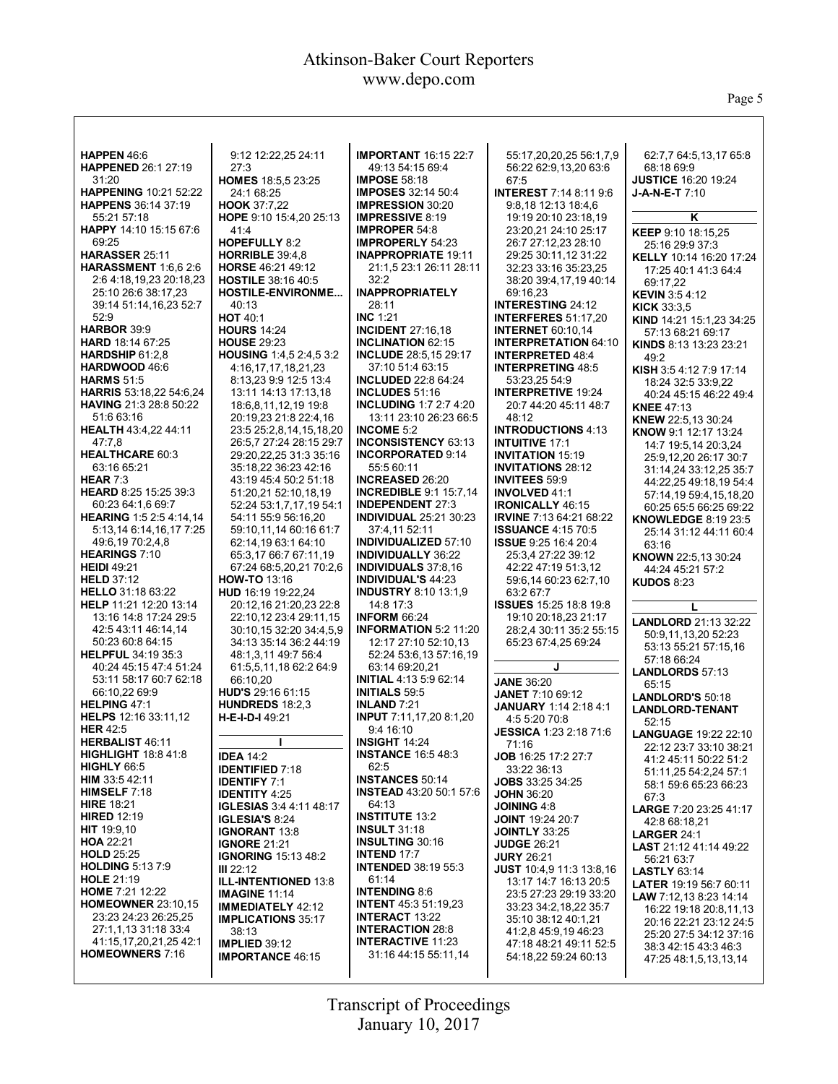Page 5

٦

| HAPPEN 46:6                                   | 9:12 12:22,25 24:11                                 | <b>IMPORTANT 16:15 22:7</b>                          | 55:17,20,20,25 56:1,7,9                                | 62:7,7 64:5,13,17 65:8                           |
|-----------------------------------------------|-----------------------------------------------------|------------------------------------------------------|--------------------------------------------------------|--------------------------------------------------|
| <b>HAPPENED 26:1 27:19</b>                    | 27:3                                                | 49:13 54:15 69:4                                     | 56:22 62:9,13,20 63:6                                  | 68:18 69:9                                       |
| 31:20                                         | HOMES 18:5,5 23:25                                  | <b>IMPOSE 58:18</b>                                  | 67:5                                                   | <b>JUSTICE 16:20 19:24</b>                       |
| <b>HAPPENING 10:21 52:22</b>                  | 24:1 68:25                                          | <b>IMPOSES 32:14 50:4</b>                            | <b>INTEREST 7:14 8:11 9:6</b>                          | $J-A-N-E-T 7:10$                                 |
| <b>HAPPENS</b> 36:14 37:19                    | HOOK 37:7,22                                        | <b>IMPRESSION 30:20</b>                              | 9:8,18 12:13 18:4,6                                    |                                                  |
| 55:21 57:18                                   | HOPE 9:10 15:4,20 25:13                             | <b>IMPRESSIVE 8:19</b>                               | 19:19 20:10 23:18.19                                   | Κ                                                |
| HAPPY 14:10 15:15 67:6                        | 41:4                                                | <b>IMPROPER 54:8</b>                                 | 23:20.21 24:10 25:17                                   | <b>KEEP 9:10 18:15.25</b>                        |
| 69:25                                         | <b>HOPEFULLY 8:2</b>                                | <b>IMPROPERLY 54:23</b>                              | 26:7 27:12,23 28:10                                    | 25:16 29:9 37:3                                  |
| HARASSER 25:11                                | <b>HORRIBLE 39:4.8</b>                              | <b>INAPPROPRIATE 19:11</b>                           | 29:25 30:11,12 31:22                                   | <b>KELLY</b> 10:14 16:20 17:24                   |
| <b>HARASSMENT</b> 1:6.6 2:6                   | HORSE 46:21 49:12                                   | 21:1.5 23:1 26:11 28:11                              | 32:23 33:16 35:23,25                                   | 17:25 40:1 41:3 64:4                             |
| 2:6 4:18,19,23 20:18,23                       | <b>HOSTILE 38:16 40:5</b>                           | 32:2                                                 | 38:20 39:4,17,19 40:14                                 | 69:17.22                                         |
| 25:10 26:6 38:17,23                           | <b>HOSTILE-ENVIRONME</b>                            | <b>INAPPROPRIATELY</b>                               | 69:16.23                                               | <b>KEVIN</b> 3:54:12                             |
| 39:14 51:14,16,23 52:7                        | 40:13                                               | 28:11                                                | <b>INTERESTING 24:12</b>                               | <b>KICK 33:3.5</b>                               |
| 52:9                                          | <b>HOT 40:1</b>                                     | <b>INC 1:21</b>                                      | <b>INTERFERES 51:17,20</b>                             | KIND 14:21 15:1,23 34:25                         |
| <b>HARBOR 39:9</b><br><b>HARD</b> 18:14 67:25 | <b>HOURS 14:24</b><br><b>HOUSE 29:23</b>            | <b>INCIDENT 27:16,18</b><br><b>INCLINATION 62:15</b> | <b>INTERNET 60:10.14</b>                               | 57:13 68:21 69:17                                |
| HARDSHIP $61:2,8$                             | HOUSING 1:4,5 2:4,5 3:2                             | <b>INCLUDE 28:5,15 29:17</b>                         | <b>INTERPRETATION 64:10</b><br><b>INTERPRETED 48:4</b> | KINDS 8:13 13:23 23:21                           |
| HARDWOOD 46:6                                 | 4:16,17,17,18,21,23                                 | 37:10 51:4 63:15                                     | <b>INTERPRETING 48:5</b>                               | 49:2                                             |
| <b>HARMS 51:5</b>                             | 8:13,23 9:9 12:5 13:4                               | <b>INCLUDED 22:8 64:24</b>                           | 53:23,25 54:9                                          | KISH 3:5 4:12 7:9 17:14                          |
| <b>HARRIS</b> 53:18,22 54:6,24                | 13:11 14:13 17:13,18                                | <b>INCLUDES 51:16</b>                                | <b>INTERPRETIVE 19:24</b>                              | 18:24 32:5 33:9,22<br>40:24 45:15 46:22 49:4     |
| <b>HAVING 21:3 28:8 50:22</b>                 | 18:6,8,11,12,19 19:8                                | <b>INCLUDING 1:7 2:7 4:20</b>                        | 20:7 44:20 45:11 48:7                                  | <b>KNEE 47:13</b>                                |
| 51:6 63:16                                    | 20:19,23 21:8 22:4,16                               | 13:11 23:10 26:23 66:5                               | 48:12                                                  | KNEW 22:5.13 30:24                               |
| HEALTH 43:4,22 44:11                          | 23:5 25:2,8,14,15,18,20                             | <b>INCOME 5:2</b>                                    | <b>INTRODUCTIONS 4:13</b>                              | KNOW 9:1 12:17 13:24                             |
| 47:7,8                                        | 26:5.7 27:24 28:15 29:7                             | <b>INCONSISTENCY 63:13</b>                           | <b>INTUITIVE 17:1</b>                                  | 14:7 19:5,14 20:3,24                             |
| <b>HEALTHCARE 60:3</b>                        | 29:20,22,25 31:3 35:16                              | <b>INCORPORATED 9:14</b>                             | <b>INVITATION 15:19</b>                                | 25:9,12,20 26:17 30:7                            |
| 63:16 65:21                                   | 35:18,22 36:23 42:16                                | 55:5 60:11                                           | <b>INVITATIONS 28:12</b>                               | 31:14,24 33:12,25 35:7                           |
| HEAR $7:3$                                    | 43:19 45:4 50:2 51:18                               | <b>INCREASED 26:20</b>                               | <b>INVITEES 59:9</b>                                   | 44:22,25 49:18,19 54:4                           |
| HEARD 8:25 15:25 39:3                         | 51:20,21 52:10,18,19                                | <b>INCREDIBLE 9:1 15:7,14</b>                        | <b>INVOLVED 41:1</b>                                   | 57:14,19 59:4,15,18,20                           |
| 60:23 64:1,6 69:7                             | 52:24 53:1,7,17,19 54:1                             | <b>INDEPENDENT 27:3</b>                              | <b>IRONICALLY 46:15</b>                                | 60:25 65:5 66:25 69:22                           |
| HEARING 1:5 2:5 4:14,14                       | 54:11 55:9 56:16,20                                 | <b>INDIVIDUAL 25:21 30:23</b>                        | <b>IRVINE</b> 7:13 64:21 68:22                         | <b>KNOWLEDGE 8:19 23:5</b>                       |
| 5:13,14 6:14,16,17 7:25<br>49:6,19 70:2,4,8   | 59:10,11,14 60:16 61:7<br>62:14.19 63:1 64:10       | 37:4,11 52:11<br><b>INDIVIDUALIZED 57:10</b>         | <b>ISSUANCE 4:15 70:5</b><br>ISSUE 9:25 16:4 20:4      | 25:14 31:12 44:11 60:4                           |
| <b>HEARINGS 7:10</b>                          | 65:3,17 66:7 67:11,19                               | <b>INDIVIDUALLY 36:22</b>                            | 25:3,4 27:22 39:12                                     | 63:16                                            |
| <b>HEIDI 49:21</b>                            | 67:24 68:5,20,21 70:2,6                             | <b>INDIVIDUALS</b> 37:8,16                           | 42:22 47:19 51:3,12                                    | KNOWN 22:5,13 30:24<br>44:24 45:21 57:2          |
| <b>HELD 37:12</b>                             | <b>HOW-TO 13:16</b>                                 | <b>INDIVIDUAL'S 44:23</b>                            | 59:6,14 60:23 62:7,10                                  | <b>KUDOS 8:23</b>                                |
| <b>HELLO</b> 31:18 63:22                      | HUD 16:19 19:22,24                                  | <b>INDUSTRY 8:10 13:1,9</b>                          | 63:2 67:7                                              |                                                  |
| HELP 11:21 12:20 13:14                        | 20:12,16 21:20,23 22:8                              | 14:8 17:3                                            | <b>ISSUES</b> 15:25 18:8 19:8                          | L                                                |
| 13:16 14:8 17:24 29:5                         | 22:10.12 23:4 29:11.15                              | <b>INFORM 66:24</b>                                  | 19:10 20:18,23 21:17                                   | LANDLORD 21:13 32:22                             |
| 42:5 43:11 46:14.14                           | 30:10,15 32:20 34:4,5,9                             | <b>INFORMATION 5:2 11:20</b>                         | 28:2.4 30:11 35:2 55:15                                | 50:9,11,13,20 52:23                              |
| 50:23 60:8 64:15                              | 34:13 35:14 36:2 44:19                              | 12:17 27:10 52:10.13                                 | 65:23 67:4,25 69:24                                    | 53:13 55:21 57:15.16                             |
| <b>HELPFUL 34:19 35:3</b>                     | 48:1,3,11 49:7 56:4                                 | 52:24 53:6,13 57:16,19                               |                                                        | 57:18 66:24                                      |
| 40:24 45:15 47:4 51:24                        | 61:5,5,11,18 62:2 64:9                              | 63:14 69:20,21                                       | J                                                      | <b>LANDLORDS 57:13</b>                           |
| 53:11 58:17 60:7 62:18                        | 66:10,20                                            | <b>INITIAL 4:13 5:9 62:14</b>                        | <b>JANE 36:20</b>                                      | 65:15                                            |
| 66:10,22 69:9<br>HELPING 47:1                 | HUD'S 29:16 61:15                                   | <b>INITIALS 59:5</b>                                 | JANET 7:10 69:12                                       | LANDLORD'S 50:18                                 |
|                                               | <b>HUNDREDS 18:2.3</b><br>H-E-I-D-I 49:21           | INLAND $7:21$<br>INPUT 7:11,17,20 8:1,20             | <b>JANUARY</b> 1:14 2:18 4:1                           | <b>LANDLORD-TENANT</b>                           |
| HELPS 12:16 33:11,12<br><b>HER 42:5</b>       |                                                     | 9:4 16:10                                            | 4:5 5:20 70:8<br><b>JESSICA 1:23 2:18 71:6</b>         | 52:15                                            |
| HERBALIST 46:11                               |                                                     | <b>INSIGHT 14:24</b>                                 | 71:16                                                  | <b>LANGUAGE 19:22 22:10</b>                      |
| <b>HIGHLIGHT 18:8 41:8</b>                    | <b>IDEA 14:2</b>                                    | <b>INSTANCE 16:5 48:3</b>                            | <b>JOB</b> 16:25 17:2 27:7                             | 22:12 23:7 33:10 38:21                           |
| HIGHLY 66:5                                   | <b>IDENTIFIED 7:18</b>                              | 62:5                                                 | 33:22 36:13                                            | 41:2 45:11 50:22 51:2<br>51:11.25 54:2.24 57:1   |
| <b>HIM</b> 33:5 42:11                         | <b>IDENTIFY 7:1</b>                                 | <b>INSTANCES 50:14</b>                               | <b>JOBS</b> 33:25 34:25                                | 58:1 59:6 65:23 66:23                            |
| <b>HIMSELF</b> $7:18$                         | <b>IDENTITY 4:25</b>                                | <b>INSTEAD</b> 43:20 50:1 57:6                       | <b>JOHN 36:20</b>                                      | 67:3                                             |
| <b>HIRE 18:21</b>                             | <b>IGLESIAS</b> 3:4 4:11 48:17                      | 64:13                                                | <b>JOINING 4:8</b>                                     | <b>LARGE 7:20 23:25 41:17</b>                    |
| <b>HIRED 12:19</b>                            | <b>IGLESIA'S 8:24</b>                               | <b>INSTITUTE 13:2</b>                                | <b>JOINT 19:24 20:7</b>                                | 42:8 68:18,21                                    |
| HIT 19:9,10                                   | <b>IGNORANT 13:8</b>                                | <b>INSULT 31:18</b>                                  | <b>JOINTLY 33:25</b>                                   | <b>LARGER 24:1</b>                               |
| <b>HOA 22:21</b>                              | <b>IGNORE 21:21</b>                                 | <b>INSULTING 30:16</b><br><b>INTEND 17:7</b>         | <b>JUDGE 26:21</b>                                     | LAST 21:12 41:14 49:22                           |
| <b>HOLD 25:25</b><br><b>HOLDING 5:13 7:9</b>  | <b>IGNORING 15:13 48:2</b>                          | <b>INTENDED 38:19 55:3</b>                           | <b>JURY 26:21</b>                                      | 56:21 63:7                                       |
| <b>HOLE 21:19</b>                             | III 22:12                                           | 61:14                                                | JUST 10:4,9 11:3 13:8,16<br>13:17 14:7 16:13 20:5      | <b>LASTLY 63:14</b>                              |
| <b>HOME</b> 7:21 12:22                        | <b>ILL-INTENTIONED 13:8</b><br><b>IMAGINE 11:14</b> | <b>INTENDING 8:6</b>                                 | 23:5 27:23 29:19 33:20                                 | <b>LATER</b> 19:19 56:7 60:11                    |
| <b>HOMEOWNER 23:10.15</b>                     | <b>IMMEDIATELY 42:12</b>                            | <b>INTENT</b> 45:3 51:19,23                          | 33:23 34:2,18,22 35:7                                  | LAW 7:12,13 8:23 14:14                           |
| 23:23 24:23 26:25,25                          | <b>IMPLICATIONS 35:17</b>                           | <b>INTERACT 13:22</b>                                | 35:10 38:12 40:1.21                                    | 16:22 19:18 20:8,11,13                           |
| 27:1,1,13 31:18 33:4                          | 38:13                                               | <b>INTERACTION 28:8</b>                              | 41:2,8 45:9,19 46:23                                   | 20:16 22:21 23:12 24:5<br>25:20 27:5 34:12 37:16 |
| 41:15,17,20,21,25 42:1                        | <b>IMPLIED 39:12</b>                                | <b>INTERACTIVE 11:23</b>                             | 47:18 48:21 49:11 52:5                                 | 38:3 42:15 43:3 46:3                             |
| <b>HOMEOWNERS 7:16</b>                        | <b>IMPORTANCE 46:15</b>                             | 31:16 44:15 55:11,14                                 | 54:18,22 59:24 60:13                                   | 47:25 48:1,5,13,13,14                            |
|                                               |                                                     |                                                      |                                                        |                                                  |
|                                               |                                                     |                                                      |                                                        |                                                  |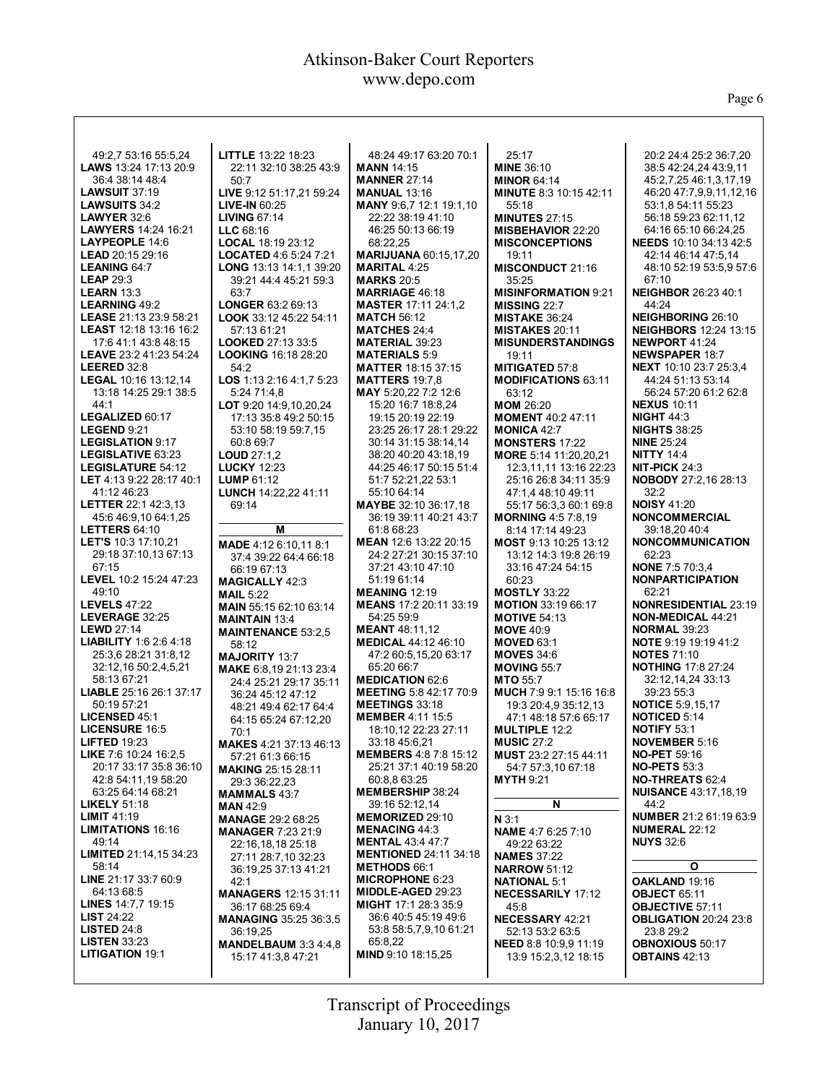Page 6

| 49:2,7 53:16 55:5,24                               | LITTLE 13:22 18:23                               | 48:24 49:17 63:20 70:1                              | 25:17                                           | 20:2 24:4 25:2 36:7,20                             |
|----------------------------------------------------|--------------------------------------------------|-----------------------------------------------------|-------------------------------------------------|----------------------------------------------------|
| <b>LAWS</b> 13:24 17:13 20:9                       | 22:11 32:10 38:25 43:9                           | <b>MANN 14:15</b>                                   | <b>MINE 36:10</b>                               | 38:5 42:24,24 43:9,11                              |
| 36:4 38:14 48:4                                    | 50:7                                             | <b>MANNER 27:14</b>                                 | <b>MINOR 64:14</b>                              | 45:2,7,25 46:1,3,17,19                             |
| <b>LAWSUIT 37:19</b>                               | LIVE 9:12 51:17,21 59:24                         | <b>MANUAL 13:16</b>                                 | <b>MINUTE 8:3 10:15 42:11</b>                   | 46:20 47:7,9,9,11,12,16                            |
| LAWSUITS 34:2                                      | <b>LIVE-IN 60:25</b>                             | <b>MANY</b> 9:6,7 12:1 19:1,10                      | 55:18                                           | 53:1,8 54:11 55:23                                 |
| <b>LAWYER 32:6</b>                                 | <b>LIVING 67:14</b>                              | 22:22 38:19 41:10                                   | <b>MINUTES 27:15</b>                            | 56:18 59:23 62:11.12                               |
| <b>LAWYERS</b> 14:24 16:21                         | $LLC$ 68:16                                      | 46:25 50:13 66:19                                   | <b>MISBEHAVIOR 22:20</b>                        | 64:16 65:10 66:24.25                               |
| LAYPEOPLE 14:6                                     | LOCAL 18:19 23:12                                | 68:22,25                                            | <b>MISCONCEPTIONS</b>                           | <b>NEEDS</b> 10:10 34:13 42:5                      |
| <b>LEAD</b> $20:15$ $29:16$                        | LOCATED 4:6 5:24 7:21                            | <b>MARIJUANA 60:15,17,20</b>                        | 19:11                                           | 42:14 46:14 47:5.14                                |
| <b>LEANING 64:7</b><br><b>LEAP 29:3</b>            | LONG 13:13 14:1.1 39:20                          | <b>MARITAL 4:25</b><br><b>MARKS 20:5</b>            | MISCONDUCT 21:16<br>35:25                       | 48:10 52:19 53:5,9 57:6<br>67:10                   |
| <b>LEARN 13:3</b>                                  | 39:21 44:4 45:21 59:3<br>63:7                    | <b>MARRIAGE 46:18</b>                               | <b>MISINFORMATION 9:21</b>                      | <b>NEIGHBOR 26:23 40:1</b>                         |
| <b>LEARNING 49:2</b>                               | LONGER 63:2 69:13                                | <b>MASTER 17:11 24:1.2</b>                          | <b>MISSING 22:7</b>                             | 44:24                                              |
| LEASE 21:13 23:9 58:21                             | LOOK 33:12 45:22 54:11                           | <b>MATCH 56:12</b>                                  | <b>MISTAKE 36:24</b>                            | <b>NEIGHBORING 26:10</b>                           |
| LEAST 12:18 13:16 16:2                             | 57:13 61:21                                      | <b>MATCHES 24:4</b>                                 | <b>MISTAKES 20:11</b>                           | <b>NEIGHBORS 12:24 13:15</b>                       |
| 17:6 41:1 43:8 48:15                               | <b>LOOKED 27:13 33:5</b>                         | <b>MATERIAL 39:23</b>                               | <b>MISUNDERSTANDINGS</b>                        | <b>NEWPORT 41:24</b>                               |
| LEAVE 23:2 41:23 54:24                             | <b>LOOKING 16:18 28:20</b>                       | <b>MATERIALS 5:9</b>                                | 19:11                                           | <b>NEWSPAPER 18:7</b>                              |
| LEERED 32:8                                        | 54:2                                             | <b>MATTER 18:15 37:15</b>                           | <b>MITIGATED 57:8</b>                           | <b>NEXT</b> 10:10 23:7 25:3.4                      |
| LEGAL 10:16 13:12,14                               | LOS 1:13 2:16 4:1,7 5:23                         | <b>MATTERS 19:7,8</b>                               | <b>MODIFICATIONS 63:11</b>                      | 44:24 51:13 53:14                                  |
| 13:18 14:25 29:1 38:5                              | 5:24 71:4.8                                      | MAY 5:20,22 7:2 12:6                                | 63:12                                           | 56:24 57:20 61:2 62:8                              |
| 44:1                                               | LOT 9:20 14:9,10,20,24                           | 15:20 16:7 18:8,24                                  | <b>MOM 26:20</b>                                | <b>NEXUS 10:11</b>                                 |
| LEGALIZED 60:17                                    | 17:13 35:8 49:2 50:15                            | 19:15 20:19 22:19                                   | <b>MOMENT 40:2 47:11</b>                        | <b>NIGHT 44:3</b>                                  |
| LEGEND 9:21                                        | 53:10 58:19 59:7,15                              | 23:25 26:17 28:1 29:22                              | <b>MONICA 42:7</b>                              | <b>NIGHTS 38:25</b>                                |
| <b>LEGISLATION 9:17</b>                            | 60:8 69:7                                        | 30:14 31:15 38:14.14                                | <b>MONSTERS 17:22</b>                           | <b>NINE 25:24</b>                                  |
| LEGISLATIVE 63:23<br>LEGISLATURE 54:12             | LOUD 27:1,2                                      | 38:20 40:20 43:18,19<br>44:25 46:17 50:15 51:4      | MORE 5:14 11:20,20,21<br>12:3.11.11 13:16 22:23 | <b>NITTY 14:4</b><br>NIT-PICK $24:3$               |
| LET 4:13 9:22 28:17 40:1                           | <b>LUCKY 12:23</b><br><b>LUMP 61:12</b>          | 51:7 52:21,22 53:1                                  | 25:16 26:8 34:11 35:9                           | <b>NOBODY 27:2,16 28:13</b>                        |
| 41:12 46:23                                        | LUNCH 14:22,22 41:11                             | 55:10 64:14                                         | 47:1,4 48:10 49:11                              | 32:2                                               |
| <b>LETTER 22:1 42:3.13</b>                         | 69:14                                            | MAYBE 32:10 36:17,18                                | 55:17 56:3,3 60:1 69:8                          | <b>NOISY 41:20</b>                                 |
| 45:6 46:9,10 64:1,25                               |                                                  | 36:19 39:11 40:21 43:7                              | <b>MORNING 4:5 7:8,19</b>                       | <b>NONCOMMERCIAL</b>                               |
| <b>LETTERS 64:10</b>                               | Μ                                                | 61:8 68:23                                          | 8:14 17:14 49:23                                | 39:18.20 40:4                                      |
| LET'S 10:3 17:10,21                                | MADE 4:12 6:10,11 8:1                            | MEAN 12:6 13:22 20:15                               | MOST 9:13 10:25 13:12                           | <b>NONCOMMUNICATION</b>                            |
| 29:18 37:10,13 67:13                               | 37:4 39:22 64:4 66:18                            | 24:2 27:21 30:15 37:10                              | 13:12 14:3 19:8 26:19                           | 62:23                                              |
| 67:15                                              | 66:19 67:13                                      | 37:21 43:10 47:10                                   | 33:16 47:24 54:15                               | <b>NONE 7:5 70:3.4</b>                             |
| LEVEL 10:2 15:24 47:23                             | <b>MAGICALLY 42:3</b>                            | 51:19 61:14                                         | 60:23                                           | <b>NONPARTICIPATION</b>                            |
| 49:10                                              | <b>MAIL 5:22</b>                                 | <b>MEANING 12:19</b>                                | <b>MOSTLY 33:22</b>                             | 62:21                                              |
| <b>LEVELS 47:22</b>                                | MAIN 55:15 62:10 63:14                           | MEANS 17:2 20:11 33:19                              | <b>MOTION 33:19 66:17</b>                       | <b>NONRESIDENTIAL 23:19</b>                        |
| LEVERAGE 32:25                                     | <b>MAINTAIN 13:4</b>                             | 54:25 59:9                                          | <b>MOTIVE 54:13</b>                             | <b>NON-MEDICAL 44:21</b>                           |
| <b>LEWD 27:14</b><br><b>LIABILITY 1:6 2:6 4:18</b> | <b>MAINTENANCE 53:2.5</b>                        | <b>MEANT 48:11,12</b><br><b>MEDICAL 44:12 46:10</b> | <b>MOVE 40:9</b>                                | <b>NORMAL 39:23</b><br><b>NOTE</b> 9:19 19:19 41:2 |
| 25:3.6 28:21 31:8.12                               | 58:12                                            | 47:2 60:5,15,20 63:17                               | <b>MOVED 63:1</b><br><b>MOVES 34:6</b>          | <b>NOTES 71:10</b>                                 |
| 32:12,16 50:2,4,5,21                               | <b>MAJORITY 13:7</b>                             | 65:20 66:7                                          | <b>MOVING 55:7</b>                              | <b>NOTHING 17:8 27:24</b>                          |
| 58:13 67:21                                        | MAKE 6:8,19 21:13 23:4<br>24:4 25:21 29:17 35:11 | <b>MEDICATION 62:6</b>                              | <b>MTO 55:7</b>                                 | 32:12,14,24 33:13                                  |
| <b>LIABLE</b> 25:16 26:1 37:17                     | 36:24 45:12 47:12                                | <b>MEETING 5:8 42:17 70:9</b>                       | MUCH 7:9 9:1 15:16 16:8                         | 39:23 55:3                                         |
| 50:19 57:21                                        | 48:21 49:4 62:17 64:4                            | <b>MEETINGS 33:18</b>                               | 19:3 20:4,9 35:12,13                            | <b>NOTICE 5:9,15,17</b>                            |
| <b>LICENSED 45:1</b>                               | 64:15 65:24 67:12,20                             | <b>MEMBER 4:11 15:5</b>                             | 47:1 48:18 57:6 65:17                           | <b>NOTICED 5:14</b>                                |
| <b>LICENSURE 16:5</b>                              | 70:1                                             | 18:10,12 22:23 27:11                                | <b>MULTIPLE 12:2</b>                            | <b>NOTIFY 53:1</b>                                 |
| <b>LIFTED 19:23</b>                                | <b>MAKES 4:21 37:13 46:13</b>                    | 33:18 45:6,21                                       | <b>MUSIC 27:2</b>                               | <b>NOVEMBER 5:16</b>                               |
| LIKE 7:6 10:24 16:2,5                              | 57:21 61:3 66:15                                 | <b>MEMBERS 4:8 7:8 15:12</b>                        | MUST 23:2 27:15 44:11                           | <b>NO-PET 59:16</b>                                |
| 20:17 33:17 35:8 36:10                             | <b>MAKING 25:15 28:11</b>                        | 25:21 37:1 40:19 58:20                              | 54:7 57:3,10 67:18                              | <b>NO-PETS 53:3</b>                                |
| 42:8 54:11,19 58:20                                | 29:3 36:22,23                                    | 60:8.8 63:25                                        | <b>MYTH 9:21</b>                                | <b>NO-THREATS 62:4</b>                             |
| 63:25 64:14 68:21                                  | <b>MAMMALS</b> 43:7                              | <b>MEMBERSHIP 38:24</b>                             | N                                               | <b>NUISANCE 43:17,18,19</b><br>44:2                |
| <b>LIKELY</b> $51:18$<br><b>LIMIT 41:19</b>        | <b>MAN 42:9</b>                                  | 39:16 52:12,14<br><b>MEMORIZED 29:10</b>            |                                                 | <b>NUMBER</b> 21:2 61:19 63:9                      |
| <b>LIMITATIONS 16:16</b>                           | <b>MANAGE 29:2 68:25</b>                         | <b>MENACING 44:3</b>                                | N 3:1<br><b>NAME</b> 4:7 6:25 7:10              | <b>NUMERAL 22:12</b>                               |
| 49:14                                              | <b>MANAGER 7:23 21:9</b>                         | <b>MENTAL 43:4 47:7</b>                             |                                                 | <b>NUYS 32:6</b>                                   |
| <b>LIMITED 21:14,15 34:23</b>                      | 22:16.18.18 25:18<br>27:11 28:7,10 32:23         | <b>MENTIONED 24:11 34:18</b>                        | 49:22 63:22<br><b>NAMES 37:22</b>               |                                                    |
| 58:14                                              | 36:19.25 37:13 41:21                             | <b>METHODS 66:1</b>                                 | <b>NARROW 51:12</b>                             | О                                                  |
| LINE 21:17 33:7 60:9                               | 42:1                                             | <b>MICROPHONE 6:23</b>                              | <b>NATIONAL 5:1</b>                             | OAKLAND 19:16                                      |
| 64:13 68:5                                         | <b>MANAGERS 12:15 31:11</b>                      | <b>MIDDLE-AGED 29:23</b>                            | <b>NECESSARILY 17:12</b>                        | <b>OBJECT 65:11</b>                                |
| LINES 14:7,7 19:15                                 | 36:17 68:25 69:4                                 | MIGHT 17:1 28:3 35:9                                | 45:8                                            | <b>OBJECTIVE 57:11</b>                             |
| <b>LIST 24:22</b>                                  | <b>MANAGING 35:25 36:3.5</b>                     | 36:6 40:5 45:19 49:6                                | <b>NECESSARY 42:21</b>                          | <b>OBLIGATION 20:24 23:8</b>                       |
| <b>LISTED</b> $24:8$                               |                                                  |                                                     |                                                 |                                                    |
|                                                    | 36:19,25                                         | 53:8 58:5,7,9,10 61:21                              | 52:13 53:2 63:5                                 | 23:8 29:2                                          |
| <b>LISTEN 33:23</b>                                | MANDELBAUM 3:3 4:4,8                             | 65:8,22                                             | <b>NEED 8:8 10:9.9 11:19</b>                    | <b>OBNOXIOUS 50:17</b>                             |
| <b>LITIGATION 19:1</b>                             | 15:17 41:3,8 47:21                               | MIND 9:10 18:15,25                                  | 13:9 15:2,3,12 18:15                            | <b>OBTAINS 42:13</b>                               |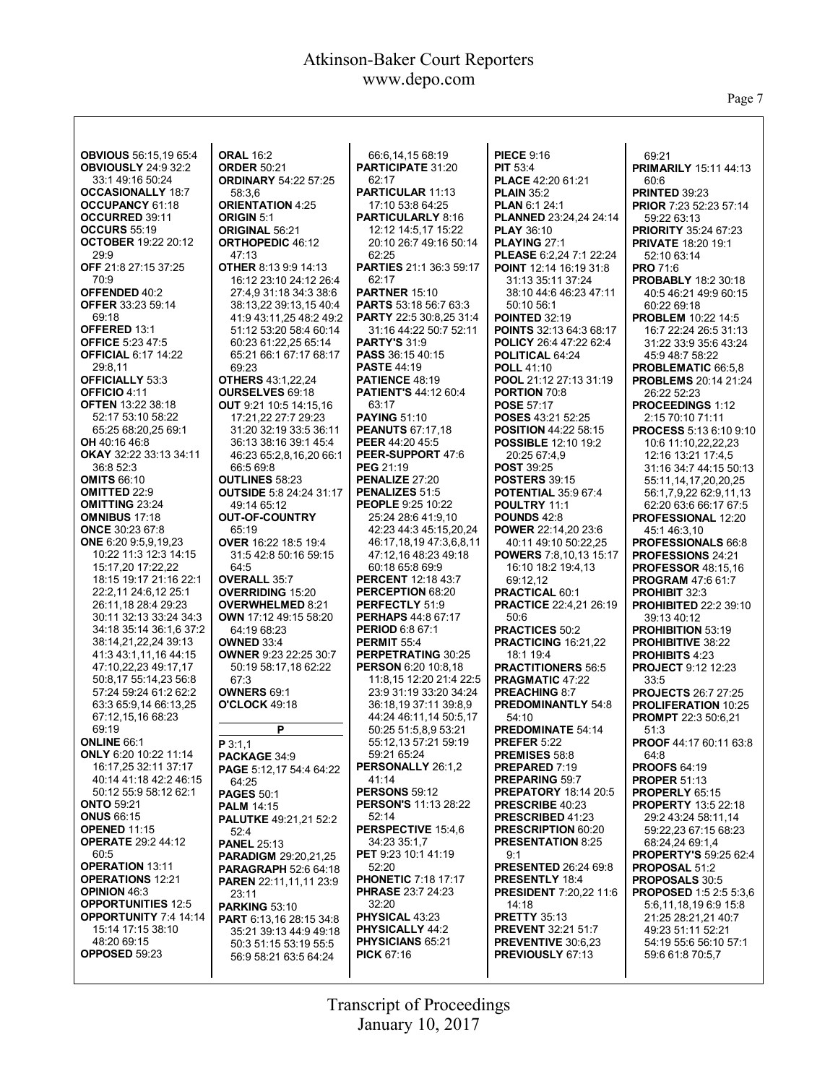Page 7

| <b>OBVIOUS</b> 56:15,19 65:4                  | <b>ORAL 16:2</b>                                     | 66:6,14,15 68:19                                     | <b>PIECE 9:16</b>                             | 69:21                                             |
|-----------------------------------------------|------------------------------------------------------|------------------------------------------------------|-----------------------------------------------|---------------------------------------------------|
| <b>OBVIOUSLY 24:9 32:2</b>                    | <b>ORDER 50:21</b>                                   | <b>PARTICIPATE 31:20</b>                             | <b>PIT 53:4</b>                               | <b>PRIMARILY 15:11 44:13</b>                      |
| 33:1 49:16 50:24                              | <b>ORDINARY 54:22 57:25</b>                          | 62:17                                                | PLACE 42:20 61:21                             | 60:6                                              |
| <b>OCCASIONALLY 18:7</b>                      | 58:3.6                                               | <b>PARTICULAR 11:13</b>                              | <b>PLAIN 35:2</b>                             | <b>PRINTED 39:23</b>                              |
| <b>OCCUPANCY 61:18</b>                        | <b>ORIENTATION 4:25</b>                              | 17:10 53:8 64:25                                     | <b>PLAN 6:1 24:1</b>                          | <b>PRIOR 7:23 52:23 57:14</b>                     |
| <b>OCCURRED 39:11</b>                         | <b>ORIGIN 5:1</b>                                    | <b>PARTICULARLY 8:16</b>                             | PLANNED 23:24,24 24:14                        | 59:22 63:13                                       |
| <b>OCCURS 55:19</b>                           | ORIGINAL 56:21                                       | 12:12 14:5.17 15:22                                  | <b>PLAY 36:10</b>                             | <b>PRIORITY 35:24 67:23</b>                       |
| <b>OCTOBER 19:22 20:12</b>                    | <b>ORTHOPEDIC 46:12</b>                              | 20:10 26:7 49:16 50:14                               | PLAYING 27:1                                  | <b>PRIVATE 18:20 19:1</b>                         |
| 29:9                                          | 47:13                                                | 62:25                                                | PLEASE 6:2,24 7:1 22:24                       | 52:10 63:14                                       |
| OFF 21:8 27:15 37:25                          | <b>OTHER 8:13 9:9 14:13</b>                          | <b>PARTIES</b> 21:1 36:3 59:17                       | <b>POINT 12:14 16:19 31:8</b>                 | <b>PRO 71:6</b>                                   |
| 70:9                                          | 16:12 23:10 24:12 26:4                               | 62:17                                                | 31:13 35:11 37:24                             | <b>PROBABLY 18:2 30:18</b>                        |
| OFFENDED 40:2                                 | 27:4.9 31:18 34:3 38:6                               | <b>PARTNER 15:10</b><br><b>PARTS 53:18 56:7 63:3</b> | 38:10 44:6 46:23 47:11                        | 40:5 46:21 49:9 60:15                             |
| <b>OFFER 33:23 59:14</b><br>69:18             | 38:13,22 39:13,15 40:4<br>41:9 43:11,25 48:2 49:2    | <b>PARTY</b> 22:5 30:8,25 31:4                       | 50:10 56:1<br><b>POINTED 32:19</b>            | 60:22 69:18<br><b>PROBLEM 10:22 14:5</b>          |
| OFFERED 13:1                                  | 51:12 53:20 58:4 60:14                               | 31:16 44:22 50:7 52:11                               | POINTS 32:13 64:3 68:17                       | 16:7 22:24 26:5 31:13                             |
| <b>OFFICE 5:23 47:5</b>                       | 60:23 61:22,25 65:14                                 | <b>PARTY'S 31:9</b>                                  | <b>POLICY 26:4 47:22 62:4</b>                 | 31:22 33:9 35:6 43:24                             |
| <b>OFFICIAL 6:17 14:22</b>                    | 65:21 66:1 67:17 68:17                               | PASS 36:15 40:15                                     | POLITICAL 64:24                               | 45:9 48:7 58:22                                   |
| 29:8,11                                       | 69:23                                                | <b>PASTE 44:19</b>                                   | <b>POLL 41:10</b>                             | PROBLEMATIC 66:5,8                                |
| <b>OFFICIALLY 53:3</b>                        | <b>OTHERS 43:1,22,24</b>                             | <b>PATIENCE 48:19</b>                                | POOL 21:12 27:13 31:19                        | <b>PROBLEMS</b> 20:14 21:24                       |
| OFFICIO 4:11                                  | <b>OURSELVES 69:18</b>                               | <b>PATIENT'S 44:12 60:4</b>                          | <b>PORTION 70:8</b>                           | 26:22 52:23                                       |
| <b>OFTEN 13:22 38:18</b>                      | <b>OUT</b> 9:21 10:5 14:15,16                        | 63:17                                                | <b>POSE 57:17</b>                             | <b>PROCEEDINGS 1:12</b>                           |
| 52:17 53:10 58:22                             | 17:21,22 27:7 29:23                                  | <b>PAYING 51:10</b>                                  | POSES 43:21 52:25                             | 2:15 70:10 71:11                                  |
| 65:25 68:20,25 69:1                           | 31:20 32:19 33:5 36:11                               | <b>PEANUTS 67:17,18</b>                              | <b>POSITION 44:22 58:15</b>                   | <b>PROCESS 5:13 6:10 9:10</b>                     |
| <b>OH</b> 40:16 46:8                          | 36:13 38:16 39:1 45:4                                | <b>PEER 44:20 45:5</b>                               | <b>POSSIBLE 12:10 19:2</b>                    | 10:6 11:10,22,22,23                               |
| <b>OKAY 32:22 33:13 34:11</b>                 | 46:23 65:2,8,16,20 66:1                              | PEER-SUPPORT 47:6                                    | 20:25 67:4,9                                  | 12:16 13:21 17:4,5                                |
| 36:8 52:3                                     | 66:5 69:8                                            | <b>PEG 21:19</b>                                     | <b>POST 39:25</b>                             | 31:16 34:7 44:15 50:13                            |
| <b>OMITS 66:10</b>                            | <b>OUTLINES 58:23</b>                                | PENALIZE 27:20                                       | <b>POSTERS 39:15</b>                          | 55:11.14.17.20.20.25                              |
| <b>OMITTED 22:9</b><br><b>OMITTING 23:24</b>  | <b>OUTSIDE 5:8 24:24 31:17</b>                       | <b>PENALIZES 51:5</b><br><b>PEOPLE 9:25 10:22</b>    | <b>POTENTIAL 35:9 67:4</b>                    | 56:1,7,9,22 62:9,11,13<br>62:20 63:6 66:17 67:5   |
| <b>OMNIBUS 17:18</b>                          | 49:14 65:12<br><b>OUT-OF-COUNTRY</b>                 | 25:24 28:6 41:9,10                                   | POULTRY 11:1<br><b>POUNDS 42:8</b>            | <b>PROFESSIONAL 12:20</b>                         |
| <b>ONCE 30:23 67:8</b>                        | 65:19                                                | 42:23 44:3 45:15,20,24                               | POWER 22:14,20 23:6                           | 45:146:3.10                                       |
| ONE 6:20 9:5,9,19,23                          | OVER 16:22 18:5 19:4                                 | 46:17,18,19 47:3,6,8,11                              | 40:11 49:10 50:22,25                          | <b>PROFESSIONALS 66:8</b>                         |
| 10:22 11:3 12:3 14:15                         | 31:5 42:8 50:16 59:15                                | 47:12.16 48:23 49:18                                 | <b>POWERS</b> 7:8,10,13 15:17                 | <b>PROFESSIONS 24:21</b>                          |
| 15:17,20 17:22,22                             | 64:5                                                 | 60:18 65:8 69:9                                      | 16:10 18:2 19:4,13                            | <b>PROFESSOR 48:15,16</b>                         |
| 18:15 19:17 21:16 22:1                        | <b>OVERALL 35:7</b>                                  | <b>PERCENT</b> 12:18 43:7                            | 69:12,12                                      | <b>PROGRAM 47:6 61:7</b>                          |
| 22:2,11 24:6,12 25:1                          | <b>OVERRIDING 15:20</b>                              | <b>PERCEPTION 68:20</b>                              | PRACTICAL 60:1                                | <b>PROHIBIT 32:3</b>                              |
| 26:11,18 28:4 29:23                           | <b>OVERWHELMED 8:21</b>                              | PERFECTLY 51:9                                       | <b>PRACTICE 22:4,21 26:19</b>                 | <b>PROHIBITED 22:2 39:10</b>                      |
| 30:11 32:13 33:24 34:3                        | OWN 17:12 49:15 58:20                                | <b>PERHAPS 44:8 67:17</b>                            | 50:6                                          | 39:13 40:12                                       |
| 34:18 35:14 36:1,6 37:2                       | 64:19 68:23                                          | <b>PERIOD 6:8 67:1</b>                               | <b>PRACTICES 50:2</b>                         | <b>PROHIBITION 53:19</b>                          |
| 38:14,21,22,24 39:13                          | <b>OWNED 33:4</b>                                    | <b>PERMIT 55:4</b>                                   | PRACTICING 16:21,22                           | <b>PROHIBITIVE 38:22</b>                          |
| 41:3 43:1,11,16 44:15<br>47:10,22,23 49:17,17 | <b>OWNER 9:23 22:25 30:7</b><br>50:19 58:17,18 62:22 | PERPETRATING 30:25<br><b>PERSON 6:20 10:8.18</b>     | 18:1 19:4<br><b>PRACTITIONERS 56:5</b>        | <b>PROHIBITS 4:23</b>                             |
| 50:8,17 55:14,23 56:8                         | 67:3                                                 | 11:8.15 12:20 21:4 22:5                              | <b>PRAGMATIC 47:22</b>                        | <b>PROJECT 9:12 12:23</b><br>33:5                 |
| 57:24 59:24 61:2 62:2                         | <b>OWNERS 69:1</b>                                   | 23:9 31:19 33:20 34:24                               | <b>PREACHING 8:7</b>                          | <b>PROJECTS 26:7 27:25</b>                        |
| 63:3 65:9,14 66:13,25                         | <b>O'CLOCK 49:18</b>                                 | 36:18,19 37:11 39:8,9                                | <b>PREDOMINANTLY 54:8</b>                     | <b>PROLIFERATION 10:25</b>                        |
| 67:12,15,16 68:23                             |                                                      | 44:24 46:11,14 50:5,17                               | 54:10                                         | <b>PROMPT</b> 22:3 50:6,21                        |
| 69:19                                         | P                                                    | 50:25 51:5,8,9 53:21                                 | <b>PREDOMINATE 54:14</b>                      | 51:3                                              |
| <b>ONLINE 66:1</b>                            | P 3:1.1                                              | 55:12,13 57:21 59:19                                 | <b>PREFER 5:22</b>                            | <b>PROOF 44:17 60:11 63:8</b>                     |
| <b>ONLY 6:20 10:22 11:14</b>                  | PACKAGE 34:9                                         | 59:21 65:24                                          | PREMISES 58:8                                 | 64:8                                              |
| 16:17,25 32:11 37:17                          | <b>PAGE</b> 5:12,17 54:4 64:22                       | PERSONALLY 26:1,2                                    | <b>PREPARED 7:19</b>                          | <b>PROOFS 64:19</b>                               |
| 40:14 41:18 42:2 46:15                        | 64:25                                                | 41:14                                                | <b>PREPARING 59:7</b>                         | <b>PROPER 51:13</b>                               |
| 50:12 55:9 58:12 62:1                         | <b>PAGES 50:1</b>                                    | <b>PERSONS 59:12</b>                                 | <b>PREPATORY 18:14 20:5</b>                   | PROPERLY 65:15                                    |
| <b>ONTO 59:21</b><br><b>ONUS 66:15</b>        | <b>PALM 14:15</b>                                    | <b>PERSON'S 11:13 28:22</b><br>52:14                 | PRESCRIBE 40:23<br><b>PRESCRIBED 41:23</b>    | <b>PROPERTY 13:5 22:18</b><br>29:2 43:24 58:11.14 |
| <b>OPENED 11:15</b>                           | PALUTKE 49:21,21 52:2                                | PERSPECTIVE 15:4,6                                   | <b>PRESCRIPTION 60:20</b>                     | 59:22,23 67:15 68:23                              |
| <b>OPERATE 29:2 44:12</b>                     | 52:4<br><b>PANEL 25:13</b>                           | 34:23 35:1,7                                         | <b>PRESENTATION 8:25</b>                      | 68:24,24 69:1,4                                   |
| 60:5                                          | <b>PARADIGM 29:20,21,25</b>                          | <b>PET</b> 9:23 10:1 41:19                           | 9:1                                           | <b>PROPERTY'S 59:25 62:4</b>                      |
| <b>OPERATION 13:11</b>                        | <b>PARAGRAPH 52:6 64:18</b>                          | 52:20                                                | <b>PRESENTED 26:24 69:8</b>                   | <b>PROPOSAL 51:2</b>                              |
| <b>OPERATIONS 12:21</b>                       | <b>PAREN</b> 22:11,11,11 23:9                        | <b>PHONETIC 7:18 17:17</b>                           | <b>PRESENTLY 18:4</b>                         | PROPOSALS 30:5                                    |
| <b>OPINION 46:3</b>                           | 23:11                                                | <b>PHRASE 23:7 24:23</b>                             | <b>PRESIDENT 7:20,22 11:6</b>                 | <b>PROPOSED 1:5 2:5 5:3.6</b>                     |
| <b>OPPORTUNITIES 12:5</b>                     | <b>PARKING 53:10</b>                                 | 32:20                                                | 14:18                                         | 5:6,11,18,19 6:9 15:8                             |
| <b>OPPORTUNITY 7:4 14:14</b>                  | PART 6:13,16 28:15 34:8                              | PHYSICAL 43:23                                       | <b>PRETTY 35:13</b>                           | 21:25 28:21,21 40:7                               |
| 15:14 17:15 38:10                             | 35:21 39:13 44:9 49:18                               | <b>PHYSICALLY 44:2</b>                               | <b>PREVENT 32:21 51:7</b>                     | 49:23 51:11 52:21                                 |
| 48:20 69:15<br><b>OPPOSED 59:23</b>           | 50:3 51:15 53:19 55:5                                | <b>PHYSICIANS 65:21</b><br><b>PICK 67:16</b>         | <b>PREVENTIVE 30:6.23</b><br>PREVIOUSLY 67:13 | 54:19 55:6 56:10 57:1<br>59:6 61:8 70:5,7         |
|                                               | 56:9 58:21 63:5 64:24                                |                                                      |                                               |                                                   |
|                                               |                                                      |                                                      |                                               |                                                   |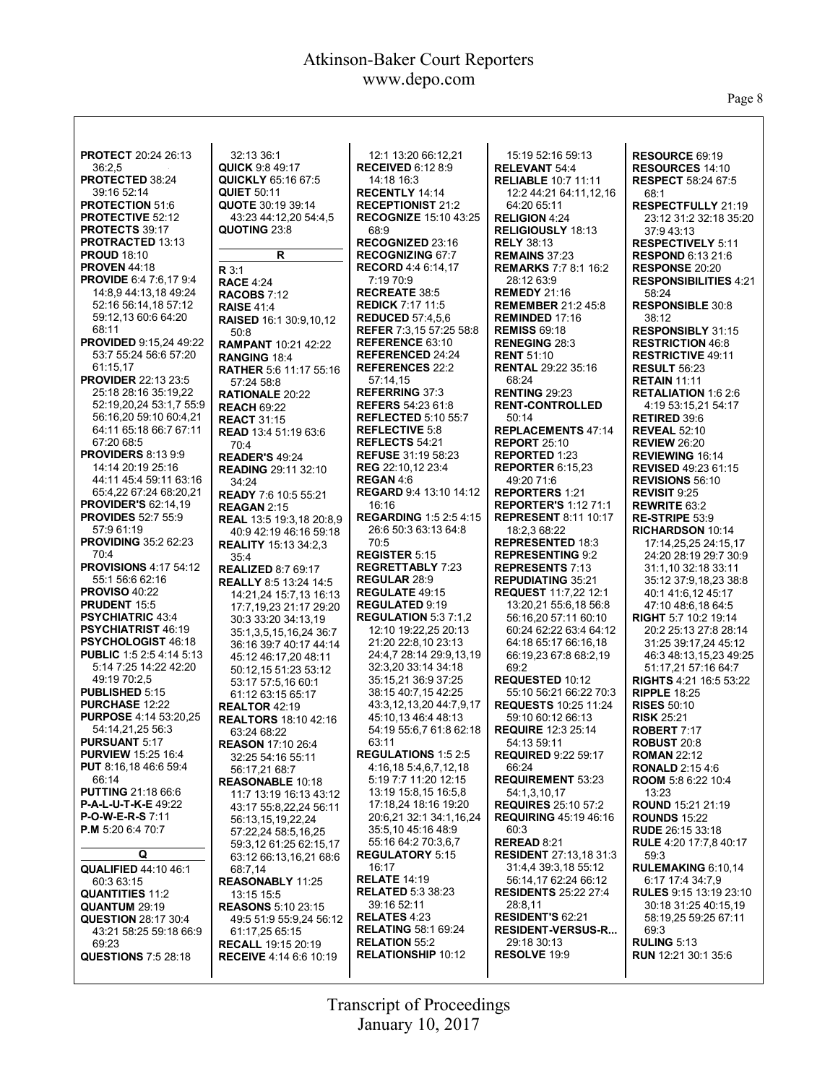Page 8

| <b>PROTECT 20:24 26:13</b>      | 32:13 36:1                      | 12:1 13:20 66:12,21            | 15:19 52:16 59:13             | RESOURCE 69:19                |
|---------------------------------|---------------------------------|--------------------------------|-------------------------------|-------------------------------|
| 36:2.5                          | <b>QUICK 9:8 49:17</b>          | <b>RECEIVED 6:12 8:9</b>       | <b>RELEVANT 54:4</b>          | <b>RESOURCES 14:10</b>        |
| PROTECTED 38:24                 | <b>QUICKLY 65:16 67:5</b>       | 14:18 16:3                     | <b>RELIABLE 10:7 11:11</b>    | <b>RESPECT 58:24 67:5</b>     |
| 39:16 52:14                     | <b>QUIET 50:11</b>              | <b>RECENTLY 14:14</b>          | 12:2 44:21 64:11,12,16        | 68:1                          |
| <b>PROTECTION 51:6</b>          | <b>QUOTE 30:19 39:14</b>        | <b>RECEPTIONIST 21:2</b>       | 64:20 65:11                   | <b>RESPECTFULLY 21:19</b>     |
|                                 |                                 |                                |                               |                               |
| <b>PROTECTIVE 52:12</b>         | 43:23 44:12,20 54:4,5           | <b>RECOGNIZE 15:10 43:25</b>   | <b>RELIGION 4:24</b>          | 23:12 31:2 32:18 35:20        |
| <b>PROTECTS 39:17</b>           | QUOTING 23:8                    | 68:9                           | <b>RELIGIOUSLY 18:13</b>      | 37:943:13                     |
| PROTRACTED 13:13                |                                 | RECOGNIZED 23:16               | <b>RELY 38:13</b>             | <b>RESPECTIVELY 5:11</b>      |
| <b>PROUD 18:10</b>              | R                               | <b>RECOGNIZING 67:7</b>        | <b>REMAINS 37:23</b>          | <b>RESPOND 6:13 21:6</b>      |
| <b>PROVEN 44:18</b>             | R3:1                            | <b>RECORD</b> 4:4 6:14,17      | <b>REMARKS 7:7 8:1 16:2</b>   | RESPONSE 20:20                |
| <b>PROVIDE 6:4 7:6.17 9:4</b>   | <b>RACE 4:24</b>                | 7:19 70:9                      | 28:12 63:9                    | <b>RESPONSIBILITIES 4:21</b>  |
| 14:8,9 44:13,18 49:24           | <b>RACOBS 7:12</b>              | <b>RECREATE 38:5</b>           | <b>REMEDY 21:16</b>           | 58:24                         |
| 52:16 56:14.18 57:12            |                                 | <b>REDICK 7:17 11:5</b>        | <b>REMEMBER 21:2 45:8</b>     | <b>RESPONSIBLE 30:8</b>       |
| 59:12,13 60:6 64:20             | <b>RAISE 41:4</b>               | <b>REDUCED 57:4.5.6</b>        | <b>REMINDED 17:16</b>         |                               |
|                                 | <b>RAISED 16:1 30:9,10,12</b>   |                                |                               | 38:12                         |
| 68:11                           | 50:8                            | <b>REFER 7:3,15 57:25 58:8</b> | <b>REMISS 69:18</b>           | <b>RESPONSIBLY 31:15</b>      |
| <b>PROVIDED 9:15,24 49:22</b>   | <b>RAMPANT 10:21 42:22</b>      | <b>REFERENCE 63:10</b>         | <b>RENEGING 28:3</b>          | <b>RESTRICTION 46:8</b>       |
| 53:7 55:24 56:6 57:20           | <b>RANGING 18:4</b>             | <b>REFERENCED 24:24</b>        | <b>RENT 51:10</b>             | <b>RESTRICTIVE 49:11</b>      |
| 61:15,17                        | <b>RATHER 5:6 11:17 55:16</b>   | <b>REFERENCES 22:2</b>         | <b>RENTAL 29:22 35:16</b>     | <b>RESULT 56:23</b>           |
| <b>PROVIDER 22:13 23:5</b>      | 57:24 58:8                      | 57:14,15                       | 68:24                         | <b>RETAIN 11:11</b>           |
| 25:18 28:16 35:19,22            | <b>RATIONALE 20:22</b>          | <b>REFERRING 37:3</b>          | <b>RENTING 29:23</b>          | <b>RETALIATION 1:6 2:6</b>    |
| 52:19.20.24 53:1.7 55:9         | <b>REACH 69:22</b>              | <b>REFERS</b> 54:23 61:8       | <b>RENT-CONTROLLED</b>        | 4:19 53:15,21 54:17           |
| 56:16,20 59:10 60:4,21          | <b>REACT 31:15</b>              | <b>REFLECTED 5:10 55:7</b>     | 50:14                         | <b>RETIRED 39:6</b>           |
| 64:11 65:18 66:7 67:11          |                                 | <b>REFLECTIVE 5:8</b>          | <b>REPLACEMENTS 47:14</b>     | <b>REVEAL 52:10</b>           |
| 67:20 68:5                      | <b>READ</b> 13:4 51:19 63:6     | REFLECTS 54:21                 | <b>REPORT 25:10</b>           |                               |
| <b>PROVIDERS 8:13 9:9</b>       | 70:4                            |                                |                               | <b>REVIEW 26:20</b>           |
|                                 | <b>READER'S 49:24</b>           | <b>REFUSE</b> 31:19 58:23      | <b>REPORTED 1:23</b>          | <b>REVIEWING 16:14</b>        |
| 14:14 20:19 25:16               | <b>READING 29:11 32:10</b>      | <b>REG</b> 22:10,12 23:4       | <b>REPORTER 6:15.23</b>       | <b>REVISED 49:23 61:15</b>    |
| 44:11 45:4 59:11 63:16          | 34:24                           | <b>REGAN 4:6</b>               | 49:20 71:6                    | <b>REVISIONS 56:10</b>        |
| 65:4,22 67:24 68:20,21          | <b>READY 7:6 10:5 55:21</b>     | <b>REGARD</b> 9:4 13:10 14:12  | <b>REPORTERS 1:21</b>         | REVISIT 9:25                  |
| <b>PROVIDER'S 62:14,19</b>      | <b>REAGAN 2:15</b>              | 16:16                          | <b>REPORTER'S 1:12 71:1</b>   | <b>REWRITE 63:2</b>           |
| <b>PROVIDES 52:7 55:9</b>       | <b>REAL 13:5 19:3.18 20:8.9</b> | <b>REGARDING 1:5 2:5 4:15</b>  | <b>REPRESENT 8:11 10:17</b>   | RE-STRIPE 53:9                |
| 57:9 61:19                      | 40:9 42:19 46:16 59:18          | 26:6 50:3 63:13 64:8           | 18:2,3 68:22                  | RICHARDSON 10:14              |
| <b>PROVIDING 35:2 62:23</b>     | <b>REALITY 15:13 34:2,3</b>     | 70:5                           | <b>REPRESENTED 18:3</b>       | 17:14,25,25 24:15,17          |
| 70:4                            | 35:4                            | <b>REGISTER 5:15</b>           | <b>REPRESENTING 9:2</b>       | 24:20 28:19 29:7 30:9         |
| <b>PROVISIONS 4:17 54:12</b>    | <b>REALIZED 8:7 69:17</b>       | <b>REGRETTABLY 7:23</b>        | <b>REPRESENTS 7:13</b>        | 31:1,10 32:18 33:11           |
| 55:1 56:6 62:16                 |                                 | REGULAR 28:9                   | <b>REPUDIATING 35:21</b>      | 35:12 37:9,18,23 38:8         |
| <b>PROVISO 40:22</b>            | <b>REALLY 8:5 13:24 14:5</b>    | <b>REGULATE 49:15</b>          | <b>REQUEST 11:7,22 12:1</b>   | 40:1 41:6,12 45:17            |
| PRUDENT 15:5                    | 14:21,24 15:7,13 16:13          | <b>REGULATED 9:19</b>          |                               |                               |
|                                 | 17:7,19,23 21:17 29:20          |                                | 13:20,21 55:6,18 56:8         | 47:10 48:6,18 64:5            |
| <b>PSYCHIATRIC 43:4</b>         | 30:3 33:20 34:13.19             | <b>REGULATION 5:3 7:1.2</b>    | 56:16,20 57:11 60:10          | <b>RIGHT 5:7 10:2 19:14</b>   |
| <b>PSYCHIATRIST 46:19</b>       | 35:1,3,5,15,16,24 36:7          | 12:10 19:22,25 20:13           | 60:24 62:22 63:4 64:12        | 20:2 25:13 27:8 28:14         |
| <b>PSYCHOLOGIST 46:18</b>       | 36:16 39:7 40:17 44:14          | 21:20 22:8,10 23:13            | 64:18 65:17 66:16,18          | 31:25 39:17,24 45:12          |
| <b>PUBLIC 1:5 2:5 4:14 5:13</b> | 45:12 46:17,20 48:11            | 24:4.7 28:14 29:9.13.19        | 66:19,23 67:8 68:2,19         | 46:3 48:13,15,23 49:25        |
| 5:14 7:25 14:22 42:20           | 50:12,15 51:23 53:12            | 32:3,20 33:14 34:18            | 69:2                          | 51:17,21 57:16 64:7           |
| 49:19 70:2,5                    | 53:17 57:5,16 60:1              | 35:15,21 36:9 37:25            | REQUESTED 10:12               | RIGHTS 4:21 16:5 53:22        |
| PUBLISHED 5:15                  | 61:12 63:15 65:17               | 38:15 40:7,15 42:25            | 55:10 56:21 66:22 70:3        | <b>RIPPLE 18:25</b>           |
| <b>PURCHASE 12:22</b>           | <b>REALTOR 42:19</b>            | 43:3,12,13,20 44:7,9,17        | <b>REQUESTS 10:25 11:24</b>   | <b>RISES 50:10</b>            |
| <b>PURPOSE 4:14 53:20.25</b>    | <b>REALTORS 18:10 42:16</b>     | 45:10,13 46:4 48:13            | 59:10 60:12 66:13             | <b>RISK 25:21</b>             |
| 54:14,21,25 56:3                | 63:24 68:22                     | 54:19 55:6,7 61:8 62:18        | <b>REQUIRE 12:3 25:14</b>     | ROBERT 7:17                   |
| <b>PURSUANT 5:17</b>            |                                 | 63:11                          | 54:13 59:11                   | <b>ROBUST 20:8</b>            |
|                                 | <b>REASON 17:10 26:4</b>        |                                | <b>REQUIRED 9:22 59:17</b>    |                               |
| <b>PURVIEW</b> 15:25 16:4       | 32:25 54:16 55:11               | <b>REGULATIONS 1:5 2:5</b>     |                               | <b>ROMAN 22:12</b>            |
| <b>PUT</b> 8:16,18 46:6 59:4    | 56:17,21 68:7                   | 4:16,18 5:4,6,7,12,18          | 66:24                         | <b>RONALD</b> 2:15 4:6        |
| 66:14                           | <b>REASONABLE 10:18</b>         | 5:19 7:7 11:20 12:15           | <b>REQUIREMENT 53:23</b>      | ROOM 5:8 6:22 10:4            |
| <b>PUTTING 21:18 66:6</b>       | 11:7 13:19 16:13 43:12          | 13:19 15:8,15 16:5,8           | 54:1,3,10,17                  | 13:23                         |
| <b>P-A-L-U-T-K-E 49:22</b>      | 43:17 55:8.22.24 56:11          | 17:18,24 18:16 19:20           | <b>REQUIRES</b> 25:10 57:2    | <b>ROUND 15:21 21:19</b>      |
| <b>P-O-W-E-R-S 7:11</b>         | 56:13,15,19,22,24               | 20:6,21 32:1 34:1,16,24        | <b>REQUIRING 45:19 46:16</b>  | <b>ROUNDS 15:22</b>           |
| <b>P.M</b> 5:20 6:4 70:7        | 57:22,24 58:5,16,25             | 35:5,10 45:16 48:9             | 60:3                          | <b>RUDE</b> 26:15 33:18       |
|                                 | 59:3,12 61:25 62:15,17          | 55:16 64:2 70:3,6,7            | REREAD 8:21                   | <b>RULE</b> 4:20 17:7,8 40:17 |
| Q                               | 63:12 66:13,16,21 68:6          | <b>REGULATORY 5:15</b>         | <b>RESIDENT</b> 27:13,18 31:3 | 59:3                          |
| <b>QUALIFIED 44:10 46:1</b>     | 68:7.14                         | 16:17                          | 31:4.4 39:3.18 55:12          | RULEMAKING 6:10,14            |
| 60:3 63:15                      | <b>REASONABLY 11:25</b>         | <b>RELATE 14:19</b>            | 56:14,17 62:24 66:12          | 6:17 17:4 34:7.9              |
|                                 |                                 | <b>RELATED 5:3 38:23</b>       | <b>RESIDENTS 25:22 27:4</b>   | <b>RULES</b> 9:15 13:19 23:10 |
| <b>QUANTITIES 11:2</b>          | 13:15 15:5                      | 39:16 52:11                    | 28:8,11                       | 30:18 31:25 40:15,19          |
| <b>QUANTUM 29:19</b>            | <b>REASONS 5:10 23:15</b>       |                                |                               |                               |
| <b>QUESTION 28:17 30:4</b>      | 49:5 51:9 55:9,24 56:12         | <b>RELATES 4:23</b>            | RESIDENT'S 62:21              | 58:19,25 59:25 67:11          |
| 43:21 58:25 59:18 66:9          | 61:17,25 65:15                  | <b>RELATING 58:1 69:24</b>     | <b>RESIDENT-VERSUS-R</b>      | 69:3                          |
| 69:23                           | <b>RECALL 19:15 20:19</b>       | <b>RELATION 55:2</b>           | 29:18 30:13                   | <b>RULING 5:13</b>            |
| <b>QUESTIONS</b> 7:5 28:18      | <b>RECEIVE 4:14 6:6 10:19</b>   | <b>RELATIONSHIP 10:12</b>      | <b>RESOLVE 19:9</b>           | RUN 12:21 30:1 35:6           |
|                                 |                                 |                                |                               |                               |
|                                 |                                 |                                |                               |                               |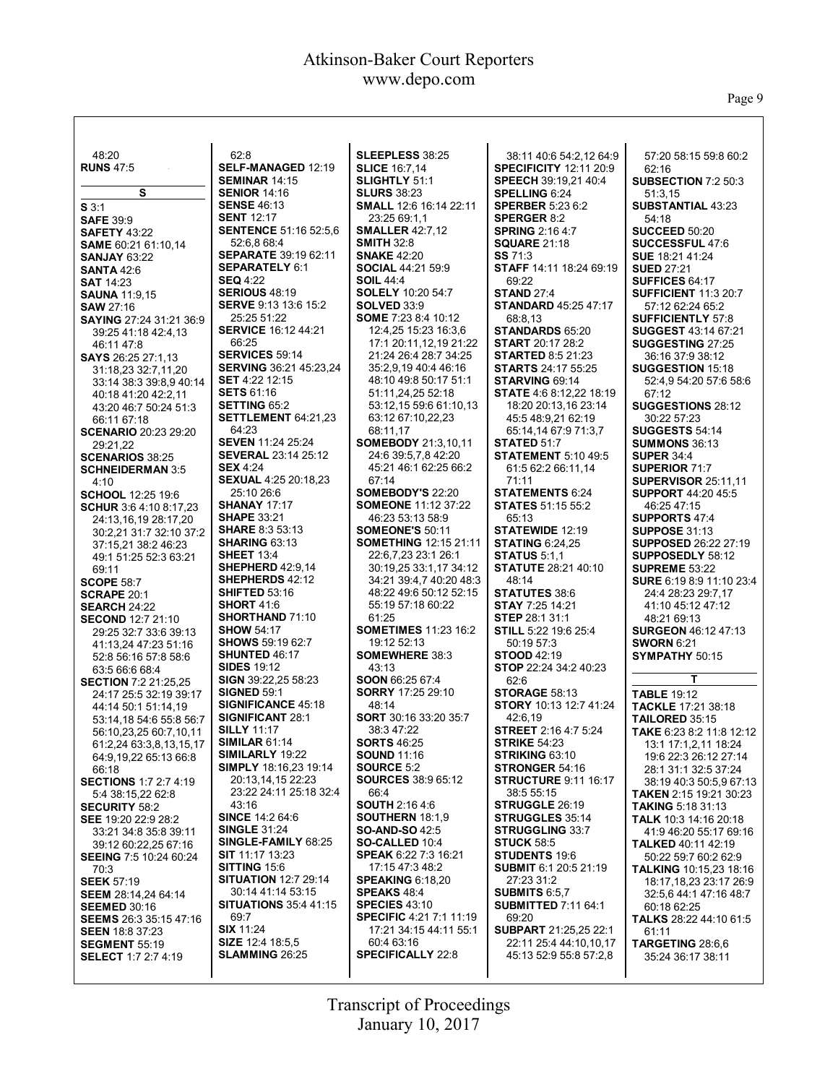$\mathsf{l}$ 

Page 9

| 48:20                                                 | 62:8                                                   | SLEEPLESS 38:25                               | 38:11 40:6 54:2.12 64:9                               | 57:20 58:15 59:8 60:2                             |
|-------------------------------------------------------|--------------------------------------------------------|-----------------------------------------------|-------------------------------------------------------|---------------------------------------------------|
| <b>RUNS 47:5</b>                                      | <b>SELF-MANAGED 12:19</b>                              | <b>SLICE 16:7,14</b>                          | <b>SPECIFICITY 12:11 20:9</b>                         | 62:16                                             |
|                                                       | <b>SEMINAR 14:15</b>                                   | <b>SLIGHTLY 51:1</b>                          | <b>SPEECH 39:19,21 40:4</b>                           | <b>SUBSECTION 7:2 50:3</b>                        |
| s                                                     | <b>SENIOR 14:16</b>                                    | <b>SLURS 38:23</b>                            | <b>SPELLING 6:24</b>                                  | 51:3,15                                           |
| $S \, 3:1$                                            | <b>SENSE 46:13</b>                                     | SMALL 12:6 16:14 22:11                        | <b>SPERBER 5:23 6:2</b>                               | <b>SUBSTANTIAL 43:23</b>                          |
| <b>SAFE 39:9</b>                                      | <b>SENT 12:17</b>                                      | 23:25 69:1.1                                  | <b>SPERGER 8:2</b>                                    | 54:18                                             |
| <b>SAFETY 43:22</b>                                   | <b>SENTENCE 51:16 52:5.6</b><br>52:6.8 68:4            | <b>SMALLER 42:7,12</b><br><b>SMITH 32:8</b>   | <b>SPRING 2:16 4:7</b><br><b>SQUARE 21:18</b>         | <b>SUCCEED 50:20</b>                              |
| <b>SAME 60:21 61:10,14</b><br><b>SANJAY 63:22</b>     | <b>SEPARATE 39:19 62:11</b>                            | <b>SNAKE 42:20</b>                            | <b>SS 71:3</b>                                        | <b>SUCCESSFUL 47:6</b><br>SUE 18:21 41:24         |
| <b>SANTA 42:6</b>                                     | <b>SEPARATELY 6:1</b>                                  | <b>SOCIAL 44:21 59:9</b>                      | <b>STAFF</b> 14:11 18:24 69:19                        | <b>SUED 27:21</b>                                 |
| <b>SAT 14:23</b>                                      | <b>SEQ</b> 4:22                                        | <b>SOIL 44:4</b>                              | 69:22                                                 | <b>SUFFICES 64:17</b>                             |
| <b>SAUNA 11:9,15</b>                                  | <b>SERIOUS 48:19</b>                                   | <b>SOLELY 10:20 54:7</b>                      | <b>STAND 27:4</b>                                     | <b>SUFFICIENT 11:3 20:7</b>                       |
| <b>SAW 27:16</b>                                      | <b>SERVE 9:13 13:6 15:2</b>                            | <b>SOLVED 33:9</b>                            | <b>STANDARD 45:25 47:17</b>                           | 57:12 62:24 65:2                                  |
| <b>SAYING 27:24 31:21 36:9</b>                        | 25:25 51:22                                            | <b>SOME</b> 7:23 8:4 10:12                    | 68:8,13                                               | <b>SUFFICIENTLY 57:8</b>                          |
| 39:25 41:18 42:4,13                                   | <b>SERVICE 16:12 44:21</b>                             | 12:4,25 15:23 16:3,6                          | <b>STANDARDS 65:20</b>                                | <b>SUGGEST 43:14 67:21</b>                        |
| 46:11 47:8                                            | 66:25                                                  | 17:1 20:11, 12, 19 21:22                      | <b>START</b> 20:17 28:2                               | <b>SUGGESTING 27:25</b>                           |
| <b>SAYS</b> 26:25 27:1.13                             | <b>SERVICES 59:14</b><br><b>SERVING 36:21 45:23,24</b> | 21:24 26:4 28:7 34:25<br>35:2,9,19 40:4 46:16 | <b>STARTED 8:5 21:23</b><br><b>STARTS</b> 24:17 55:25 | 36:16 37:9 38:12                                  |
| 31:18,23 32:7,11,20                                   | <b>SET 4:22 12:15</b>                                  | 48:10 49:8 50:17 51:1                         | STARVING 69:14                                        | <b>SUGGESTION 15:18</b><br>52:4.9 54:20 57:6 58:6 |
| 33:14 38:3 39:8,9 40:14<br>40:18 41:20 42:2,11        | <b>SETS 61:16</b>                                      | 51:11,24,25 52:18                             | <b>STATE 4:6 8:12,22 18:19</b>                        | 67:12                                             |
| 43:20 46:7 50:24 51:3                                 | <b>SETTING 65:2</b>                                    | 53:12.15 59:6 61:10.13                        | 18:20 20:13,16 23:14                                  | <b>SUGGESTIONS 28:12</b>                          |
| 66:11 67:18                                           | <b>SETTLEMENT 64:21,23</b>                             | 63:12 67:10,22,23                             | 45:5 48:9,21 62:19                                    | 30:22 57:23                                       |
| <b>SCENARIO 20:23 29:20</b>                           | 64:23                                                  | 68:11.17                                      | 65:14,14 67:9 71:3,7                                  | <b>SUGGESTS 54:14</b>                             |
| 29:21,22                                              | SEVEN 11:24 25:24                                      | <b>SOMEBODY 21:3,10,11</b>                    | <b>STATED 51:7</b>                                    | <b>SUMMONS 36:13</b>                              |
| <b>SCENARIOS 38:25</b>                                | <b>SEVERAL 23:14 25:12</b>                             | 24:6 39:5,7,8 42:20                           | <b>STATEMENT 5:10 49:5</b>                            | <b>SUPER 34:4</b>                                 |
| <b>SCHNEIDERMAN 3:5</b>                               | <b>SEX 4:24</b>                                        | 45:21 46:1 62:25 66:2                         | 61:5 62:2 66:11,14                                    | <b>SUPERIOR 71:7</b>                              |
| 4:10                                                  | <b>SEXUAL 4:25 20:18,23</b><br>25:10 26:6              | 67:14<br><b>SOMEBODY'S 22:20</b>              | 71:11                                                 | <b>SUPERVISOR 25:11,11</b>                        |
| <b>SCHOOL 12:25 19:6</b>                              | <b>SHANAY 17:17</b>                                    | <b>SOMEONE 11:12 37:22</b>                    | <b>STATEMENTS 6:24</b><br><b>STATES 51:15 55:2</b>    | <b>SUPPORT 44:20 45:5</b><br>46:25 47:15          |
| <b>SCHUR</b> 3:6 4:10 8:17,23<br>24:13,16,19 28:17,20 | <b>SHAPE 33:21</b>                                     | 46:23 53:13 58:9                              | 65:13                                                 | <b>SUPPORTS 47:4</b>                              |
| 30:2,21 31:7 32:10 37:2                               | <b>SHARE 8:3 53:13</b>                                 | <b>SOMEONE'S 50:11</b>                        | <b>STATEWIDE 12:19</b>                                | <b>SUPPOSE 31:13</b>                              |
| 37:15,21 38:2 46:23                                   | <b>SHARING 63:13</b>                                   | <b>SOMETHING 12:15 21:11</b>                  | <b>STATING 6:24,25</b>                                | <b>SUPPOSED 26:22 27:19</b>                       |
| 49:1 51:25 52:3 63:21                                 | <b>SHEET 13:4</b>                                      | 22:6.7.23 23:1 26:1                           | <b>STATUS 5:1.1</b>                                   | <b>SUPPOSEDLY 58:12</b>                           |
| 69:11                                                 | <b>SHEPHERD 42:9,14</b>                                | 30:19,25 33:1,17 34:12                        | <b>STATUTE 28:21 40:10</b>                            | <b>SUPREME 53:22</b>                              |
| <b>SCOPE 58:7</b>                                     | <b>SHEPHERDS 42:12</b>                                 | 34:21 39:4,7 40:20 48:3                       | 48:14                                                 | <b>SURE</b> 6:19 8:9 11:10 23:4                   |
| <b>SCRAPE 20:1</b>                                    | <b>SHIFTED 53:16</b><br><b>SHORT 41:6</b>              | 48:22 49:6 50:12 52:15                        | <b>STATUTES 38:6</b>                                  | 24:4 28:23 29:7,17                                |
| <b>SEARCH 24:22</b>                                   | SHORTHAND 71:10                                        | 55:19 57:18 60:22<br>61:25                    | <b>STAY 7:25 14:21</b><br><b>STEP 28:1 31:1</b>       | 41:10 45:12 47:12                                 |
| <b>SECOND 12:7 21:10</b><br>29:25 32:7 33:6 39:13     | <b>SHOW 54:17</b>                                      | <b>SOMETIMES 11:23 16:2</b>                   | <b>STILL</b> 5:22 19:6 25:4                           | 48:21 69:13<br><b>SURGEON 46:12 47:13</b>         |
| 41:13,24 47:23 51:16                                  | <b>SHOWS</b> 59:19 62:7                                | 19:12 52:13                                   | 50:19 57:3                                            | <b>SWORN 6:21</b>                                 |
| 52:8 56:16 57:8 58:6                                  | <b>SHUNTED 46:17</b>                                   | <b>SOMEWHERE 38:3</b>                         | <b>STOOD 42:19</b>                                    | <b>SYMPATHY 50:15</b>                             |
| 63:5 66:6 68:4                                        | <b>SIDES 19:12</b>                                     | 43:13                                         | STOP 22:24 34:2 40:23                                 |                                                   |
| <b>SECTION 7:2 21:25.25</b>                           | <b>SIGN</b> 39:22,25 58:23                             | SOON 66:25 67:4                               | 62:6                                                  | т                                                 |
| 24:17 25:5 32:19 39:17                                | <b>SIGNED 59:1</b>                                     | <b>SORRY 17:25 29:10</b>                      | <b>STORAGE 58:13</b>                                  | <b>TABLE 19:12</b>                                |
| 44:14 50:1 51:14,19                                   | <b>SIGNIFICANCE 45:18</b>                              | 48:14                                         | <b>STORY 10:13 12:7 41:24</b>                         | TACKLE 17:21 38:18                                |
| 53:14.18 54:6 55:8 56:7                               | <b>SIGNIFICANT 28:1</b><br><b>SILLY 11:17</b>          | <b>SORT</b> 30:16 33:20 35:7<br>38:3 47:22    | 42:6,19<br><b>STREET 2:16 4:7 5:24</b>                | <b>TAILORED 35:15</b>                             |
| 56:10,23,25 60:7,10,11                                | <b>SIMILAR 61:14</b>                                   | <b>SORTS 46:25</b>                            | <b>STRIKE 54:23</b>                                   | <b>TAKE</b> 6:23 8:2 11:8 12:12                   |
| 61:2,24 63:3,8,13,15,17<br>64:9,19,22 65:13 66:8      | SIMILARLY 19:22                                        | <b>SOUND 11:16</b>                            | STRIKING 63:10                                        | 13:1 17:1,2,11 18:24<br>19:6 22:3 26:12 27:14     |
| 66:18                                                 | SIMPLY 18:16,23 19:14                                  | <b>SOURCE 5:2</b>                             | <b>STRONGER 54:16</b>                                 | 28:1 31:1 32:5 37:24                              |
| <b>SECTIONS 1:7 2:7 4:19</b>                          | 20:13,14,15 22:23                                      | <b>SOURCES</b> 38:9 65:12                     | <b>STRUCTURE 9:11 16:17</b>                           | 38:19 40:3 50:5,9 67:13                           |
| 5:4 38:15.22 62:8                                     | 23:22 24:11 25:18 32:4                                 | 66:4                                          | 38:5 55:15                                            | <b>TAKEN 2:15 19:21 30:23</b>                     |
| <b>SECURITY 58:2</b>                                  | 43:16                                                  | <b>SOUTH 2:16 4:6</b>                         | <b>STRUGGLE 26:19</b>                                 | <b>TAKING 5:18 31:13</b>                          |
| SEE 19:20 22:9 28:2                                   | <b>SINCE 14:2 64:6</b>                                 | <b>SOUTHERN 18:1.9</b>                        | <b>STRUGGLES</b> 35:14                                | <b>TALK</b> 10:3 14:16 20:18                      |
| 33:21 34:8 35:8 39:11                                 | <b>SINGLE 31:24</b><br>SINGLE-FAMILY 68:25             | <b>SO-AND-SO 42:5</b><br>SO-CALLED 10:4       | <b>STRUGGLING 33:7</b>                                | 41:9 46:20 55:17 69:16                            |
| 39:12 60:22,25 67:16<br><b>SEEING 7:5 10:24 60:24</b> | <b>SIT</b> 11:17 13:23                                 | <b>SPEAK 6:22 7:3 16:21</b>                   | <b>STUCK 58:5</b><br><b>STUDENTS 19:6</b>             | <b>TALKED 40:11 42:19</b><br>50:22 59:7 60:2 62:9 |
| 70:3                                                  | SITTING 15:6                                           | 17:15 47:3 48:2                               | <b>SUBMIT 6:1 20:5 21:19</b>                          | <b>TALKING 10:15,23 18:16</b>                     |
| <b>SEEK 57:19</b>                                     | <b>SITUATION 12:7 29:14</b>                            | <b>SPEAKING 6:18,20</b>                       | 27:23 31:2                                            | 18:17, 18, 23 23:17 26:9                          |
| <b>SEEM</b> 28:14,24 64:14                            | 30:14 41:14 53:15                                      | <b>SPEAKS 48:4</b>                            | <b>SUBMITS 6:5,7</b>                                  | 32:5,6 44:1 47:16 48:7                            |
| <b>SEEMED 30:16</b>                                   | <b>SITUATIONS</b> 35:4 41:15                           | <b>SPECIES 43:10</b>                          | <b>SUBMITTED 7:11 64:1</b>                            | 60:18 62:25                                       |
| SEEMS 26:3 35:15 47:16                                | 69:7                                                   | <b>SPECIFIC 4:21 7:1 11:19</b>                | 69:20                                                 | TALKS 28:22 44:10 61:5                            |
| <b>SEEN 18:8 37:23</b>                                | <b>SIX 11:24</b>                                       | 17:21 34:15 44:11 55:1                        | <b>SUBPART 21:25,25 22:1</b>                          | 61:11                                             |
| <b>SEGMENT 55:19</b>                                  | <b>SIZE</b> 12:4 18:5,5                                | 60:4 63:16                                    | 22:11 25:4 44:10,10,17                                | TARGETING 28:6,6                                  |
| <b>SELECT</b> 1:7 2:7 4:19                            | <b>SLAMMING 26:25</b>                                  | <b>SPECIFICALLY 22:8</b>                      | 45:13 52:9 55:8 57:2,8                                | 35:24 36:17 38:11                                 |
|                                                       |                                                        |                                               |                                                       |                                                   |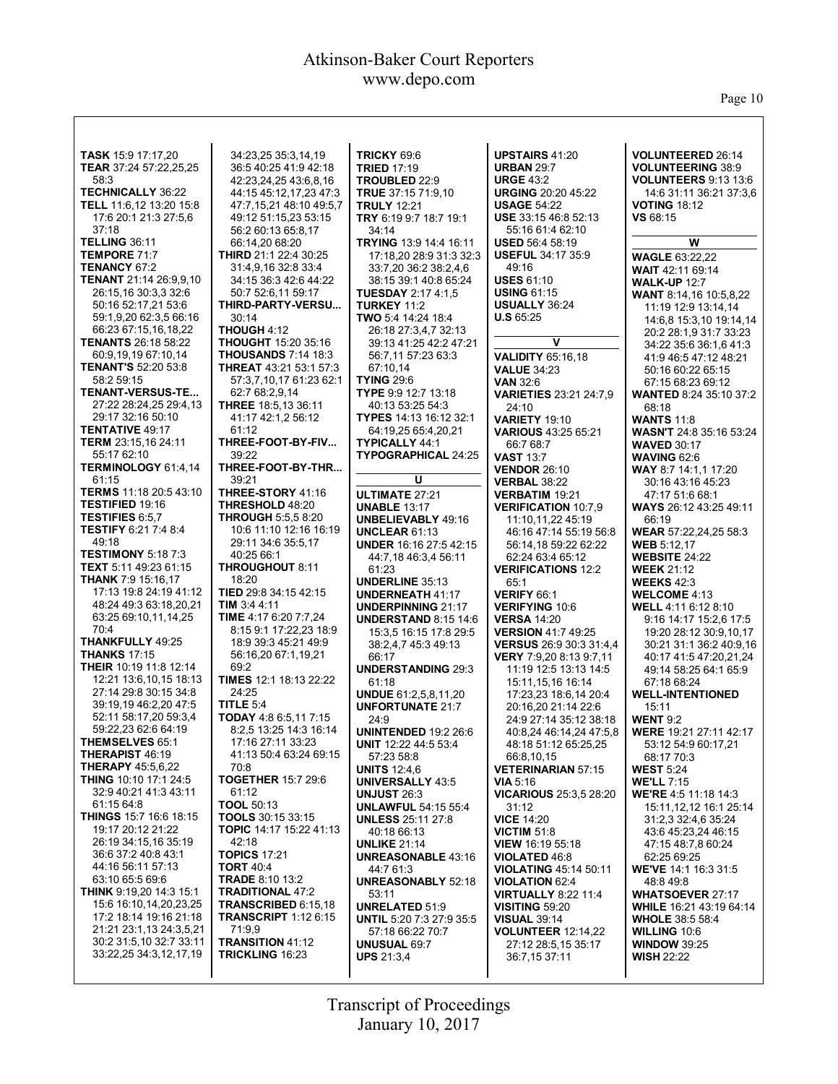Page 10

| <b>VOLUNTEERED 26:14</b><br><b>UPSTAIRS 41:20</b><br><b>TASK 15:9 17:17,20</b><br>34:23,25 35:3,14,19<br><b>TRICKY 69:6</b><br>TEAR 37:24 57:22,25,25<br><b>TRIED 17:19</b><br><b>URBAN 29:7</b><br><b>VOLUNTEERING 38:9</b><br>36:5 40:25 41:9 42:18<br>58:3<br><b>URGE 43:2</b><br>42:23,24,25 43:6,8,16<br><b>VOLUNTEERS 9:13 13:6</b><br>TROUBLED 22:9<br><b>TECHNICALLY 36:22</b><br><b>URGING 20:20 45:22</b><br>44:15 45:12,17,23 47:3<br>TRUE 37:15 71:9,10<br>14:6 31:11 36:21 37:3,6<br><b>TELL</b> 11:6,12 13:20 15:8<br><b>USAGE 54:22</b><br><b>VOTING 18:12</b><br>47:7.15.21 48:10 49:5.7<br><b>TRULY 12:21</b><br>17:6 20:1 21:3 27:5,6<br>49:12 51:15,23 53:15<br>TRY 6:19 9:7 18:7 19:1<br><b>USE</b> 33:15 46:8 52:13<br>VS 68:15<br>37:18<br>56:2 60:13 65:8,17<br>34:14<br>55:16 61:4 62:10<br><b>TELLING 36:11</b><br>66:14,20 68:20<br>TRYING 13:9 14:4 16:11<br><b>USED</b> 56:4 58:19<br>w<br><b>TEMPORE 71:7</b><br><b>THIRD</b> 21:1 22:4 30:25<br><b>USEFUL 34:17 35:9</b><br>17:18.20 28:9 31:3 32:3<br><b>WAGLE 63:22,22</b><br><b>TENANCY 67:2</b><br>31:4,9,16 32:8 33:4<br>33:7,20 36:2 38:2,4,6<br>49:16<br><b>WAIT 42:11 69:14</b><br>TENANT 21:14 26:9.9.10<br><b>USES 61:10</b><br>38:15 39:1 40:8 65:24<br>34:15 36:3 42:6 44:22<br><b>WALK-UP 12:7</b><br>26:15,16 30:3,3 32:6<br><b>USING 61:15</b><br>50:7 52:6,11 59:17<br><b>TUESDAY 2:17 4:1,5</b><br>WANT 8:14,16 10:5,8,22<br>50:16 52:17,21 53:6<br><b>USUALLY 36:24</b><br>THIRD-PARTY-VERSU<br><b>TURKEY 11:2</b><br>11:19 12:9 13:14,14<br>59:1,9,20 62:3,5 66:16<br>30:14<br>TWO 5:4 14:24 18:4<br><b>U.S</b> $65:25$<br>14:6,8 15:3,10 19:14,14<br>66:23 67:15,16,18,22<br><b>THOUGH 4:12</b><br>26:18 27:3,4,7 32:13<br>20:2 28:1,9 31:7 33:23<br>v<br><b>TENANTS 26:18 58:22</b><br><b>THOUGHT</b> 15:20 35:16<br>39:13 41:25 42:2 47:21<br>34:22 35:6 36:1,6 41:3<br>60:9,19,19 67:10,14<br><b>THOUSANDS 7:14 18:3</b><br>56:7,11 57:23 63:3<br><b>VALIDITY 65:16,18</b><br>41:9 46:5 47:12 48:21<br><b>TENANT'S 52:20 53:8</b><br><b>THREAT</b> 43:21 53:1 57:3<br>67:10,14<br><b>VALUE 34:23</b><br>50:16 60:22 65:15<br>58:2 59:15<br>57:3,7,10,17 61:23 62:1<br><b>TYING 29:6</b><br><b>VAN 32:6</b><br>67:15 68:23 69:12<br><b>TENANT-VERSUS-TE</b><br>TYPE 9:9 12:7 13:18<br>62:7 68:2,9,14<br><b>VARIETIES 23:21 24:7,9</b><br><b>WANTED 8:24 35:10 37:2</b><br>27:22 28:24,25 29:4,13<br><b>THREE</b> 18:5,13 36:11<br>40:13 53:25 54:3<br>24:10<br>68:18<br>29:17 32:16 50:10<br>41:17 42:1,2 56:12<br>TYPES 14:13 16:12 32:1<br><b>VARIETY 19:10</b><br><b>WANTS 11:8</b><br><b>TENTATIVE 49:17</b><br>61:12<br>64:19,25 65:4,20,21<br>VARIOUS 43:25 65:21<br><b>WASN'T 24:8 35:16 53:24</b><br><b>TERM</b> 23:15,16 24:11<br>THREE-FOOT-BY-FIV<br><b>TYPICALLY 44:1</b><br>66:7 68:7<br><b>WAVED 30:17</b><br>55:17 62:10<br>39:22<br>TYPOGRAPHICAL 24:25<br><b>VAST 13:7</b><br><b>WAVING 62:6</b><br>TERMINOLOGY 61:4,14<br>THREE-FOOT-BY-THR<br><b>VENDOR 26:10</b><br>WAY 8:7 14:1.1 17:20<br>61:15<br>U<br>39:21<br><b>VERBAL 38:22</b><br>30:16 43:16 45:23<br>TERMS 11:18 20:5 43:10<br>THREE-STORY 41:16<br><b>ULTIMATE 27:21</b><br><b>VERBATIM 19:21</b><br>47:17 51:6 68:1<br><b>TESTIFIED 19:16</b><br>THRESHOLD 48:20<br><b>UNABLE 13:17</b><br><b>VERIFICATION 10:7,9</b><br><b>WAYS</b> 26:12 43:25 49:11<br><b>TESTIFIES 6:5,7</b><br><b>THROUGH 5:5.5 8:20</b><br><b>UNBELIEVABLY 49:16</b><br>11:10,11,22 45:19<br>66:19<br><b>TESTIFY 6:21 7:4 8:4</b><br>10:6 11:10 12:16 16:19<br><b>UNCLEAR 61:13</b><br>46:16 47:14 55:19 56:8<br>WEAR 57:22,24,25 58:3<br>49:18<br>29:11 34:6 35:5,17<br><b>UNDER 16:16 27:5 42:15</b><br><b>WEB 5:12,17</b><br>56:14.18 59:22 62:22<br><b>TESTIMONY 5:18 7:3</b><br>40:25 66:1<br><b>WEBSITE 24:22</b><br>44:7,18 46:3,4 56:11<br>62:24 63:4 65:12<br>TEXT 5:11 49:23 61:15<br>THROUGHOUT 8:11<br>61:23<br><b>VERIFICATIONS 12:2</b><br><b>WEEK 21:12</b><br><b>THANK 7:9 15:16,17</b><br>18:20<br><b>UNDERLINE 35:13</b><br>65:1<br><b>WEEKS 42:3</b><br>17:13 19:8 24:19 41:12<br>TIED 29:8 34:15 42:15<br><b>UNDERNEATH 41:17</b><br>VERIFY 66:1<br><b>WELCOME 4:13</b><br>TIM 3:4 4:11<br>48:24 49:3 63:18,20,21<br><b>UNDERPINNING 21:17</b><br><b>VERIFYING 10:6</b><br>WELL 4:11 6:12 8:10<br>63:25 69:10,11,14,25<br>TIME 4:17 6:20 7:7.24<br><b>UNDERSTAND 8:15 14:6</b><br><b>VERSA 14:20</b><br>9:16 14:17 15:2,6 17:5<br>70:4<br>8:15 9:1 17:22,23 18:9<br><b>VERSION 41:7 49:25</b><br>15:3.5 16:15 17:8 29:5<br>19:20 28:12 30:9,10,17<br>THANKFULLY 49:25<br>18:9 39:3 45:21 49:9<br>38:2,4,7 45:3 49:13<br><b>VERSUS</b> 26:9 30:3 31:4,4<br>30:21 31:1 36:2 40:9,16<br><b>THANKS 17:15</b><br>56:16,20 67:1,19,21<br>66:17<br><b>VERY</b> 7:9,20 8:13 9:7,11<br>40:17 41:5 47:20,21,24<br><b>THEIR</b> 10:19 11:8 12:14<br>69:2<br><b>UNDERSTANDING 29:3</b><br>11:19 12:5 13:13 14:5<br>49:14 58:25 64:1 65:9<br>12:21 13:6,10,15 18:13<br><b>TIMES</b> 12:1 18:13 22:22<br>61:18<br>15:11,15,16 16:14<br>67:18 68:24<br>27:14 29:8 30:15 34:8<br>24:25<br><b>UNDUE 61:2,5,8,11,20</b><br><b>WELL-INTENTIONED</b><br>17:23,23 18:6,14 20:4<br>39:19.19 46:2,20 47:5<br>TITLE $5:4$<br><b>UNFORTUNATE 21:7</b><br>20:16,20 21:14 22:6<br>15:11<br>TODAY 4:8 6:5,11 7:15<br>52:11 58:17,20 59:3,4<br>24:9<br><b>WENT 9:2</b><br>24:9 27:14 35:12 38:18<br>59:22,23 62:6 64:19<br>8:2,5 13:25 14:3 16:14<br><b>UNINTENDED 19:2 26:6</b><br>40:8,24 46:14,24 47:5,8<br>WERE 19:21 27:11 42:17<br><b>THEMSELVES 65:1</b><br>17:16 27:11 33:23<br><b>UNIT</b> 12:22 44:5 53:4<br>48:18 51:12 65:25,25<br>53:12 54:9 60:17,21<br><b>THERAPIST 46:19</b><br>41:13 50:4 63:24 69:15<br>57:23 58:8<br>66:8,10,15<br>68:17 70:3<br><b>THERAPY 45:5.6.22</b><br>70:8<br><b>VETERINARIAN 57:15</b><br><b>WEST 5:24</b><br><b>UNITS 12:4.6</b><br><b>THING 10:10 17:1 24:5</b><br><b>TOGETHER 15:7 29:6</b><br><b>UNIVERSALLY 43:5</b><br><b>WE'LL 7:15</b><br>VIA $5:16$<br>32:9 40:21 41:3 43:11<br>61:12<br><b>UNJUST 26:3</b><br><b>VICARIOUS 25:3,5 28:20</b><br>WE'RE 4:5 11:18 14:3<br>61:1564:8<br><b>TOOL 50:13</b><br><b>UNLAWFUL 54:15 55:4</b><br>31:12<br>15:11,12,12 16:1 25:14<br><b>THINGS 15:7 16:6 18:15</b><br><b>TOOLS</b> 30:15 33:15<br><b>VICE 14:20</b><br><b>UNLESS</b> 25:11 27:8<br>31:2,3 32:4,6 35:24<br>19:17 20:12 21:22<br>TOPIC 14:17 15:22 41:13<br>40:18 66:13<br><b>VICTIM 51:8</b><br>43:6 45:23.24 46:15<br>26:19 34:15,16 35:19<br>42:18<br><b>UNLIKE 21:14</b><br>VIEW 16:19 55:18<br>47:15 48:7,8 60:24<br>36:6 37:2 40:8 43:1<br><b>TOPICS 17:21</b><br><b>UNREASONABLE 43:16</b><br>62:25 69:25<br>VIOLATED 46:8<br>44:16 56:11 57:13<br><b>TORT 40:4</b><br>44:7 61:3<br>WE'VE 14:1 16:3 31:5<br><b>VIOLATING 45:14 50:11</b><br>63:10 65:5 69:6<br><b>TRADE 8:10 13:2</b><br><b>UNREASONABLY 52:18</b><br><b>VIOLATION 62:4</b><br>48:849:8<br>THINK 9:19,20 14:3 15:1<br><b>TRADITIONAL 47:2</b><br><b>VIRTUALLY 8:22 11:4</b><br>53:11<br><b>WHATSOEVER 27:17</b><br>15:6 16:10,14,20,23,25<br><b>TRANSCRIBED 6:15,18</b><br><b>UNRELATED 51:9</b><br><b>VISITING 59:20</b><br><b>WHILE</b> 16:21 43:19 64:14<br>17:2 18:14 19:16 21:18<br><b>TRANSCRIPT</b> 1:12 6:15<br><b>UNTIL 5:20 7:3 27:9 35:5</b><br><b>VISUAL 39:14</b><br><b>WHOLE</b> 38:5 58:4<br>21:21 23:1,13 24:3,5,21<br>71:9,9<br>57:18 66:22 70:7<br><b>VOLUNTEER 12:14,22</b><br><b>WILLING 10:6</b><br>30:2 31:5,10 32:7 33:11<br><b>TRANSITION 41:12</b><br><b>UNUSUAL 69:7</b><br>27:12 28:5,15 35:17<br><b>WINDOW 39:25</b><br>33:22,25 34:3,12,17,19<br><b>TRICKLING 16:23</b><br><b>UPS</b> $21:3,4$<br>36:7,15 37:11<br><b>WISH 22:22</b> |  |  |  |
|---------------------------------------------------------------------------------------------------------------------------------------------------------------------------------------------------------------------------------------------------------------------------------------------------------------------------------------------------------------------------------------------------------------------------------------------------------------------------------------------------------------------------------------------------------------------------------------------------------------------------------------------------------------------------------------------------------------------------------------------------------------------------------------------------------------------------------------------------------------------------------------------------------------------------------------------------------------------------------------------------------------------------------------------------------------------------------------------------------------------------------------------------------------------------------------------------------------------------------------------------------------------------------------------------------------------------------------------------------------------------------------------------------------------------------------------------------------------------------------------------------------------------------------------------------------------------------------------------------------------------------------------------------------------------------------------------------------------------------------------------------------------------------------------------------------------------------------------------------------------------------------------------------------------------------------------------------------------------------------------------------------------------------------------------------------------------------------------------------------------------------------------------------------------------------------------------------------------------------------------------------------------------------------------------------------------------------------------------------------------------------------------------------------------------------------------------------------------------------------------------------------------------------------------------------------------------------------------------------------------------------------------------------------------------------------------------------------------------------------------------------------------------------------------------------------------------------------------------------------------------------------------------------------------------------------------------------------------------------------------------------------------------------------------------------------------------------------------------------------------------------------------------------------------------------------------------------------------------------------------------------------------------------------------------------------------------------------------------------------------------------------------------------------------------------------------------------------------------------------------------------------------------------------------------------------------------------------------------------------------------------------------------------------------------------------------------------------------------------------------------------------------------------------------------------------------------------------------------------------------------------------------------------------------------------------------------------------------------------------------------------------------------------------------------------------------------------------------------------------------------------------------------------------------------------------------------------------------------------------------------------------------------------------------------------------------------------------------------------------------------------------------------------------------------------------------------------------------------------------------------------------------------------------------------------------------------------------------------------------------------------------------------------------------------------------------------------------------------------------------------------------------------------------------------------------------------------------------------------------------------------------------------------------------------------------------------------------------------------------------------------------------------------------------------------------------------------------------------------------------------------------------------------------------------------------------------------------------------------------------------------------------------------------------------------------------------------------------------------------------------------------------------------------------------------------------------------------------------------------------------------------------------------------------------------------------------------------------------------------------------------------------------------------------------------------------------------------------------------------------------------------------------------------------------------------------------------------------------------------------------------------------------------------------------------------------------------------------------------------------------------------------------------------------------------------------------------------------------------------------------------------------------------------------------------------------------------------------------------------------------------------------------------------------------------------------------------------------------------------------------------------------------------------------------------------------------------------------------------------------------------------------------------------------------------------------------------------------------------------------------------------------------------------------------------------------------------------------------------------------------------------------------------------------------------------------------------------------------------------------------------------------------------------------------------------------------------------------------------------------------------------------------------------------------------------------------------------------------------------------------------------------------------------------------------------------------------------------------------------------------------------------------------------------------------------------------------------------------------------------------------------------------------------------------------------------------------------------------------------------------------------------------------------------------------------------------------------------------------------------------------------------------|--|--|--|
|                                                                                                                                                                                                                                                                                                                                                                                                                                                                                                                                                                                                                                                                                                                                                                                                                                                                                                                                                                                                                                                                                                                                                                                                                                                                                                                                                                                                                                                                                                                                                                                                                                                                                                                                                                                                                                                                                                                                                                                                                                                                                                                                                                                                                                                                                                                                                                                                                                                                                                                                                                                                                                                                                                                                                                                                                                                                                                                                                                                                                                                                                                                                                                                                                                                                                                                                                                                                                                                                                                                                                                                                                                                                                                                                                                                                                                                                                                                                                                                                                                                                                                                                                                                                                                                                                                                                                                                                                                                                                                                                                                                                                                                                                                                                                                                                                                                                                                                                                                                                                                                                                                                                                                                                                                                                                                                                                                                                                                                                                                                                                                                                                                                                                                                                                                                                                                                                                                                                                                                                                                                                                                                                                                                                                                                                                                                                                                                                                                                                                                                                                                                                                                                                                                                                                                                                                                                                                                                                                                                                                                                                                                                                                                                                                                                                                                                                                                                                                                                                                                                                                                                                                                                   |  |  |  |
|                                                                                                                                                                                                                                                                                                                                                                                                                                                                                                                                                                                                                                                                                                                                                                                                                                                                                                                                                                                                                                                                                                                                                                                                                                                                                                                                                                                                                                                                                                                                                                                                                                                                                                                                                                                                                                                                                                                                                                                                                                                                                                                                                                                                                                                                                                                                                                                                                                                                                                                                                                                                                                                                                                                                                                                                                                                                                                                                                                                                                                                                                                                                                                                                                                                                                                                                                                                                                                                                                                                                                                                                                                                                                                                                                                                                                                                                                                                                                                                                                                                                                                                                                                                                                                                                                                                                                                                                                                                                                                                                                                                                                                                                                                                                                                                                                                                                                                                                                                                                                                                                                                                                                                                                                                                                                                                                                                                                                                                                                                                                                                                                                                                                                                                                                                                                                                                                                                                                                                                                                                                                                                                                                                                                                                                                                                                                                                                                                                                                                                                                                                                                                                                                                                                                                                                                                                                                                                                                                                                                                                                                                                                                                                                                                                                                                                                                                                                                                                                                                                                                                                                                                                                   |  |  |  |
|                                                                                                                                                                                                                                                                                                                                                                                                                                                                                                                                                                                                                                                                                                                                                                                                                                                                                                                                                                                                                                                                                                                                                                                                                                                                                                                                                                                                                                                                                                                                                                                                                                                                                                                                                                                                                                                                                                                                                                                                                                                                                                                                                                                                                                                                                                                                                                                                                                                                                                                                                                                                                                                                                                                                                                                                                                                                                                                                                                                                                                                                                                                                                                                                                                                                                                                                                                                                                                                                                                                                                                                                                                                                                                                                                                                                                                                                                                                                                                                                                                                                                                                                                                                                                                                                                                                                                                                                                                                                                                                                                                                                                                                                                                                                                                                                                                                                                                                                                                                                                                                                                                                                                                                                                                                                                                                                                                                                                                                                                                                                                                                                                                                                                                                                                                                                                                                                                                                                                                                                                                                                                                                                                                                                                                                                                                                                                                                                                                                                                                                                                                                                                                                                                                                                                                                                                                                                                                                                                                                                                                                                                                                                                                                                                                                                                                                                                                                                                                                                                                                                                                                                                                                   |  |  |  |
|                                                                                                                                                                                                                                                                                                                                                                                                                                                                                                                                                                                                                                                                                                                                                                                                                                                                                                                                                                                                                                                                                                                                                                                                                                                                                                                                                                                                                                                                                                                                                                                                                                                                                                                                                                                                                                                                                                                                                                                                                                                                                                                                                                                                                                                                                                                                                                                                                                                                                                                                                                                                                                                                                                                                                                                                                                                                                                                                                                                                                                                                                                                                                                                                                                                                                                                                                                                                                                                                                                                                                                                                                                                                                                                                                                                                                                                                                                                                                                                                                                                                                                                                                                                                                                                                                                                                                                                                                                                                                                                                                                                                                                                                                                                                                                                                                                                                                                                                                                                                                                                                                                                                                                                                                                                                                                                                                                                                                                                                                                                                                                                                                                                                                                                                                                                                                                                                                                                                                                                                                                                                                                                                                                                                                                                                                                                                                                                                                                                                                                                                                                                                                                                                                                                                                                                                                                                                                                                                                                                                                                                                                                                                                                                                                                                                                                                                                                                                                                                                                                                                                                                                                                                   |  |  |  |
|                                                                                                                                                                                                                                                                                                                                                                                                                                                                                                                                                                                                                                                                                                                                                                                                                                                                                                                                                                                                                                                                                                                                                                                                                                                                                                                                                                                                                                                                                                                                                                                                                                                                                                                                                                                                                                                                                                                                                                                                                                                                                                                                                                                                                                                                                                                                                                                                                                                                                                                                                                                                                                                                                                                                                                                                                                                                                                                                                                                                                                                                                                                                                                                                                                                                                                                                                                                                                                                                                                                                                                                                                                                                                                                                                                                                                                                                                                                                                                                                                                                                                                                                                                                                                                                                                                                                                                                                                                                                                                                                                                                                                                                                                                                                                                                                                                                                                                                                                                                                                                                                                                                                                                                                                                                                                                                                                                                                                                                                                                                                                                                                                                                                                                                                                                                                                                                                                                                                                                                                                                                                                                                                                                                                                                                                                                                                                                                                                                                                                                                                                                                                                                                                                                                                                                                                                                                                                                                                                                                                                                                                                                                                                                                                                                                                                                                                                                                                                                                                                                                                                                                                                                                   |  |  |  |
|                                                                                                                                                                                                                                                                                                                                                                                                                                                                                                                                                                                                                                                                                                                                                                                                                                                                                                                                                                                                                                                                                                                                                                                                                                                                                                                                                                                                                                                                                                                                                                                                                                                                                                                                                                                                                                                                                                                                                                                                                                                                                                                                                                                                                                                                                                                                                                                                                                                                                                                                                                                                                                                                                                                                                                                                                                                                                                                                                                                                                                                                                                                                                                                                                                                                                                                                                                                                                                                                                                                                                                                                                                                                                                                                                                                                                                                                                                                                                                                                                                                                                                                                                                                                                                                                                                                                                                                                                                                                                                                                                                                                                                                                                                                                                                                                                                                                                                                                                                                                                                                                                                                                                                                                                                                                                                                                                                                                                                                                                                                                                                                                                                                                                                                                                                                                                                                                                                                                                                                                                                                                                                                                                                                                                                                                                                                                                                                                                                                                                                                                                                                                                                                                                                                                                                                                                                                                                                                                                                                                                                                                                                                                                                                                                                                                                                                                                                                                                                                                                                                                                                                                                                                   |  |  |  |
|                                                                                                                                                                                                                                                                                                                                                                                                                                                                                                                                                                                                                                                                                                                                                                                                                                                                                                                                                                                                                                                                                                                                                                                                                                                                                                                                                                                                                                                                                                                                                                                                                                                                                                                                                                                                                                                                                                                                                                                                                                                                                                                                                                                                                                                                                                                                                                                                                                                                                                                                                                                                                                                                                                                                                                                                                                                                                                                                                                                                                                                                                                                                                                                                                                                                                                                                                                                                                                                                                                                                                                                                                                                                                                                                                                                                                                                                                                                                                                                                                                                                                                                                                                                                                                                                                                                                                                                                                                                                                                                                                                                                                                                                                                                                                                                                                                                                                                                                                                                                                                                                                                                                                                                                                                                                                                                                                                                                                                                                                                                                                                                                                                                                                                                                                                                                                                                                                                                                                                                                                                                                                                                                                                                                                                                                                                                                                                                                                                                                                                                                                                                                                                                                                                                                                                                                                                                                                                                                                                                                                                                                                                                                                                                                                                                                                                                                                                                                                                                                                                                                                                                                                                                   |  |  |  |
|                                                                                                                                                                                                                                                                                                                                                                                                                                                                                                                                                                                                                                                                                                                                                                                                                                                                                                                                                                                                                                                                                                                                                                                                                                                                                                                                                                                                                                                                                                                                                                                                                                                                                                                                                                                                                                                                                                                                                                                                                                                                                                                                                                                                                                                                                                                                                                                                                                                                                                                                                                                                                                                                                                                                                                                                                                                                                                                                                                                                                                                                                                                                                                                                                                                                                                                                                                                                                                                                                                                                                                                                                                                                                                                                                                                                                                                                                                                                                                                                                                                                                                                                                                                                                                                                                                                                                                                                                                                                                                                                                                                                                                                                                                                                                                                                                                                                                                                                                                                                                                                                                                                                                                                                                                                                                                                                                                                                                                                                                                                                                                                                                                                                                                                                                                                                                                                                                                                                                                                                                                                                                                                                                                                                                                                                                                                                                                                                                                                                                                                                                                                                                                                                                                                                                                                                                                                                                                                                                                                                                                                                                                                                                                                                                                                                                                                                                                                                                                                                                                                                                                                                                                                   |  |  |  |
|                                                                                                                                                                                                                                                                                                                                                                                                                                                                                                                                                                                                                                                                                                                                                                                                                                                                                                                                                                                                                                                                                                                                                                                                                                                                                                                                                                                                                                                                                                                                                                                                                                                                                                                                                                                                                                                                                                                                                                                                                                                                                                                                                                                                                                                                                                                                                                                                                                                                                                                                                                                                                                                                                                                                                                                                                                                                                                                                                                                                                                                                                                                                                                                                                                                                                                                                                                                                                                                                                                                                                                                                                                                                                                                                                                                                                                                                                                                                                                                                                                                                                                                                                                                                                                                                                                                                                                                                                                                                                                                                                                                                                                                                                                                                                                                                                                                                                                                                                                                                                                                                                                                                                                                                                                                                                                                                                                                                                                                                                                                                                                                                                                                                                                                                                                                                                                                                                                                                                                                                                                                                                                                                                                                                                                                                                                                                                                                                                                                                                                                                                                                                                                                                                                                                                                                                                                                                                                                                                                                                                                                                                                                                                                                                                                                                                                                                                                                                                                                                                                                                                                                                                                                   |  |  |  |
|                                                                                                                                                                                                                                                                                                                                                                                                                                                                                                                                                                                                                                                                                                                                                                                                                                                                                                                                                                                                                                                                                                                                                                                                                                                                                                                                                                                                                                                                                                                                                                                                                                                                                                                                                                                                                                                                                                                                                                                                                                                                                                                                                                                                                                                                                                                                                                                                                                                                                                                                                                                                                                                                                                                                                                                                                                                                                                                                                                                                                                                                                                                                                                                                                                                                                                                                                                                                                                                                                                                                                                                                                                                                                                                                                                                                                                                                                                                                                                                                                                                                                                                                                                                                                                                                                                                                                                                                                                                                                                                                                                                                                                                                                                                                                                                                                                                                                                                                                                                                                                                                                                                                                                                                                                                                                                                                                                                                                                                                                                                                                                                                                                                                                                                                                                                                                                                                                                                                                                                                                                                                                                                                                                                                                                                                                                                                                                                                                                                                                                                                                                                                                                                                                                                                                                                                                                                                                                                                                                                                                                                                                                                                                                                                                                                                                                                                                                                                                                                                                                                                                                                                                                                   |  |  |  |
|                                                                                                                                                                                                                                                                                                                                                                                                                                                                                                                                                                                                                                                                                                                                                                                                                                                                                                                                                                                                                                                                                                                                                                                                                                                                                                                                                                                                                                                                                                                                                                                                                                                                                                                                                                                                                                                                                                                                                                                                                                                                                                                                                                                                                                                                                                                                                                                                                                                                                                                                                                                                                                                                                                                                                                                                                                                                                                                                                                                                                                                                                                                                                                                                                                                                                                                                                                                                                                                                                                                                                                                                                                                                                                                                                                                                                                                                                                                                                                                                                                                                                                                                                                                                                                                                                                                                                                                                                                                                                                                                                                                                                                                                                                                                                                                                                                                                                                                                                                                                                                                                                                                                                                                                                                                                                                                                                                                                                                                                                                                                                                                                                                                                                                                                                                                                                                                                                                                                                                                                                                                                                                                                                                                                                                                                                                                                                                                                                                                                                                                                                                                                                                                                                                                                                                                                                                                                                                                                                                                                                                                                                                                                                                                                                                                                                                                                                                                                                                                                                                                                                                                                                                                   |  |  |  |
|                                                                                                                                                                                                                                                                                                                                                                                                                                                                                                                                                                                                                                                                                                                                                                                                                                                                                                                                                                                                                                                                                                                                                                                                                                                                                                                                                                                                                                                                                                                                                                                                                                                                                                                                                                                                                                                                                                                                                                                                                                                                                                                                                                                                                                                                                                                                                                                                                                                                                                                                                                                                                                                                                                                                                                                                                                                                                                                                                                                                                                                                                                                                                                                                                                                                                                                                                                                                                                                                                                                                                                                                                                                                                                                                                                                                                                                                                                                                                                                                                                                                                                                                                                                                                                                                                                                                                                                                                                                                                                                                                                                                                                                                                                                                                                                                                                                                                                                                                                                                                                                                                                                                                                                                                                                                                                                                                                                                                                                                                                                                                                                                                                                                                                                                                                                                                                                                                                                                                                                                                                                                                                                                                                                                                                                                                                                                                                                                                                                                                                                                                                                                                                                                                                                                                                                                                                                                                                                                                                                                                                                                                                                                                                                                                                                                                                                                                                                                                                                                                                                                                                                                                                                   |  |  |  |
|                                                                                                                                                                                                                                                                                                                                                                                                                                                                                                                                                                                                                                                                                                                                                                                                                                                                                                                                                                                                                                                                                                                                                                                                                                                                                                                                                                                                                                                                                                                                                                                                                                                                                                                                                                                                                                                                                                                                                                                                                                                                                                                                                                                                                                                                                                                                                                                                                                                                                                                                                                                                                                                                                                                                                                                                                                                                                                                                                                                                                                                                                                                                                                                                                                                                                                                                                                                                                                                                                                                                                                                                                                                                                                                                                                                                                                                                                                                                                                                                                                                                                                                                                                                                                                                                                                                                                                                                                                                                                                                                                                                                                                                                                                                                                                                                                                                                                                                                                                                                                                                                                                                                                                                                                                                                                                                                                                                                                                                                                                                                                                                                                                                                                                                                                                                                                                                                                                                                                                                                                                                                                                                                                                                                                                                                                                                                                                                                                                                                                                                                                                                                                                                                                                                                                                                                                                                                                                                                                                                                                                                                                                                                                                                                                                                                                                                                                                                                                                                                                                                                                                                                                                                   |  |  |  |
|                                                                                                                                                                                                                                                                                                                                                                                                                                                                                                                                                                                                                                                                                                                                                                                                                                                                                                                                                                                                                                                                                                                                                                                                                                                                                                                                                                                                                                                                                                                                                                                                                                                                                                                                                                                                                                                                                                                                                                                                                                                                                                                                                                                                                                                                                                                                                                                                                                                                                                                                                                                                                                                                                                                                                                                                                                                                                                                                                                                                                                                                                                                                                                                                                                                                                                                                                                                                                                                                                                                                                                                                                                                                                                                                                                                                                                                                                                                                                                                                                                                                                                                                                                                                                                                                                                                                                                                                                                                                                                                                                                                                                                                                                                                                                                                                                                                                                                                                                                                                                                                                                                                                                                                                                                                                                                                                                                                                                                                                                                                                                                                                                                                                                                                                                                                                                                                                                                                                                                                                                                                                                                                                                                                                                                                                                                                                                                                                                                                                                                                                                                                                                                                                                                                                                                                                                                                                                                                                                                                                                                                                                                                                                                                                                                                                                                                                                                                                                                                                                                                                                                                                                                                   |  |  |  |
|                                                                                                                                                                                                                                                                                                                                                                                                                                                                                                                                                                                                                                                                                                                                                                                                                                                                                                                                                                                                                                                                                                                                                                                                                                                                                                                                                                                                                                                                                                                                                                                                                                                                                                                                                                                                                                                                                                                                                                                                                                                                                                                                                                                                                                                                                                                                                                                                                                                                                                                                                                                                                                                                                                                                                                                                                                                                                                                                                                                                                                                                                                                                                                                                                                                                                                                                                                                                                                                                                                                                                                                                                                                                                                                                                                                                                                                                                                                                                                                                                                                                                                                                                                                                                                                                                                                                                                                                                                                                                                                                                                                                                                                                                                                                                                                                                                                                                                                                                                                                                                                                                                                                                                                                                                                                                                                                                                                                                                                                                                                                                                                                                                                                                                                                                                                                                                                                                                                                                                                                                                                                                                                                                                                                                                                                                                                                                                                                                                                                                                                                                                                                                                                                                                                                                                                                                                                                                                                                                                                                                                                                                                                                                                                                                                                                                                                                                                                                                                                                                                                                                                                                                                                   |  |  |  |
|                                                                                                                                                                                                                                                                                                                                                                                                                                                                                                                                                                                                                                                                                                                                                                                                                                                                                                                                                                                                                                                                                                                                                                                                                                                                                                                                                                                                                                                                                                                                                                                                                                                                                                                                                                                                                                                                                                                                                                                                                                                                                                                                                                                                                                                                                                                                                                                                                                                                                                                                                                                                                                                                                                                                                                                                                                                                                                                                                                                                                                                                                                                                                                                                                                                                                                                                                                                                                                                                                                                                                                                                                                                                                                                                                                                                                                                                                                                                                                                                                                                                                                                                                                                                                                                                                                                                                                                                                                                                                                                                                                                                                                                                                                                                                                                                                                                                                                                                                                                                                                                                                                                                                                                                                                                                                                                                                                                                                                                                                                                                                                                                                                                                                                                                                                                                                                                                                                                                                                                                                                                                                                                                                                                                                                                                                                                                                                                                                                                                                                                                                                                                                                                                                                                                                                                                                                                                                                                                                                                                                                                                                                                                                                                                                                                                                                                                                                                                                                                                                                                                                                                                                                                   |  |  |  |
|                                                                                                                                                                                                                                                                                                                                                                                                                                                                                                                                                                                                                                                                                                                                                                                                                                                                                                                                                                                                                                                                                                                                                                                                                                                                                                                                                                                                                                                                                                                                                                                                                                                                                                                                                                                                                                                                                                                                                                                                                                                                                                                                                                                                                                                                                                                                                                                                                                                                                                                                                                                                                                                                                                                                                                                                                                                                                                                                                                                                                                                                                                                                                                                                                                                                                                                                                                                                                                                                                                                                                                                                                                                                                                                                                                                                                                                                                                                                                                                                                                                                                                                                                                                                                                                                                                                                                                                                                                                                                                                                                                                                                                                                                                                                                                                                                                                                                                                                                                                                                                                                                                                                                                                                                                                                                                                                                                                                                                                                                                                                                                                                                                                                                                                                                                                                                                                                                                                                                                                                                                                                                                                                                                                                                                                                                                                                                                                                                                                                                                                                                                                                                                                                                                                                                                                                                                                                                                                                                                                                                                                                                                                                                                                                                                                                                                                                                                                                                                                                                                                                                                                                                                                   |  |  |  |
|                                                                                                                                                                                                                                                                                                                                                                                                                                                                                                                                                                                                                                                                                                                                                                                                                                                                                                                                                                                                                                                                                                                                                                                                                                                                                                                                                                                                                                                                                                                                                                                                                                                                                                                                                                                                                                                                                                                                                                                                                                                                                                                                                                                                                                                                                                                                                                                                                                                                                                                                                                                                                                                                                                                                                                                                                                                                                                                                                                                                                                                                                                                                                                                                                                                                                                                                                                                                                                                                                                                                                                                                                                                                                                                                                                                                                                                                                                                                                                                                                                                                                                                                                                                                                                                                                                                                                                                                                                                                                                                                                                                                                                                                                                                                                                                                                                                                                                                                                                                                                                                                                                                                                                                                                                                                                                                                                                                                                                                                                                                                                                                                                                                                                                                                                                                                                                                                                                                                                                                                                                                                                                                                                                                                                                                                                                                                                                                                                                                                                                                                                                                                                                                                                                                                                                                                                                                                                                                                                                                                                                                                                                                                                                                                                                                                                                                                                                                                                                                                                                                                                                                                                                                   |  |  |  |
|                                                                                                                                                                                                                                                                                                                                                                                                                                                                                                                                                                                                                                                                                                                                                                                                                                                                                                                                                                                                                                                                                                                                                                                                                                                                                                                                                                                                                                                                                                                                                                                                                                                                                                                                                                                                                                                                                                                                                                                                                                                                                                                                                                                                                                                                                                                                                                                                                                                                                                                                                                                                                                                                                                                                                                                                                                                                                                                                                                                                                                                                                                                                                                                                                                                                                                                                                                                                                                                                                                                                                                                                                                                                                                                                                                                                                                                                                                                                                                                                                                                                                                                                                                                                                                                                                                                                                                                                                                                                                                                                                                                                                                                                                                                                                                                                                                                                                                                                                                                                                                                                                                                                                                                                                                                                                                                                                                                                                                                                                                                                                                                                                                                                                                                                                                                                                                                                                                                                                                                                                                                                                                                                                                                                                                                                                                                                                                                                                                                                                                                                                                                                                                                                                                                                                                                                                                                                                                                                                                                                                                                                                                                                                                                                                                                                                                                                                                                                                                                                                                                                                                                                                                                   |  |  |  |
|                                                                                                                                                                                                                                                                                                                                                                                                                                                                                                                                                                                                                                                                                                                                                                                                                                                                                                                                                                                                                                                                                                                                                                                                                                                                                                                                                                                                                                                                                                                                                                                                                                                                                                                                                                                                                                                                                                                                                                                                                                                                                                                                                                                                                                                                                                                                                                                                                                                                                                                                                                                                                                                                                                                                                                                                                                                                                                                                                                                                                                                                                                                                                                                                                                                                                                                                                                                                                                                                                                                                                                                                                                                                                                                                                                                                                                                                                                                                                                                                                                                                                                                                                                                                                                                                                                                                                                                                                                                                                                                                                                                                                                                                                                                                                                                                                                                                                                                                                                                                                                                                                                                                                                                                                                                                                                                                                                                                                                                                                                                                                                                                                                                                                                                                                                                                                                                                                                                                                                                                                                                                                                                                                                                                                                                                                                                                                                                                                                                                                                                                                                                                                                                                                                                                                                                                                                                                                                                                                                                                                                                                                                                                                                                                                                                                                                                                                                                                                                                                                                                                                                                                                                                   |  |  |  |
|                                                                                                                                                                                                                                                                                                                                                                                                                                                                                                                                                                                                                                                                                                                                                                                                                                                                                                                                                                                                                                                                                                                                                                                                                                                                                                                                                                                                                                                                                                                                                                                                                                                                                                                                                                                                                                                                                                                                                                                                                                                                                                                                                                                                                                                                                                                                                                                                                                                                                                                                                                                                                                                                                                                                                                                                                                                                                                                                                                                                                                                                                                                                                                                                                                                                                                                                                                                                                                                                                                                                                                                                                                                                                                                                                                                                                                                                                                                                                                                                                                                                                                                                                                                                                                                                                                                                                                                                                                                                                                                                                                                                                                                                                                                                                                                                                                                                                                                                                                                                                                                                                                                                                                                                                                                                                                                                                                                                                                                                                                                                                                                                                                                                                                                                                                                                                                                                                                                                                                                                                                                                                                                                                                                                                                                                                                                                                                                                                                                                                                                                                                                                                                                                                                                                                                                                                                                                                                                                                                                                                                                                                                                                                                                                                                                                                                                                                                                                                                                                                                                                                                                                                                                   |  |  |  |
|                                                                                                                                                                                                                                                                                                                                                                                                                                                                                                                                                                                                                                                                                                                                                                                                                                                                                                                                                                                                                                                                                                                                                                                                                                                                                                                                                                                                                                                                                                                                                                                                                                                                                                                                                                                                                                                                                                                                                                                                                                                                                                                                                                                                                                                                                                                                                                                                                                                                                                                                                                                                                                                                                                                                                                                                                                                                                                                                                                                                                                                                                                                                                                                                                                                                                                                                                                                                                                                                                                                                                                                                                                                                                                                                                                                                                                                                                                                                                                                                                                                                                                                                                                                                                                                                                                                                                                                                                                                                                                                                                                                                                                                                                                                                                                                                                                                                                                                                                                                                                                                                                                                                                                                                                                                                                                                                                                                                                                                                                                                                                                                                                                                                                                                                                                                                                                                                                                                                                                                                                                                                                                                                                                                                                                                                                                                                                                                                                                                                                                                                                                                                                                                                                                                                                                                                                                                                                                                                                                                                                                                                                                                                                                                                                                                                                                                                                                                                                                                                                                                                                                                                                                                   |  |  |  |
|                                                                                                                                                                                                                                                                                                                                                                                                                                                                                                                                                                                                                                                                                                                                                                                                                                                                                                                                                                                                                                                                                                                                                                                                                                                                                                                                                                                                                                                                                                                                                                                                                                                                                                                                                                                                                                                                                                                                                                                                                                                                                                                                                                                                                                                                                                                                                                                                                                                                                                                                                                                                                                                                                                                                                                                                                                                                                                                                                                                                                                                                                                                                                                                                                                                                                                                                                                                                                                                                                                                                                                                                                                                                                                                                                                                                                                                                                                                                                                                                                                                                                                                                                                                                                                                                                                                                                                                                                                                                                                                                                                                                                                                                                                                                                                                                                                                                                                                                                                                                                                                                                                                                                                                                                                                                                                                                                                                                                                                                                                                                                                                                                                                                                                                                                                                                                                                                                                                                                                                                                                                                                                                                                                                                                                                                                                                                                                                                                                                                                                                                                                                                                                                                                                                                                                                                                                                                                                                                                                                                                                                                                                                                                                                                                                                                                                                                                                                                                                                                                                                                                                                                                                                   |  |  |  |
|                                                                                                                                                                                                                                                                                                                                                                                                                                                                                                                                                                                                                                                                                                                                                                                                                                                                                                                                                                                                                                                                                                                                                                                                                                                                                                                                                                                                                                                                                                                                                                                                                                                                                                                                                                                                                                                                                                                                                                                                                                                                                                                                                                                                                                                                                                                                                                                                                                                                                                                                                                                                                                                                                                                                                                                                                                                                                                                                                                                                                                                                                                                                                                                                                                                                                                                                                                                                                                                                                                                                                                                                                                                                                                                                                                                                                                                                                                                                                                                                                                                                                                                                                                                                                                                                                                                                                                                                                                                                                                                                                                                                                                                                                                                                                                                                                                                                                                                                                                                                                                                                                                                                                                                                                                                                                                                                                                                                                                                                                                                                                                                                                                                                                                                                                                                                                                                                                                                                                                                                                                                                                                                                                                                                                                                                                                                                                                                                                                                                                                                                                                                                                                                                                                                                                                                                                                                                                                                                                                                                                                                                                                                                                                                                                                                                                                                                                                                                                                                                                                                                                                                                                                                   |  |  |  |
|                                                                                                                                                                                                                                                                                                                                                                                                                                                                                                                                                                                                                                                                                                                                                                                                                                                                                                                                                                                                                                                                                                                                                                                                                                                                                                                                                                                                                                                                                                                                                                                                                                                                                                                                                                                                                                                                                                                                                                                                                                                                                                                                                                                                                                                                                                                                                                                                                                                                                                                                                                                                                                                                                                                                                                                                                                                                                                                                                                                                                                                                                                                                                                                                                                                                                                                                                                                                                                                                                                                                                                                                                                                                                                                                                                                                                                                                                                                                                                                                                                                                                                                                                                                                                                                                                                                                                                                                                                                                                                                                                                                                                                                                                                                                                                                                                                                                                                                                                                                                                                                                                                                                                                                                                                                                                                                                                                                                                                                                                                                                                                                                                                                                                                                                                                                                                                                                                                                                                                                                                                                                                                                                                                                                                                                                                                                                                                                                                                                                                                                                                                                                                                                                                                                                                                                                                                                                                                                                                                                                                                                                                                                                                                                                                                                                                                                                                                                                                                                                                                                                                                                                                                                   |  |  |  |
|                                                                                                                                                                                                                                                                                                                                                                                                                                                                                                                                                                                                                                                                                                                                                                                                                                                                                                                                                                                                                                                                                                                                                                                                                                                                                                                                                                                                                                                                                                                                                                                                                                                                                                                                                                                                                                                                                                                                                                                                                                                                                                                                                                                                                                                                                                                                                                                                                                                                                                                                                                                                                                                                                                                                                                                                                                                                                                                                                                                                                                                                                                                                                                                                                                                                                                                                                                                                                                                                                                                                                                                                                                                                                                                                                                                                                                                                                                                                                                                                                                                                                                                                                                                                                                                                                                                                                                                                                                                                                                                                                                                                                                                                                                                                                                                                                                                                                                                                                                                                                                                                                                                                                                                                                                                                                                                                                                                                                                                                                                                                                                                                                                                                                                                                                                                                                                                                                                                                                                                                                                                                                                                                                                                                                                                                                                                                                                                                                                                                                                                                                                                                                                                                                                                                                                                                                                                                                                                                                                                                                                                                                                                                                                                                                                                                                                                                                                                                                                                                                                                                                                                                                                                   |  |  |  |
|                                                                                                                                                                                                                                                                                                                                                                                                                                                                                                                                                                                                                                                                                                                                                                                                                                                                                                                                                                                                                                                                                                                                                                                                                                                                                                                                                                                                                                                                                                                                                                                                                                                                                                                                                                                                                                                                                                                                                                                                                                                                                                                                                                                                                                                                                                                                                                                                                                                                                                                                                                                                                                                                                                                                                                                                                                                                                                                                                                                                                                                                                                                                                                                                                                                                                                                                                                                                                                                                                                                                                                                                                                                                                                                                                                                                                                                                                                                                                                                                                                                                                                                                                                                                                                                                                                                                                                                                                                                                                                                                                                                                                                                                                                                                                                                                                                                                                                                                                                                                                                                                                                                                                                                                                                                                                                                                                                                                                                                                                                                                                                                                                                                                                                                                                                                                                                                                                                                                                                                                                                                                                                                                                                                                                                                                                                                                                                                                                                                                                                                                                                                                                                                                                                                                                                                                                                                                                                                                                                                                                                                                                                                                                                                                                                                                                                                                                                                                                                                                                                                                                                                                                                                   |  |  |  |
|                                                                                                                                                                                                                                                                                                                                                                                                                                                                                                                                                                                                                                                                                                                                                                                                                                                                                                                                                                                                                                                                                                                                                                                                                                                                                                                                                                                                                                                                                                                                                                                                                                                                                                                                                                                                                                                                                                                                                                                                                                                                                                                                                                                                                                                                                                                                                                                                                                                                                                                                                                                                                                                                                                                                                                                                                                                                                                                                                                                                                                                                                                                                                                                                                                                                                                                                                                                                                                                                                                                                                                                                                                                                                                                                                                                                                                                                                                                                                                                                                                                                                                                                                                                                                                                                                                                                                                                                                                                                                                                                                                                                                                                                                                                                                                                                                                                                                                                                                                                                                                                                                                                                                                                                                                                                                                                                                                                                                                                                                                                                                                                                                                                                                                                                                                                                                                                                                                                                                                                                                                                                                                                                                                                                                                                                                                                                                                                                                                                                                                                                                                                                                                                                                                                                                                                                                                                                                                                                                                                                                                                                                                                                                                                                                                                                                                                                                                                                                                                                                                                                                                                                                                                   |  |  |  |
|                                                                                                                                                                                                                                                                                                                                                                                                                                                                                                                                                                                                                                                                                                                                                                                                                                                                                                                                                                                                                                                                                                                                                                                                                                                                                                                                                                                                                                                                                                                                                                                                                                                                                                                                                                                                                                                                                                                                                                                                                                                                                                                                                                                                                                                                                                                                                                                                                                                                                                                                                                                                                                                                                                                                                                                                                                                                                                                                                                                                                                                                                                                                                                                                                                                                                                                                                                                                                                                                                                                                                                                                                                                                                                                                                                                                                                                                                                                                                                                                                                                                                                                                                                                                                                                                                                                                                                                                                                                                                                                                                                                                                                                                                                                                                                                                                                                                                                                                                                                                                                                                                                                                                                                                                                                                                                                                                                                                                                                                                                                                                                                                                                                                                                                                                                                                                                                                                                                                                                                                                                                                                                                                                                                                                                                                                                                                                                                                                                                                                                                                                                                                                                                                                                                                                                                                                                                                                                                                                                                                                                                                                                                                                                                                                                                                                                                                                                                                                                                                                                                                                                                                                                                   |  |  |  |
|                                                                                                                                                                                                                                                                                                                                                                                                                                                                                                                                                                                                                                                                                                                                                                                                                                                                                                                                                                                                                                                                                                                                                                                                                                                                                                                                                                                                                                                                                                                                                                                                                                                                                                                                                                                                                                                                                                                                                                                                                                                                                                                                                                                                                                                                                                                                                                                                                                                                                                                                                                                                                                                                                                                                                                                                                                                                                                                                                                                                                                                                                                                                                                                                                                                                                                                                                                                                                                                                                                                                                                                                                                                                                                                                                                                                                                                                                                                                                                                                                                                                                                                                                                                                                                                                                                                                                                                                                                                                                                                                                                                                                                                                                                                                                                                                                                                                                                                                                                                                                                                                                                                                                                                                                                                                                                                                                                                                                                                                                                                                                                                                                                                                                                                                                                                                                                                                                                                                                                                                                                                                                                                                                                                                                                                                                                                                                                                                                                                                                                                                                                                                                                                                                                                                                                                                                                                                                                                                                                                                                                                                                                                                                                                                                                                                                                                                                                                                                                                                                                                                                                                                                                                   |  |  |  |
|                                                                                                                                                                                                                                                                                                                                                                                                                                                                                                                                                                                                                                                                                                                                                                                                                                                                                                                                                                                                                                                                                                                                                                                                                                                                                                                                                                                                                                                                                                                                                                                                                                                                                                                                                                                                                                                                                                                                                                                                                                                                                                                                                                                                                                                                                                                                                                                                                                                                                                                                                                                                                                                                                                                                                                                                                                                                                                                                                                                                                                                                                                                                                                                                                                                                                                                                                                                                                                                                                                                                                                                                                                                                                                                                                                                                                                                                                                                                                                                                                                                                                                                                                                                                                                                                                                                                                                                                                                                                                                                                                                                                                                                                                                                                                                                                                                                                                                                                                                                                                                                                                                                                                                                                                                                                                                                                                                                                                                                                                                                                                                                                                                                                                                                                                                                                                                                                                                                                                                                                                                                                                                                                                                                                                                                                                                                                                                                                                                                                                                                                                                                                                                                                                                                                                                                                                                                                                                                                                                                                                                                                                                                                                                                                                                                                                                                                                                                                                                                                                                                                                                                                                                                   |  |  |  |
|                                                                                                                                                                                                                                                                                                                                                                                                                                                                                                                                                                                                                                                                                                                                                                                                                                                                                                                                                                                                                                                                                                                                                                                                                                                                                                                                                                                                                                                                                                                                                                                                                                                                                                                                                                                                                                                                                                                                                                                                                                                                                                                                                                                                                                                                                                                                                                                                                                                                                                                                                                                                                                                                                                                                                                                                                                                                                                                                                                                                                                                                                                                                                                                                                                                                                                                                                                                                                                                                                                                                                                                                                                                                                                                                                                                                                                                                                                                                                                                                                                                                                                                                                                                                                                                                                                                                                                                                                                                                                                                                                                                                                                                                                                                                                                                                                                                                                                                                                                                                                                                                                                                                                                                                                                                                                                                                                                                                                                                                                                                                                                                                                                                                                                                                                                                                                                                                                                                                                                                                                                                                                                                                                                                                                                                                                                                                                                                                                                                                                                                                                                                                                                                                                                                                                                                                                                                                                                                                                                                                                                                                                                                                                                                                                                                                                                                                                                                                                                                                                                                                                                                                                                                   |  |  |  |
|                                                                                                                                                                                                                                                                                                                                                                                                                                                                                                                                                                                                                                                                                                                                                                                                                                                                                                                                                                                                                                                                                                                                                                                                                                                                                                                                                                                                                                                                                                                                                                                                                                                                                                                                                                                                                                                                                                                                                                                                                                                                                                                                                                                                                                                                                                                                                                                                                                                                                                                                                                                                                                                                                                                                                                                                                                                                                                                                                                                                                                                                                                                                                                                                                                                                                                                                                                                                                                                                                                                                                                                                                                                                                                                                                                                                                                                                                                                                                                                                                                                                                                                                                                                                                                                                                                                                                                                                                                                                                                                                                                                                                                                                                                                                                                                                                                                                                                                                                                                                                                                                                                                                                                                                                                                                                                                                                                                                                                                                                                                                                                                                                                                                                                                                                                                                                                                                                                                                                                                                                                                                                                                                                                                                                                                                                                                                                                                                                                                                                                                                                                                                                                                                                                                                                                                                                                                                                                                                                                                                                                                                                                                                                                                                                                                                                                                                                                                                                                                                                                                                                                                                                                                   |  |  |  |
|                                                                                                                                                                                                                                                                                                                                                                                                                                                                                                                                                                                                                                                                                                                                                                                                                                                                                                                                                                                                                                                                                                                                                                                                                                                                                                                                                                                                                                                                                                                                                                                                                                                                                                                                                                                                                                                                                                                                                                                                                                                                                                                                                                                                                                                                                                                                                                                                                                                                                                                                                                                                                                                                                                                                                                                                                                                                                                                                                                                                                                                                                                                                                                                                                                                                                                                                                                                                                                                                                                                                                                                                                                                                                                                                                                                                                                                                                                                                                                                                                                                                                                                                                                                                                                                                                                                                                                                                                                                                                                                                                                                                                                                                                                                                                                                                                                                                                                                                                                                                                                                                                                                                                                                                                                                                                                                                                                                                                                                                                                                                                                                                                                                                                                                                                                                                                                                                                                                                                                                                                                                                                                                                                                                                                                                                                                                                                                                                                                                                                                                                                                                                                                                                                                                                                                                                                                                                                                                                                                                                                                                                                                                                                                                                                                                                                                                                                                                                                                                                                                                                                                                                                                                   |  |  |  |
|                                                                                                                                                                                                                                                                                                                                                                                                                                                                                                                                                                                                                                                                                                                                                                                                                                                                                                                                                                                                                                                                                                                                                                                                                                                                                                                                                                                                                                                                                                                                                                                                                                                                                                                                                                                                                                                                                                                                                                                                                                                                                                                                                                                                                                                                                                                                                                                                                                                                                                                                                                                                                                                                                                                                                                                                                                                                                                                                                                                                                                                                                                                                                                                                                                                                                                                                                                                                                                                                                                                                                                                                                                                                                                                                                                                                                                                                                                                                                                                                                                                                                                                                                                                                                                                                                                                                                                                                                                                                                                                                                                                                                                                                                                                                                                                                                                                                                                                                                                                                                                                                                                                                                                                                                                                                                                                                                                                                                                                                                                                                                                                                                                                                                                                                                                                                                                                                                                                                                                                                                                                                                                                                                                                                                                                                                                                                                                                                                                                                                                                                                                                                                                                                                                                                                                                                                                                                                                                                                                                                                                                                                                                                                                                                                                                                                                                                                                                                                                                                                                                                                                                                                                                   |  |  |  |
|                                                                                                                                                                                                                                                                                                                                                                                                                                                                                                                                                                                                                                                                                                                                                                                                                                                                                                                                                                                                                                                                                                                                                                                                                                                                                                                                                                                                                                                                                                                                                                                                                                                                                                                                                                                                                                                                                                                                                                                                                                                                                                                                                                                                                                                                                                                                                                                                                                                                                                                                                                                                                                                                                                                                                                                                                                                                                                                                                                                                                                                                                                                                                                                                                                                                                                                                                                                                                                                                                                                                                                                                                                                                                                                                                                                                                                                                                                                                                                                                                                                                                                                                                                                                                                                                                                                                                                                                                                                                                                                                                                                                                                                                                                                                                                                                                                                                                                                                                                                                                                                                                                                                                                                                                                                                                                                                                                                                                                                                                                                                                                                                                                                                                                                                                                                                                                                                                                                                                                                                                                                                                                                                                                                                                                                                                                                                                                                                                                                                                                                                                                                                                                                                                                                                                                                                                                                                                                                                                                                                                                                                                                                                                                                                                                                                                                                                                                                                                                                                                                                                                                                                                                                   |  |  |  |
|                                                                                                                                                                                                                                                                                                                                                                                                                                                                                                                                                                                                                                                                                                                                                                                                                                                                                                                                                                                                                                                                                                                                                                                                                                                                                                                                                                                                                                                                                                                                                                                                                                                                                                                                                                                                                                                                                                                                                                                                                                                                                                                                                                                                                                                                                                                                                                                                                                                                                                                                                                                                                                                                                                                                                                                                                                                                                                                                                                                                                                                                                                                                                                                                                                                                                                                                                                                                                                                                                                                                                                                                                                                                                                                                                                                                                                                                                                                                                                                                                                                                                                                                                                                                                                                                                                                                                                                                                                                                                                                                                                                                                                                                                                                                                                                                                                                                                                                                                                                                                                                                                                                                                                                                                                                                                                                                                                                                                                                                                                                                                                                                                                                                                                                                                                                                                                                                                                                                                                                                                                                                                                                                                                                                                                                                                                                                                                                                                                                                                                                                                                                                                                                                                                                                                                                                                                                                                                                                                                                                                                                                                                                                                                                                                                                                                                                                                                                                                                                                                                                                                                                                                                                   |  |  |  |
|                                                                                                                                                                                                                                                                                                                                                                                                                                                                                                                                                                                                                                                                                                                                                                                                                                                                                                                                                                                                                                                                                                                                                                                                                                                                                                                                                                                                                                                                                                                                                                                                                                                                                                                                                                                                                                                                                                                                                                                                                                                                                                                                                                                                                                                                                                                                                                                                                                                                                                                                                                                                                                                                                                                                                                                                                                                                                                                                                                                                                                                                                                                                                                                                                                                                                                                                                                                                                                                                                                                                                                                                                                                                                                                                                                                                                                                                                                                                                                                                                                                                                                                                                                                                                                                                                                                                                                                                                                                                                                                                                                                                                                                                                                                                                                                                                                                                                                                                                                                                                                                                                                                                                                                                                                                                                                                                                                                                                                                                                                                                                                                                                                                                                                                                                                                                                                                                                                                                                                                                                                                                                                                                                                                                                                                                                                                                                                                                                                                                                                                                                                                                                                                                                                                                                                                                                                                                                                                                                                                                                                                                                                                                                                                                                                                                                                                                                                                                                                                                                                                                                                                                                                                   |  |  |  |
|                                                                                                                                                                                                                                                                                                                                                                                                                                                                                                                                                                                                                                                                                                                                                                                                                                                                                                                                                                                                                                                                                                                                                                                                                                                                                                                                                                                                                                                                                                                                                                                                                                                                                                                                                                                                                                                                                                                                                                                                                                                                                                                                                                                                                                                                                                                                                                                                                                                                                                                                                                                                                                                                                                                                                                                                                                                                                                                                                                                                                                                                                                                                                                                                                                                                                                                                                                                                                                                                                                                                                                                                                                                                                                                                                                                                                                                                                                                                                                                                                                                                                                                                                                                                                                                                                                                                                                                                                                                                                                                                                                                                                                                                                                                                                                                                                                                                                                                                                                                                                                                                                                                                                                                                                                                                                                                                                                                                                                                                                                                                                                                                                                                                                                                                                                                                                                                                                                                                                                                                                                                                                                                                                                                                                                                                                                                                                                                                                                                                                                                                                                                                                                                                                                                                                                                                                                                                                                                                                                                                                                                                                                                                                                                                                                                                                                                                                                                                                                                                                                                                                                                                                                                   |  |  |  |
|                                                                                                                                                                                                                                                                                                                                                                                                                                                                                                                                                                                                                                                                                                                                                                                                                                                                                                                                                                                                                                                                                                                                                                                                                                                                                                                                                                                                                                                                                                                                                                                                                                                                                                                                                                                                                                                                                                                                                                                                                                                                                                                                                                                                                                                                                                                                                                                                                                                                                                                                                                                                                                                                                                                                                                                                                                                                                                                                                                                                                                                                                                                                                                                                                                                                                                                                                                                                                                                                                                                                                                                                                                                                                                                                                                                                                                                                                                                                                                                                                                                                                                                                                                                                                                                                                                                                                                                                                                                                                                                                                                                                                                                                                                                                                                                                                                                                                                                                                                                                                                                                                                                                                                                                                                                                                                                                                                                                                                                                                                                                                                                                                                                                                                                                                                                                                                                                                                                                                                                                                                                                                                                                                                                                                                                                                                                                                                                                                                                                                                                                                                                                                                                                                                                                                                                                                                                                                                                                                                                                                                                                                                                                                                                                                                                                                                                                                                                                                                                                                                                                                                                                                                                   |  |  |  |
|                                                                                                                                                                                                                                                                                                                                                                                                                                                                                                                                                                                                                                                                                                                                                                                                                                                                                                                                                                                                                                                                                                                                                                                                                                                                                                                                                                                                                                                                                                                                                                                                                                                                                                                                                                                                                                                                                                                                                                                                                                                                                                                                                                                                                                                                                                                                                                                                                                                                                                                                                                                                                                                                                                                                                                                                                                                                                                                                                                                                                                                                                                                                                                                                                                                                                                                                                                                                                                                                                                                                                                                                                                                                                                                                                                                                                                                                                                                                                                                                                                                                                                                                                                                                                                                                                                                                                                                                                                                                                                                                                                                                                                                                                                                                                                                                                                                                                                                                                                                                                                                                                                                                                                                                                                                                                                                                                                                                                                                                                                                                                                                                                                                                                                                                                                                                                                                                                                                                                                                                                                                                                                                                                                                                                                                                                                                                                                                                                                                                                                                                                                                                                                                                                                                                                                                                                                                                                                                                                                                                                                                                                                                                                                                                                                                                                                                                                                                                                                                                                                                                                                                                                                                   |  |  |  |
|                                                                                                                                                                                                                                                                                                                                                                                                                                                                                                                                                                                                                                                                                                                                                                                                                                                                                                                                                                                                                                                                                                                                                                                                                                                                                                                                                                                                                                                                                                                                                                                                                                                                                                                                                                                                                                                                                                                                                                                                                                                                                                                                                                                                                                                                                                                                                                                                                                                                                                                                                                                                                                                                                                                                                                                                                                                                                                                                                                                                                                                                                                                                                                                                                                                                                                                                                                                                                                                                                                                                                                                                                                                                                                                                                                                                                                                                                                                                                                                                                                                                                                                                                                                                                                                                                                                                                                                                                                                                                                                                                                                                                                                                                                                                                                                                                                                                                                                                                                                                                                                                                                                                                                                                                                                                                                                                                                                                                                                                                                                                                                                                                                                                                                                                                                                                                                                                                                                                                                                                                                                                                                                                                                                                                                                                                                                                                                                                                                                                                                                                                                                                                                                                                                                                                                                                                                                                                                                                                                                                                                                                                                                                                                                                                                                                                                                                                                                                                                                                                                                                                                                                                                                   |  |  |  |
|                                                                                                                                                                                                                                                                                                                                                                                                                                                                                                                                                                                                                                                                                                                                                                                                                                                                                                                                                                                                                                                                                                                                                                                                                                                                                                                                                                                                                                                                                                                                                                                                                                                                                                                                                                                                                                                                                                                                                                                                                                                                                                                                                                                                                                                                                                                                                                                                                                                                                                                                                                                                                                                                                                                                                                                                                                                                                                                                                                                                                                                                                                                                                                                                                                                                                                                                                                                                                                                                                                                                                                                                                                                                                                                                                                                                                                                                                                                                                                                                                                                                                                                                                                                                                                                                                                                                                                                                                                                                                                                                                                                                                                                                                                                                                                                                                                                                                                                                                                                                                                                                                                                                                                                                                                                                                                                                                                                                                                                                                                                                                                                                                                                                                                                                                                                                                                                                                                                                                                                                                                                                                                                                                                                                                                                                                                                                                                                                                                                                                                                                                                                                                                                                                                                                                                                                                                                                                                                                                                                                                                                                                                                                                                                                                                                                                                                                                                                                                                                                                                                                                                                                                                                   |  |  |  |
|                                                                                                                                                                                                                                                                                                                                                                                                                                                                                                                                                                                                                                                                                                                                                                                                                                                                                                                                                                                                                                                                                                                                                                                                                                                                                                                                                                                                                                                                                                                                                                                                                                                                                                                                                                                                                                                                                                                                                                                                                                                                                                                                                                                                                                                                                                                                                                                                                                                                                                                                                                                                                                                                                                                                                                                                                                                                                                                                                                                                                                                                                                                                                                                                                                                                                                                                                                                                                                                                                                                                                                                                                                                                                                                                                                                                                                                                                                                                                                                                                                                                                                                                                                                                                                                                                                                                                                                                                                                                                                                                                                                                                                                                                                                                                                                                                                                                                                                                                                                                                                                                                                                                                                                                                                                                                                                                                                                                                                                                                                                                                                                                                                                                                                                                                                                                                                                                                                                                                                                                                                                                                                                                                                                                                                                                                                                                                                                                                                                                                                                                                                                                                                                                                                                                                                                                                                                                                                                                                                                                                                                                                                                                                                                                                                                                                                                                                                                                                                                                                                                                                                                                                                                   |  |  |  |
|                                                                                                                                                                                                                                                                                                                                                                                                                                                                                                                                                                                                                                                                                                                                                                                                                                                                                                                                                                                                                                                                                                                                                                                                                                                                                                                                                                                                                                                                                                                                                                                                                                                                                                                                                                                                                                                                                                                                                                                                                                                                                                                                                                                                                                                                                                                                                                                                                                                                                                                                                                                                                                                                                                                                                                                                                                                                                                                                                                                                                                                                                                                                                                                                                                                                                                                                                                                                                                                                                                                                                                                                                                                                                                                                                                                                                                                                                                                                                                                                                                                                                                                                                                                                                                                                                                                                                                                                                                                                                                                                                                                                                                                                                                                                                                                                                                                                                                                                                                                                                                                                                                                                                                                                                                                                                                                                                                                                                                                                                                                                                                                                                                                                                                                                                                                                                                                                                                                                                                                                                                                                                                                                                                                                                                                                                                                                                                                                                                                                                                                                                                                                                                                                                                                                                                                                                                                                                                                                                                                                                                                                                                                                                                                                                                                                                                                                                                                                                                                                                                                                                                                                                                                   |  |  |  |
|                                                                                                                                                                                                                                                                                                                                                                                                                                                                                                                                                                                                                                                                                                                                                                                                                                                                                                                                                                                                                                                                                                                                                                                                                                                                                                                                                                                                                                                                                                                                                                                                                                                                                                                                                                                                                                                                                                                                                                                                                                                                                                                                                                                                                                                                                                                                                                                                                                                                                                                                                                                                                                                                                                                                                                                                                                                                                                                                                                                                                                                                                                                                                                                                                                                                                                                                                                                                                                                                                                                                                                                                                                                                                                                                                                                                                                                                                                                                                                                                                                                                                                                                                                                                                                                                                                                                                                                                                                                                                                                                                                                                                                                                                                                                                                                                                                                                                                                                                                                                                                                                                                                                                                                                                                                                                                                                                                                                                                                                                                                                                                                                                                                                                                                                                                                                                                                                                                                                                                                                                                                                                                                                                                                                                                                                                                                                                                                                                                                                                                                                                                                                                                                                                                                                                                                                                                                                                                                                                                                                                                                                                                                                                                                                                                                                                                                                                                                                                                                                                                                                                                                                                                                   |  |  |  |
|                                                                                                                                                                                                                                                                                                                                                                                                                                                                                                                                                                                                                                                                                                                                                                                                                                                                                                                                                                                                                                                                                                                                                                                                                                                                                                                                                                                                                                                                                                                                                                                                                                                                                                                                                                                                                                                                                                                                                                                                                                                                                                                                                                                                                                                                                                                                                                                                                                                                                                                                                                                                                                                                                                                                                                                                                                                                                                                                                                                                                                                                                                                                                                                                                                                                                                                                                                                                                                                                                                                                                                                                                                                                                                                                                                                                                                                                                                                                                                                                                                                                                                                                                                                                                                                                                                                                                                                                                                                                                                                                                                                                                                                                                                                                                                                                                                                                                                                                                                                                                                                                                                                                                                                                                                                                                                                                                                                                                                                                                                                                                                                                                                                                                                                                                                                                                                                                                                                                                                                                                                                                                                                                                                                                                                                                                                                                                                                                                                                                                                                                                                                                                                                                                                                                                                                                                                                                                                                                                                                                                                                                                                                                                                                                                                                                                                                                                                                                                                                                                                                                                                                                                                                   |  |  |  |
|                                                                                                                                                                                                                                                                                                                                                                                                                                                                                                                                                                                                                                                                                                                                                                                                                                                                                                                                                                                                                                                                                                                                                                                                                                                                                                                                                                                                                                                                                                                                                                                                                                                                                                                                                                                                                                                                                                                                                                                                                                                                                                                                                                                                                                                                                                                                                                                                                                                                                                                                                                                                                                                                                                                                                                                                                                                                                                                                                                                                                                                                                                                                                                                                                                                                                                                                                                                                                                                                                                                                                                                                                                                                                                                                                                                                                                                                                                                                                                                                                                                                                                                                                                                                                                                                                                                                                                                                                                                                                                                                                                                                                                                                                                                                                                                                                                                                                                                                                                                                                                                                                                                                                                                                                                                                                                                                                                                                                                                                                                                                                                                                                                                                                                                                                                                                                                                                                                                                                                                                                                                                                                                                                                                                                                                                                                                                                                                                                                                                                                                                                                                                                                                                                                                                                                                                                                                                                                                                                                                                                                                                                                                                                                                                                                                                                                                                                                                                                                                                                                                                                                                                                                                   |  |  |  |
|                                                                                                                                                                                                                                                                                                                                                                                                                                                                                                                                                                                                                                                                                                                                                                                                                                                                                                                                                                                                                                                                                                                                                                                                                                                                                                                                                                                                                                                                                                                                                                                                                                                                                                                                                                                                                                                                                                                                                                                                                                                                                                                                                                                                                                                                                                                                                                                                                                                                                                                                                                                                                                                                                                                                                                                                                                                                                                                                                                                                                                                                                                                                                                                                                                                                                                                                                                                                                                                                                                                                                                                                                                                                                                                                                                                                                                                                                                                                                                                                                                                                                                                                                                                                                                                                                                                                                                                                                                                                                                                                                                                                                                                                                                                                                                                                                                                                                                                                                                                                                                                                                                                                                                                                                                                                                                                                                                                                                                                                                                                                                                                                                                                                                                                                                                                                                                                                                                                                                                                                                                                                                                                                                                                                                                                                                                                                                                                                                                                                                                                                                                                                                                                                                                                                                                                                                                                                                                                                                                                                                                                                                                                                                                                                                                                                                                                                                                                                                                                                                                                                                                                                                                                   |  |  |  |
|                                                                                                                                                                                                                                                                                                                                                                                                                                                                                                                                                                                                                                                                                                                                                                                                                                                                                                                                                                                                                                                                                                                                                                                                                                                                                                                                                                                                                                                                                                                                                                                                                                                                                                                                                                                                                                                                                                                                                                                                                                                                                                                                                                                                                                                                                                                                                                                                                                                                                                                                                                                                                                                                                                                                                                                                                                                                                                                                                                                                                                                                                                                                                                                                                                                                                                                                                                                                                                                                                                                                                                                                                                                                                                                                                                                                                                                                                                                                                                                                                                                                                                                                                                                                                                                                                                                                                                                                                                                                                                                                                                                                                                                                                                                                                                                                                                                                                                                                                                                                                                                                                                                                                                                                                                                                                                                                                                                                                                                                                                                                                                                                                                                                                                                                                                                                                                                                                                                                                                                                                                                                                                                                                                                                                                                                                                                                                                                                                                                                                                                                                                                                                                                                                                                                                                                                                                                                                                                                                                                                                                                                                                                                                                                                                                                                                                                                                                                                                                                                                                                                                                                                                                                   |  |  |  |
|                                                                                                                                                                                                                                                                                                                                                                                                                                                                                                                                                                                                                                                                                                                                                                                                                                                                                                                                                                                                                                                                                                                                                                                                                                                                                                                                                                                                                                                                                                                                                                                                                                                                                                                                                                                                                                                                                                                                                                                                                                                                                                                                                                                                                                                                                                                                                                                                                                                                                                                                                                                                                                                                                                                                                                                                                                                                                                                                                                                                                                                                                                                                                                                                                                                                                                                                                                                                                                                                                                                                                                                                                                                                                                                                                                                                                                                                                                                                                                                                                                                                                                                                                                                                                                                                                                                                                                                                                                                                                                                                                                                                                                                                                                                                                                                                                                                                                                                                                                                                                                                                                                                                                                                                                                                                                                                                                                                                                                                                                                                                                                                                                                                                                                                                                                                                                                                                                                                                                                                                                                                                                                                                                                                                                                                                                                                                                                                                                                                                                                                                                                                                                                                                                                                                                                                                                                                                                                                                                                                                                                                                                                                                                                                                                                                                                                                                                                                                                                                                                                                                                                                                                                                   |  |  |  |
|                                                                                                                                                                                                                                                                                                                                                                                                                                                                                                                                                                                                                                                                                                                                                                                                                                                                                                                                                                                                                                                                                                                                                                                                                                                                                                                                                                                                                                                                                                                                                                                                                                                                                                                                                                                                                                                                                                                                                                                                                                                                                                                                                                                                                                                                                                                                                                                                                                                                                                                                                                                                                                                                                                                                                                                                                                                                                                                                                                                                                                                                                                                                                                                                                                                                                                                                                                                                                                                                                                                                                                                                                                                                                                                                                                                                                                                                                                                                                                                                                                                                                                                                                                                                                                                                                                                                                                                                                                                                                                                                                                                                                                                                                                                                                                                                                                                                                                                                                                                                                                                                                                                                                                                                                                                                                                                                                                                                                                                                                                                                                                                                                                                                                                                                                                                                                                                                                                                                                                                                                                                                                                                                                                                                                                                                                                                                                                                                                                                                                                                                                                                                                                                                                                                                                                                                                                                                                                                                                                                                                                                                                                                                                                                                                                                                                                                                                                                                                                                                                                                                                                                                                                                   |  |  |  |
|                                                                                                                                                                                                                                                                                                                                                                                                                                                                                                                                                                                                                                                                                                                                                                                                                                                                                                                                                                                                                                                                                                                                                                                                                                                                                                                                                                                                                                                                                                                                                                                                                                                                                                                                                                                                                                                                                                                                                                                                                                                                                                                                                                                                                                                                                                                                                                                                                                                                                                                                                                                                                                                                                                                                                                                                                                                                                                                                                                                                                                                                                                                                                                                                                                                                                                                                                                                                                                                                                                                                                                                                                                                                                                                                                                                                                                                                                                                                                                                                                                                                                                                                                                                                                                                                                                                                                                                                                                                                                                                                                                                                                                                                                                                                                                                                                                                                                                                                                                                                                                                                                                                                                                                                                                                                                                                                                                                                                                                                                                                                                                                                                                                                                                                                                                                                                                                                                                                                                                                                                                                                                                                                                                                                                                                                                                                                                                                                                                                                                                                                                                                                                                                                                                                                                                                                                                                                                                                                                                                                                                                                                                                                                                                                                                                                                                                                                                                                                                                                                                                                                                                                                                                   |  |  |  |
|                                                                                                                                                                                                                                                                                                                                                                                                                                                                                                                                                                                                                                                                                                                                                                                                                                                                                                                                                                                                                                                                                                                                                                                                                                                                                                                                                                                                                                                                                                                                                                                                                                                                                                                                                                                                                                                                                                                                                                                                                                                                                                                                                                                                                                                                                                                                                                                                                                                                                                                                                                                                                                                                                                                                                                                                                                                                                                                                                                                                                                                                                                                                                                                                                                                                                                                                                                                                                                                                                                                                                                                                                                                                                                                                                                                                                                                                                                                                                                                                                                                                                                                                                                                                                                                                                                                                                                                                                                                                                                                                                                                                                                                                                                                                                                                                                                                                                                                                                                                                                                                                                                                                                                                                                                                                                                                                                                                                                                                                                                                                                                                                                                                                                                                                                                                                                                                                                                                                                                                                                                                                                                                                                                                                                                                                                                                                                                                                                                                                                                                                                                                                                                                                                                                                                                                                                                                                                                                                                                                                                                                                                                                                                                                                                                                                                                                                                                                                                                                                                                                                                                                                                                                   |  |  |  |
|                                                                                                                                                                                                                                                                                                                                                                                                                                                                                                                                                                                                                                                                                                                                                                                                                                                                                                                                                                                                                                                                                                                                                                                                                                                                                                                                                                                                                                                                                                                                                                                                                                                                                                                                                                                                                                                                                                                                                                                                                                                                                                                                                                                                                                                                                                                                                                                                                                                                                                                                                                                                                                                                                                                                                                                                                                                                                                                                                                                                                                                                                                                                                                                                                                                                                                                                                                                                                                                                                                                                                                                                                                                                                                                                                                                                                                                                                                                                                                                                                                                                                                                                                                                                                                                                                                                                                                                                                                                                                                                                                                                                                                                                                                                                                                                                                                                                                                                                                                                                                                                                                                                                                                                                                                                                                                                                                                                                                                                                                                                                                                                                                                                                                                                                                                                                                                                                                                                                                                                                                                                                                                                                                                                                                                                                                                                                                                                                                                                                                                                                                                                                                                                                                                                                                                                                                                                                                                                                                                                                                                                                                                                                                                                                                                                                                                                                                                                                                                                                                                                                                                                                                                                   |  |  |  |
|                                                                                                                                                                                                                                                                                                                                                                                                                                                                                                                                                                                                                                                                                                                                                                                                                                                                                                                                                                                                                                                                                                                                                                                                                                                                                                                                                                                                                                                                                                                                                                                                                                                                                                                                                                                                                                                                                                                                                                                                                                                                                                                                                                                                                                                                                                                                                                                                                                                                                                                                                                                                                                                                                                                                                                                                                                                                                                                                                                                                                                                                                                                                                                                                                                                                                                                                                                                                                                                                                                                                                                                                                                                                                                                                                                                                                                                                                                                                                                                                                                                                                                                                                                                                                                                                                                                                                                                                                                                                                                                                                                                                                                                                                                                                                                                                                                                                                                                                                                                                                                                                                                                                                                                                                                                                                                                                                                                                                                                                                                                                                                                                                                                                                                                                                                                                                                                                                                                                                                                                                                                                                                                                                                                                                                                                                                                                                                                                                                                                                                                                                                                                                                                                                                                                                                                                                                                                                                                                                                                                                                                                                                                                                                                                                                                                                                                                                                                                                                                                                                                                                                                                                                                   |  |  |  |
|                                                                                                                                                                                                                                                                                                                                                                                                                                                                                                                                                                                                                                                                                                                                                                                                                                                                                                                                                                                                                                                                                                                                                                                                                                                                                                                                                                                                                                                                                                                                                                                                                                                                                                                                                                                                                                                                                                                                                                                                                                                                                                                                                                                                                                                                                                                                                                                                                                                                                                                                                                                                                                                                                                                                                                                                                                                                                                                                                                                                                                                                                                                                                                                                                                                                                                                                                                                                                                                                                                                                                                                                                                                                                                                                                                                                                                                                                                                                                                                                                                                                                                                                                                                                                                                                                                                                                                                                                                                                                                                                                                                                                                                                                                                                                                                                                                                                                                                                                                                                                                                                                                                                                                                                                                                                                                                                                                                                                                                                                                                                                                                                                                                                                                                                                                                                                                                                                                                                                                                                                                                                                                                                                                                                                                                                                                                                                                                                                                                                                                                                                                                                                                                                                                                                                                                                                                                                                                                                                                                                                                                                                                                                                                                                                                                                                                                                                                                                                                                                                                                                                                                                                                                   |  |  |  |
|                                                                                                                                                                                                                                                                                                                                                                                                                                                                                                                                                                                                                                                                                                                                                                                                                                                                                                                                                                                                                                                                                                                                                                                                                                                                                                                                                                                                                                                                                                                                                                                                                                                                                                                                                                                                                                                                                                                                                                                                                                                                                                                                                                                                                                                                                                                                                                                                                                                                                                                                                                                                                                                                                                                                                                                                                                                                                                                                                                                                                                                                                                                                                                                                                                                                                                                                                                                                                                                                                                                                                                                                                                                                                                                                                                                                                                                                                                                                                                                                                                                                                                                                                                                                                                                                                                                                                                                                                                                                                                                                                                                                                                                                                                                                                                                                                                                                                                                                                                                                                                                                                                                                                                                                                                                                                                                                                                                                                                                                                                                                                                                                                                                                                                                                                                                                                                                                                                                                                                                                                                                                                                                                                                                                                                                                                                                                                                                                                                                                                                                                                                                                                                                                                                                                                                                                                                                                                                                                                                                                                                                                                                                                                                                                                                                                                                                                                                                                                                                                                                                                                                                                                                                   |  |  |  |
|                                                                                                                                                                                                                                                                                                                                                                                                                                                                                                                                                                                                                                                                                                                                                                                                                                                                                                                                                                                                                                                                                                                                                                                                                                                                                                                                                                                                                                                                                                                                                                                                                                                                                                                                                                                                                                                                                                                                                                                                                                                                                                                                                                                                                                                                                                                                                                                                                                                                                                                                                                                                                                                                                                                                                                                                                                                                                                                                                                                                                                                                                                                                                                                                                                                                                                                                                                                                                                                                                                                                                                                                                                                                                                                                                                                                                                                                                                                                                                                                                                                                                                                                                                                                                                                                                                                                                                                                                                                                                                                                                                                                                                                                                                                                                                                                                                                                                                                                                                                                                                                                                                                                                                                                                                                                                                                                                                                                                                                                                                                                                                                                                                                                                                                                                                                                                                                                                                                                                                                                                                                                                                                                                                                                                                                                                                                                                                                                                                                                                                                                                                                                                                                                                                                                                                                                                                                                                                                                                                                                                                                                                                                                                                                                                                                                                                                                                                                                                                                                                                                                                                                                                                                   |  |  |  |
|                                                                                                                                                                                                                                                                                                                                                                                                                                                                                                                                                                                                                                                                                                                                                                                                                                                                                                                                                                                                                                                                                                                                                                                                                                                                                                                                                                                                                                                                                                                                                                                                                                                                                                                                                                                                                                                                                                                                                                                                                                                                                                                                                                                                                                                                                                                                                                                                                                                                                                                                                                                                                                                                                                                                                                                                                                                                                                                                                                                                                                                                                                                                                                                                                                                                                                                                                                                                                                                                                                                                                                                                                                                                                                                                                                                                                                                                                                                                                                                                                                                                                                                                                                                                                                                                                                                                                                                                                                                                                                                                                                                                                                                                                                                                                                                                                                                                                                                                                                                                                                                                                                                                                                                                                                                                                                                                                                                                                                                                                                                                                                                                                                                                                                                                                                                                                                                                                                                                                                                                                                                                                                                                                                                                                                                                                                                                                                                                                                                                                                                                                                                                                                                                                                                                                                                                                                                                                                                                                                                                                                                                                                                                                                                                                                                                                                                                                                                                                                                                                                                                                                                                                                                   |  |  |  |
|                                                                                                                                                                                                                                                                                                                                                                                                                                                                                                                                                                                                                                                                                                                                                                                                                                                                                                                                                                                                                                                                                                                                                                                                                                                                                                                                                                                                                                                                                                                                                                                                                                                                                                                                                                                                                                                                                                                                                                                                                                                                                                                                                                                                                                                                                                                                                                                                                                                                                                                                                                                                                                                                                                                                                                                                                                                                                                                                                                                                                                                                                                                                                                                                                                                                                                                                                                                                                                                                                                                                                                                                                                                                                                                                                                                                                                                                                                                                                                                                                                                                                                                                                                                                                                                                                                                                                                                                                                                                                                                                                                                                                                                                                                                                                                                                                                                                                                                                                                                                                                                                                                                                                                                                                                                                                                                                                                                                                                                                                                                                                                                                                                                                                                                                                                                                                                                                                                                                                                                                                                                                                                                                                                                                                                                                                                                                                                                                                                                                                                                                                                                                                                                                                                                                                                                                                                                                                                                                                                                                                                                                                                                                                                                                                                                                                                                                                                                                                                                                                                                                                                                                                                                   |  |  |  |